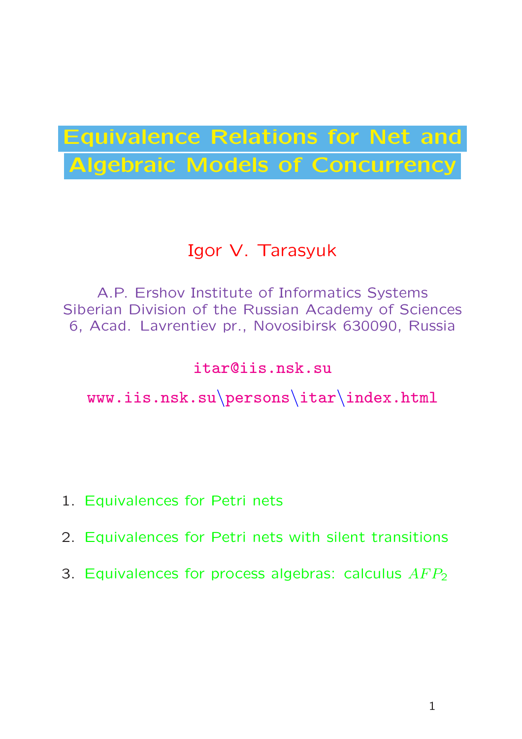# Equivalence Relations for Net and Algebraic Models of Concurrency

## Igor V. Tarasyuk

A.P. Ershov Institute of Informatics Systems Siberian Division of the Russian Academy of Sciences 6, Acad. Lavrentiev pr., Novosibirsk 630090, Russia

### itar@iis.nsk.su

## www.iis.nsk.su\persons\itar\index.html

- 1. Equivalences for Petri nets
- 2. Equivalences for Petri nets with silent transitions
- 3. Equivalences for process algebras: calculus  $AFP<sub>2</sub>$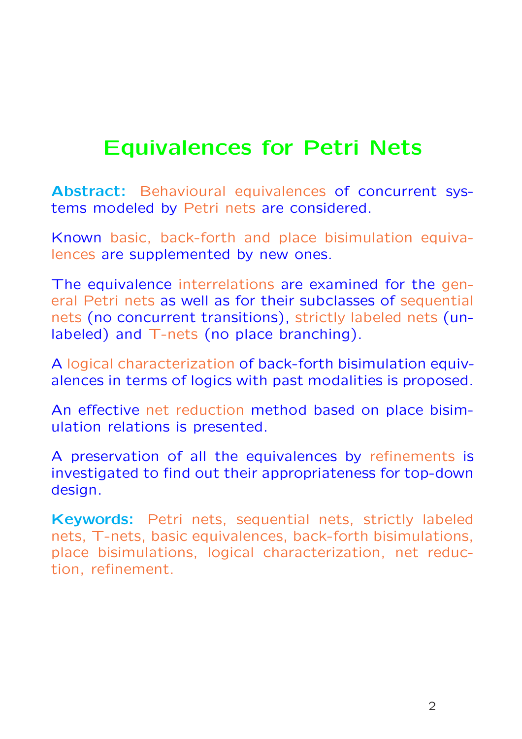## Equivalences for Petri Nets

Abstract: Behavioural equivalences of concurrent systems modeled by Petri nets are considered.

Known basic, back-forth and place bisimulation equivalences are supplemented by new ones.

The equivalence interrelations are examined for the general Petri nets as well as for their subclasses of sequential nets (no concurrent transitions), strictly labeled nets (unlabeled) and T-nets (no place branching).

A logical characterization of back-forth bisimulation equivalences in terms of logics with past modalities is proposed.

An effective net reduction method based on place bisimulation relations is presented.

A preservation of all the equivalences by refinements is investigated to find out their appropriateness for top-down design.

Keywords: Petri nets, sequential nets, strictly labeled nets, T-nets, basic equivalences, back-forth bisimulations, place bisimulations, logical characterization, net reduction, refinement.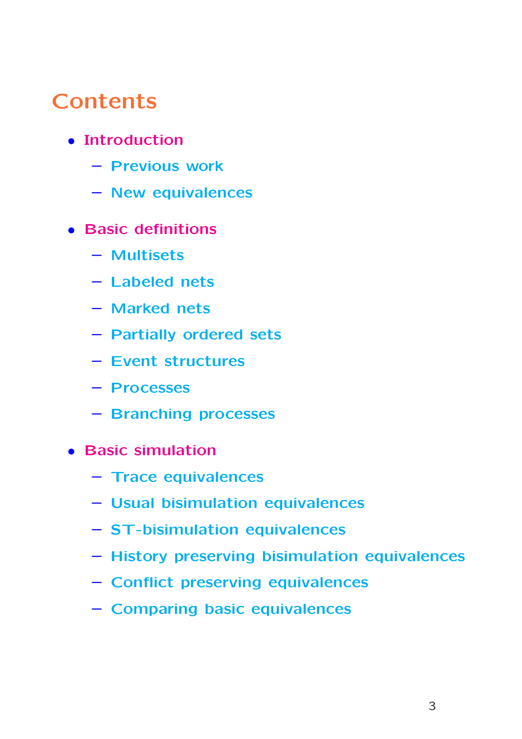## **Contents**

- Introduction
	- Previous work
	- New equivalences
- Basic definitions
	- Multisets
	- Labeled nets
	- Marked nets
	- Partially ordered sets
	- Event structures
	- Processes
	- Branching processes
- Basic simulation
	- Trace equivalences
	- Usual bisimulation equivalences
	- ST-bisimulation equivalences
	- History preserving bisimulation equivalences
	- Conflict preserving equivalences
	- Comparing basic equivalences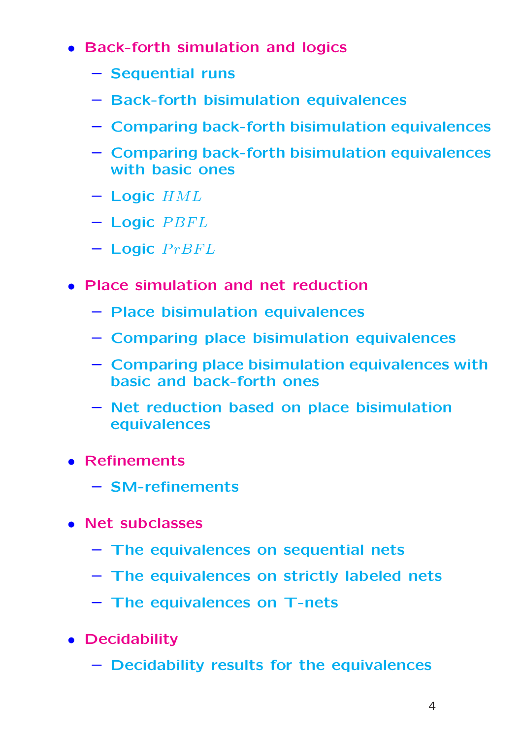- Back-forth simulation and logics
	- Sequential runs
	- Back-forth bisimulation equivalences
	- Comparing back-forth bisimulation equivalences
	- Comparing back-forth bisimulation equivalences with basic ones
	- $-$  Logic  $HML$
	- $-$  Logic  $PBFL$
	- $-$  Logic  $PrBFL$
- Place simulation and net reduction
	- Place bisimulation equivalences
	- Comparing place bisimulation equivalences
	- Comparing place bisimulation equivalences with basic and back-forth ones
	- Net reduction based on place bisimulation equivalences
- Refinements
	- SM-refinements
- Net subclasses
	- The equivalences on sequential nets
	- The equivalences on strictly labeled nets
	- The equivalences on T-nets
- Decidability
	- Decidability results for the equivalences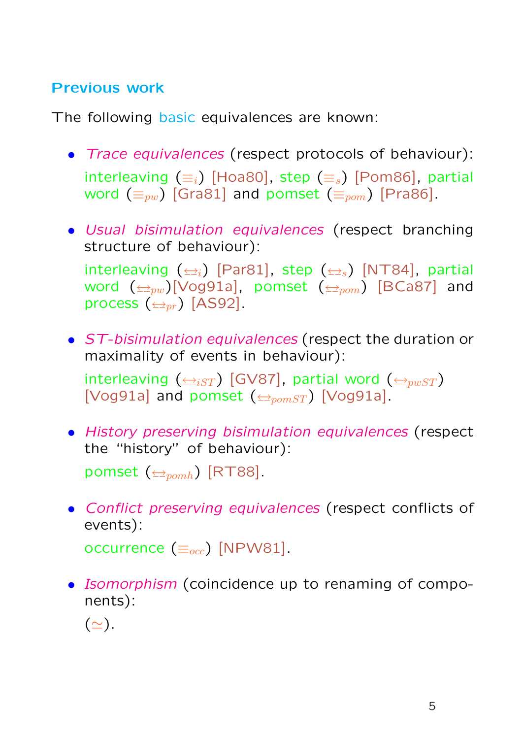## Previous work

The following basic equivalences are known:

- Trace equivalences (respect protocols of behaviour): interleaving  $(\equiv_i)$  [Hoa80], step  $(\equiv_s)$  [Pom86], partial word  $(\equiv_{pw})$  [Gra81] and pomset  $(\equiv_{pom})$  [Pra86].
- Usual bisimulation equivalences (respect branching structure of behaviour):

interleaving  $(\triangle_i)$  [Par81], step  $(\triangle_i)$  [NT84], partial word  $(\triangle_{pw})$ [Vog91a], pomset  $(\triangle_{pom})$  [BCa87] and process  $(\triangle_{pr})$  [AS92].

• ST-bisimulation equivalences (respect the duration or maximality of events in behaviour):

interleaving  $(\triangleq_{iST})$  [GV87], partial word  $(\triangleq_{pwST})$ [Vog91a] and pomset  $(\triangle_{\text{pomST}})$  [Vog91a].

• History preserving bisimulation equivalences (respect the "history" of behaviour):

pomset  $(\triangle_{pomh})$  [RT88].

• Conflict preserving equivalences (respect conflicts of events):

occurrence  $(\equiv_{occ})$  [NPW81].

• Isomorphism (coincidence up to renaming of components):

 $(\simeq).$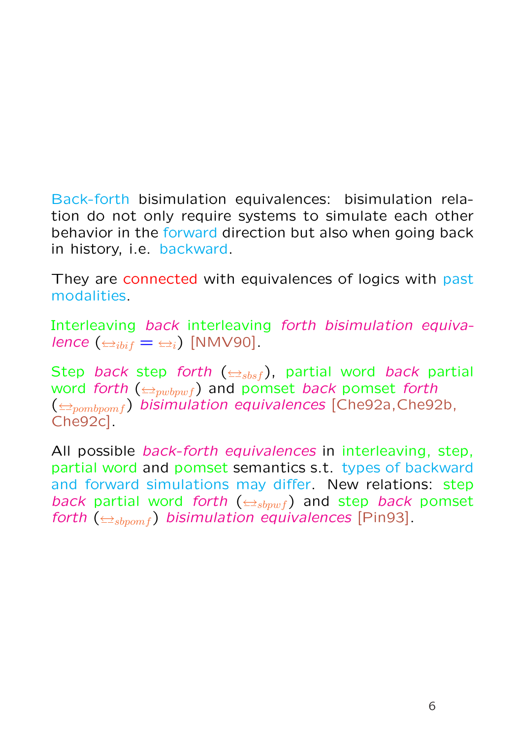Back-forth bisimulation equivalences: bisimulation relation do not only require systems to simulate each other behavior in the forward direction but also when going back in history, i.e. backward.

They are connected with equivalences of logics with past modalities.

Interleaving back interleaving forth bisimulation equivalence  $(\triangle_{i\text{bif}} = \triangleq_i)$  [NMV90].

Step back step forth  $(\triangle_{sbsf})$ , partial word back partial word forth  $(\triangle_{\text{pubrwf}})$  and pomset back pomset forth  $(\triangle_{pombpom f})$  bisimulation equivalences [Che92a, Che92b, Che92c].

All possible *back-forth equivalences* in interleaving, step, partial word and pomset semantics s.t. types of backward and forward simulations may differ. New relations: step back partial word forth  $(\triangle_{sbpwf})$  and step back pomset forth  $(\triangle_{sbromf})$  bisimulation equivalences [Pin93].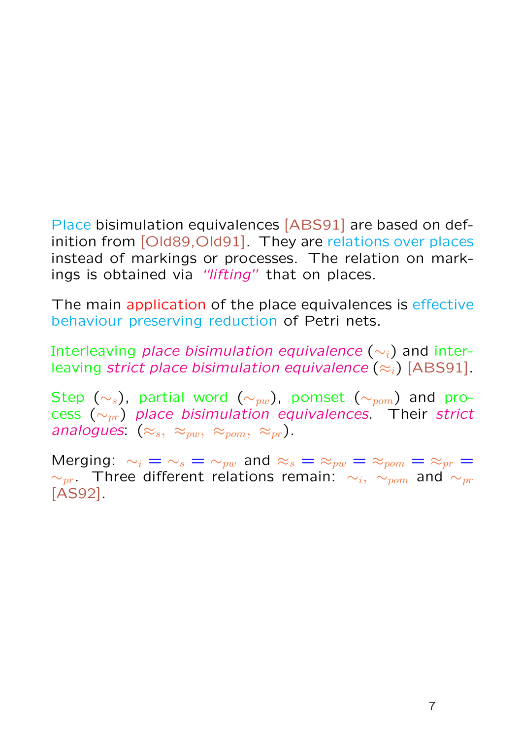Place bisimulation equivalences [ABS91] are based on definition from [Old89, Old91]. They are relations over places instead of markings or processes. The relation on markings is obtained via "lifting" that on places.

The main application of the place equivalences is effective behaviour preserving reduction of Petri nets.

Interleaving place bisimulation equivalence  $(\sim_i)$  and interleaving strict place bisimulation equivalence  $(\approx_i)$  [ABS91].

Step ( $\sim_s$ ), partial word ( $\sim_{pw}$ ), pomset ( $\sim_{pom}$ ) and process  $(\sim_{pr})$  place bisimulation equivalences. Their strict analogues:  $(\approx_s, \approx_{pw}, \approx_{pom}, \approx_{pr})$ .

Merging:  $\sim_i = \sim_s = \sim_{pw}$  and  $\approx_s = \approx_{pw} = \approx_{pom} = \approx_{pr} =$  $\sim_{pr}$ . Three different relations remain:  $\sim_i$ ,  $\sim_{pom}$  and  $\sim_{pr}$ [AS92].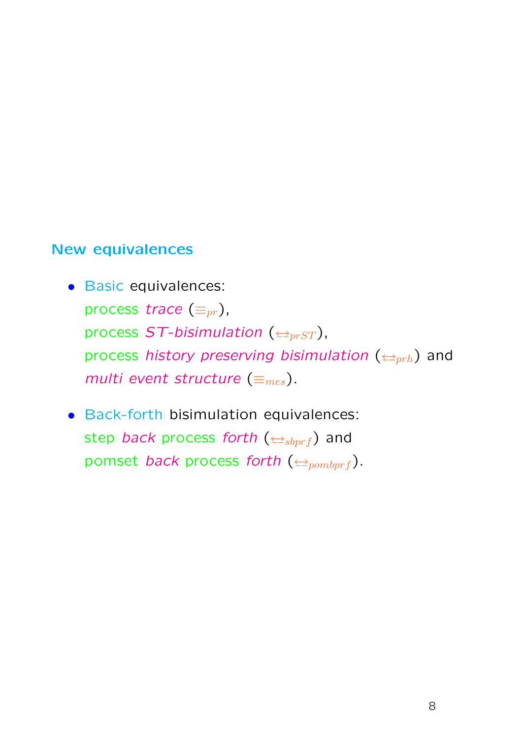#### New equivalences

- Basic equivalences: process trace  $(\equiv_{pr})$ , process  $ST$ -bisimulation ( $\triangleq_{prST}$ ), process history preserving bisimulation ( $\triangleq_{prh}$ ) and multi event structure  $(\equiv_{mes}).$
- Back-forth bisimulation equivalences: step back process forth  $(\triangle_{sbprf})$  and pomset back process forth ( $\triangleq_{pombprf}$ ).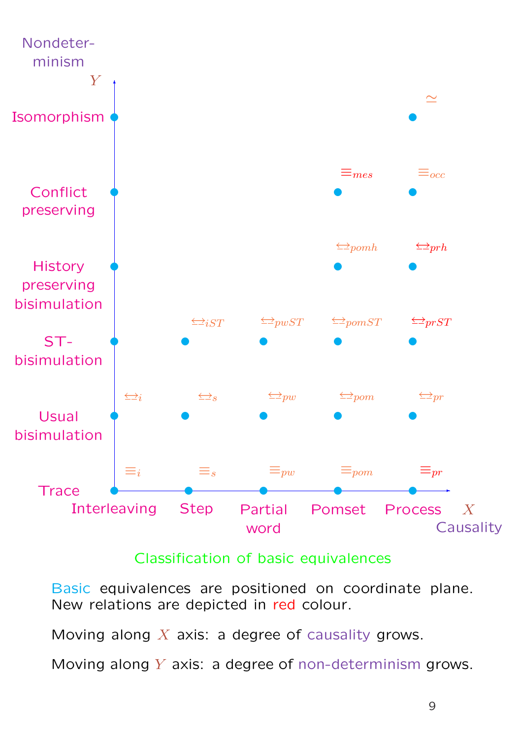

### Classification of basic equivalences

Basic equivalences are positioned on coordinate plane. New relations are depicted in red colour.

Moving along  $X$  axis: a degree of causality grows.

Moving along  $Y$  axis: a degree of non-determinism grows.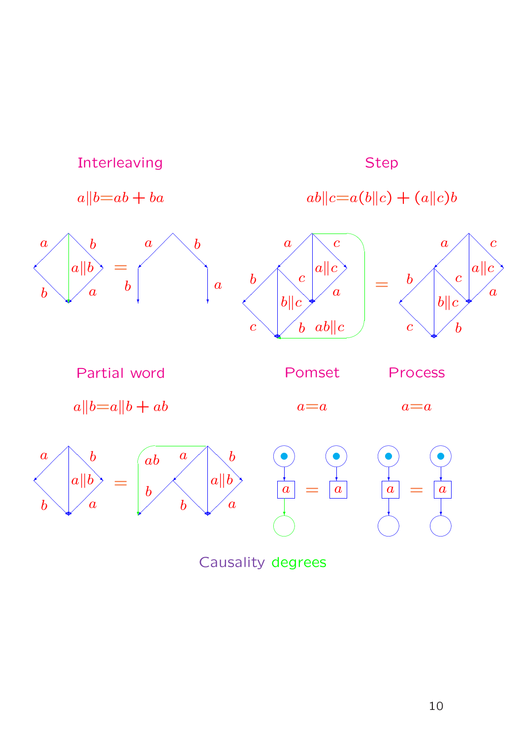

Causality degrees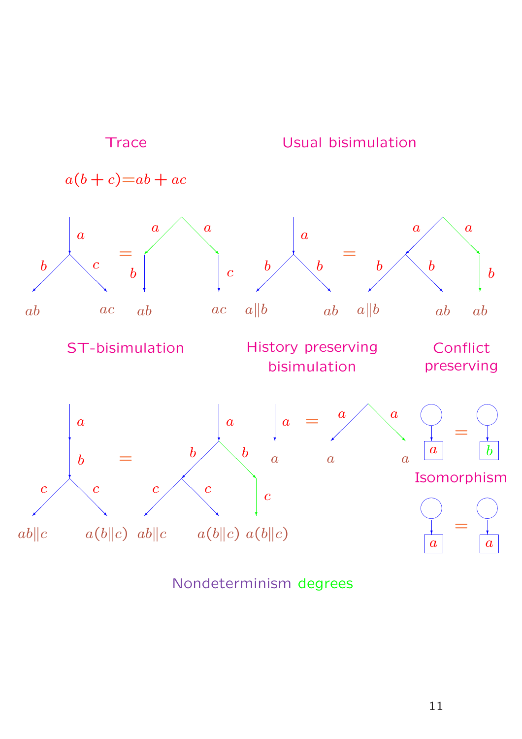

Nondeterminism degrees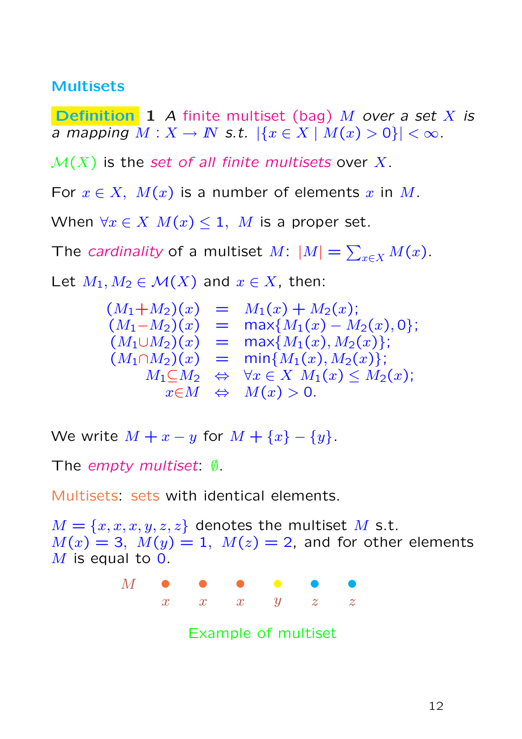#### Multisets

**Definition** 1 A finite multiset (bag) M over a set X is a mapping  $M: X \to \mathbb{N}$  s.t.  $|\{x \in X \mid M(x) > 0\}| < \infty$ .

 $\mathcal{M}(X)$  is the set of all finite multisets over X.

For  $x \in X$ ,  $M(x)$  is a number of elements x in M.

When  $\forall x \in X$   $M(x) \leq 1$ , M is a proper set.

The *cardinality* of a multiset  $M: |M| =$  $\overline{ }$  $_{x\in X}M(x).$ 

Let  $M_1, M_2 \in \mathcal{M}(X)$  and  $x \in X$ , then:

$$
(M_1 + M_2)(x) = M_1(x) + M_2(x);
$$
  
\n
$$
(M_1 - M_2)(x) = \max\{M_1(x) - M_2(x), 0\};
$$
  
\n
$$
(M_1 \cup M_2)(x) = \max\{M_1(x), M_2(x)\};
$$
  
\n
$$
(M_1 \cap M_2)(x) = \min\{M_1(x), M_2(x)\};
$$
  
\n
$$
M_1 \subseteq M_2 \Leftrightarrow \forall x \in X \ M_1(x) \le M_2(x);
$$
  
\n
$$
x \in M \Leftrightarrow M(x) > 0.
$$

We write  $M + x - y$  for  $M + \{x\} - \{y\}$ .

The empty multiset: ∅.

Multisets: sets with identical elements.

 $M = \{x, x, x, y, z, z\}$  denotes the multiset M s.t.  $M(x) = 3$ ,  $M(y) = 1$ ,  $M(z) = 2$ , and for other elements  $M$  is equal to 0.

> ① ① ① ① ① ①  $x$   $x$   $y$   $z$   $z$  $M$

> > Example of multiset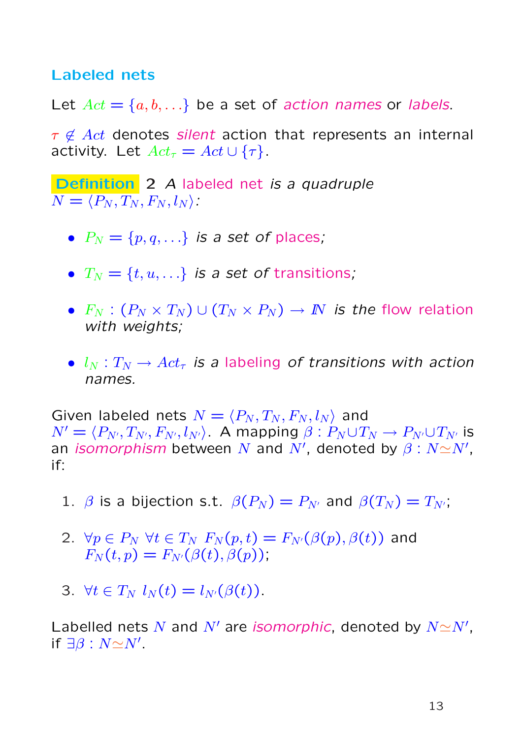#### Labeled nets

Let  $Act = \{a, b, ...\}$  be a set of action names or labels.

 $\tau \notin Act$  denotes silent action that represents an internal activity. Let  $Act_{\tau} = Act \cup {\tau}.$ 

Definition 2 A labeled net is a quadruple  $N = \langle P_N, T_N, F_N, l_N \rangle$ :

- $P_N = \{p, q, ...\}$  is a set of places;
- $T_N = \{t, u, ...\}$  is a set of transitions;
- $F_N : (P_N \times T_N) \cup (T_N \times P_N) \rightarrow I\!N$  is the flow relation with weights;
- $l_N : T_N \to Act_\tau$  is a labeling of transitions with action names.

Given labeled nets  $N = \langle P_N , T_N , F_N , l_N \rangle$  and  $N' = \langle P_{N'}, T_{N'}, F_{N'}, l_{N'} \rangle$ . A mapping  $\beta : P_N \cup T_N \rightarrow P_{N'} \cup T_{N'}$  is an *isomorphism* between N and N', denoted by  $\beta : N \simeq N'$ , if:

- 1.  $\beta$  is a bijection s.t.  $\beta(P_N) = P_{N'}$  and  $\beta(T_N) = T_{N'}$ ;
- 2.  $\forall p \in P_N$   $\forall t \in T_N$   $F_N(p,t) = F_{N'}(\beta(p), \beta(t))$  and  $F_N(t, p) = F_{N'}(\beta(t), \beta(p)),$
- 3.  $\forall t \in T_N$   $l_N(t) = l_{N'}(\beta(t)).$

Labelled nets N and N' are isomorphic, denoted by  $N \simeq N'$ , if  $\exists \beta : N \simeq N'$ .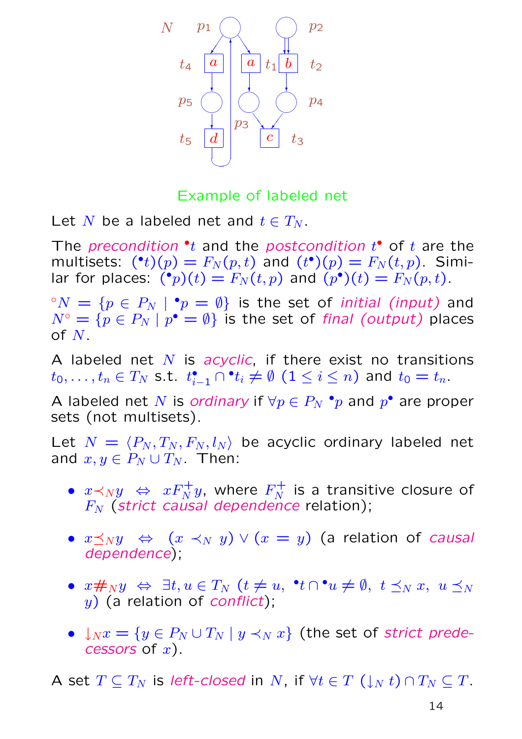

Example of labeled net

Let N be a labeled net and  $t \in T_N$ .

The precondition  $\cdot t$  and the postcondition  $t^{\bullet}$  of  $t$  are the multisets:  $(^{\bullet}t)(p) = F_N(p,t)$  and  $(t^{\bullet})(p) = F_N(t,p)$ . Similar for places:  $\tilde{P}(r)(t) = F_N(t,p)$  and  $(p^{\bullet})(t) = F_N(p,t)$ .

 ${}^{\circ}N = \{p \in P_N \mid {}^{\bullet}p = \emptyset\}$  is the set of *initial (input)* and  $N^{\circ} = \{p \in P_N \mid p^{\bullet} = \emptyset\}$  is the set of final (output) places of  $N$ .

A labeled net  $N$  is acyclic, if there exist no transitions  $t_0,\ldots,t_n\in T_N$  s.t.  $t_{i-1}^\bullet\cap {}^\bullet t_i\neq\emptyset$   $(1\leq i\leq n)$  and  $t_0=t_n.$ 

A labeled net N is ordinary if  $\forall p \in P_N$   $^{\bullet}p$  and  $p^{\bullet}$  are proper sets (not multisets).

Let  $N = \langle P_N , T_N , F_N , l_N \rangle$  be acyclic ordinary labeled net and  $x, y \in P_N \cup T_N$ . Then:

- $\bullet$   $x \prec_N y \ \ \Leftrightarrow \ \ xF_N^+ y,$  where  $F_N^+$  $N \over N$  is a transitive closure of  $F_N$  (strict causal dependence relation);
- $x \preceq_N y \Leftrightarrow (x \prec_N y) \vee (x = y)$  (a relation of causal dependence);
- $x \#_N y \Leftrightarrow \exists t, u \in T_N \ (t \neq u, \neg t \cap \neg u \neq \emptyset, \ t \preceq_N x, \ u \preceq_N y)$  $y)$  (a relation of *conflict*);
- $\downarrow_N x = \{y \in P_N \cup T_N \mid y \prec_N x\}$  (the set of strict predecessors of  $x$ ).

A set  $T \subseteq T_N$  is left-closed in N, if  $\forall t \in T \left(\downarrow_N t\right) \cap T_N \subseteq T$ .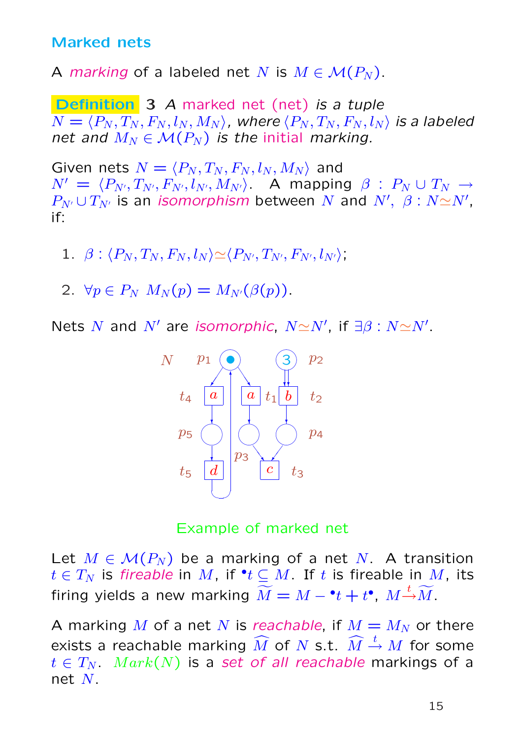#### Marked nets

A marking of a labeled net N is  $M \in \mathcal{M}(P_N)$ .

Definition 3 A marked net (net) is a tuple  $N = \langle P_N , T_N , F_N , l_N , M_N \rangle$ , where  $\langle P_N , T_N , F_N , l_N \rangle$  is a labeled net and  $M_N \in \mathcal{M}(P_N)$  is the initial marking.

Given nets  $N = \langle P_N, T_N, F_N, l_N, M_N \rangle$  and  $N' = \langle P_{N'}, T_{N'}, F_{N'}, l_{N'}, M_{N'} \rangle$ . A mapping  $\beta : P_N \cup T_N \rightarrow$  $P_{N'} \cup T_{N'}$  is an *isomorphism* between  $N$  and  $N', \ \beta : N {\simeq} N',$ if:

1.  $\beta$  :  $\langle P_N, T_N, F_N, l_N \rangle \simeq \langle P_{N'}, T_{N'}, F_{N'}, l_{N'} \rangle$ 

2.  $\forall p \in P_N$   $M_N(p) = M_{N'}(\beta(p)).$ 

Nets N and N' are isomorphic,  $N \simeq N'$ , if  $\exists \beta : N \simeq N'$ .



Example of marked net

Let  $M \in \mathcal{M}(P_N)$  be a marking of a net N. A transition  $t\in T_N$  is *fireable* in  $M$ , if  $^{\bullet}t\subseteq M.$  If  $t$  is fireable in  $M$ , its firing yields a new marking  $\widetilde{M} = M - {^\bullet} t + t {^\bullet}$ ,  $M {\overset{t}{\rightarrow}} \widetilde{M}$ .

A marking M of a net N is reachable, if  $M = M_N$  or there exists a reachable marking  $\widehat{M}$  of  $N$  s.t.  $\widehat{M} \stackrel{t}{\rightarrow} M$  for some  $t \in T_N$ .  $Mark(N)$  is a set of all reachable markings of a net  $N$ .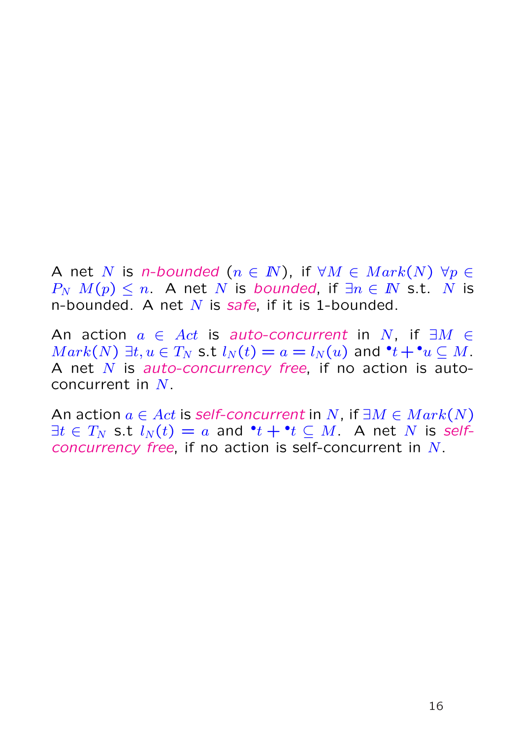A net N is n-bounded  $(n \in \mathbb{N})$ , if  $\forall M \in \mathit{Mark}(N)$   $\forall p \in \mathcal{A}$  $P_N$   $M(p) \leq n$ . A net N is bounded, if  $\exists n \in \mathbb{N}$  s.t. N is n-bounded. A net  $N$  is safe, if it is 1-bounded.

An action  $a \in Act$  is auto-concurrent in N, if  $\exists M \in$  $Mark(N) \exists t, u \in T_N$  s.t  $l_N(t) = a = l_N(u)$  and  $\mathbf{P}t + \mathbf{P}u \subseteq M$ . A net  $N$  is auto-concurrency free, if no action is autoconcurrent in  $N$ .

An action  $a \in Act$  is self-concurrent in N, if  $\exists M \in Mark(N)$  $\exists t \in T_N$  s.t  $l_N(t) = a$  and  $\mathbf{P} t + \mathbf{P} t \subseteq M$ . A net  $N$  is selfconcurrency free, if no action is self-concurrent in N.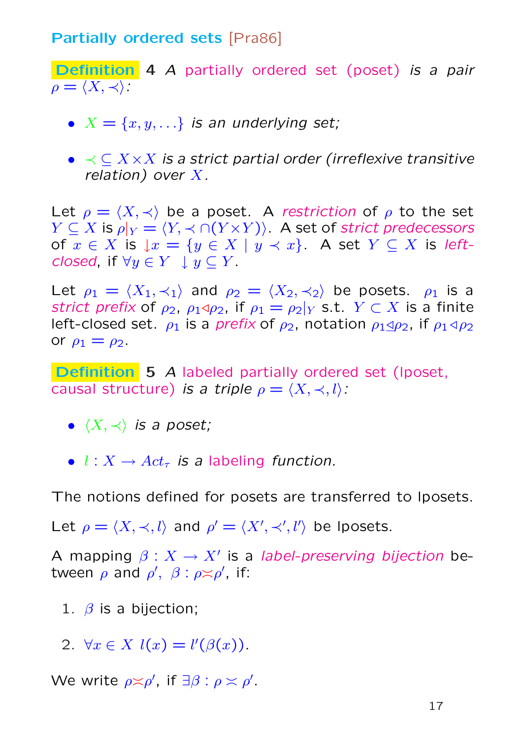#### **Partially ordered sets [Pra86]**

Definition 4 A partially ordered set (poset) is a pair  $\rho = \langle X, \prec \rangle$ :

- $X = \{x, y, ...\}$  is an underlying set;
- $\bullet \prec \subset X \times X$  is a strict partial order (irreflexive transitive relation) over  $X$ .

Let  $\rho = \langle X, \prec \rangle$  be a poset. A restriction of  $\rho$  to the set  $Y \subseteq X$  is  $\rho|_Y = \langle Y, \prec \cap (Y \times Y) \rangle$ . A set of strict predecessors of  $x \in X$  is  $\downarrow x = \{y \in X \mid y \prec x\}$ . A set  $Y \subseteq X$  is leftclosed, if  $\forall y \in Y \cup y \subset Y$ .

Let  $\rho_1 = \langle X_1, \prec_1 \rangle$  and  $\rho_2 = \langle X_2, \prec_2 \rangle$  be posets.  $\rho_1$  is a strict prefix of  $\rho_2$ ,  $\rho_1 \triangleleft \rho_2$ , if  $\rho_1 = \rho_2|_Y$  s.t.  $Y \subset X$  is a finite left-closed set.  $\rho_1$  is a *prefix* of  $\rho_2$ , notation  $\rho_1 \triangleleft \rho_2$ , if  $\rho_1 \triangleleft \rho_2$ or  $\rho_1 = \rho_2$ .

Definition 5 A labeled partially ordered set (Iposet, causal structure) is a triple  $\rho = \langle X, \prec, l \rangle$ :

- $\langle X, \prec \rangle$  is a poset;
- $l : X \rightarrow Act_{\tau}$  is a labeling function.

The notions defined for posets are transferred to lposets.

Let  $\rho = \langle X, \prec, l \rangle$  and  $\rho' = \langle X', \prec', l' \rangle$  be lposets.

A mapping  $\beta: X \to X'$  is a *label-preserving bijection* between  $\rho$  and  $\rho'$ ,  $\beta$  :  $\rho \asymp \rho'$ , if:

- 1.  $\beta$  is a bijection:
- 2.  $\forall x \in X$   $l(x) = l'(\beta(x))$ .

We write  $\rho \asymp \rho'$ , if  $\exists \beta : \rho \asymp \rho'$ .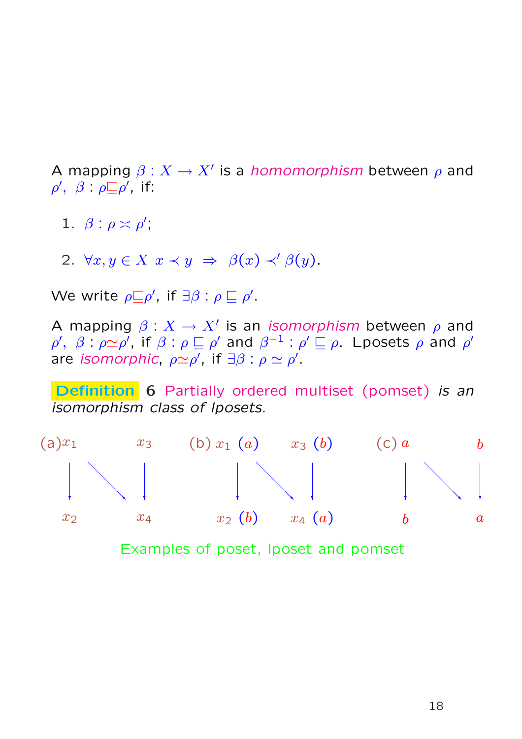A mapping  $\beta: X \to X'$  is a *homomorphism* between  $\rho$  and  $\rho', \ \beta : \rho \Box \rho', \text{ if: }$ 

- 1.  $\beta$  :  $\rho \asymp \rho'$ ,
- 2.  $\forall x, y \in X \ x \prec y \Rightarrow \beta(x) \prec' \beta(y)$ .

We write  $\rho \sqsubseteq \rho'$ , if  $\exists \beta : \rho \sqsubseteq \rho'$ .

A mapping  $\beta: X \to X'$  is an *isomorphism* between  $\rho$  and  $\rho', \; \beta : \rho \simeq \rho',$  if  $\beta : \rho \sqsubseteq \rho'$  and  $\beta^{-1} : \rho' \sqsubseteq \rho$ . Lposets  $\rho$  and  $\rho'$ are isomorphic,  $\rho \simeq \rho'$ , if  $\exists \beta : \rho \simeq \rho'$ .

Definition 6 Partially ordered multiset (pomset) is an isomorphism class of lposets.



Examples of poset, lposet and pomset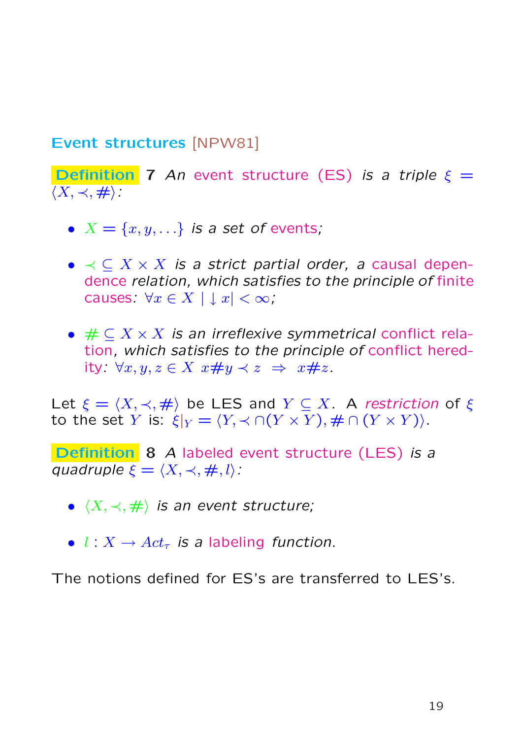#### Event structures [NPW81]

**Definition** 7 An event structure (ES) is a triple  $\xi =$  $\langle X, \prec, \# \rangle$ :

- $X = \{x, y, ...\}$  is a set of events;
- $\bullet \prec \subset X \times X$  is a strict partial order, a causal dependence relation, which satisfies to the principle of finite causes:  $\forall x \in X \mid x \mid < \infty$ ,
- $\# \subseteq X \times X$  is an irreflexive symmetrical conflict relation, which satisfies to the principle of conflict heredity:  $\forall x, y, z \in X \ x \# y \prec z \Rightarrow x \# z$ .

Let  $\xi = \langle X, \prec, \# \rangle$  be LES and  $Y \subseteq X$ . A restriction of  $\xi$ to the set Y is:  $\xi|_Y = \langle Y, \prec \cap (Y \times Y), \# \cap (Y \times Y) \rangle$ .

Definition 8 A labeled event structure (LES) is a quadruple  $\xi = \langle X, \prec, \#, l \rangle$ :

- $\langle X, \prec, \# \rangle$  is an event structure;
- $l: X \rightarrow Act_{\tau}$  is a labeling function.

The notions defined for ES's are transferred to LES's.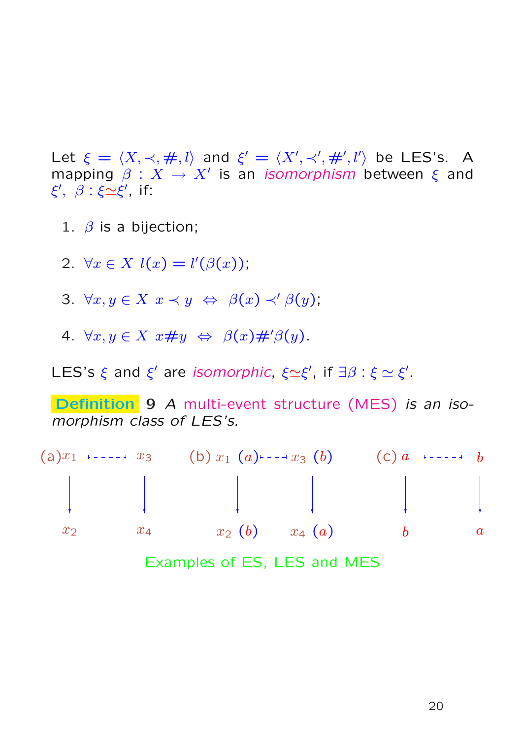Let  $\xi = \langle X, \prec, \#, l \rangle$  and  $\xi' = \langle X', \prec', \#', l' \rangle$  be LES's. A mapping  $\beta: X \to X'$  is an *isomorphism* between  $\xi$  and  $\xi', \ \beta : \xi \simeq \xi', \text{ if: }$ 

- 1.  $\beta$  is a bijection;
- 2.  $\forall x \in X$   $l(x) = l'(\beta(x))$ ;
- 3.  $\forall x, y \in X \ x \prec y \Leftrightarrow \ \beta(x) \prec' \beta(y);$
- 4.  $\forall x, y \in X \ x \# y \Leftrightarrow \beta(x) \#' \beta(y)$ .

LES's  $\xi$  and  $\xi'$  are *isomorphic*,  $\xi \simeq \xi'$ , if  $\exists \beta : \xi \simeq \xi'$ .

Definition 9 A multi-event structure (MES) is an isomorphism class of LES's.

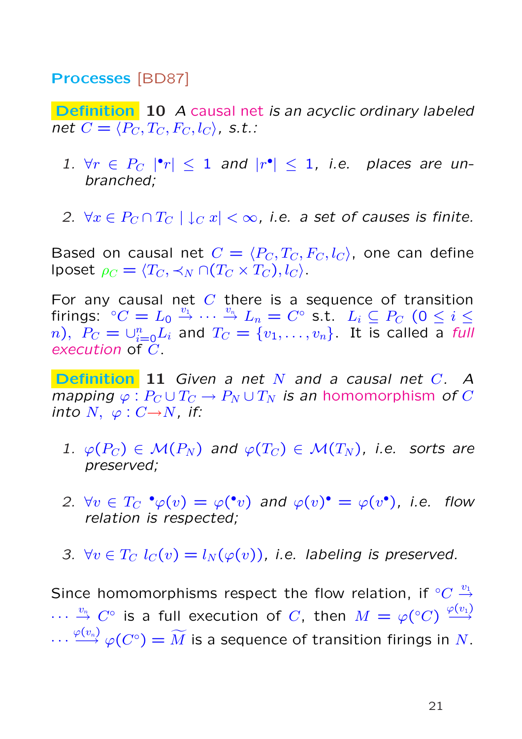#### Processes [BD87]

Definition 10 A causal net is an acyclic ordinary labeled net  $C = \langle P_C, T_C, F_C, l_C \rangle$ , s.t.:

- 1.  $\forall r \in P_C$  | $|r| \leq 1$  and  $|r^{\bullet}| \leq 1$ , i.e. places are unbranched;
- 2.  $\forall x \in P_C \cap T_C \mid \downarrow_C x \mid <\infty$ , i.e. a set of causes is finite.

Based on causal net  $C = \langle P_C, T_C, F_C, l_C \rangle$ , one can define lposet  $\rho_C = \langle T_C, \prec_N \cap (T_C \times T_C), l_C \rangle$ .

For any causal net  $C$  there is a sequence of transition firings:  $\degree C = L_0 \overset{v_1}{\rightarrow} \cdots \overset{v_n}{\rightarrow} L_n = C^\circ$  s.t.  $L_i \subseteq P_C$  (0  $\leq i \leq$  $n),\,\,P_C=\cup_{i=0}^n L_i$  and  $T_C=\{v_1,\ldots,v_n\}.$  It is called a full execution of  $\tilde{C}$ .

**Definition 11** Given a net N and a causal net  $C$ . A mapping  $\varphi : P_C \cup T_C \to P_N \cup T_N$  is an homomorphism of C into  $N, \varphi: C \rightarrow N$ , if:

- 1.  $\varphi(P_C) \in \mathcal{M}(P_N)$  and  $\varphi(T_C) \in \mathcal{M}(T_N)$ , i.e. sorts are preserved;
- 2.  $\forall v \in T_C \cdot \varphi(v) = \varphi(v)$  and  $\varphi(v) \cdot \varphi(v) = \varphi(v)$ , i.e. flow relation is respected;
- 3.  $\forall v \in T_C$   $l_C(v) = l_N(\varphi(v))$ , i.e. labeling is preserved.

Since homomorphisms respect the flow relation, if  $^{\circ}C \stackrel{v_1}{\rightarrow}$  $\cdots\ \stackrel{v_n}{\to}\ C^\circ$  is a full execution of  $C,$  then  $M=\varphi(^\circ C)\ \stackrel{\varphi(v_1)}{\longrightarrow}$  $\cdots \stackrel{\varphi(v_n)}{\longrightarrow} \varphi(C^\circ) = \widetilde{M}$  is a sequence of transition firings in  $N$ .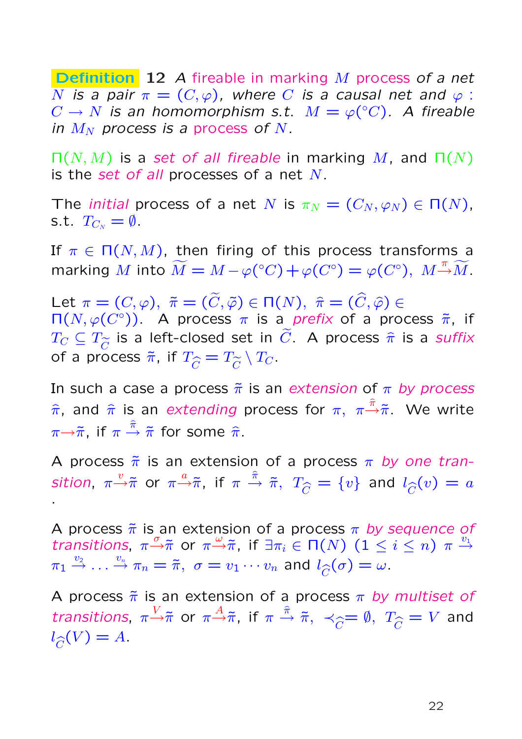Definition 12 A fireable in marking M process of a net N is a pair  $\pi = (C, \varphi)$ , where C is a causal net and  $\varphi$  :  $C \to N$  is an homomorphism s.t.  $M = \varphi({}^{\circ}C)$ . A fireable in  $M_N$  process is a process of N.

 $\Pi(N, M)$  is a set of all fireable in marking M, and  $\Pi(N)$ is the set of all processes of a net  $N$ .

The *initial* process of a net N is  $\pi_N = (C_N, \varphi_N) \in \Pi(N)$ , s.t.  $T_{C_N} = \emptyset$ .

If  $\pi \in \Pi(N, M)$ , then firing of this process transforms a marking M into  $\widetilde{M} = M - \varphi({}^{\circ}C) + \varphi(C^{\circ}) = \varphi(C^{\circ}), M \rightarrow \widetilde{M}$ .

Let  $\pi = (C, \varphi), \; \tilde{\pi} = (\tilde{C}, \tilde{\varphi}) \in \Pi(N), \; \hat{\pi} = (\hat{C}, \hat{\varphi}) \in$  $\Pi(N, \varphi(C^{\circ}))$ . A process  $\pi$  is a prefix of a process  $\tilde{\pi}$ , if  $T_C \subseteq T_{\widetilde{C}}$  is a left-closed set in  $\widetilde{C}.$  A process  $\widehat{\pi}$  is a suffix of a process  $\tilde{\pi}$ , if  $T_{\widehat{C}} = T_{\widetilde{C}} \setminus T_C.$ 

In such a case a process  $\tilde{\pi}$  is an extension of  $\pi$  by process  $\hat{\pi}$ , and  $\hat{\pi}$  is an extending process for  $\pi, \ \pi {\stackrel{\hat{\pi}}{\rightarrow}} \tilde{\pi}$ . We write  $\pi{\to}\tilde{\pi},$  if  $\pi\stackrel{\hat{\pi}}{\to}\tilde{\pi}$  for some  $\hat{\pi}.$ 

A process  $\tilde{\pi}$  is an extension of a process  $\pi$  by one transition,  $\pi\frac{v}{\gamma}\tilde{\pi}$  or  $\pi\frac{a}{\gamma}\tilde{\pi},$  if  $\pi\,\frac{\tilde{\pi}}{\gamma}\,\tilde{\pi},$   $T_{\widehat{C}}=\{v\}$  and  $l_{\widehat{C}}(v)=a$ .

A process  $\tilde{\pi}$  is an extension of a process  $\pi$  by sequence of transitions,  $\pi \stackrel{\sigma}{\rightarrow} \tilde{\pi}$  or  $\pi \stackrel{\omega}{\rightarrow} \tilde{\pi}$ , if  $\exists \pi_i \in \Pi(N)$   $(1 \leq i \leq n)$   $\pi \stackrel{v_1}{\rightarrow}$  $\pi_1 \stackrel{v_2}{\rightarrow} \ldots \stackrel{v_n}{\rightarrow} \pi_n = \tilde{\pi}, \ \sigma = v_1 \cdots v_n$  and  $l_{\widehat{C}}(\sigma) = \omega$ .

A process  $\tilde{\pi}$  is an extension of a process  $\pi$  by multiset of transitions,  $\pi \to \tilde{\pi}$  or  $\pi \to \tilde{\pi}$ , if  $\pi \to \tilde{\pi}$ ,  $\prec_{\widehat{C}} = \emptyset$ ,  $T_{\widehat{C}} = V$  and  $l_{\widehat{C}}(V) = A.$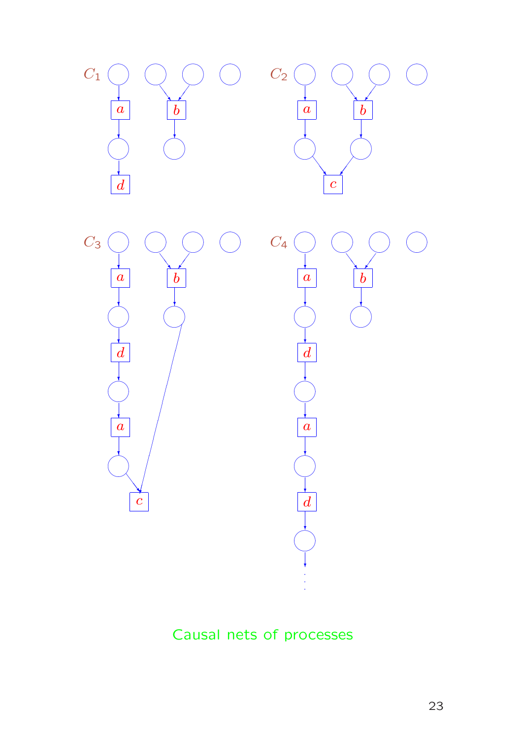





## Causal nets of processes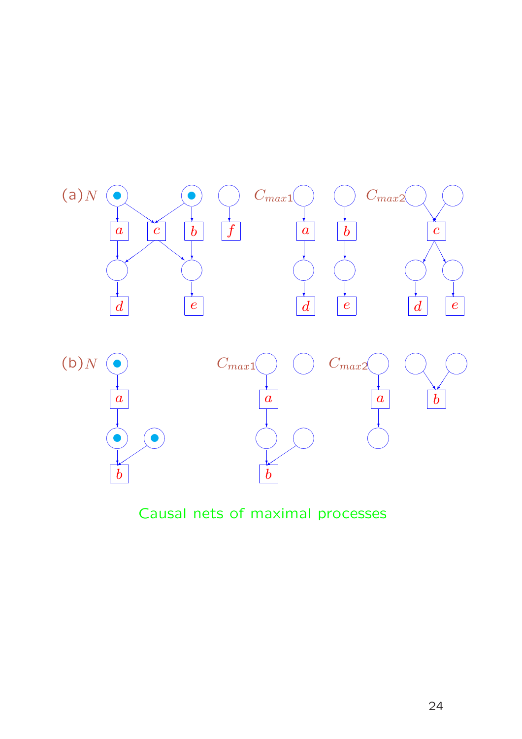

Causal nets of maximal processes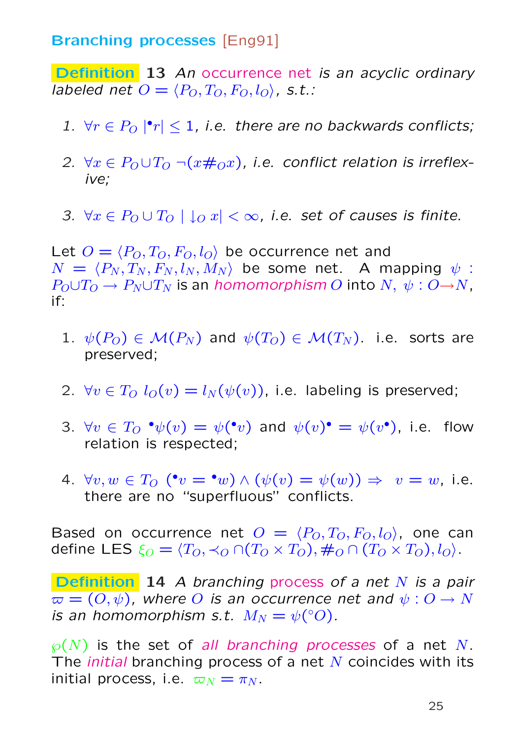#### Branching processes [Eng91]

**Definition** 13 An occurrence net is an acyclic ordinary labeled net  $O = \langle P_O, T_O, F_O, l_O \rangle$ , s.t.:

- 1.  $\forall r \in P_O \mid r \leq 1$ , i.e. there are no backwards conflicts;
- 2.  $\forall x \in P_0 \cup T_0 \neg (x \#_0 x)$ , i.e. conflict relation is irreflexive;
- 3.  $\forall x \in P_0 \cup T_0 \mid \downarrow o x \mid \leq \infty$ , i.e. set of causes is finite.

Let  $O = \langle P_O, T_O, F_O, l_O \rangle$  be occurrence net and  $N = \langle P_N , T_N , F_N , l_N , M_N \rangle$  be some net. A mapping  $\psi$  :  $P_O \cup T_O \rightarrow P_N \cup T_N$  is an homomorphism O into N,  $\psi: O \rightarrow N$ , if:

- 1.  $\psi(P_O) \in \mathcal{M}(P_N)$  and  $\psi(T_O) \in \mathcal{M}(T_N)$ . i.e. sorts are preserved;
- 2.  $\forall v \in T_O$   $l_O(v) = l_N(\psi(v))$ , i.e. labeling is preserved;
- 3.  $\forall v \in T_O \; \mathbf{\hat{v}}(v) = \psi(\mathbf{\hat{v}}v)$  and  $\psi(v) \mathbf{\hat{v}} = \psi(v^{\bullet})$ , i.e. flow relation is respected;
- 4.  $\forall v, w \in T_O$  ( $\mathbf{v} = \mathbf{v} w$ )  $\wedge (\psi(v) = \psi(w)) \Rightarrow v = w$ , i.e. there are no "superfluous" conflicts.

Based on occurrence net  $O = \langle P_O, T_O, F_O, l_O \rangle$ , one can define LES  $\xi_O = \langle T_O, \prec_O \bigcap (T_O \times T_O), \#_O \bigcap (T_O \times T_O), l_O \rangle$ .

Definition 14 A branching process of a net N is a pair  $\varpi = (O, \psi)$ , where O is an occurrence net and  $\psi : O \to N$ is an homomorphism s.t.  $M_N = \psi$ <sup>(°</sup>O).

 $\wp(N)$  is the set of all branching processes of a net N. The *initial* branching process of a net  $N$  coincides with its initial process, i.e.  $\varpi_N = \pi_N$ .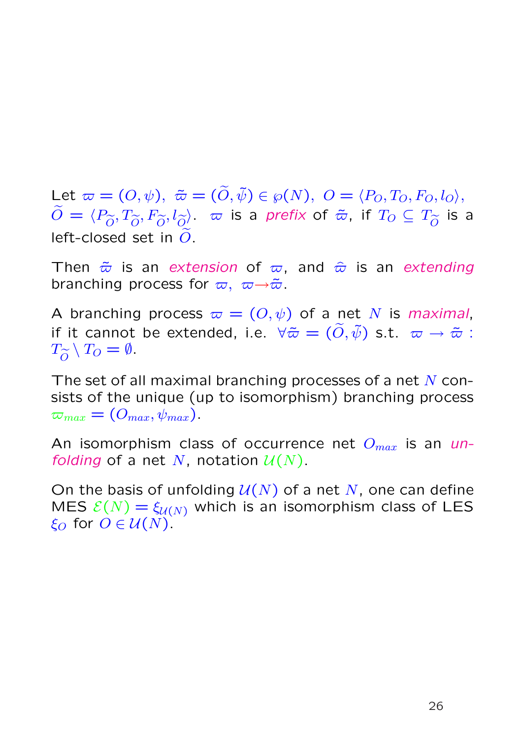Let  $\varpi = (O, \psi), \; \tilde{\varpi} = (\tilde{O}, \tilde{\psi}) \in \wp(N), \; O = \langle P_O, T_O, F_O, l_O \rangle,$  $\widetilde{O}=\langle P_{\widetilde{O}}, T_{\widetilde{O}}, F_{\widetilde{O}}, \overline{l_{\widetilde{O}}} \rangle$  ,  $\varpi$  is a prefix of  $\tilde{\varpi}$ , if  $T_O\subseteq T_{\widetilde{O}}$  is a left-closed set in  $\ddot{O}$ .

Then  $\tilde{\varpi}$  is an extension of  $\varpi$ , and  $\hat{\varpi}$  is an extending branching process for  $\varpi, \ \varpi \rightarrow \tilde{\varpi}$ .

A branching process  $\varpi = (O, \psi)$  of a net N is maximal, if it cannot be extended, i.e.  $\forall \tilde{\varpi} = (\tilde{O}, \tilde{\psi})$  s.t.  $\varpi \to \tilde{\varpi}$  :  $T_{\widetilde{O}} \setminus T_O = \emptyset.$ 

The set of all maximal branching processes of a net  $N$  consists of the unique (up to isomorphism) branching process  $\varpi_{max} = (O_{max}, \psi_{max}).$ 

An isomorphism class of occurrence net  $O_{max}$  is an unfolding of a net N, notation  $U(N)$ .

On the basis of unfolding  $U(N)$  of a net N, one can define MES  $\mathcal{E}(N) = \xi_{\mathcal{U}(N)}$  which is an isomorphism class of LES  $\xi_O$  for  $O \in \mathcal{U}(N)$ .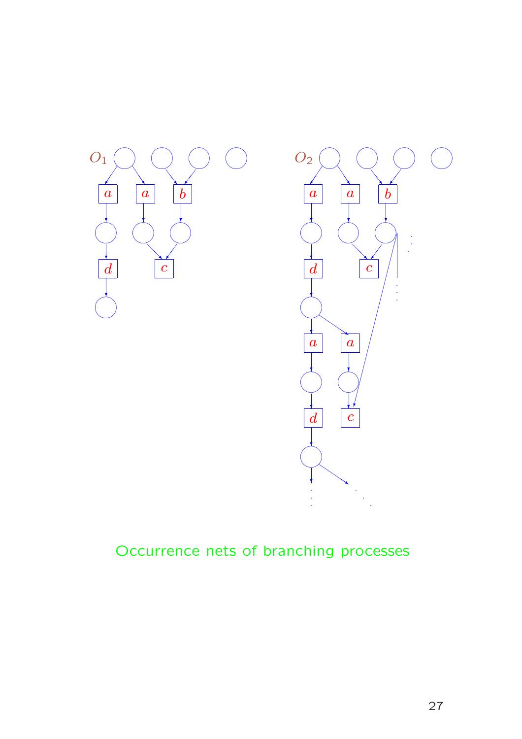

## Occurrence nets of branching processes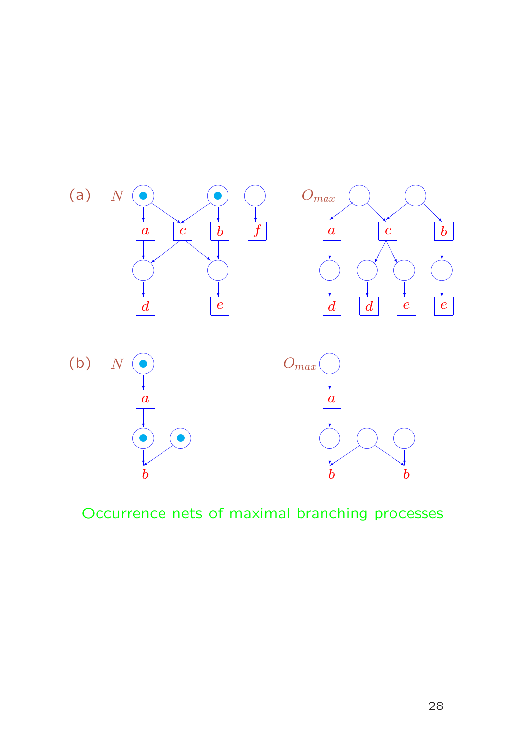

Occurrence nets of maximal branching processes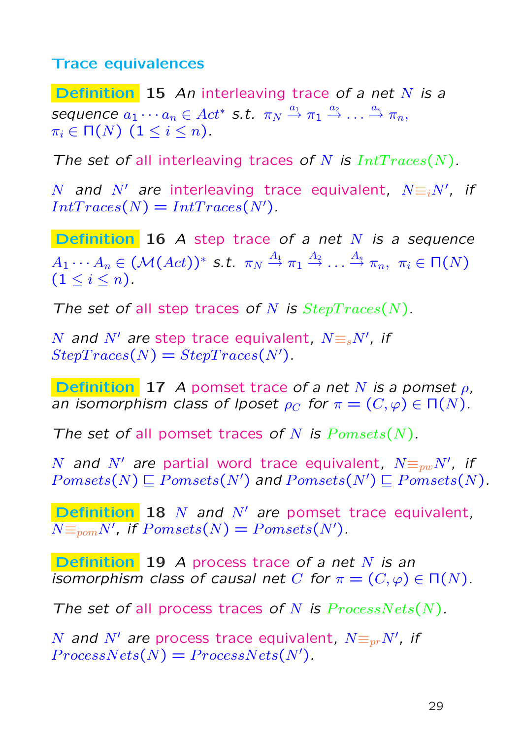#### Trace equivalences

**Definition** 15 An interleaving trace of a net N is a sequence  $a_1 \cdots a_n \in Act^*$  s.t.  $\pi_N \stackrel{a_1}{\rightarrow} \pi_1 \stackrel{a_2}{\rightarrow} \ldots \stackrel{a_n}{\rightarrow} \pi_n,$  $\pi_i \in \Pi(N)$   $(1 \leq i \leq n)$ .

The set of all interleaving traces of N is  $IntTraces(N)$ .

N and N' are interleaving trace equivalent,  $N \equiv iN'$ , if  $IntTraces(N) = IntTraces(N')$ .

**Definition** 16 A step trace of a net  $N$  is a sequence  $A_1 \cdots A_n \in (\mathcal{M}(Act))^*$  s.t.  $\pi_N \stackrel{A_1}{\rightarrow} \pi_1 \stackrel{A_2}{\rightarrow} \ldots \stackrel{A_n}{\rightarrow} \pi_n, \,\, \pi_i \in \mathsf{\Pi}(N)$  $(1 \leq i \leq n).$ 

The set of all step traces of N is  $StepTrace(N)$ .

N and  $N'$  are step trace equivalent,  $N \equiv_{s} N'$ , if  $StepTrace(N) = StepTrace(N')$ .

**Definition** 17 A pomset trace of a net N is a pomset  $\rho$ , an isomorphism class of lposet  $\rho_C$  for  $\pi = (C, \varphi) \in \Pi(N)$ .

The set of all pomset traces of N is  $Pomsets(N)$ .

N and  $N'$  are partial word trace equivalent,  $N \equiv_{pw} N'$ , if  $Pomsets(N) \sqsubset Pomsets(N')$  and  $Pomsets(N') \sqsubset Pomsets(N)$ .

**Definition 18** N and N' are pomset trace equivalent,  $N \equiv_{\text{pom}} N'$ , if  $Pomsets(N) = Pomsets(N')$ .

Definition 19 A process trace of a net N is an isomorphism class of causal net C for  $\pi = (C, \varphi) \in \Pi(N)$ .

The set of all process traces of N is  $ProcessNets(N)$ .

N and  $N'$  are process trace equivalent,  $N \equiv_{pr} N'$ , if  $ProcessNets(N) = ProcessNets(N').$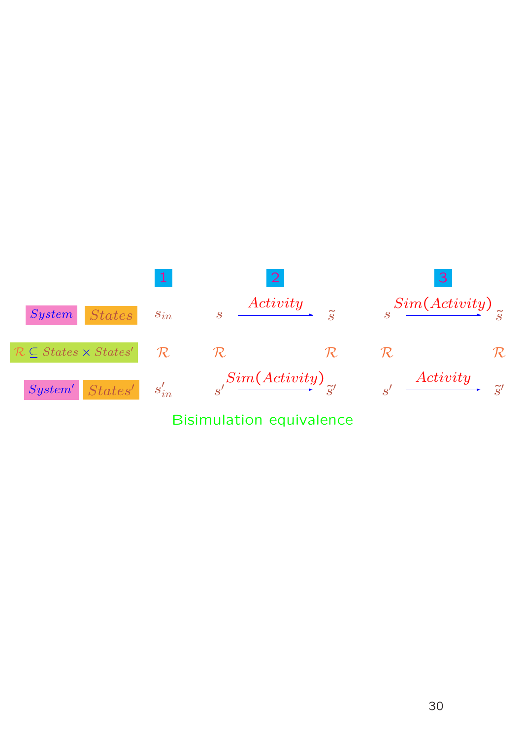

### Bisimulation equivalence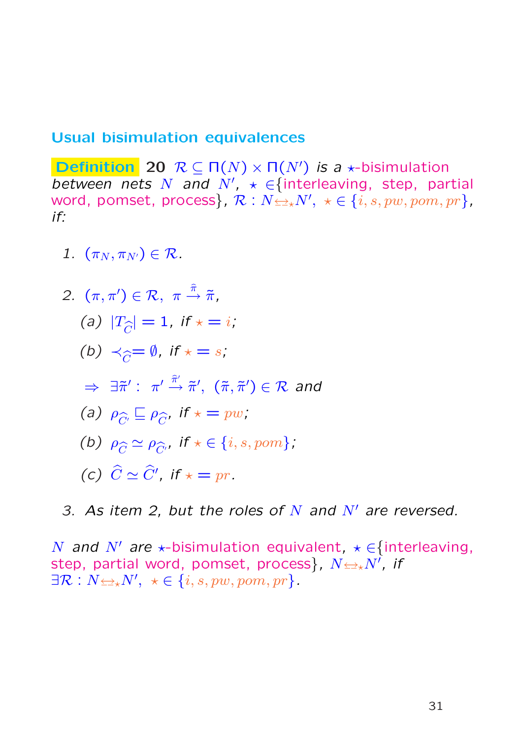#### Usual bisimulation equivalences

**Definition** 20  $\mathcal{R} \subseteq \Pi(N) \times \Pi(N')$  is a  $\star$ -bisimulation between nets N and  $N'$ ,  $\star \in$  {interleaving, step, partial word, pomset, process},  $\mathcal{R}: N{\color{orange} \,\triangleq}_\star N', \,\, \star \in \{i, s, pw, pom, pr\}$ , if:

1.  $(\pi_N, \pi_{N'}) \in \mathcal{R}$ .

2. 
$$
(\pi, \pi') \in \mathcal{R}, \ \pi \stackrel{\hat{\pi}}{\rightarrow} \tilde{\pi},
$$
  
\n(a)  $|T_{\hat{C}}| = 1, \text{ if } \star = i;$   
\n(b)  $\prec_{\hat{C}} = \emptyset, \text{ if } \star = s;$   
\n $\Rightarrow \exists \tilde{\pi}' : \pi' \stackrel{\hat{\pi}'}{\rightarrow} \tilde{\pi}', (\tilde{\pi}, \tilde{\pi}') \in \mathcal{R} \text{ and}$   
\n(a)  $\rho_{\hat{C}} \subseteq \rho_{\hat{C}}, \text{ if } \star = pw;$   
\n(b)  $\rho_{\hat{C}} \simeq \rho_{\hat{C}'}, \text{ if } \star \in \{i, s, pom\};$   
\n(c)  $\hat{C} \simeq \hat{C}', \text{ if } \star = pr.$ 

3. As item 2, but the roles of  $N$  and  $N'$  are reversed.

N and N' are  $\star$ -bisimulation equivalent,  $\star \in$ {interleaving, step, partial word, pomset, process}, N↔?N<sup>0</sup> , if  $\exists \mathcal{R}: N \Longleftrightarrow N', \ \ \star \in \{i, s, pw, pom, pr\}.$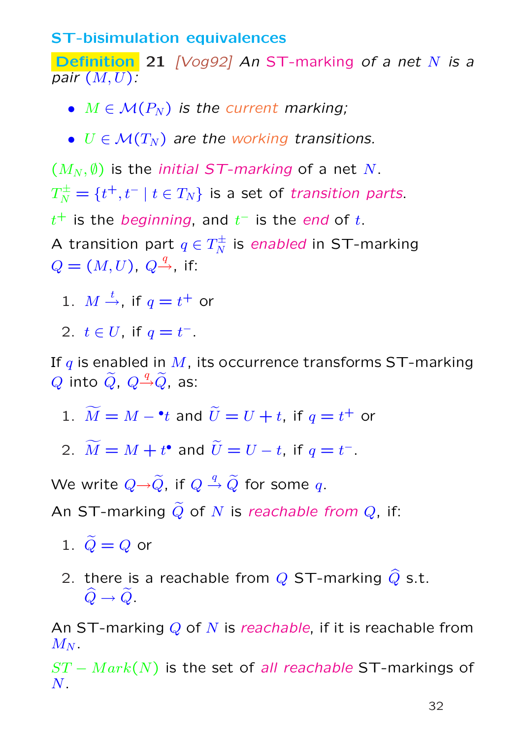#### ST-bisimulation equivalences

Definition 21 [Vog92] An ST-marking of a net N is a pair  $(M, U)$ :

- $M \in \mathcal{M}(P_N)$  is the current marking;
- $U \in \mathcal{M}(T_N)$  are the working transitions.

 $(M_N, \emptyset)$  is the *initial ST-marking* of a net N.  $T_{N}^{\pm}=\{t^{+},t^{-}\mid t\in T_{N}\}$  is a set of transition parts.  $t^+$  is the *beginning*, and  $t^-$  is the end of  $t$ . A transition part  $q \in T_N^\pm$  $\frac{1}{N}$  is *enabled* in ST-marking  $Q=(M,U)$ ,  $Q\rightarrow{q}$ , if:

- 1.  $M \xrightarrow{t}$ , if  $q = t^+$  or
- 2.  $t \in U$ , if  $q = t^{-}$ .

If  $q$  is enabled in  $M$ , its occurrence transforms ST-marking  $Q$  into  $\widetilde{Q}$ ,  $Q \overset{q}\rightarrow \widetilde{Q}$ , as:

- 1.  $\widetilde{M} = M {}^{\bullet}t$  and  $\widetilde{U} = U + t$ , if  $q = t^{+}$  or
- 2.  $\widetilde{M} = M + t^{\bullet}$  and  $\widetilde{U} = U t$ , if  $q = t^{-}$ .

We write  $Q{\to}\widetilde Q$ , if  $Q\stackrel{q}{\to}\widetilde Q$  for some  $q.$ 

An ST-marking  $\widetilde{Q}$  of N is reachable from  $Q$ , if:

- 1.  $\widetilde{Q}=Q$  or
- 2. there is a reachable from  $Q$  ST-marking  $\widehat{Q}$  s.t.  $\widehat{Q} \to \widetilde{Q}$ .

An ST-marking  $Q$  of N is reachable, if it is reachable from  $M_N$ .

 $ST - Mark(N)$  is the set of all reachable ST-markings of  $N$  .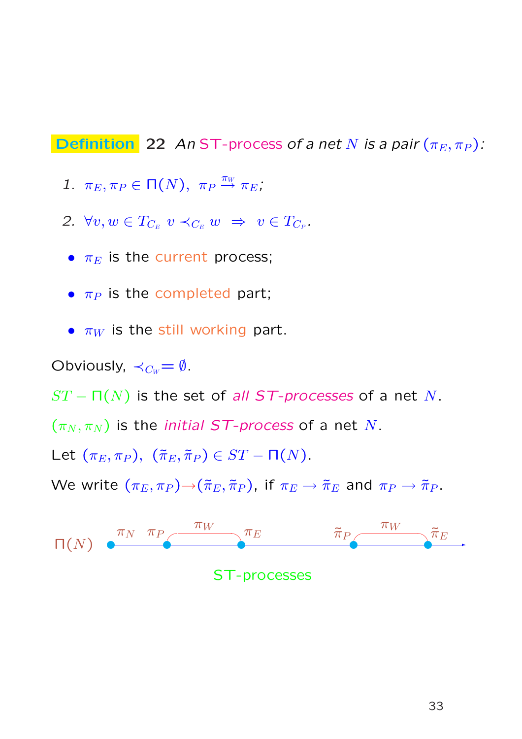**Definition** 22 An ST-process of a net N is a pair  $(\pi_E, \pi_P)$ :

- 1.  $\pi_E, \pi_P \in \Pi(N)$ ,  $\pi_P \stackrel{\pi_W}{\rightarrow} \pi_E$ ;
- 2.  $\forall v, w \in T_{C_E} \ v \prec_{C_E} w \Rightarrow v \in T_{C_P}.$
- $\pi_E$  is the current process;
- $\pi_P$  is the completed part;
- $\pi_W$  is the still working part.

Obviously,  $\prec_{C_W}=\emptyset$ .

 $ST - \Pi(N)$  is the set of all ST-processes of a net N.

 $(\pi_N, \pi_N)$  is the *initial ST-process* of a net N.

Let  $(\pi_E, \pi_P)$ ,  $(\tilde{\pi}_E, \tilde{\pi}_P) \in ST - \Pi(N)$ .

We write  $(\pi_E, \pi_P) \rightarrow (\tilde{\pi}_E, \tilde{\pi}_P)$ , if  $\pi_E \rightarrow \tilde{\pi}_E$  and  $\pi_P \rightarrow \tilde{\pi}_P$ .



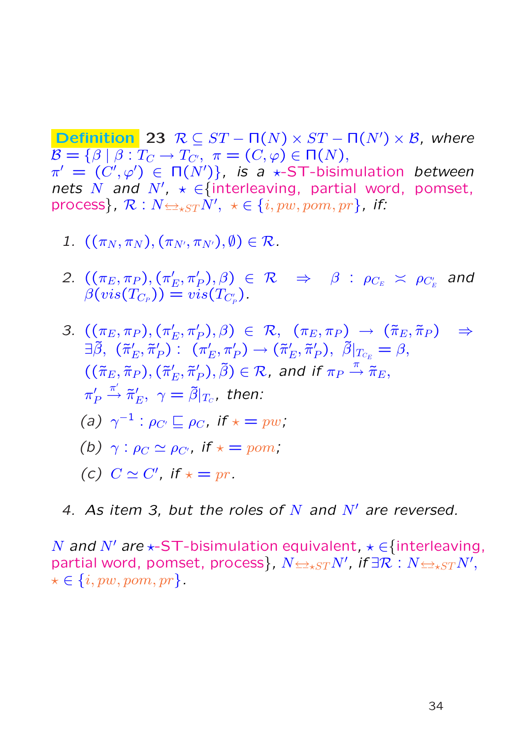**Definition** 23  $\mathcal{R} \subseteq ST - \Pi(N) \times ST - \Pi(N') \times \mathcal{B}$ , where  $\mathcal{B} = \{ \beta \mid \beta : T_C \to T_{C'}^-, \pi = (C, \varphi) \in \Pi(N), \}$  $\pi' = (C', \varphi') \in \Pi(N')\}$ , is a \*-ST-bisimulation between nets N and N',  $\star \in$  {interleaving, partial word, pomset, process},  $\mathcal{R}:N{\leftrightarrow_{\star}}{\rm{ST}}\dot{N'},\,\,\star\in\{i,pw,pom,pr\}$ , if:

- 1.  $((\pi_N, \pi_N), (\pi_{N'}, \pi_{N'}), \emptyset) \in \mathcal{R}$ .
- 2.  $((\pi_E, \pi_P), (\pi'_P)$  $(\rho_E', \pi_P'), \beta)$   $\in$   $\mathcal{R}$   $\;\Rightarrow\;\; \beta$  :  $\rho_{C_E}$   $\asymp$   $\rho_{C_E'}$  and  $\beta(vis(T_{C_P}))=vis(T_{C'_P})$  .

3. 
$$
((\pi_E, \pi_P), (\pi'_E, \pi'_P), \beta) \in \mathcal{R}, (\pi_E, \pi_P) \rightarrow (\tilde{\pi}_E, \tilde{\pi}_P) \Rightarrow
$$
  
\n $\exists \tilde{\beta}, (\tilde{\pi}'_E, \tilde{\pi}'_P) : (\pi'_E, \pi'_P) \rightarrow (\tilde{\pi}'_E, \tilde{\pi}'_P), \tilde{\beta}|_{T_{C_E}} = \beta,$   
\n $((\tilde{\pi}_E, \tilde{\pi}_P), (\tilde{\pi}'_E, \tilde{\pi}'_P), \tilde{\beta}) \in \mathcal{R}, \text{ and if } \pi_P \stackrel{\pi}{\rightarrow} \tilde{\pi}_E,$   
\n $\pi'_P \stackrel{\pi'}{\rightarrow} \tilde{\pi}'_E, \gamma = \tilde{\beta}|_{T_C}, \text{ then:}$   
\n(a)  $\gamma^{-1} : \rho_{C'} \subseteq \rho_C, \text{ if } \star = pw$ ,  
\n(b)  $\gamma : \rho_C \simeq \rho_{C'}, \text{ if } \star = pom$ ,  
\n(c)  $C \simeq C', \text{ if } \star = pr$ .

4. As item 3, but the roles of N and  $N'$  are reversed.

N and N' are  $\star$ -ST-bisimulation equivalent,  $\star \in$  {interleaving, partial word, pomset, process},  $N{\leftrightarrow}_{\star ST}N'$ , if  $\exists \mathcal{R}:N{\leftrightarrow}_{\star ST}N',$  $\star \in \{i, pw, pom, pr\}.$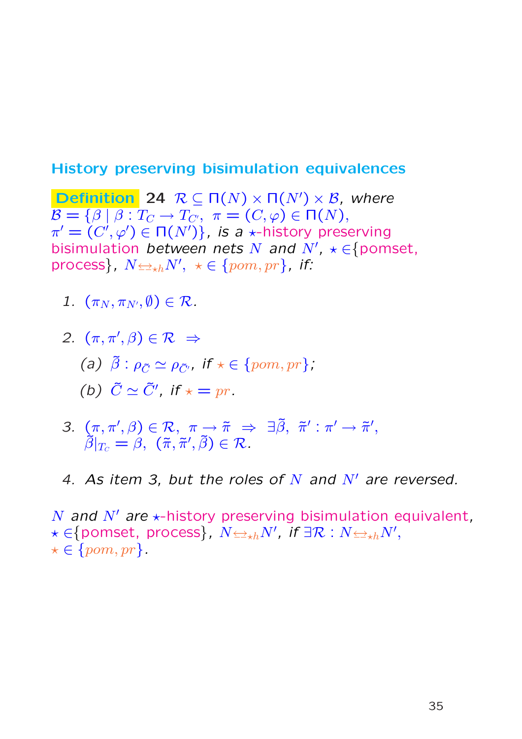#### History preserving bisimulation equivalences

**Definition** 24  $\mathcal{R} \subseteq \Pi(N) \times \Pi(N') \times \mathcal{B}$ , where  $\mathcal{B} = \{ \beta \mid \beta : T_C \to T_{C'}, \ \pi = (C, \varphi) \in \Pi(N), \}$  $\pi' = (C', \varphi') \in \Pi(N')\}$ , is a  $\star$ -history preserving bisimulation between nets N and  $N'$ ,  $\star \in$  {pomset, process},  $N{\leftrightarrowth}N',~\star\in\{pom,pr\}$ , if:

- 1.  $(\pi_N, \pi_{N'}, \emptyset) \in \mathcal{R}$ .
- 2.  $(\pi, \pi', \beta) \in \mathcal{R} \Rightarrow$ (a)  $\tilde{\beta}$  :  $\rho_{\tilde{C}} \simeq \rho_{\tilde{C'}}$ , if  $\star \in \{pom, pr\}$ ; (b)  $\tilde{C} \simeq \tilde{C}'$ , if  $\star = pr$ .
- 3.  $(\pi, \pi', \beta) \in \mathcal{R}, \pi \to \tilde{\pi} \Rightarrow \exists \tilde{\beta}, \tilde{\pi}' : \pi' \to \tilde{\pi}',$  $\tilde{\beta}|_{T_C}=\beta,\,\,(\tilde{\pi},\tilde{\pi}',\tilde{\beta})\in\mathcal{R}.$
- 4. As item 3, but the roles of N and  $N'$  are reversed.

N and N' are  $\star$ -history preserving bisimulation equivalent,  $\star\in\pmod{\mathfrak{p}}$  process $\},\ N{\leftrightarrowth}N',\ \textit{if}\ \exists\mathcal{R}:N{\leftrightarrowth}N',$  $\star \in \{pom, pr\}.$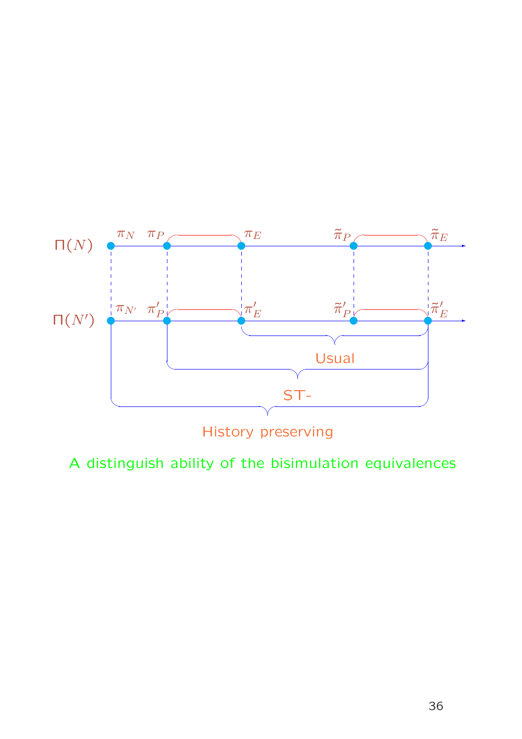

History preserving

A distinguish ability of the bisimulation equivalences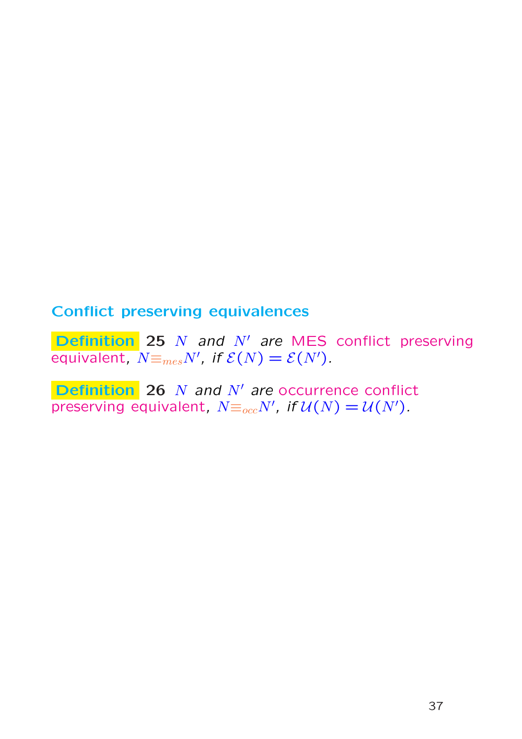### Conflict preserving equivalences

**Definition** 25  $N$  and  $N'$  are MES conflict preserving equivalent,  $\overline{N} \equiv_{mes} N'$ , if  $\mathcal{E}(N) = \mathcal{E}(N')$ .

Definition 26  $N$  and  $N'$  are occurrence conflict preserving equivalent,  $N \equiv_{occ} N'$ , if  $\mathcal{U}(N) = \mathcal{U}(N')$ .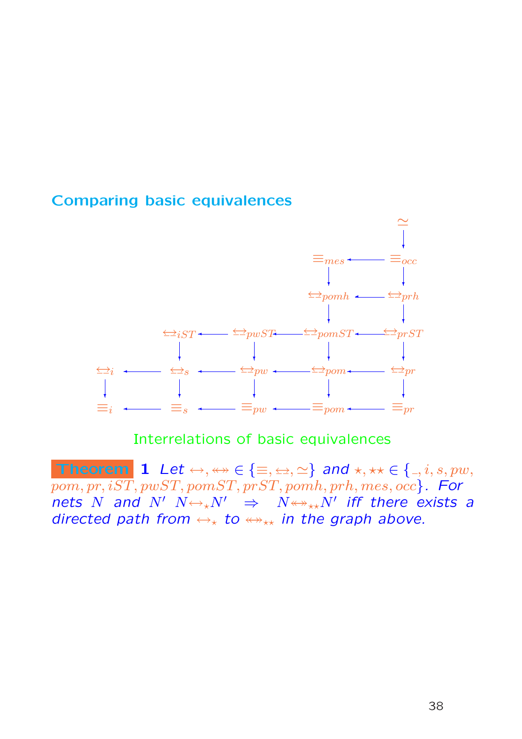#### Comparing basic equivalences



### Interrelations of basic equivalences

Theorem 1 Let  $\leftrightarrow$ ,  $\leftrightarrow \in \{\equiv, \leftrightarrow, \simeq\}$  and  $\star$ ,  $\star \star \in \{ \_, i, s, pw, \}$  $pom, pr, iST, pwST, pomST, prST, pomh, prh, mes, occ$ . For nets N and N'  $N \leftrightarrow_{\star} N'$   $\Rightarrow$   $N \leftrightarrow_{\star \star} N'$  iff there exists a directed path from  $\leftrightarrow_{\star}$  to  $\leftrightarrow_{\star\star}$  in the graph above.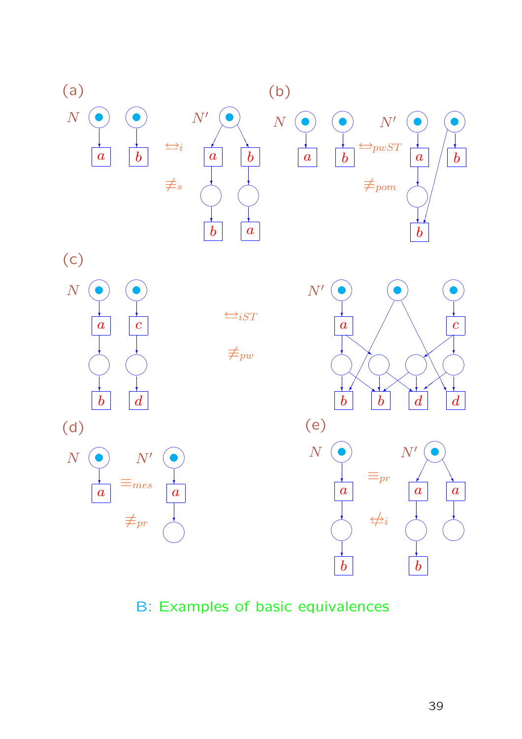

B: Examples of basic equivalences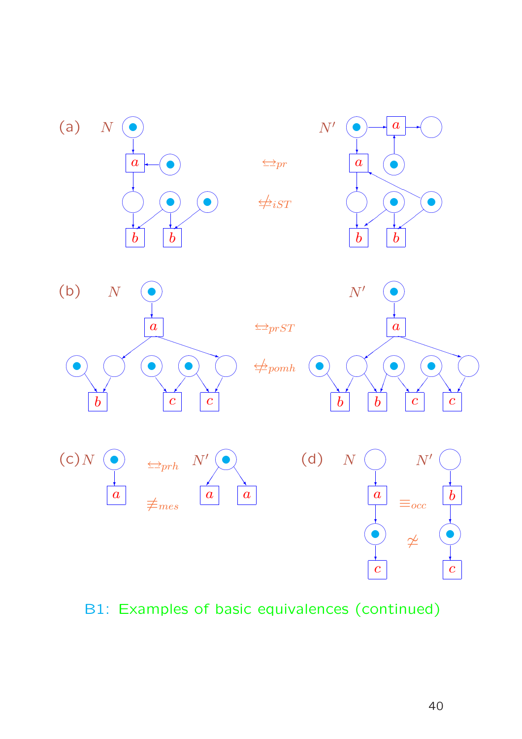

# B1: Examples of basic equivalences (continued)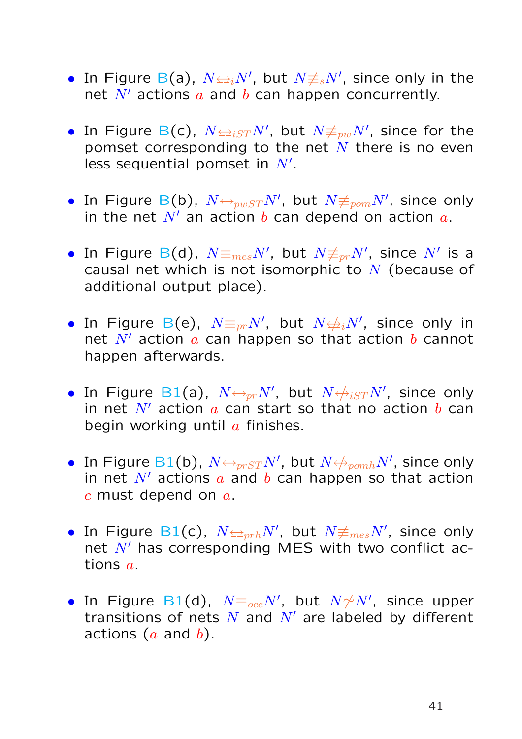- In Figure B(a),  $N \rightleftharpoons_i N',$  but  $N \neq_{s} N',$  since only in the net  $N'$  actions  $a$  and  $b$  can happen concurrently.
- In Figure B(c),  $N{\Leftrightarrow}_{iST}N',$  but  $N{\not\equiv}_{pw}N',$  since for the pomset corresponding to the net  $N$  there is no even less sequential pomset in  $N'$ .
- $\bullet$  In Figure B(b),  $N{\triangleleft}_{pwST}N'$ , but  $N{\not\equiv}_{pom}N'$ , since only in the net  $N'$  an action b can depend on action  $a$ .
- In Figure B(d),  $N \text{m}_{\text{me}s} N'$ , but  $N \text{m}_{\text{p}r} N'$ , since  $N'$  is a causal net which is not isomorphic to  $N$  (because of additional output place).
- In Figure B(e),  $N{\equiv_{pr}}N'$ , but  $N{\not\!\equiv_{i}}N'$ , since only in net  $N'$  action  $a$  can happen so that action  $b$  cannot happen afterwards.
- In Figure B1(a),  $N{\triangleleft}p_rN'$ , but  $N{\triangleleft}p_{iST}N'$ , since only in net  $N'$  action a can start so that no action b can begin working until  $a$  finishes.
- $\bullet \,$  In Figure B1(b),  $N{\triangleq_{prST}}N'$ , but  $N{\triangleq_{pomh}}N'$ , since only in net  $N'$  actions  $a$  and  $b$  can happen so that action  $c$  must depend on  $a$ .
- $\bullet$  In Figure B1(c),  $N{\leftarrow}_{prh}N',$  but  $N{\not\equiv_{mes}N'}.$  since only net  $N'$  has corresponding MES with two conflict actions a.
- $\bullet$  In Figure B1(d),  $N {\equiv_{occ}} N'$ , but  $N{\not\simeq} N'$ , since upper transitions of nets  $N$  and  $N'$  are labeled by different actions  $(a \text{ and } b)$ .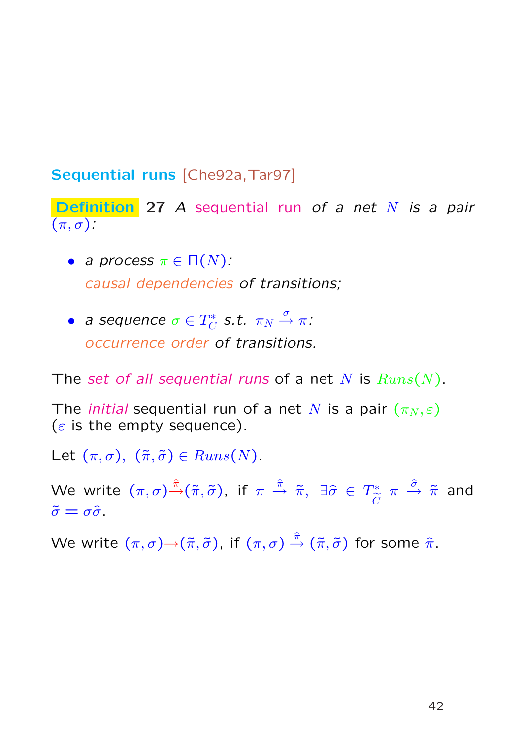# Sequential runs [Che92a, Tar97]

Definition 27 A sequential run of a net N is a pair  $(\pi, \sigma)$ :

- a process  $\pi \in \Pi(N)$ : causal dependencies of transitions;
- a sequence  $\sigma \in T_C^*$  $_{C}^{\text{max}}$  S.t.  $\pi_{N} \stackrel{\sigma}{\rightarrow} \pi$ : occurrence order of transitions.

The set of all sequential runs of a net N is  $Runs(N)$ .

The *initial* sequential run of a net N is a pair  $(\pi_N, \varepsilon)$ ( $\varepsilon$  is the empty sequence).

Let  $(\pi, \sigma)$ ,  $(\tilde{\pi}, \tilde{\sigma}) \in Runs(N)$ .

We write  $(\pi,\sigma)\hat{\bar{\pi}}(\tilde{\pi},\tilde{\sigma})$ , if  $\pi \ \stackrel{\hat{\pi}}{\rightarrow}\ \tilde{\pi},\ \exists \widehat{\sigma}\ \in\ T^*_{\widetilde{\Xi}}$  $\widetilde{C}$  $\pi \, \, \dfrac{\hat{\sigma}}{\hat{\pi}} \,$  and  $\tilde{\sigma} = \sigma \hat{\sigma}$ .

We write  $(\pi,\sigma){\to} (\tilde\pi,\tilde\sigma)$ , if  $(\pi,\sigma)\stackrel{\hat\pi}{\to} (\tilde\pi,\tilde\sigma)$  for some  $\hat\pi.$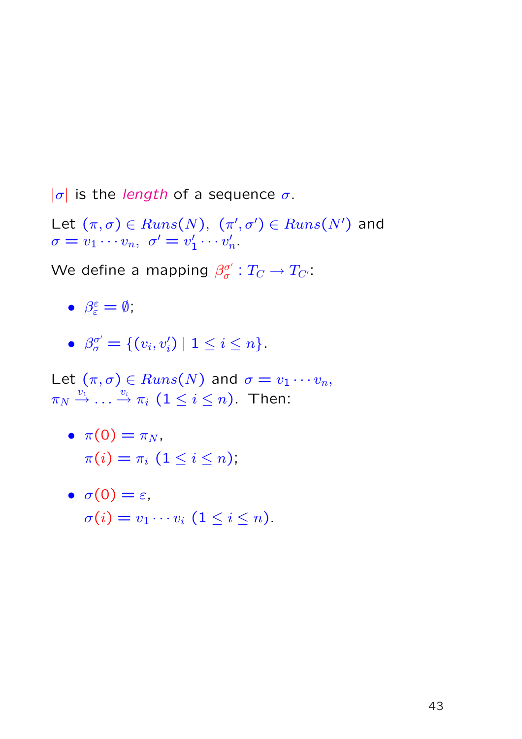$|\sigma|$  is the length of a sequence  $\sigma$ .

Let  $(\pi, \sigma) \in Runs(N), \; (\pi', \sigma') \in Runs(N')$  and  $\sigma = v_1 \cdots v_n, \,\, \sigma' = v'_1$  $\frac{1}{1}\cdots v_r'$  $\frac{\prime}{n}.$ 

We define a mapping  $\beta_{\sigma}^{\sigma'}$  $\sigma^{'}_{\sigma}: T_{C} \rightarrow T_{C^{\prime}}.$ 

- $\bullet$   $\beta_{\varepsilon}^{\varepsilon}$  $\frac{\varepsilon}{\varepsilon} = \emptyset$ ;
- $\bullet$   $\beta_{\sigma}^{\sigma'}$  $\sigma_{\sigma}^{\sigma'} = \{ (v_i, v'_i) \mid 1 \leq i \leq n \}.$

Let  $(\pi,\sigma) \in Runs(N)$  and  $\sigma = v_1 \cdots v_n$ ,  $\pi_N\stackrel{v_1}{\rightarrow}\dots\stackrel{v_i}{\rightarrow}\pi_i$   $(1\leq i\leq n).$  Then:

•  $\pi(0) = \pi_N$ ,  $\pi(i) = \pi_i \ (1 \leq i \leq n),$ 

• 
$$
\sigma(0) = \varepsilon
$$
,  
\n $\sigma(i) = v_1 \cdots v_i \ (1 \leq i \leq n)$ .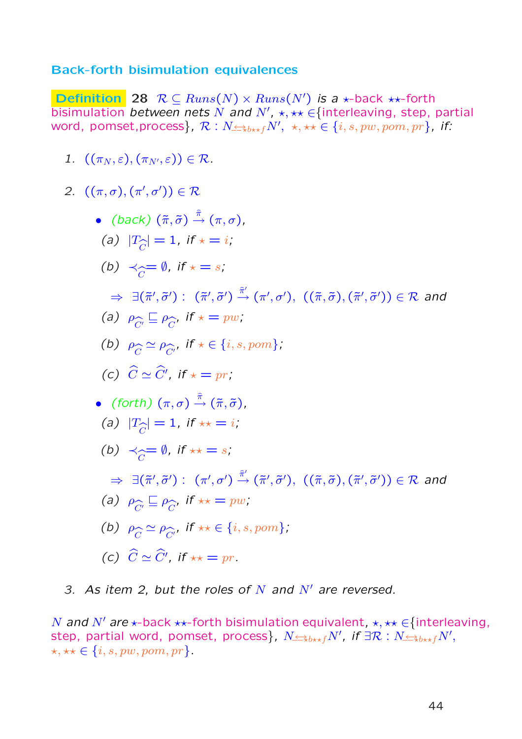#### Back-forth bisimulation equivalences

**Definition** 28  $R \subseteq Runs(N) \times Runs(N')$  is a  $\star$ -back  $\star\star$ -forth bisimulation between nets N and N',  $\star$ ,  $\star\star \in$  {interleaving, step, partial word, pomset,process},  $\mathcal{R}: N_{\leq \pm b \star \star f} N', \ \star, \star \star \in \{i,s, pw, pom, pr\}$ , if:

1.  $((\pi_N, \varepsilon), (\pi_{N'}, \varepsilon)) \in \mathcal{R}$ .

2. 
$$
((\pi, \sigma), (\pi', \sigma')) \in \mathbb{R}
$$
  
\n•  $(back) (\tilde{\pi}, \tilde{\sigma}) \stackrel{\tilde{\pi}}{\rightarrow} (\pi, \sigma),$   
\n(a)  $|T_{\tilde{C}}| = 1$ , if  $\star = i$ ;  
\n(b)  $\prec_{\widehat{C}} = \emptyset$ , if  $\star = s$ ;  
\n $\Rightarrow \exists (\tilde{\pi}', \tilde{\sigma}') : (\tilde{\pi}', \tilde{\sigma}') \stackrel{\tilde{\pi}'}{\rightarrow} (\pi', \sigma'), ((\tilde{\pi}, \tilde{\sigma}), (\tilde{\pi}', \tilde{\sigma}')) \in \mathbb{R}$  and  
\n(a)  $\rho_{\widehat{C}} \subseteq \rho_{\widehat{C}},$  if  $\star = pw$ ;  
\n(b)  $\rho_{\widehat{C}} \simeq \rho_{\widehat{C}},$  if  $\star \in \{i, s, pom\}$ ;  
\n(c)  $\widehat{C} \simeq \widehat{C}',$  if  $\star = pr$ ;  
\n•  $(forth) (\pi, \sigma) \stackrel{\tilde{\pi}}{\rightarrow} (\tilde{\pi}, \tilde{\sigma}),$   
\n(a)  $|T_{\widehat{C}}| = 1$ , if  $\star \star = i$ ;  
\n(b)  $\prec_{\widehat{C}} = \emptyset$ , if  $\star \star = s$ ;  
\n $\Rightarrow \exists (\tilde{\pi}', \tilde{\sigma}') : (\pi', \sigma') \stackrel{\tilde{\pi}'}{\rightarrow} (\tilde{\pi}', \tilde{\sigma}'), ((\tilde{\pi}, \tilde{\sigma}), (\tilde{\pi}', \tilde{\sigma}')) \in \mathbb{R}$  and  
\n(a)  $\rho_{\widehat{C}} \subseteq \rho_{\widehat{C}},$  if  $\star \star = pw$ ;  
\n(b)  $\rho_{\widehat{C}} \simeq \rho_{\widehat{C}},$  if  $\star \star = pw$ ;  
\n(c)  $\widehat{C} \simeq \widehat{C}',$  if  $\star \star = pr$ .

3. As item 2, but the roles of N and  $N'$  are reversed.

N and N' are  $\star$ -back  $\star\star$ -forth bisimulation equivalent,  $\star$ ,  $\star\star \in$  {interleaving, step, partial word, pomset, process},  $N \triangleq_{b \star \star f} N'$ , if  $\exists \mathcal{R}: N \triangleq_{b \star \star f} N',$  $\star, \star\star \in \{i, s, pw, pom, pr\}.$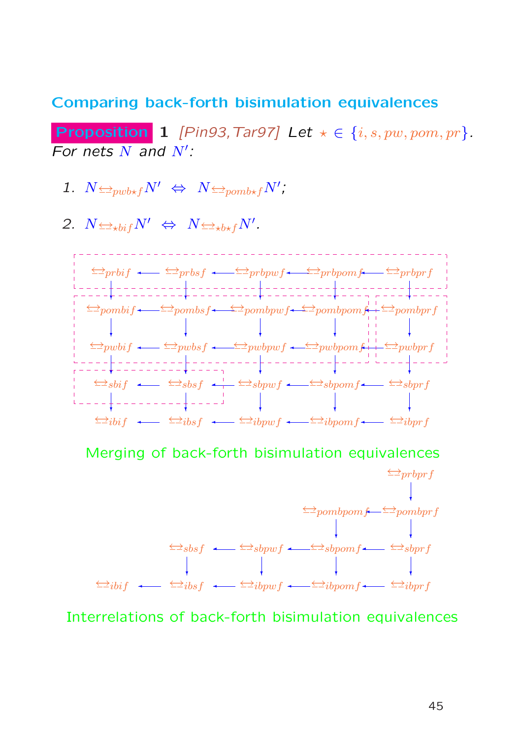#### Comparing back-forth bisimulation equivalences

**Proposition 1** [Pin93, Tar97] Let  $\star \in \{i, s, pw, pom, pr\}$ . For nets  $N$  and  $N'$ :

- 1.  $N \trianglelefteq_{\text{pub*f}} N' \Leftrightarrow N \trianglelefteq_{\text{pomb*f}} N'$
- 2.  $N \leftrightarrow hif N' \Leftrightarrow N \leftrightarrow hif N'.$



Merging of back-forth bisimulation equivalences



Interrelations of back-forth bisimulation equivalences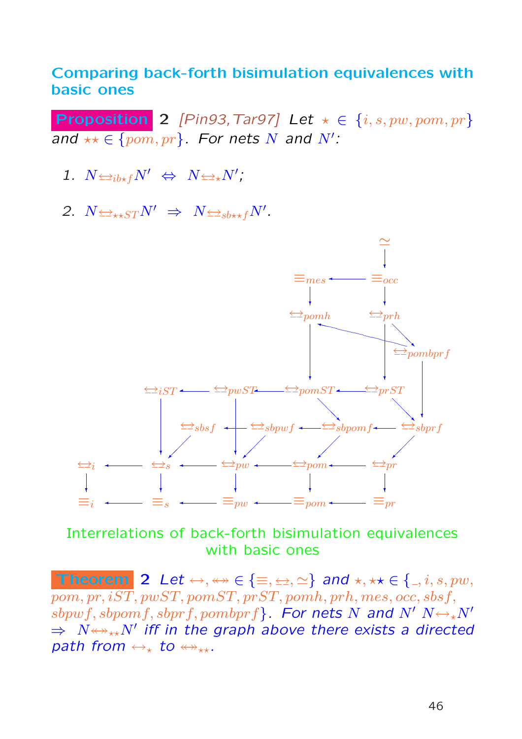### Comparing back-forth bisimulation equivalences with basic ones

Proposition 2 [Pin93, Tar97] Let  $\star \in \{i, s, pw, pom, pr\}$ and  $\star\star\in\{pom,pr\}$ . For nets N and N':

- 1.  $N \leftrightarrow N' \Leftrightarrow N \leftrightarrow N'$ ;
- 2.  $N \leftrightarrow_{\star} STN' \Rightarrow N \leftrightarrow_{sb \star \star f} N'.$



Interrelations of back-forth bisimulation equivalences with basic ones

Theorem 2 Let  $\leftrightarrow, \leftrightarrow \in \{\equiv, \leftrightarrow, \simeq\}$  and  $\star, \star \star \in \{ \_, i, s, pw, \}$  $pom, pr, iST, pwST, pomST, prST, pomh, prh, mes, occ, sbsf,$  $sbpwf, sbpomf, sbprf, pombprf$ . For nets N and N'  $N \leftrightarrow_{\star} N'$  $\Rightarrow$   $N{\leftrightarrow}{\leftrightarrow}{\times}N'$  iff in the graph above there exists a directed path from  $\leftrightarrow_{\ast}$  to  $\leftrightarrow_{\ast\ast}$ .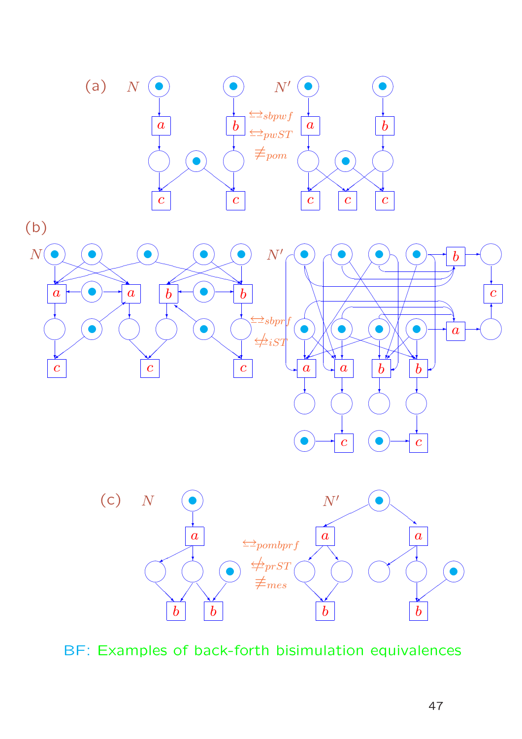





BF: Examples of back-forth bisimulation equivalences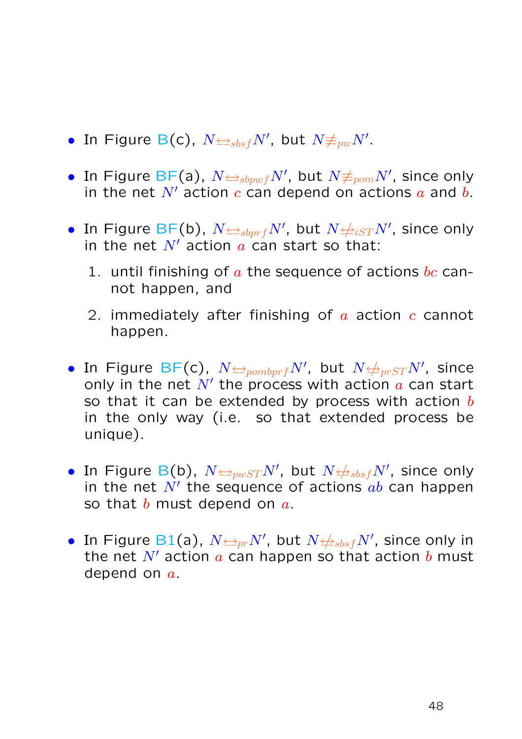- In Figure B(c),  $N{\triangleq_{sbsf}}N'$ , but  $N{\not\equiv_{pw}}N'.$
- In Figure BF(a),  $N{\triangleleft}_{sbpwf}N',$  but  $N{\not\equiv}_{pom}N',$  since only in the net N' action c can depend on actions  $\alpha$  and  $\beta$ .
- $\bullet$  In Figure BF(b),  $N{\triangleq_{sbprf}}N'$ , but  $N{\triangleq_{iST}}N'$ , since only in the net  $N'$  action  $a$  can start so that:
	- 1. until finishing of  $\alpha$  the sequence of actions  $bc$  cannot happen, and
	- 2. immediately after finishing of  $\alpha$  action  $\alpha$  cannot happen.
- $\bullet$  In Figure BF(c),  $N {\Leftrightarrow}_{pombprf} N',$  but  $N {\Leftrightarrow}_{prST} N',$  since only in the net  $N'$  the process with action  $a$  can start so that it can be extended by process with action  $b$ in the only way (i.e. so that extended process be unique).
- $\bullet$  In Figure B(b),  $N{\triangleleft} _{pwST}N'$ , but  $N{\triangleleft} _{sbsf}N'$ , since only in the net  $N'$  the sequence of actions  $ab$  can happen so that  $b$  must depend on  $a$ .
- In Figure B1(a),  $N{\triangleq_{pr}}N'$ , but  $N{\triangleq_{sbsf}}N'$ , since only in the net  $N'$  action a can happen so that action b must depend on  $a$ .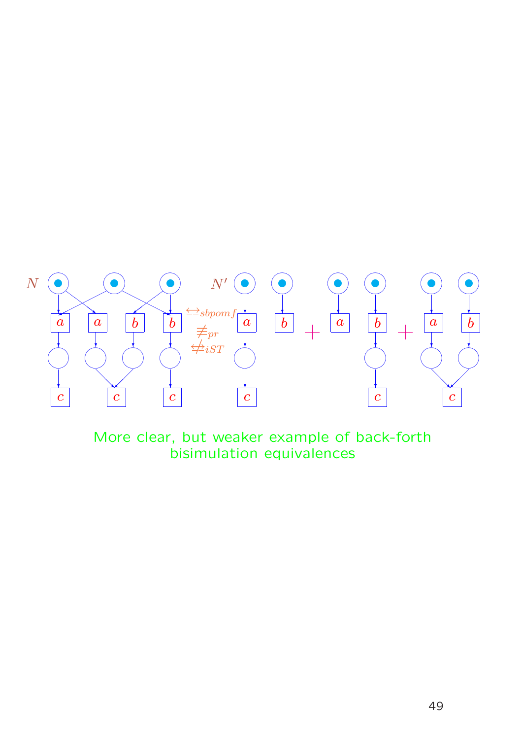

More clear, but weaker example of back-forth bisimulation equivalences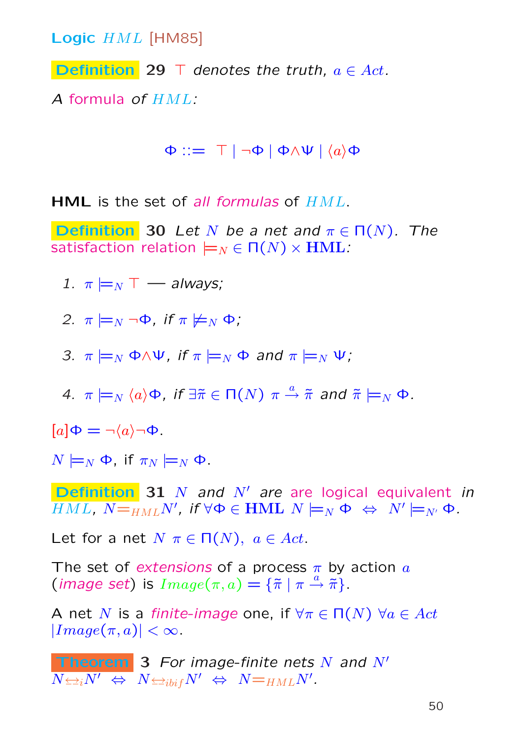Logic HML [HM85]

**Definition** 29  $\top$  denotes the truth,  $a \in Act$ .

A formula of HML:

 $\Phi ::= \top | \neg \Phi | \Phi \land \Psi | \langle a \rangle \Phi$ 

HML is the set of all formulas of  $HML$ .

**Definition** 30 Let N be a net and  $\pi \in \Pi(N)$ . The satisfaction relation  $\models_N \in \Pi(N) \times \text{HML}$ :

1.  $\pi \models_N \top$  — always;

2.  $\pi \models_N \neg \Phi$ , if  $\pi \not\models_N \Phi$ ;

3.  $\pi \models_N \Phi \land \Psi$ , if  $\pi \models_N \Phi$  and  $\pi \models_N \Psi$ ;

4.  $\pi \models_N \langle a \rangle \Phi$ , if  $\exists \tilde{\pi} \in \Pi(N)$   $\pi \stackrel{a}{\rightarrow} \tilde{\pi}$  and  $\tilde{\pi} \models_N \Phi$ .

 $[a]\Phi = \neg \langle a \rangle \neg \Phi$ .

 $N \models_N \Phi$ , if  $\pi_N \models_N \Phi$ .

**Definition 31** N and  $N'$  are are logical equivalent in  $\overline{HML}$ ,  $N\text{=}_{HML}N'$ , if  $\forall \Phi\in \textbf{HML}$   $N \models_N \Phi \; \Leftrightarrow \; N' \models_{N'} \Phi$ .

Let for a net  $N \pi \in \Pi(N)$ ,  $a \in Act$ .

The set of extensions of a process  $\pi$  by action  $\alpha$ (*image set*) is  $Image(\pi, a) = {\{\tilde{\pi} \mid \pi \stackrel{a}{\rightarrow} \tilde{\pi}\}}.$ 

A net N is a finite-image one, if  $\forall \pi \in \Pi(N)$   $\forall a \in Act$  $|Image(\pi, a)| < \infty$ .

**Theorem 3** For image-finite nets N and  $N'$  $\overline{N{\Leftrightarrow_i} N' \;\Leftrightarrow\; N{\Leftrightarrow_{i} b_{i} }_{f} N' \;\Leftrightarrow\; N{=_{HML}} N' .$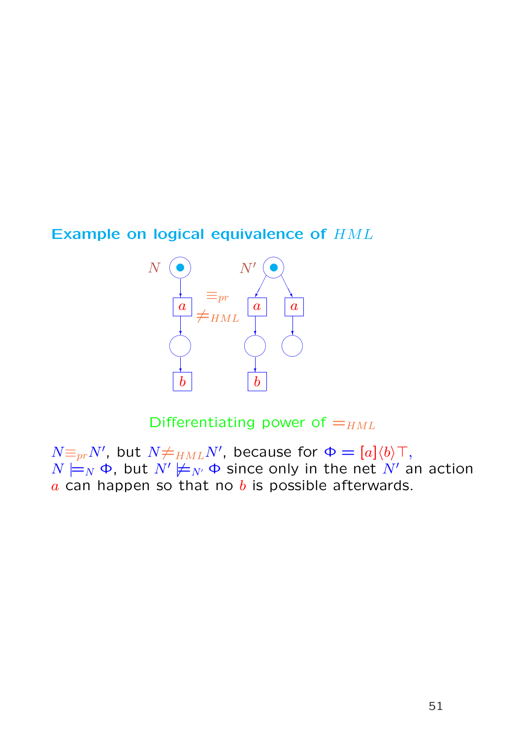### Example on logical equivalence of HML



Differentiating power of  $=_{HML}$ 

 $N \equiv_{pr} N'$ , but  $N \neq_{HML} N'$ , because for  $\Phi = [a]\langle b \rangle \top$ ,  $N \models_N \Phi$ , but  $N' \not\models_{N'} \Phi$  since only in the net  $N'$  an action  $a$  can happen so that no  $b$  is possible afterwards.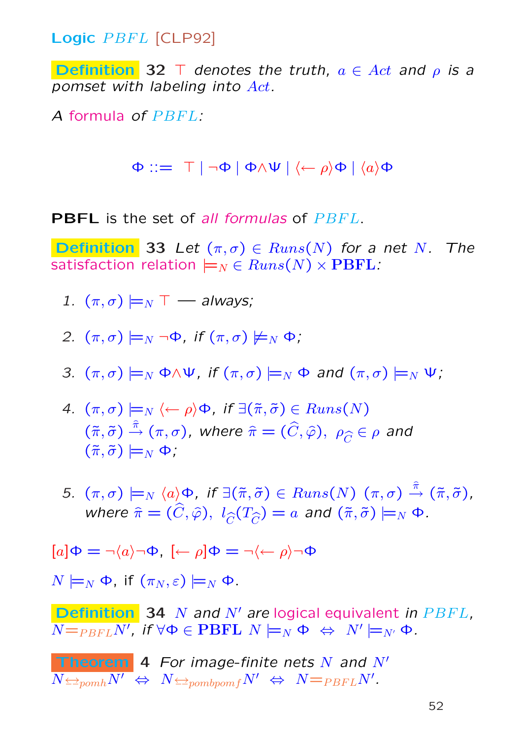Logic PBFL [CLP92]

**Definition** 32 T denotes the truth,  $a \in Act$  and  $\rho$  is a pomset with labeling into Act.

A formula of PBFL:

 $\Phi ::= \top | \neg \Phi | \Phi \wedge \Psi | \langle \leftarrow \rho \rangle \Phi | \langle a \rangle \Phi$ 

**PBFL** is the set of all formulas of  $P$  $B$  $F$  $L$ .

**Definition** 33 Let  $(\pi, \sigma) \in Runs(N)$  for a net N. The satisfaction relation  $\models_N \in Runs(N) \times \text{PBFL}$ :

- 1.  $(\pi,\sigma) \models_N \top$  always;
- 2.  $(\pi,\sigma) \models_N \neg \Phi$ , if  $(\pi,\sigma) \not\models_N \Phi$ ;
- 3.  $(\pi,\sigma) \models_N \Phi \land \Psi$ , if  $(\pi,\sigma) \models_N \Phi$  and  $(\pi,\sigma) \models_N \Psi$ ;
- 4.  $(\pi, \sigma) \models_N \langle \leftarrow \rho \rangle \Phi$ , if  $\exists (\tilde{\pi}, \tilde{\sigma}) \in Runs(N)$  $(\tilde{\pi},\tilde{\sigma})\stackrel{\hat{\pi}}{\rightarrow}(\pi,\sigma)$ , where  $\hat{\pi}=(\widehat{C},\widehat{\varphi}),\ \rho_{\widehat{C}}\in\rho$  and  $(\tilde{\pi}, \tilde{\sigma}) \models_N \Phi$ :
- 5.  $(\pi,\sigma) \models_N \langle a \rangle \Phi$ , if  $\exists (\tilde{\pi},\tilde{\sigma}) \in Runs(N)$   $(\pi,\sigma) \stackrel{\hat{\pi}}{\rightarrow} (\tilde{\pi},\tilde{\sigma})$ , where  $\hat{\pi} = (\hat{C}, \hat{\varphi}), \; l_{\hat{C}}(T_{\hat{C}}) = a$  and  $(\tilde{\pi}, \tilde{\sigma}) \models_N \Phi$ .

$$
[a]\Phi=\neg\langle a\rangle\neg\Phi,~[\leftarrow\rho]\Phi=\neg\langle\leftarrow\rho\rangle\neg\Phi
$$

 $N \models_N \Phi$ , if  $(\pi_N, \varepsilon) \models_N \Phi$ .

**Definition** 34 N and N' are logical equivalent in  $PBFL$ ,  $\overline{N{=}_{PBFL}N^{\prime}},$  if  $\forall \Phi \in {\bf PBFL}$   $N \models_N \Phi \; \Leftrightarrow \; N^{\prime} \models_{N^{\prime}} \Phi.$ 

**Theorem 4** For image-finite nets N and N'  

$$
N \Leftrightarrow N \Leftrightarrow N \Leftrightarrow p_{ombpomf}N' \Leftrightarrow N =_{PBFL}N'
$$
.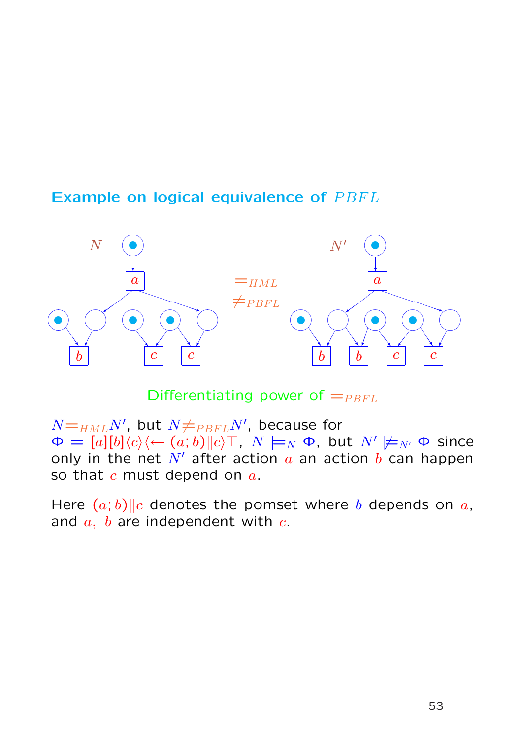# Example on logical equivalence of PBFL



Differentiating power of  $=_{P B F L}$ 

 $N{=}_{HML}N^{\prime}$ , but  $N{\neq}_{PBFL}N^{\prime}$ , because for  $\Phi = [a][b]\langle c \rangle \langle -(a;b)||c \rangle$ ,  $N \models_N \Phi$ , but  $N' \not\models_{N'} \Phi$  since only in the net  $N'$  after action a an action b can happen so that  $c$  must depend on  $a$ .

Here  $(a, b)$ ||c denotes the pomset where b depends on a, and  $a, b$  are independent with  $c.$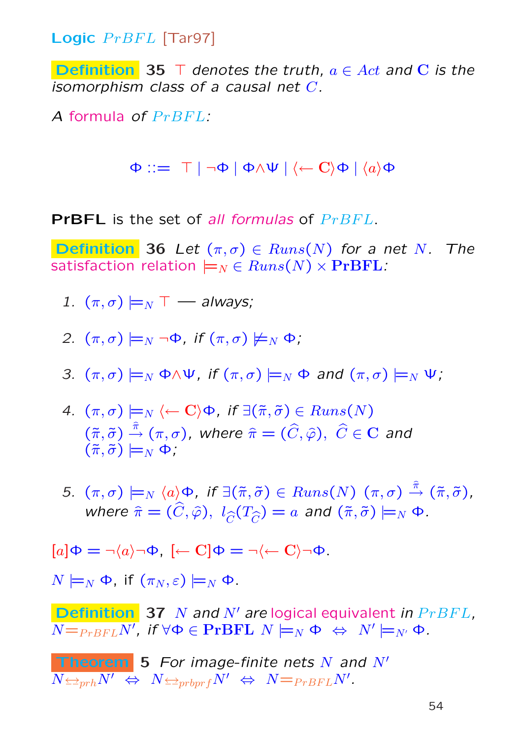**Logic**  $PrBFL$  [Tar97]

**Definition** 35  $\top$  denotes the truth,  $a \in Act$  and C is the isomorphism class of a causal net C.

A formula of  $PrBFL$ :

 $\Phi ::= \top | \neg \Phi | \Phi \wedge \Psi | \langle \leftarrow C \rangle \Phi | \langle a \rangle \Phi$ 

**PrBFL** is the set of all formulas of  $PrBFL$ .

**Definition** 36 Let  $(\pi, \sigma) \in Runs(N)$  for a net N. The satisfaction relation  $\models_N \in Runs(N) \times \text{PrBFL}$ :

1.  $(\pi, \sigma) \models_N \top$  — always:

2. 
$$
(\pi, \sigma) \models_N \neg \Phi
$$
, if  $(\pi, \sigma) \not\models_N \Phi$ ,

3. 
$$
(\pi, \sigma) \models_N \Phi \land \Psi
$$
, if  $(\pi, \sigma) \models_N \Phi$  and  $(\pi, \sigma) \models_N \Psi$ ;

- 4.  $(\pi,\sigma) \models_N \langle \leftarrow \mathbf{C} \rangle \Phi$ , if  $\exists (\tilde{\pi},\tilde{\sigma}) \in Runs(N)$  $(\tilde{\pi},\tilde{\sigma})\stackrel{\hat{\pi}}{\rightarrow}(\pi,\sigma)$ , where  $\hat{\pi}=(\widehat{C},\widehat{\varphi}),\,\,\widehat{C}\in{\bf C}$  and  $(\tilde{\pi},\tilde{\sigma})\models_N \Phi$ ;
- 5.  $(\pi,\sigma) \models_N \langle a \rangle \Phi$ , if  $\exists (\tilde{\pi},\tilde{\sigma}) \in Runs(N)$   $(\pi,\sigma) \stackrel{\hat{\pi}}{\rightarrow} (\tilde{\pi},\tilde{\sigma})$ , where  $\hat{\pi} = (\hat{C}, \hat{\varphi}), \; l_{\hat{C}}(T_{\hat{C}}) = a$  and  $(\tilde{\pi}, \tilde{\sigma}) \models_N \Phi$ .

$$
[a]\Phi = \neg \langle a \rangle \neg \Phi, [\leftarrow C]\Phi = \neg \langle \leftarrow C \rangle \neg \Phi.
$$

 $N \models_N \Phi$ , if  $(\pi_N, \varepsilon) \models_N \Phi$ .

**Definition** 37 N and N' are logical equivalent in  $PrBFL$ ,  $\overline{N{=}_{PrBFL}N^{\prime}},$  if  $\forall \Phi\in\textbf{PrBFL}$   $N\models_N \Phi\ \Leftrightarrow\ N^{\prime}\models_{N^{\prime}}\Phi.$ 

**Theorem** 5 For image-finite nets N and  $N'$  $\overline{N \textcolor{black}{\Leftrightarrow_{prh} N'}} \ \Leftrightarrow \ \ N \textcolor{black}{\Leftrightarrow_{prbprf} N'} \ \Leftrightarrow \ \ N \textcolor{black}{\equiv_{PrBFL} N'}.$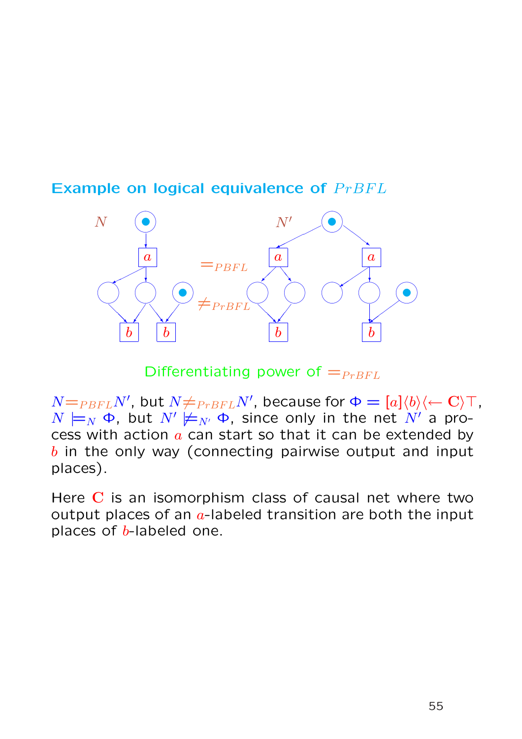# Example on logical equivalence of  $PrBFL$



Differentiating power of  $=_{P r B F L}$ 

 $N{=}_{PBFL}N'$ , but  $N{\neq}_{PrBFL}N'$ , because for  $\Phi=[a]\langle b\rangle\langle \leftarrow {\bf C}\rangle \top$ ,  $N \models_N \Phi$ , but  $N' \not\models_{N'} \Phi$ , since only in the net  $N'$  a process with action  $a$  can start so that it can be extended by  $b$  in the only way (connecting pairwise output and input places).

Here C is an isomorphism class of causal net where two output places of an  $a$ -labeled transition are both the input places of  $b$ -labeled one.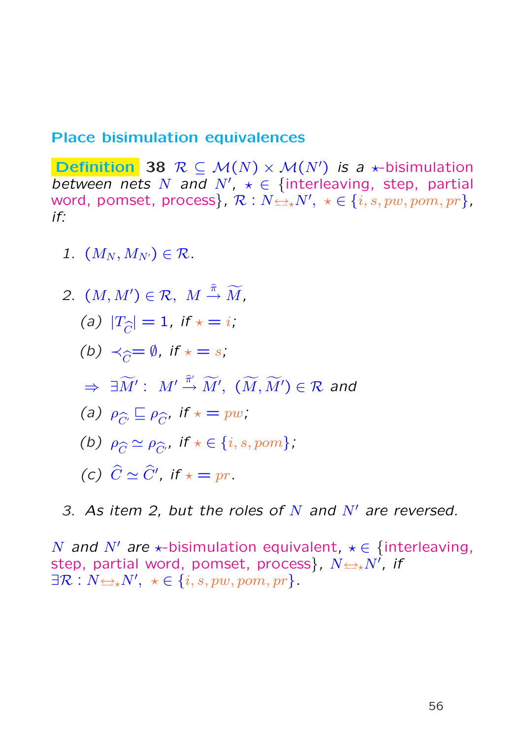#### Place bisimulation equivalences

**Definition** 38  $R \subseteq M(N) \times M(N')$  is a  $\star$ -bisimulation between nets N and N',  $\star \in$  {interleaving, step, partial word, pomset, process},  $\mathcal{R}:N{\leftrightarrow}N',~\star\in\{i,s,pw,pom,pr\}$ , if:

1.  $(M_N, M_{N'}) \in \mathcal{R}$ .

2. 
$$
(M, M') \in \mathcal{R}
$$
,  $M \stackrel{\hat{\pi}}{\rightarrow} \widetilde{M}$ ,  
\n(a)  $|T_{\hat{C}}| = 1$ , if  $\star = i$ ;  
\n(b)  $\prec_{\hat{C}} = \emptyset$ , if  $\star = s$ ;  
\n $\Rightarrow \exists \widetilde{M'} : M' \stackrel{\hat{\pi}'}{\rightarrow} \widetilde{M'}, (\widetilde{M}, \widetilde{M'}) \in \mathcal{R}$  and  
\n(a)  $\rho_{\hat{C}} \subseteq \rho_{\hat{C}}$ , if  $\star = pw$ ,  
\n(b)  $\rho_{\hat{C}} \simeq \rho_{\hat{C}'}$ , if  $\star \in \{i, s, pom\}$ ;  
\n(c)  $\hat{C} \simeq \widehat{C}'$ , if  $\star = pr$ .

3. As item 2, but the roles of  $N$  and  $N'$  are reversed.

N and N' are  $\star$ -bisimulation equivalent,  $\star \in \{$ interleaving, step, partial word, pomset, process}, N↔?N<sup>0</sup> , if  $\exists \mathcal{R}: N \Longleftrightarrow N', \ \ \star \in \{i, s, pw, pom, pr\}.$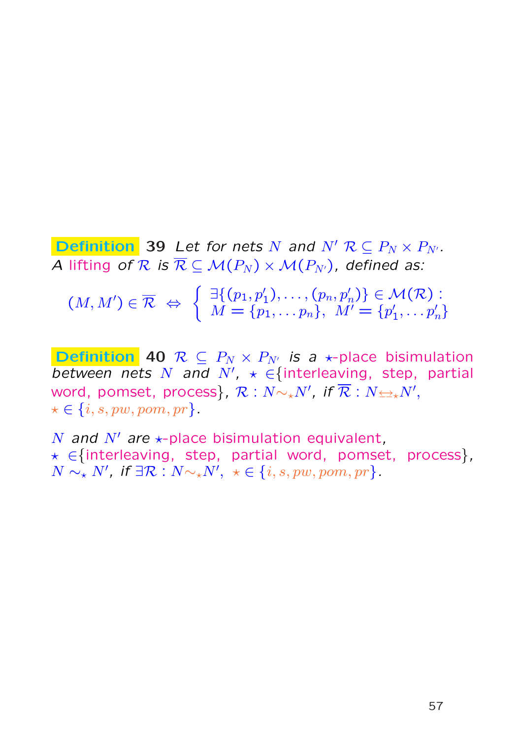**Definition** 39 Let for nets N and  $N'$   $\mathcal{R} \subseteq P_N \times P_{N'}$ . A lifting of R is  $\overline{\mathcal{R}} \subseteq \mathcal{M}(P_N) \times \mathcal{M}(P_{N'})$ , defined as:

 $(M, M') \in \overline{\mathcal{R}} \Leftrightarrow$ ½  $\exists \{(p_1,p'_1),\ldots,(p_n,p'_n)\} \in \mathcal{M}(\mathcal{R})$  :  $M = \{p_1, \ldots p_n\}, \ M' = \{p_1'$  $\{1^{'}_{1},\ldots p'_{n}\}$ 

**Definition** 40  $\mathcal{R} \subseteq P_N \times P_{N'}$  is a  $\star$ -place bisimulation between nets N and N',  $\star \in$  {interleaving, step, partial word, pomset, process},  $\mathcal{R}:N{\sim_\star}N'$ , if  $\overline{\mathcal{R}}:N{\scriptstyle\leftrightarrows_\star}N',$  $\star \in \{i, s, pw, pom, pr\}.$ 

N and N' are  $\star$ -place bisimulation equivalent. ? ∈{interleaving, step, partial word, pomset, process},  $N \sim_{\star} N'$ , if  $\exists \mathcal{R} : N \sim_{\star} N', \ \star \in \{i, s, pw, pom, pr\}.$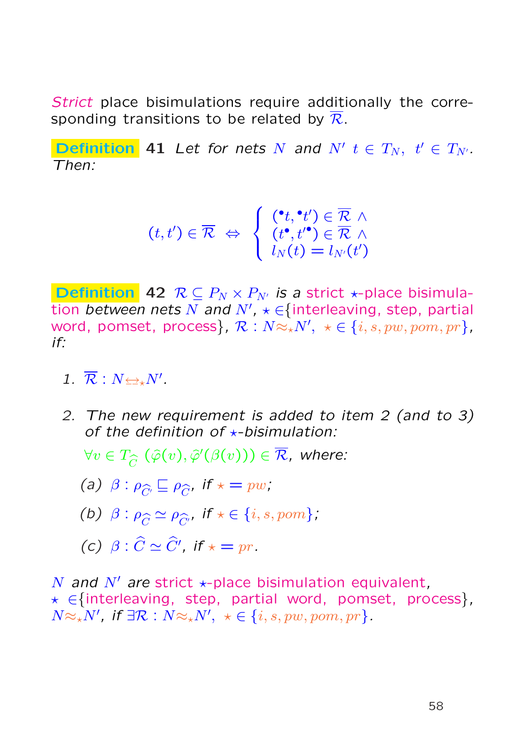Strict place bisimulations require additionally the corresponding transitions to be related by  $\overline{\mathcal{R}}$ .

**Definition** 41 Let for nets N and N'  $t \in T_N$ ,  $t' \in T_{N'}$ . Then:

$$
(t,t') \in \overline{\mathcal{R}} \iff \left\{ \begin{array}{l} (\mathbf{e}_t, \mathbf{e}_t') \in \overline{\mathcal{R}} \ \wedge \\ (t^{\bullet}, t'^{\bullet}) \in \overline{\mathcal{R}} \ \wedge \\ l_N(t) = l_{N'}(t') \end{array} \right.
$$

**Definition** 42  $\mathcal{R} \subseteq P_N \times P_{N'}$  is a strict  $\star$ -place bisimulation between nets N and N',  $\star \in \{$ interleaving, step, partial word, pomset, process},  $\mathcal{R}: N {\approx_\star} N', \,\, \star \in \{i, s, pw, pom, pr\}$ , if:

- 1.  $\overline{\mathcal{R}} : N \rightarrow N'$ .
- 2. The new requirement is added to item 2 (and to 3) of the definition of  $\star$ -bisimulation:

 $\forall v\in T_{\widehat{C}}\,\left(\widehat{\varphi}(v),\widehat{\varphi}'(\beta(v))\right)\in\overline{\mathcal{R}}$ , where:

(a)  $\beta$  :  $\rho_{\widehat{C'}} \sqsubseteq \rho_{\widehat{C}}$ , if  $\star = pw$ ;

- (b)  $\beta : \rho_{\widehat{C}} \simeq \rho_{\widehat{C'}}$ , if  $\star \in \{i, s, pom\}$ ,
- (c)  $\beta : \widehat{C} \simeq \widehat{C}'$ , if  $\star = pr$ .

N and N' are strict  $\star$ -place bisimulation equivalent, ? ∈{interleaving, step, partial word, pomset, process},  $N \approx_{\star} N'$ , if  $\exists \mathcal{R} : N \approx_{\star} N', \ \star \in \{i, s, pw, pom, pr\}.$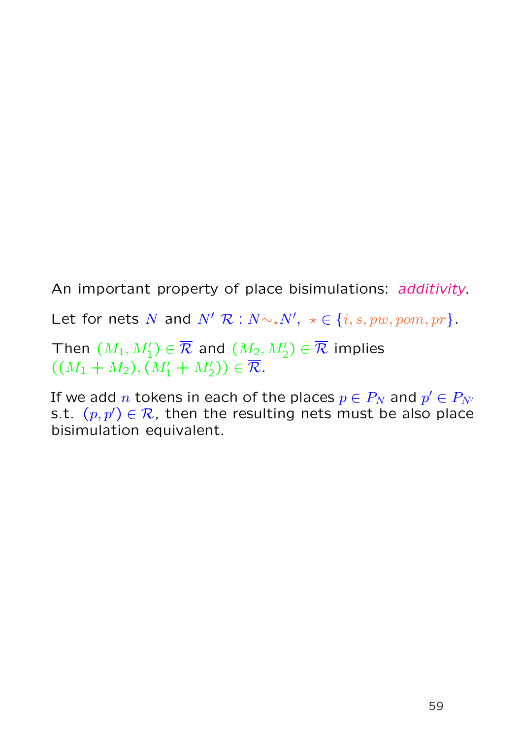An important property of place bisimulations: additivity. Let for nets N and  $N'$  R :  $N \sim_{\star} N'$ ,  $\star \in \{i, s, pw, pom, pr\}$ . Then  $(M_1,M_1')\in \overline{\mathcal{R}}$  and  $(M_2,M_2')\in \overline{\mathcal{R}}$  implies  $((M_1 + M_2), (M'_1 + M'_2)) \in \overline{\mathcal{R}}.$ 

If we add  $n$  tokens in each of the places  $p\in P_N$  and  $p'\in P_{N'}$ s.t.  $(p, p') \in \mathcal{R}$ , then the resulting nets must be also place bisimulation equivalent.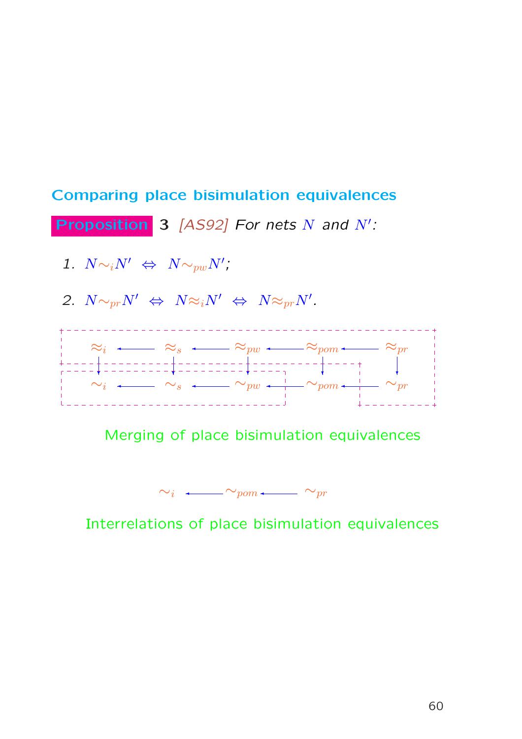

Merging of place bisimulation equivalences

 $\sim_i$  ←  $\sim_{\text{pom}}\leftarrow\sim_{\text{pr}}$ 

Interrelations of place bisimulation equivalences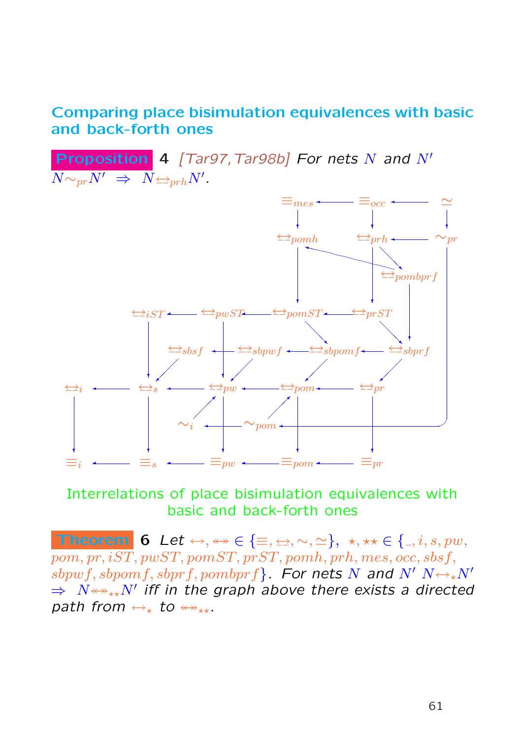### Comparing place bisimulation equivalences with basic and back-forth ones

**Proposition 4** [Tar97, Tar98b] For nets N and  $N'$  $\overline{N {\sim_{pr}} N'} \;\Rightarrow\; \overline{N} {\leftarrow_{prh}} N'.$  $\equiv_i \leftarrow \equiv_s \leftarrow \equiv_{pw} \leftarrow \equiv_{pom} \leftarrow \equiv_{pr}$ ↔<sup>i</sup> ↔<sup>s</sup> ↔pw ↔pom ↔pr  $\Longleftrightarrow_i ST \longleftarrow {\Longleftrightarrow} p w ST \longleftarrow {\Longleftrightarrow} p m ST \longleftarrow {\Longleftrightarrow} prST$  $\leftrightarrow$ pomh  $\overline{\phantom{x}}$  =  $\overline{p}w$   $\overline{\phantom{x}}$  $\overline{\hookrightarrow}_s$   $\longleftarrow$   $\overline{\hookrightarrow}_{pw}$   $\longleftarrow$   $\overline{\hookrightarrow}_{pom}$  $\simeq$ ❄  $\equiv_{mes} \leftarrow \equiv_{occ}$  $\star$   $\star$   $\star$   $\star$   $\star$   $\star$   $\star$  $\overline{y}$   $\overline{y}$   $\overline{y}$   $\overline{y}$   $\overline{y}$   $\overline{y}$   $\overline{y}$   $\overline{y}$   $\overline{y}$   $\overline{y}$   $\overline{y}$   $\overline{y}$   $\overline{y}$   $\overline{y}$   $\overline{y}$   $\overline{y}$   $\overline{y}$   $\overline{y}$   $\overline{y}$   $\overline{y}$   $\overline{y}$   $\overline{y}$   $\overline{y}$   $\overline{y}$   $\overline{$  $\Longleftrightarrow$ sbsf  $\leftarrow$   $\Longleftrightarrow$ sbpwf  $\leftarrow$   $\Longleftrightarrow$ sbpomf $\leftarrow$   $\Longleftrightarrow$ sbprf  $\leftrightarrow$ pombprf ¡ ¡¡✠ ¡ ¡¡✠ ¡ ¡¡✠ ¡ ¡¡✠  $\diagup$ ❅❅❘ ❅❅❘  $\diagup$  $\leftarrow \leftarrow \leftarrow$  shown f  $\star$   $\star$ ❄  $\diagup$  $\overbrace{\phantom{a}}$  $\overline{\phantom{a}}$  $\overline{\phantom{a}}$  $\ddotmark$ ❄ ❄ ❄ ❄ ❄  $\sim_i$   $\leftarrow$   $\sim_{pom}$  $\sim_{pr}$  $\equiv_{occ}$  $\leftarrow$ <sub>prh</sub> ¡  $\leftarrow$   $\sim$   $_{\text{nom}}$   $\leftarrow$   $\leftarrow$   $\leftarrow$   $\leftarrow$   $\leftarrow$   $\leftarrow$   $\leftarrow$   $\leftarrow$   $\leftarrow$   $\leftarrow$   $\leftarrow$   $\leftarrow$   $\leftarrow$   $\leftarrow$   $\leftarrow$   $\leftarrow$   $\leftarrow$   $\leftarrow$   $\leftarrow$   $\leftarrow$   $\leftarrow$   $\leftarrow$   $\leftarrow$   $\leftarrow$   $\leftarrow$   $\leftarrow$   $\leftarrow$   $\leftarrow$   $\leftarrow$   $\leftarrow$   $\leftarrow$   $\leftarrow$   $\leftarrow$   $\left$ ¡ ¡✒ ¡ ¡ ¡✒

#### Interrelations of place bisimulation equivalences with basic and back-forth ones

Theorem 6 Let  $\leftrightarrow, \leftrightarrow \in \{\equiv, \leftrightarrow, \sim, \simeq\}, \star, \star \star \in \{\_, i, s, pw,$  $\overline{pom, pr, iST}, \overline{pwsT}, \overline{pomsT}, \overline{prST}, \overline{pomb}, \overline{prh}, \overline{mes}, \overline{occ}, sbsf,$ sbpwf, sbpomf, sbprf, pombprf}. For nets N and N'  $N \leftrightarrow_{\star} N'$  $\Rightarrow$   $N{\leftrightarrow}_{\star\star}N'$  iff in the graph above there exists a directed path from  $\leftrightarrow_{\ast}$  to  $\leftrightarrow_{\ast\ast}$ .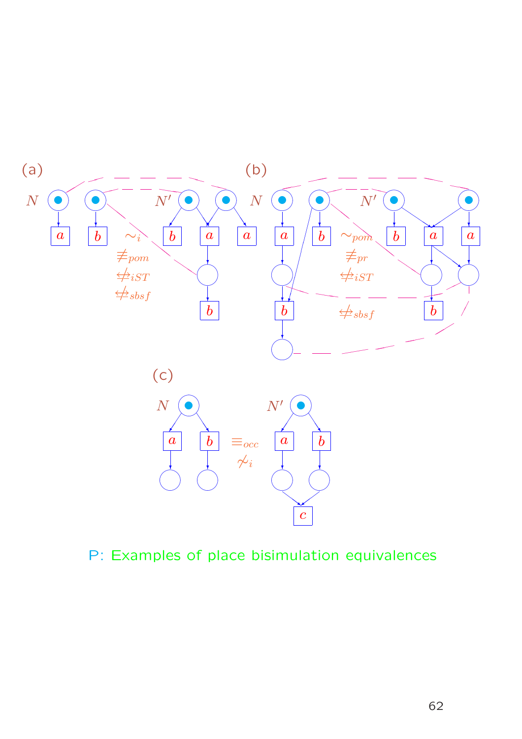

P: Examples of place bisimulation equivalences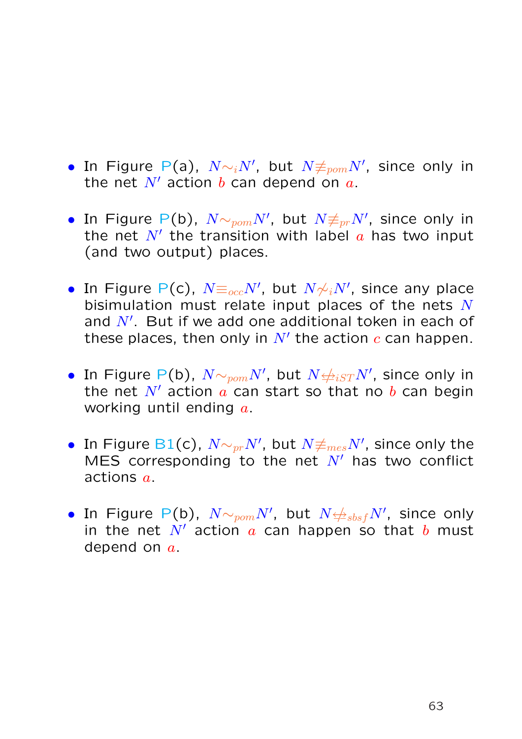- In Figure P(a),  $N {\sim_i} N',$  but  $N {\not\equiv_{\mathit{pom}}} N',$  since only in the net  $N'$  action b can depend on  $a$ .
- In Figure P(b),  $N {\sim_{\textit{pom}} N'}$ , but  $N {\not\equiv_{\textit{pr}} N'}$ , since only in the net  $N'$  the transition with label  $a$  has two input (and two output) places.
- In Figure P(c),  $N \equiv_{occ} N'$ , but  $N \not\sim_i N'$ , since any place bisimulation must relate input places of the nets  $N$ and  $N'$ . But if we add one additional token in each of these places, then only in  $N'$  the action  $c$  can happen.
- In Figure P(b),  $N {\sim}_{pom} N'$ , but  $N {\not\rightleftharpoons}_{iST} N'$ , since only in the net  $N'$  action  $\alpha$  can start so that no  $\bar{b}$  can begin working until ending  $a$ .
- $\bullet \,$  In Figure B1(c),  $N {\sim_{pr}} N',$  but  $N {\not\equiv_{mes}} N',$  since only the MES corresponding to the net  $N'$  has two conflict actions a.
- In Figure P(b),  $N {\sim_{\textit{pom}} N'}$ , but  $N {\not\!\Rightarrow_{\textit{sbsf}} N'}$ , since only in the net  $N'$  action  $a$  can happen so that  $b$  must depend on  $a$ .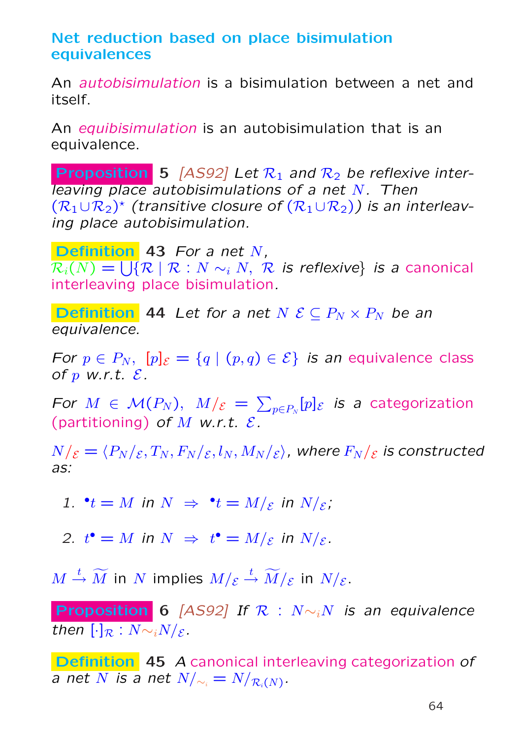## Net reduction based on place bisimulation equivalences

An autobisimulation is a bisimulation between a net and itself.

An equibisimulation is an autobisimulation that is an equivalence.

**Proposition** 5 [AS92] Let  $\mathcal{R}_1$  and  $\mathcal{R}_2$  be reflexive interleaving place autobisimulations of a net  $N$ . Then  $(\mathcal{R}_1 \cup \mathcal{R}_2)^*$  (transitive closure of  $(\mathcal{R}_1 \cup \mathcal{R}_2)$ ) is an interleaving place autobisimulation.

Definition 43 For a net N,  $\mathcal{R}_i(N) = \bigcup \{ \mathcal{R} \mid \mathcal{R} : N \sim_i N, \,\, \mathcal{R} \,$  is reflexive} is a canonical interleaving place bisimulation.

**Definition 44** Let for a net  $N \< P_N \times P_N$  be an equivalence.

For  $p \in P_N$ ,  $[p]_{\mathcal{E}} = \{q \mid (p,q) \in \mathcal{E}\}\$ is an equivalence class of  $p$  w.r.t.  $\mathcal{E}$ .

For  $M \in \mathcal{M}(P_N), M/\varepsilon =$  $\overline{ }$  $_{p\in P_{N}}[p]_{\mathcal{E}}$  is a categorization (partitioning) of M w.r.t.  $\mathcal{E}$ .

 $N/\varepsilon = \langle P_N / \varepsilon , T_N , F_N / \varepsilon , l_N , M_N / \varepsilon \rangle$ , where  $F_N / \varepsilon$  is constructed as:

1.  $\mathbf{t} = M$  in  $N \Rightarrow \mathbf{t} = M/\varepsilon$  in  $N/\varepsilon$ ;

2.  $t^{\bullet} = M$  in  $N \Rightarrow t^{\bullet} = M/\varepsilon$  in  $N/\varepsilon$ .

 $M\stackrel{t}{\rightarrow}\widetilde{M}$  in  $N$  implies  $M/\varepsilon\stackrel{t}{\rightarrow}\widetilde{M}/\varepsilon$  in  $N/\varepsilon.$ 

**Proposition 6** [AS92] If  $\mathcal{R}$  :  $N \sim iN$  is an equivalence then  $[\cdot]_{\mathcal{R}} : N \sim iN/\varepsilon$ .

Definition 45 A canonical interleaving categorization of a net  $N$  is a net  $N/_{\sim_i} = N/_{\mathcal{R}_i(N)}.$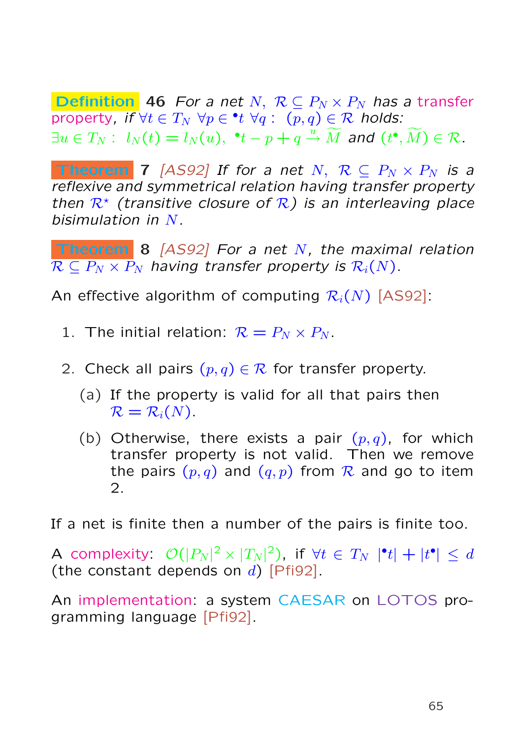**Definition** 46 For a net N,  $\mathcal{R} \subseteq P_N \times P_N$  has a transfer property, if  $\forall t\in T_N\,\,\forall p\in {}^\bullet t\,\,\forall q:\,\,(p,q)\in {\mathcal R}$  holds:  $\exists u \in T_N: l_N(t) = l_N(u), \; ^{\bullet}t - p + q \stackrel{u}{\rightarrow} \widetilde{M}$  and  $(t^{\bullet}, \widetilde{M}) \in \mathcal{R}.$ 

**Theorem** 7 [AS92] If for a net N,  $\mathcal{R} \subseteq P_N \times P_N$  is a reflexive and symmetrical relation having transfer property then  $\mathcal{R}^*$  (transitive closure of  $\mathcal{R}$ ) is an interleaving place bisimulation in  $N$ .

**Theorem 8** [AS92] For a net N, the maximal relation  $\overline{\mathcal{R}} \subseteq P_N \times P_N$  having transfer property is  $\mathcal{R}_i(N)$ .

An effective algorithm of computing  $\mathcal{R}_i(N)$  [AS92]:

- 1. The initial relation:  $\mathcal{R} = P_N \times P_N$ .
- 2. Check all pairs  $(p, q) \in \mathcal{R}$  for transfer property.
	- (a) If the property is valid for all that pairs then  $\mathcal{R} = \mathcal{R}_i(N)$ .
	- (b) Otherwise, there exists a pair  $(p, q)$ , for which transfer property is not valid. Then we remove the pairs  $(p, q)$  and  $(q, p)$  from R and go to item 2.

If a net is finite then a number of the pairs is finite too.

A complexity:  $\mathcal{O}(|P_N|^2 \times |T_N|^2)$ , if  $\forall t \in T_N \,\,|\mathbf{^{\bullet}} t| + |t^{\bullet}| \leq d$ (the constant depends on  $d$ ) [Pfi92].

An implementation: a system CAESAR on LOTOS programming language [Pfi92].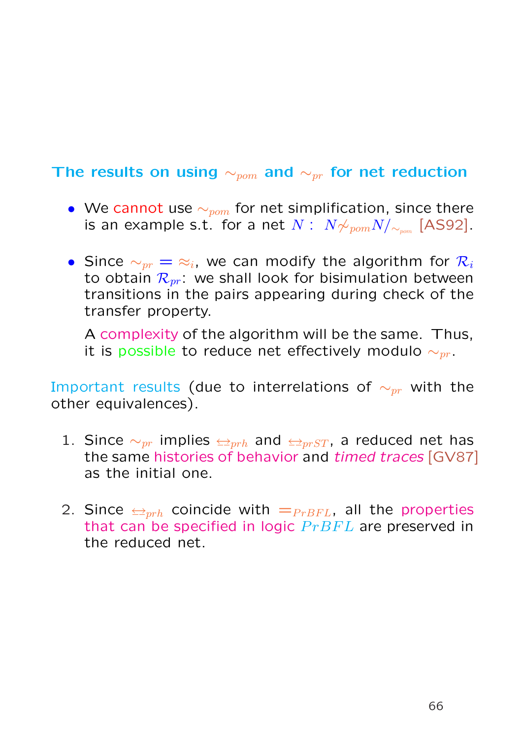# The results on using  $\sim_{\text{pom}}$  and  $\sim_{\text{pr}}$  for net reduction

- We cannot use  $\sim_{\text{pom}}$  for net simplification, since there is an example s.t. for a net  $N: \; N{\not\sim_{\mathit{pom}} N}/{_{\sim_{\mathit{pom}}}}$  [AS92].
- Since  $\sim_{pr}$  =  $\approx_i$ , we can modify the algorithm for  $\mathcal{R}_i$ to obtain  $\mathcal{R}_{pr}$ : we shall look for bisimulation between transitions in the pairs appearing during check of the transfer property.

A complexity of the algorithm will be the same. Thus, it is possible to reduce net effectively modulo  $\sim_{pr}$ .

Important results (due to interrelations of  $\sim_{pr}$  with the other equivalences).

- 1. Since  $\sim_{pr}$  implies  $\leftarrow_{prh}$  and  $\leftarrow_{prST}$ , a reduced net has the same histories of behavior and *timed traces* [GV87] as the initial one.
- 2. Since  $\Longleftrightarrow_{prh}$  coincide with  $=_{PrBFL}$ , all the properties that can be specified in logic  $PrBFL$  are preserved in the reduced net.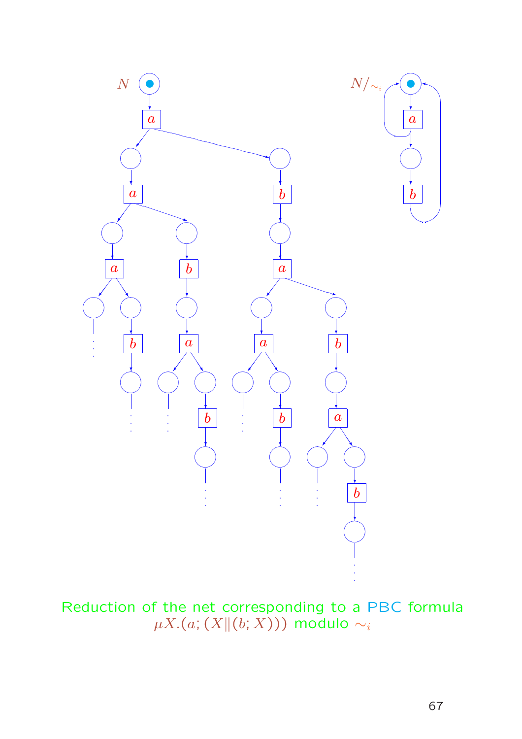

Reduction of the net corresponding to a PBC formula<br> $\mu X.(a;(X|| (b; X)))$  modulo  $\sim_i$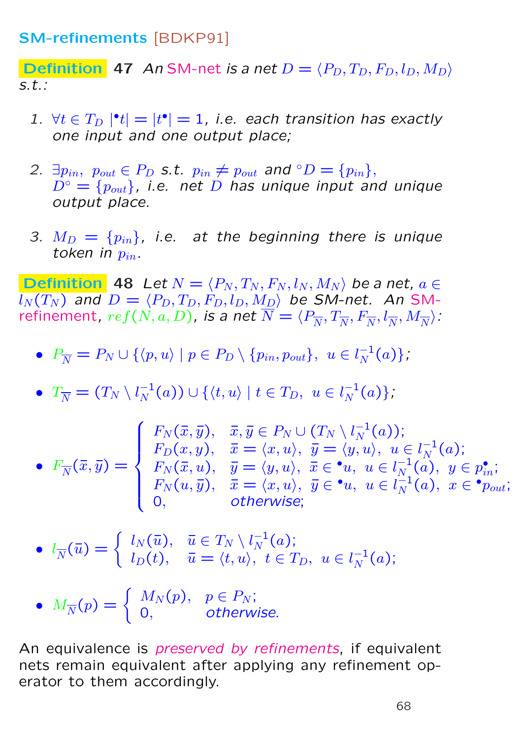### SM-refinements [BDKP91]

**Definition** 47 An SM-net is a net  $D = \langle P_D, T_D, F_D, l_D, M_D \rangle$ s.t.:

- 1.  $\forall t \in T_D \, |\mathbf{f} \cdot \mathbf{f}| = |t \cdot \mathbf{f}| = 1$ , i.e. each transition has exactly one input and one output place;
- 2.  $\exists p_{in}, p_{out} \in P_D$  s.t.  $p_{in} \neq p_{out}$  and  $\circ D = \{p_{in}\},$  $D^{\circ} = \{p_{out}\}\$ , i.e. net D has unique input and unique output place.
- 3.  $M_D = \{p_{in}\}\$ , i.e. at the beginning there is unique token in  $p_{in}$ .

**Definition** 48 Let  $N = \langle P_N, T_N, F_N, l_N, M_N \rangle$  be a net,  $a \in$  $\overline{l_N(T_N )}$  and  $D = \langle P_D, T_D, F_D, l_D, M_D \rangle$  be SM-net. An SMrefinement,  $ref(N, a, D)$ , is a net  $N = \langle P_{\overline{N}}, T_{\overline{N}}, F_{\overline{N}}, l_{\overline{N}}, M_{\overline{N}} \rangle$ :

- $P_{\overline{N}} = P_N \cup \{ \langle p, u \rangle \mid p \in P_D \setminus \{p_{in}, p_{out}\}, u \in l_N^{-1}\}$  $\frac{-1}{N}(a)\},\$
- $\bullet$   $T_{\overline N} = (T_N \setminus l_N^{-1}$  $\binom{-1}{N}(a) \cup \{ \langle t, u \rangle \mid t \in T_D, \,\ u \in l_N^{-1} \}$  $\frac{-1}{N}(a)\},$

$$
\bullet \ \ F_{\overline{N}}(\overline{x},\overline{y}) = \begin{cases} F_N(\overline{x},\overline{y}), & \overline{x},\overline{y} \in P_N \cup (T_N \setminus l_N^{-1}(a)); \\ F_D(x,y), & \overline{x} = \langle x,u \rangle, \ \overline{y} = \langle y,u \rangle, \ u \in l_N^{-1}(a); \\ F_N(\overline{x},u), & \overline{y} = \langle y,u \rangle, \ \overline{x} \in \bullet u, \ u \in l_N^{-1}(a), \ y \in p_{in}^{\bullet}; \\ F_N(u,\overline{y}), & \overline{x} = \langle x,u \rangle, \ \overline{y} \in \bullet u, \ u \in l_N^{-1}(a), \ x \in \bullet p_{out}; \\ 0, & \text{otherwise}; \end{cases}
$$

$$
\bullet \ \ l_{\overline{N}}(\overline{u}) = \begin{cases} l_N(\overline{u}), & \overline{u} \in T_N \setminus l_N^{-1}(a); \\ l_D(t), & \overline{u} = \langle t, u \rangle, \ t \in T_D, \ u \in l_N^{-1}(a); \end{cases}
$$

• 
$$
M_{\overline{N}}(p) = \begin{cases} M_N(p), & p \in P_N; \\ 0, & otherwise. \end{cases}
$$

An equivalence is preserved by refinements, if equivalent nets remain equivalent after applying any refinement operator to them accordingly.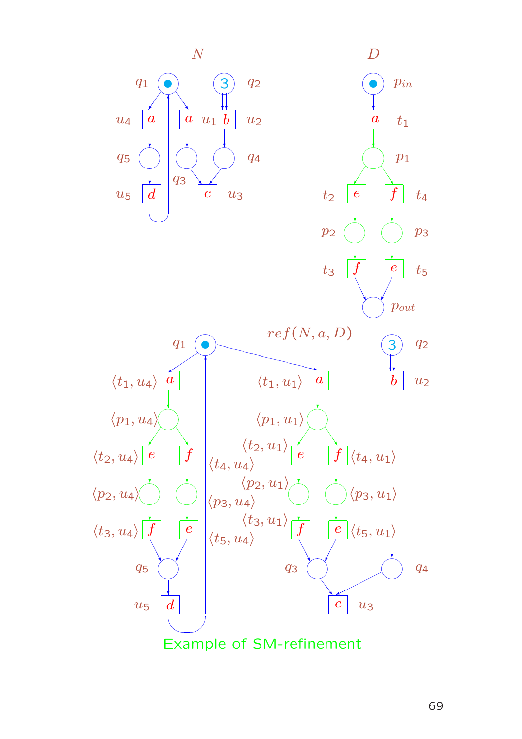

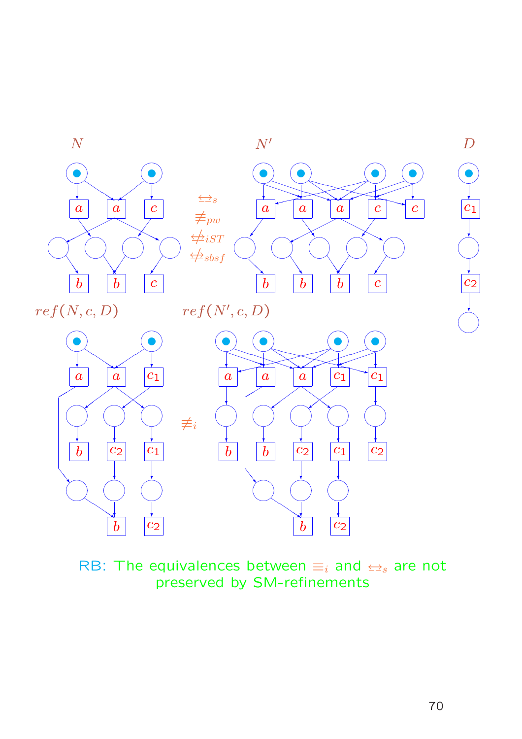

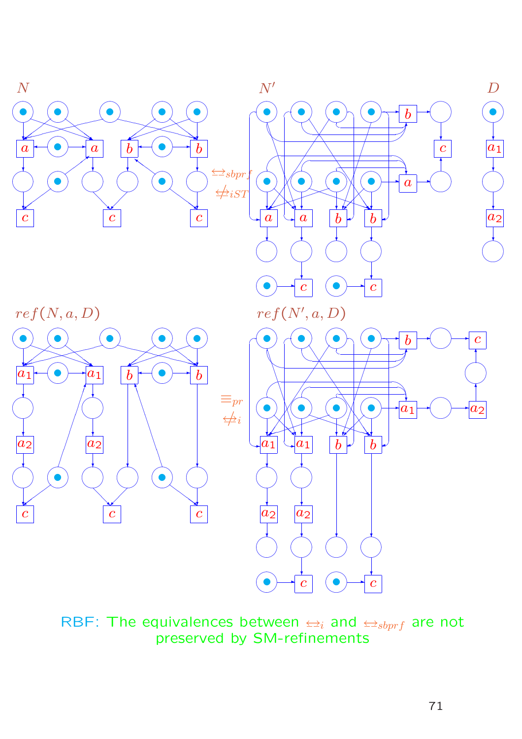

RBF: The equivalences between  $\Longleftrightarrow_i$  and  $\Longleftrightarrow_{sbprf}$  are not preserved by SM-refinements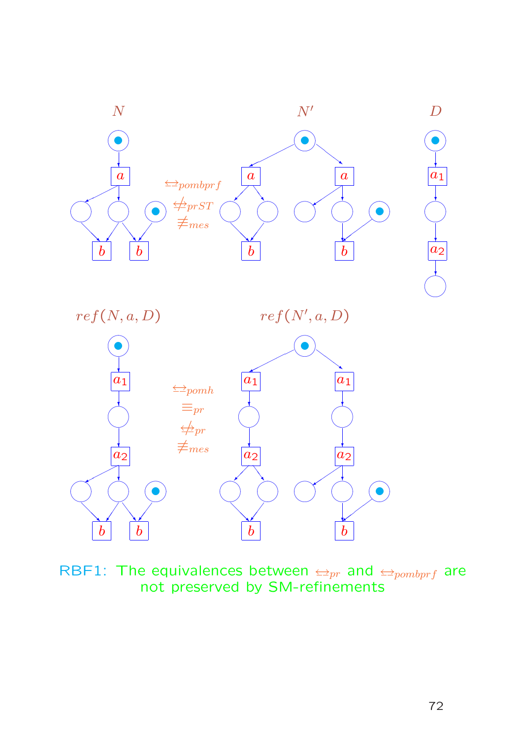

RBF1: The equivalences between  $\leftarrow_{pr}$  and  $\leftarrow_{pombprf}$  are not preserved by SM-refinements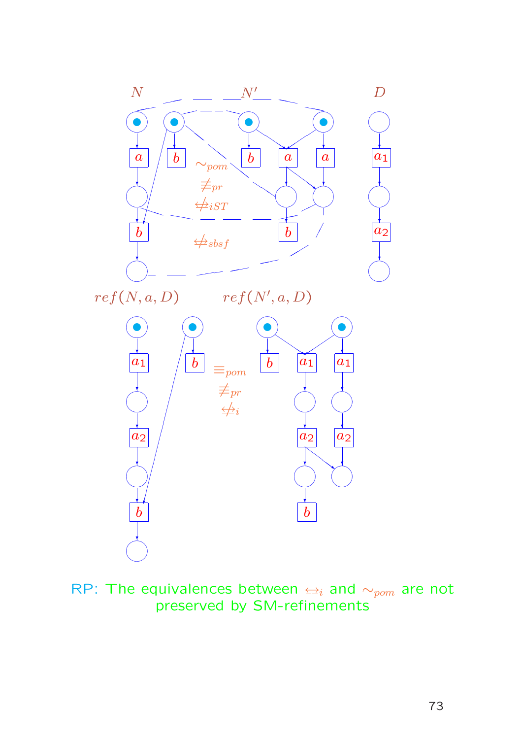

RP: The equivalences between  $\leq i$  and  $\sim_{\text{pom}}$  are not preserved by SM-refinements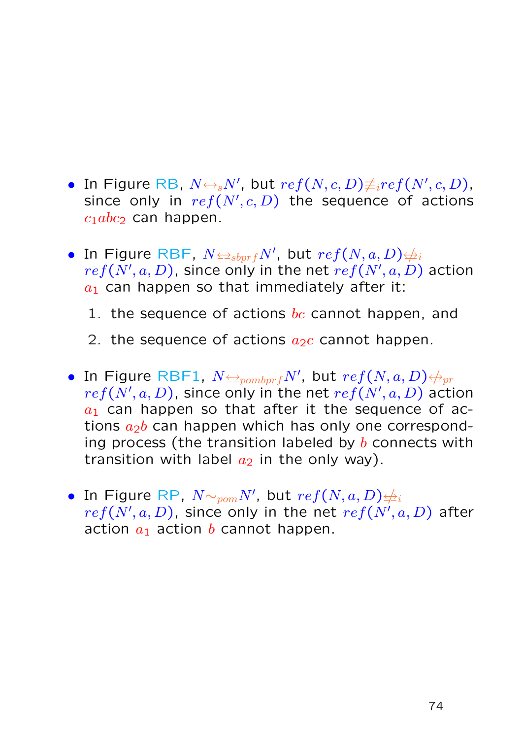- In Figure RB,  $N{\Leftrightarrow_s} N',$  but  $ref(N, c, D){\not\equiv_i} ref(N', c, D),$ since only in  $ref(N', c, D)$  the sequence of actions  $c_1abc_2$  can happen.
- $\bullet$  In Figure RBF,  $N{\Leftrightarrow}_{sbprf}N'$ , but  $ref(N, a, D){\Leftrightarrow}_i$  $ref(N',a,D)$ , since only in the net  $ref(N',a,D)$  action  $a_1$  can happen so that immediately after it:
	- 1. the sequence of actions  $bc$  cannot happen, and
	- 2. the sequence of actions  $a_2c$  cannot happen.
- $\bullet$  In Figure RBF1,  $N$  $\rightleftharpoons _{pombprf}N'$ , but  $ref(N, a, D)$  $\neq _{pr}$  $ref(N',a,D)$ , since only in the net  $ref(N',a,D)$  action  $a_1$  can happen so that after it the sequence of actions  $a_2b$  can happen which has only one corresponding process (the transition labeled by  $b$  connects with transition with label  $a_2$  in the only way).
- $\bullet$  In Figure RP,  $N {\sim_{\textit{pom}} N'}$ , but  $\mathit{ref}(N,a,D) {\not\!\Rightarrow_i}$  $ref(N',a,D)$ , since only in the net  $ref(N',a,D)$  after action  $a_1$  action b cannot happen.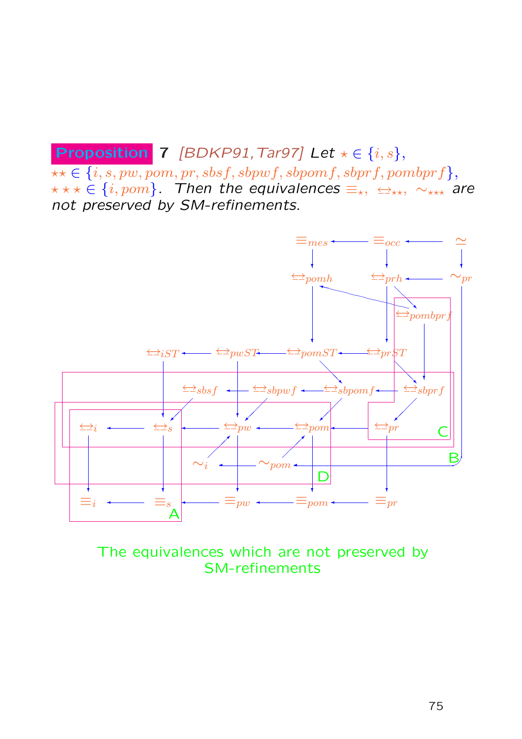# **Proposition** 7 [BDKP91, Tar97] Let  $\star \in \{i, s\},$

 $\star\star\in\{i,s,pw,pom,pr, sbsf, sbpwf, sbpomf, sbprf, pombprf\},$  $x \star x \in \{i, pom\}$ . Then the equivalences  $\equiv_{x}$ ,  $\leftrightarrow_{x \star}$ ,  $\sim_{x \star x}$  are not preserved by SM-refinements.



The equivalences which are not preserved by SM-refinements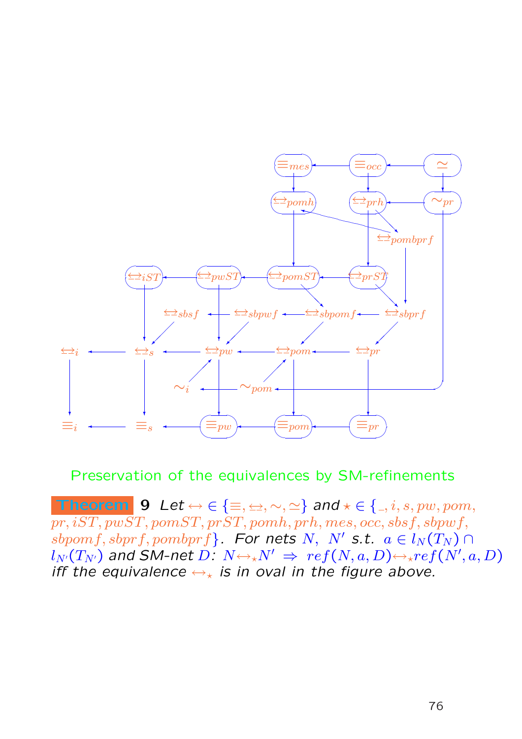

Preservation of the equivalences by SM-refinements

Theorem 9 Let  $\leftrightarrow \in \{\equiv, \leftrightarrow, \sim, \simeq\}$  and  $\star \in \{\_, i, s, pw, pom,$  $\overline{pr, iST, pwST}, pomST, prST, pomh, prh, mes, occ, sbsf, sbpwf,$  $sbpomf, sbprf, pombprf$ . For nets N, N' s.t.  $a \in l_N(T_N) \cap$  $l_{N'}(T_{N'})$  and SM-net  $D\colon N{\leftrightarrow_\star} N'\ \Rightarrow\ ref(N,a,D) {\leftrightarrow_\star} ref(N',a,D)$ iff the equivalence  $\leftrightarrow_{\star}$  is in oval in the figure above.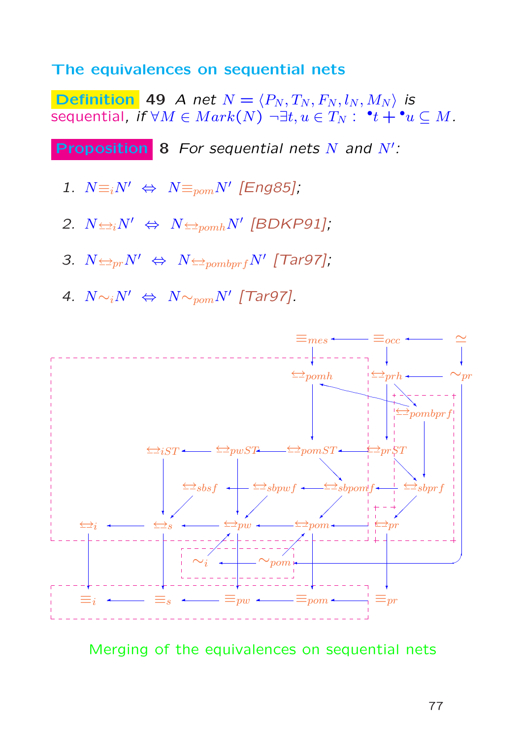## The equivalences on sequential nets

Definition 49 A net  $N = \langle P_N, T_N, F_N, l_N, M_N \rangle$  is sequential, if  $\forall M \in Mark(N) \; \neg \exists t,u \in T_N: \; \; ^{\bullet}t + {^{\bullet}u} \subseteq M.$ 

**Proposition** 8 For sequential nets  $N$  and  $N'$ :

- 1.  $N \equiv i N' \Leftrightarrow N \equiv_{pom} N'$  [Eng85];
- 2.  $N \leftrightarrow N \leftrightarrow N \leftrightarrow_{pomh} N$ <sup>'</sup> [BDKP91];
- 3.  $N \trianglelefteq_{pr} N' \Leftrightarrow N \trianglelefteq_{pombprf} N'$  [Tar97];
- 4.  $N \sim_i N' \Leftrightarrow N \sim_{pom} N'$  [Tar97].



Merging of the equivalences on sequential nets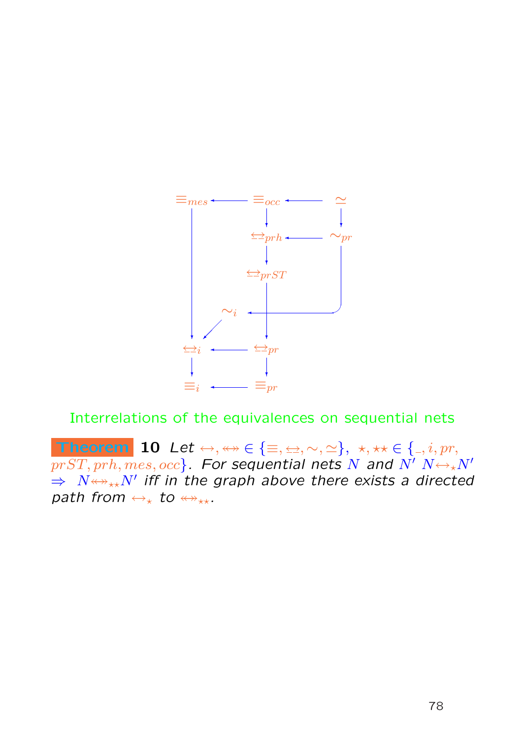

Interrelations of the equivalences on sequential nets

Theorem 10 Let  $\leftrightarrow, \leftrightarrow \in \{\equiv, \pm, \sim, \simeq\}, \star, \star \star \in \{ \_, i, pr, \}$  $\overline{prST,prh, mes, occ}$ . For sequential nets N and  $\overline{N'N} \leftrightarrow N'$  $\Rightarrow$   $N{\leftrightarrow}_{\star\star}N'$  iff in the graph above there exists a directed path from  $\leftrightarrow_{\star}$  to  $\leftrightarrow_{\star\star}$ .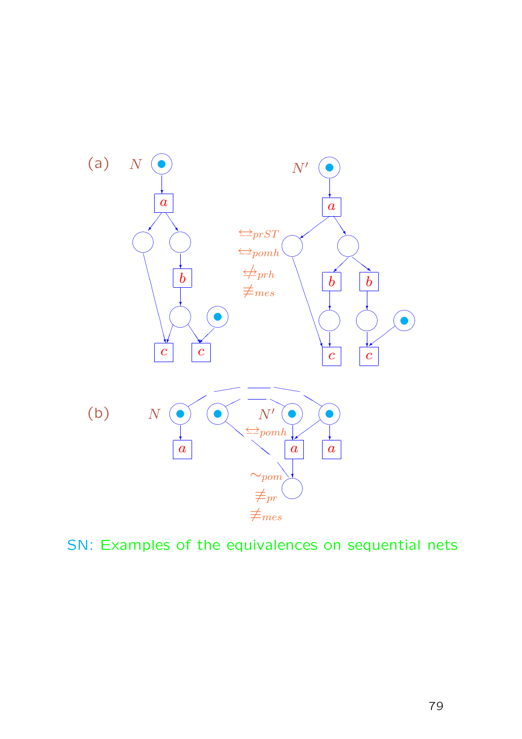

SN: Examples of the equivalences on sequential nets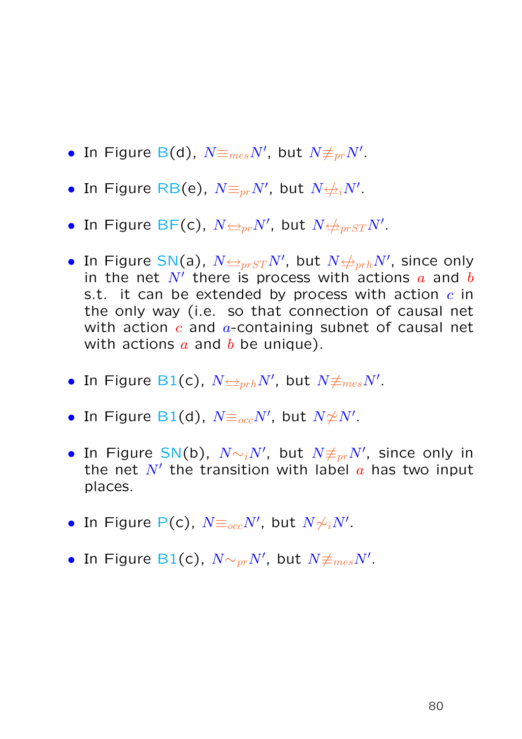- $\bullet$  In Figure B(d),  $N\mathop{\equiv_{mes}}\nolimits N',$  but  $N\mathop{\not\equiv_{pr}}\nolimits N'.$
- $\bullet$  In Figure RB(e),  $N {\equiv_{pr}} N'$ , but  $N {\not \!\!\! \rightarrow_{i}} N'.$
- $\bullet$  In Figure BF(c),  $N{\triangleq_{pr}}N'$ , but  $N{\triangleq_{pr}}STN'.$
- In Figure SN(a),  $N{\triangleq_{pr}}{\small S}{\small T}N'$ , but  $N{\triangleq_{pr}}hN'$ , since only in the net  $N'$  there is process with actions  $a$  and  $b$ s.t. it can be extended by process with action  $c$  in the only way (i.e. so that connection of causal net with action  $c$  and  $a$ -containing subnet of causal net with actions  $a$  and  $b$  be unique).
- In Figure B1(c),  $N{\trianglelefteq_{prh}}N'$ , but  $N{\not\equiv_{mes}}N'.$
- In Figure B1(d),  $N {\equiv_{occ}} N'$ , but  $N {\not\simeq} N'.$
- In Figure SN(b),  $N {\sim_i} N',$  but  $N {\not\equiv_{pr}} N',$  since only in the net  $N'$  the transition with label  $a$  has two input places.
- In Figure P(c),  $N {\equiv_{occ}} N'$ , but  $N {\not\sim_i} N'.$
- In Figure B1(c),  $N {\sim_{pr}} N'$ , but  $N {\not\equiv_{mes}} N'.$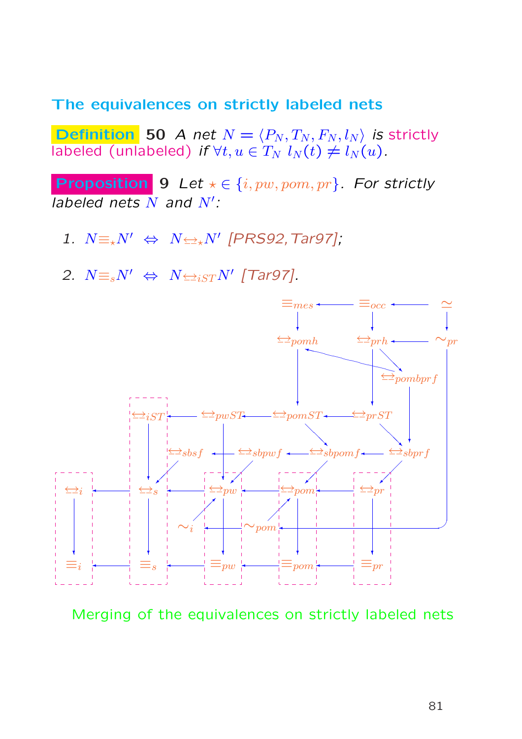### The equivalences on strictly labeled nets

**Definition** 50 A net  $N = \langle P_N, T_N, F_N, l_N \rangle$  is strictly labeled (unlabeled) if  $\forall t, u \in T_N$   $l_N(t) \neq l_N(u)$ .

**Proposition 9** Let  $\star \in \{i, pw, pom, pr\}$ . For strictly labeled nets  $N$  and  $N'$ :

- 1.  $N \equiv \n k^{N'} \Leftrightarrow N \leftrightarrow N'$  [PRS92, Tar97];
- 2.  $N \equiv_s N' \Leftrightarrow N \Leftrightarrow_{iST} N'$  [Tar97].



Merging of the equivalences on strictly labeled nets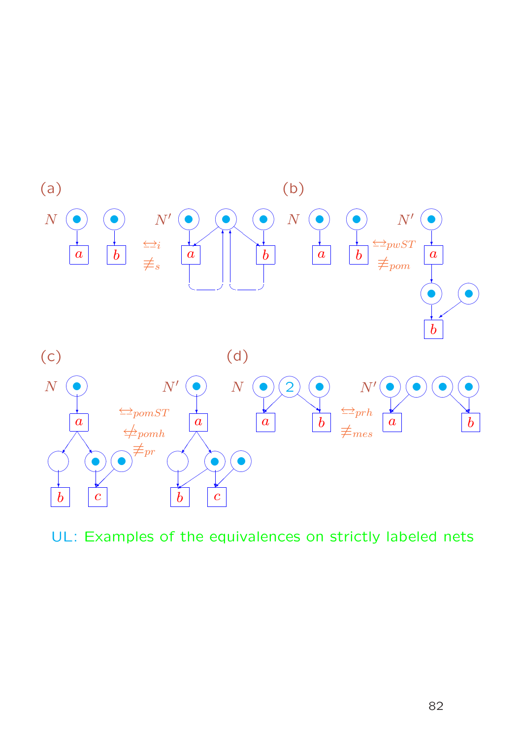

UL: Examples of the equivalences on strictly labeled nets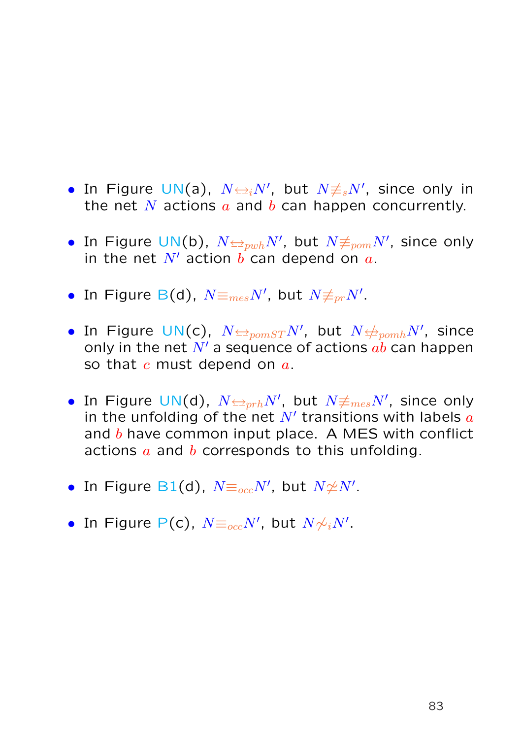- In Figure UN(a),  $N \rightleftharpoons_i N'$ , but  $N \neq_s N'$ , since only in the net N actions  $a$  and  $b$  can happen concurrently.
- $\bullet$  In Figure UN(b),  $N {\in}_{pwh} N',$  but  $N {\not\equiv}_{pom} N',$  since only in the net  $N'$  action b can depend on  $a$ .
- $\bullet$  In Figure B(d),  $N\mathop{\equiv_{mes}}\nolimits N',$  but  $N\mathop{\not\equiv_{pr}}\nolimits N'.$
- $\bullet$  In Figure UN(c),  $N{\triangleq}_{pomST}N'$ , but  $N{\triangleq}_{pomh}N'$ , since only in the net  $N'$  a sequence of actions  $ab$  can happen so that  $c$  must depend on  $a$ .
- In Figure UN(d),  $N{\triangleq_{prh}}N'$ , but  $N{\not\equiv_{mes}}N'$ , since only in the unfolding of the net  $N'$  transitions with labels  $a$ and  $b$  have common input place. A MES with conflict actions  $\alpha$  and  $\dot{b}$  corresponds to this unfolding.
- In Figure B1(d),  $N {\equiv_{occ}} N'$ , but  $N {\not\simeq} N'.$
- In Figure P(c),  $N {\equiv_{occ}} N'$ , but  $N {\not\sim_i} N'.$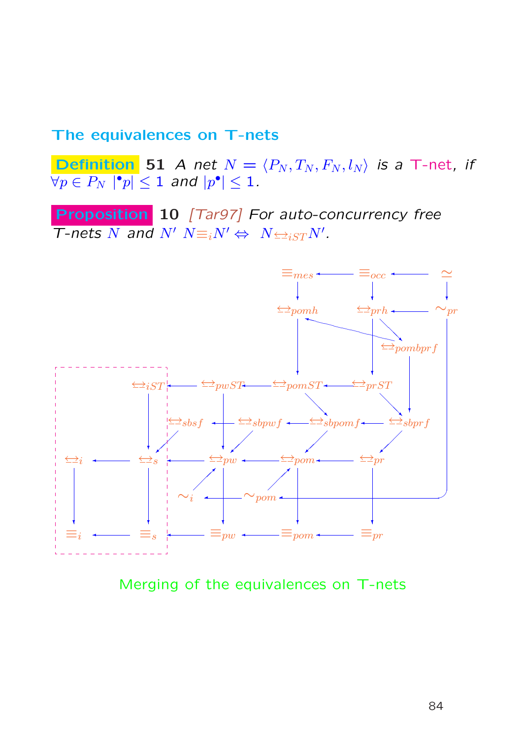## The equivalences on T-nets

**Definition** 51 A net  $N = \langle P_N, T_N, F_N, l_N \rangle$  is a T-net, if  $\overline{\forall p\in P_N\,\left|\mathord{\hspace{1pt}\text{--}\hspace{1pt}} p\right|}\leq 1$  and  $|p^\bullet|\leq 1$  .

Proposition 10 [Tar97] For auto-concurrency free T-nets N and N'  $N \equiv iN' \Leftrightarrow N \leftrightarrow i_{S}T N'.$ 



Merging of the equivalences on T-nets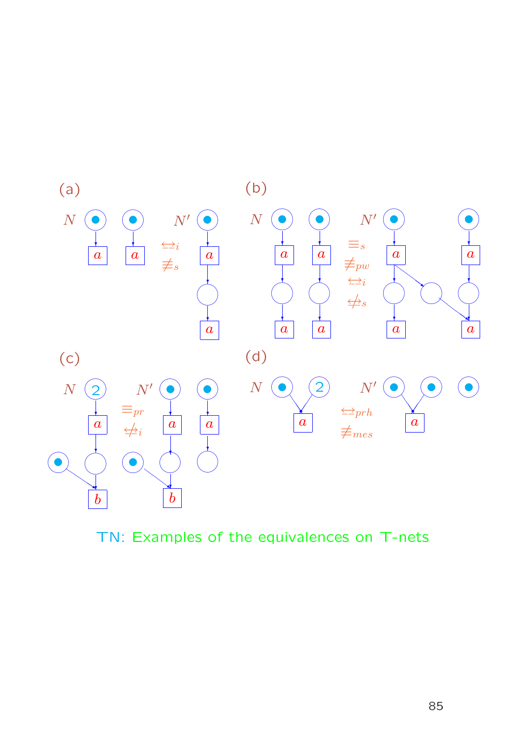

TN: Examples of the equivalences on T-nets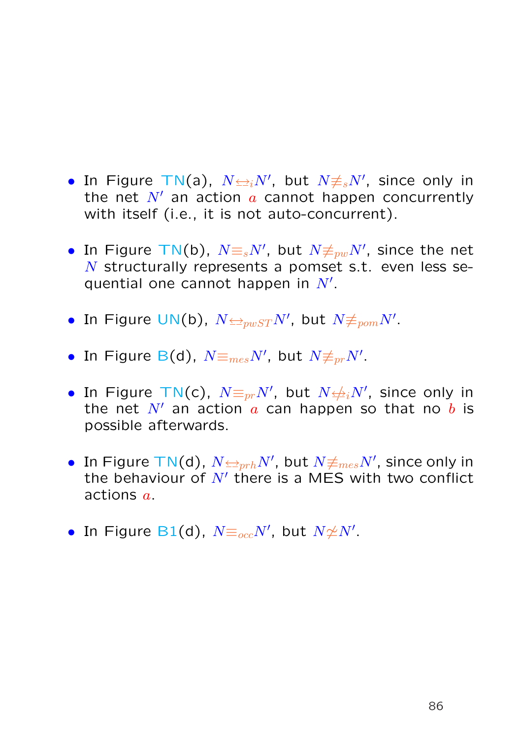- In Figure TN(a),  $N \rightleftharpoons_i N'$ , but  $N \neq_s N'$ , since only in the net  $N'$  an action  $a$  cannot happen concurrently with itself (i.e., it is not auto-concurrent).
- In Figure TN(b),  $N{\equiv_s}N'$ , but  $N{\not\equiv_{pw}}N'$ , since the net N structurally represents a pomset s.t. even less sequential one cannot happen in  $N'$ .
- $\bullet$  In Figure UN(b),  $N{\triangleq}_{pwST}N'$ , but  $N{\not\equiv}_{pom}N'.$
- $\bullet$  In Figure B(d),  $N\mathop{\equiv_{mes}}\nolimits N',$  but  $N\mathop{\not\equiv_{pr}}\nolimits N'.$
- In Figure TN(c),  $N{\equiv_{pr}}N'$ , but  $N{\not\rightleftharpoons_{i}}N'$ , since only in the net  $N'$  an action a can happen so that no b is possible afterwards.
- In Figure TN(d),  $N{\triangleq_{prh}}N'$ , but  $N{\not\equiv_{mes}}N'$ , since only in the behaviour of  $N'$  there is a MES with two conflict actions a.
- In Figure B1(d),  $N {\equiv_{occ}} N'$ , but  $N {\not\simeq} N'.$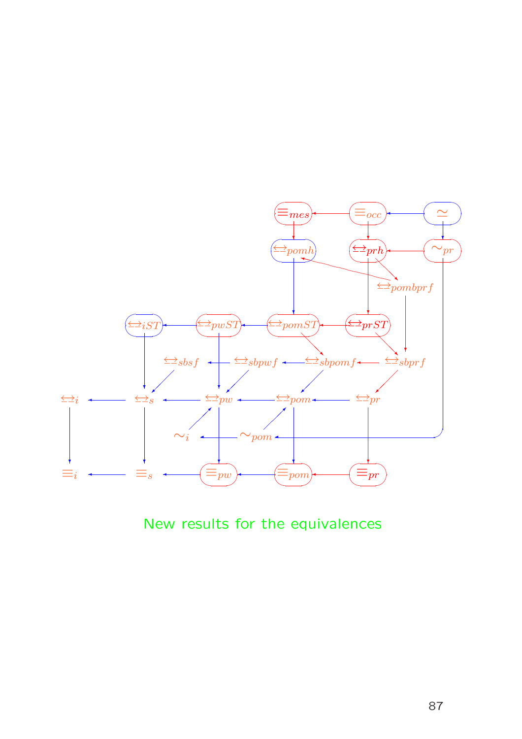

New results for the equivalences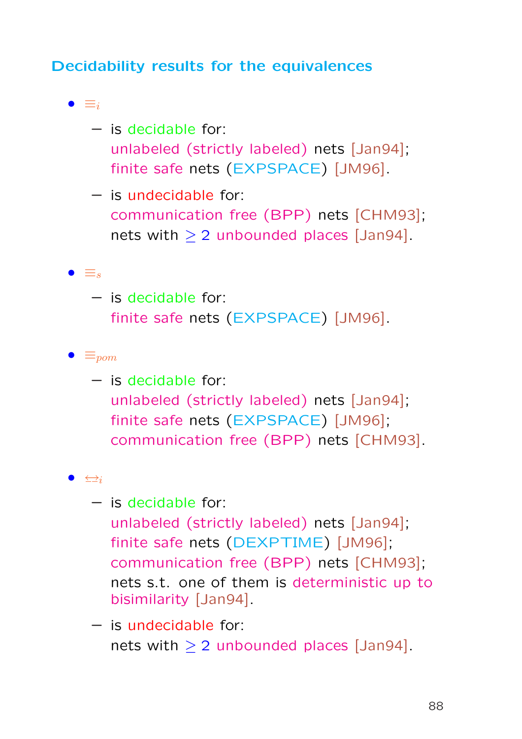# Decidability results for the equivalences

•  $\equiv_i$ 

- is decidable for: unlabeled (strictly labeled) nets [Jan94]; finite safe nets (EXPSPACE) [JM96].
- is undecidable for: communication free (BPP) nets [CHM93]; nets with  $\geq 2$  unbounded places [Jan94].

#### $\bullet \equiv_s$

– is decidable for: finite safe nets (EXPSPACE) [JM96].

#### $\bullet \equiv_{\text{pom}}$

– is decidable for: unlabeled (strictly labeled) nets [Jan94]; finite safe nets (EXPSPACE) [JM96]; communication free (BPP) nets [CHM93].

### $\bullet$   $\leftrightarrow$

- is decidable for: unlabeled (strictly labeled) nets [Jan94]; finite safe nets (DEXPTIME) [JM96]; communication free (BPP) nets [CHM93]; nets s.t. one of them is deterministic up to bisimilarity [Jan94].
- is undecidable for: nets with  $> 2$  unbounded places [Jan94].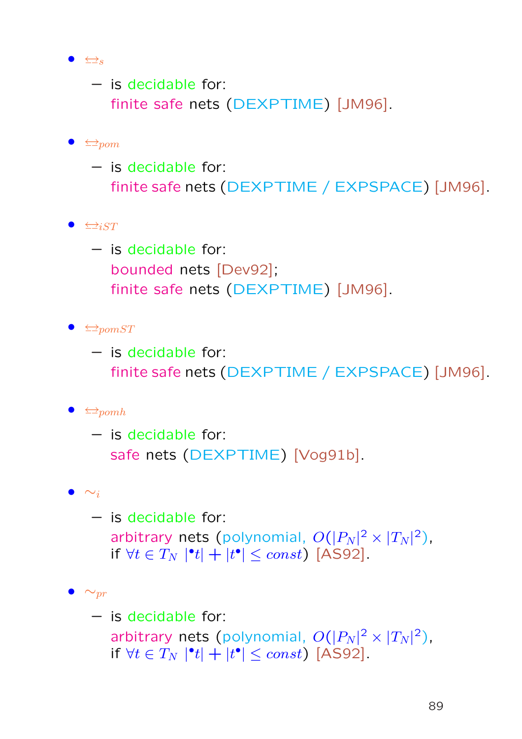$\bullet \quad \Longleftrightarrow$ s

– is decidable for: finite safe nets (DEXPTIME) [JM96].

### $\bullet \leq_{\mathcal{D}om}$

- is decidable for: finite safe nets (DEXPTIME / EXPSPACE) [JM96].
- $\bullet \leq_{i}^{+}$

– is decidable for: bounded nets [Dev92]; finite safe nets (DEXPTIME) [JM96].

- $\bullet \leq_{\text{pomST}}$ 
	- is decidable for: finite safe nets (DEXPTIME / EXPSPACE) [JM96].

### $\bullet \leq_{\mathcal{P}}^{\bullet}$

– is decidable for: safe nets (DEXPTIME) [Vog91b].

### $\bullet \sim_i$

– is decidable for: arbitrary nets (polynomial,  $O(|P_N|^2 \times |T_N|^2)$ , if  $\forall t \in T_N \mid \mathbf{t} \mid + \mid t^{\bullet} \mid \leq const$  [AS92].

### $\bullet \sim_{pr}$

– is decidable for: arbitrary nets (polynomial,  $O(|P_N|^2 \times |T_N|^2)$ , if  $\forall t \in T_N \mid \mathbf{t} \mid + \mid t^{\bullet} \mid \leq const$  [AS92].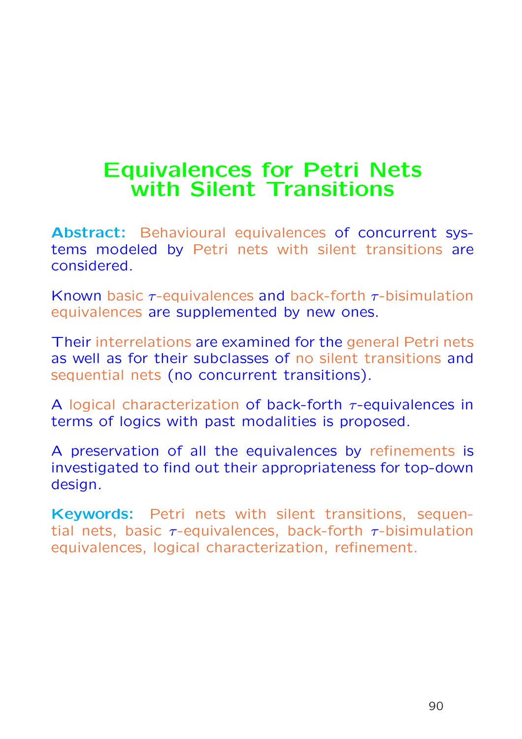# Equivalences for Petri Nets with Silent Transitions

Abstract: Behavioural equivalences of concurrent systems modeled by Petri nets with silent transitions are considered.

Known basic  $\tau$ -equivalences and back-forth  $\tau$ -bisimulation equivalences are supplemented by new ones.

Their interrelations are examined for the general Petri nets as well as for their subclasses of no silent transitions and sequential nets (no concurrent transitions).

A logical characterization of back-forth  $\tau$ -equivalences in terms of logics with past modalities is proposed.

A preservation of all the equivalences by refinements is investigated to find out their appropriateness for top-down design.

Keywords: Petri nets with silent transitions, sequential nets, basic  $\tau$ -equivalences, back-forth  $\tau$ -bisimulation equivalences, logical characterization, refinement.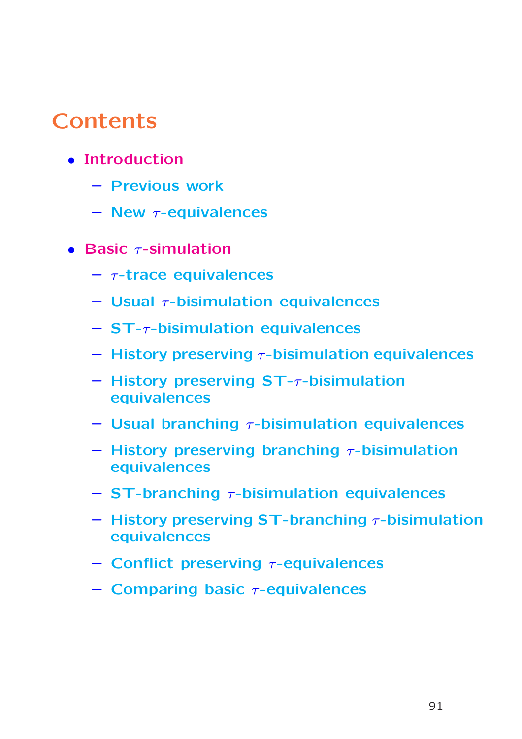# **Contents**

- Introduction
	- Previous work
	- $-$  New  $\tau$ -equivalences
- Basic  $\tau$ -simulation
	- $\tau$ -trace equivalences
	- $-$  Usual  $\tau$ -bisimulation equivalences
	- $-$  ST- $\tau$ -bisimulation equivalences
	- $-$  History preserving  $\tau$ -bisimulation equivalences
	- $-$  History preserving ST- $\tau$ -bisimulation equivalences
	- Usual branching  $\tau$ -bisimulation equivalences
	- History preserving branching  $\tau$ -bisimulation equivalences
	- $-$  ST-branching  $\tau$ -bisimulation equivalences
	- History preserving ST-branching  $\tau$ -bisimulation equivalences
	- Conflict preserving  $\tau$ -equivalences
	- $-$  Comparing basic  $\tau$ -equivalences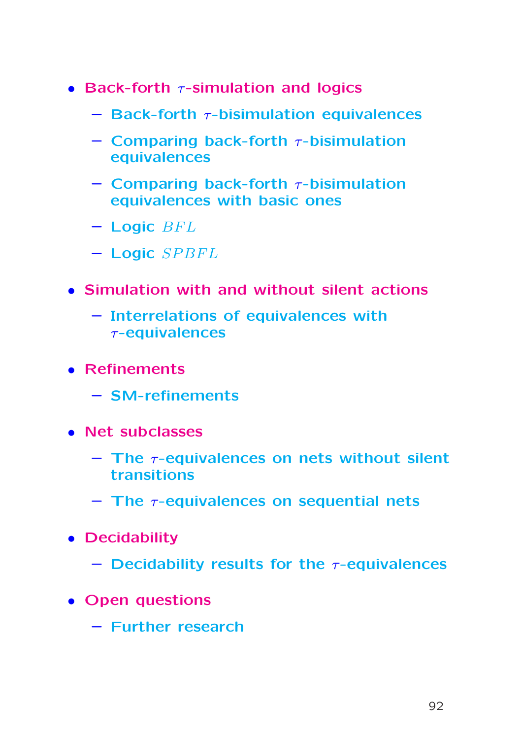- Back-forth  $\tau$ -simulation and logics
	- $-$  Back-forth  $\tau$ -bisimulation equivalences
	- Comparing back-forth  $\tau$ -bisimulation equivalences
	- Comparing back-forth  $\tau$ -bisimulation equivalences with basic ones
	- $-$  Logic  $BFL$
	- $-$  Logic  $SPBFL$
- Simulation with and without silent actions
	- Interrelations of equivalences with τ-equivalences
- Refinements
	- SM-refinements
- Net subclasses
	- $-$  The  $\tau$ -equivalences on nets without silent transitions
	- $-$  The  $\tau$ -equivalences on sequential nets
- Decidability
	- Decidability results for the  $\tau$ -equivalences
- Open questions
	- Further research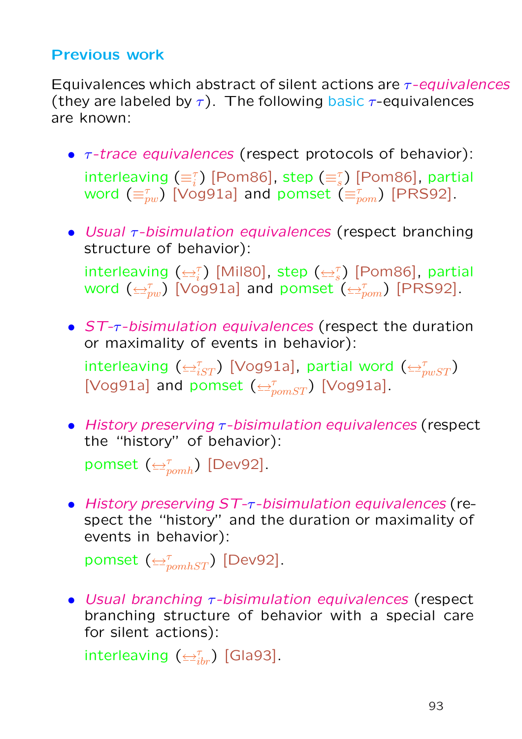## Previous work

Equivalences which abstract of silent actions are  $\tau$ -equivalences (they are labeled by  $\tau$ ). The following basic  $\tau$ -equivalences are known:

- $\tau$ -trace equivalences (respect protocols of behavior): interleaving  $(\equiv_i^{\tau})$  [Pom86], step  $(\equiv_s^{\tau})$  [Pom86], partial word  $(\equiv_{pw}^\tau)$  [Vog91a] and pomset  $(\equiv_{pom}^\tau)$  [PRS92].
- Usual  $\tau$ -bisimulation equivalences (respect branching structure of behavior):

interleaving  $(\leq_i^{\tau})$  [Mil80], step  $(\leq_i^{\tau})$  [Pom86], partial word  $(\triangleq^{\tau}_{pw})$  [Vog91a] and pomset  $(\triangleq^{\tau}_{pom})$  [PRS92].

- ST-τ-bisimulation equivalences (respect the duration or maximality of events in behavior): interleaving  $(\triangleq^{\tau}_{iST})$  [Vog91a], partial word  $(\triangleq^{\tau}_{pwST})$ [Vog91a] and pomset  $(\triangle_{pomST}^{\tau})$  [Vog91a].
- History preserving  $\tau$ -bisimulation equivalences (respect the "history" of behavior):

pomset  $(\leftrightarrow_{pomh}^{\tau})$  [Dev92].

• History preserving ST-τ-bisimulation equivalences (respect the "history" and the duration or maximality of events in behavior):

 $\mathsf{pomset}$   $(\leftrightarrow_{\mathit{pomhST}}^{\tau})$  [Dev92].

• Usual branching  $\tau$ -bisimulation equivalences (respect branching structure of behavior with a special care for silent actions):

interleaving  $(\triangle^{\tau}_{ibr})$  [Gla93].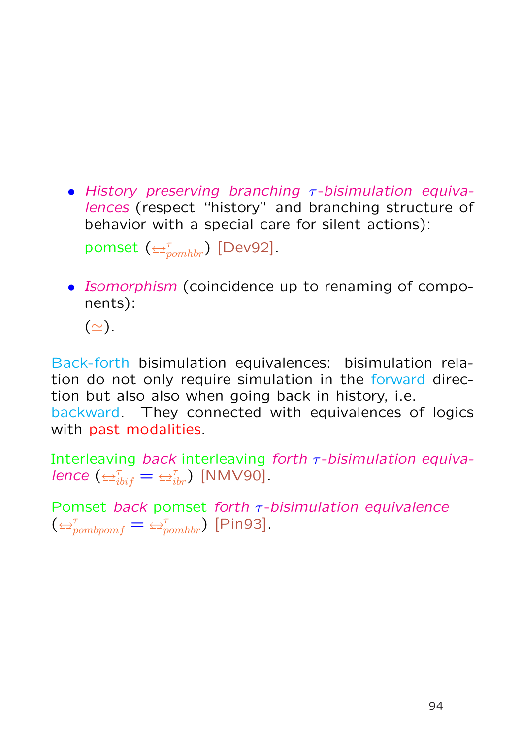• History preserving branching  $\tau$ -bisimulation equivalences (respect "history" and branching structure of behavior with a special care for silent actions):

 $\mathsf{pomset}$   $(\triangleleft_{\mathit{pomhbr}}^{\tau})$  [Dev92].

• Isomorphism (coincidence up to renaming of components):

 $(\simeq).$ 

Back-forth bisimulation equivalences: bisimulation relation do not only require simulation in the forward direction but also also when going back in history, i.e. backward. They connected with equivalences of logics with past modalities.

Interleaving back interleaving forth  $\tau$ -bisimulation equivalence  $(\triangle^{\tau}_{i\dot{b}i\dot{f}} = \triangle^{\tau}_{i\dot{b}r})$  [NMV90].

Pomset back pomset forth  $\tau$ -bisimulation equivalence  $(\bigoplus_{pombpomf}^{\tau} = \bigoplus_{pomhbr}^{\tau}$  [Pin93].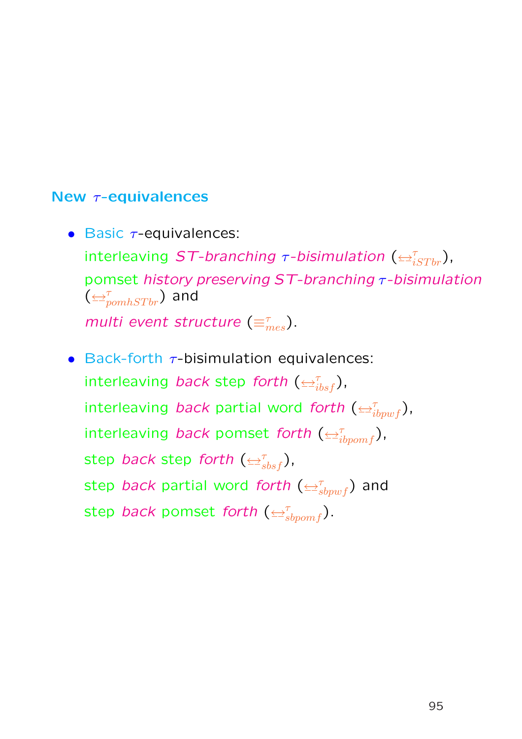### New τ-equivalences

- Basic  $\tau$ -equivalences: interleaving ST-branching  $\tau$ -bisimulation  $(\triangleq^{\tau}_{iSTbr})$ , pomset history preserving ST-branching τ-bisimulation  $(\overline{\leftrightarrow}_{pomhSTbr}^{\tau})$  and multi event structure  $(\equiv_{mes}^{\tau})$ .
- Back-forth  $\tau$ -bisimulation equivalences: interleaving back step forth  $(\triangleq^{\tau}_{ibsf})$ , interleaving back partial word forth  $(\triangleq^{\tau}_{ibpwf})$ , interleaving back pomset forth  $(\triangleleft^{\tau}_{ibpomf})$ , step *back* step forth ( $\overline{\leftrightarrow}^{\tau}_{sbsf}$ ), step back partial word forth  $(\triangle^{\tau}_{sbpwf})$  and step *back* pomset forth ( $\overline{\leftrightarrow}^{\tau}_{sbpomf}$ ).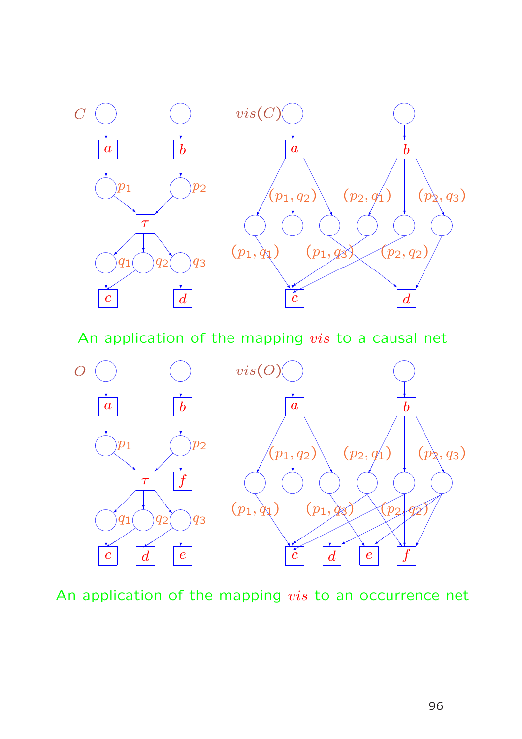

An application of the mapping vis to a causal net



An application of the mapping vis to an occurrence net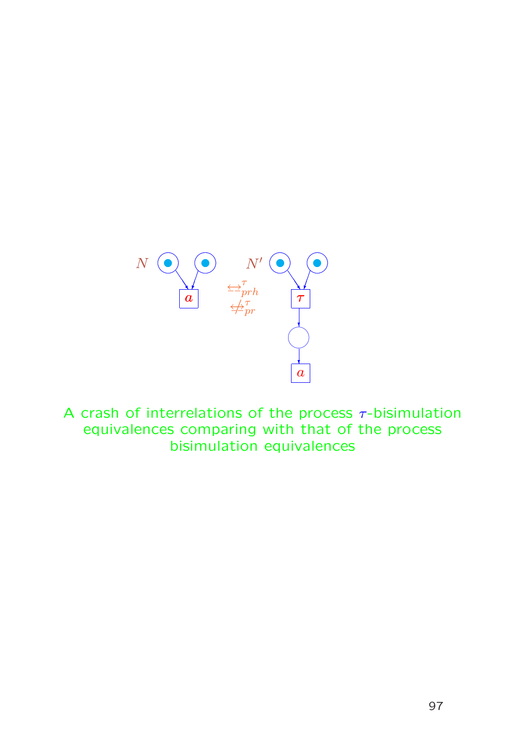

A crash of interrelations of the process  $\tau$ -bisimulation equivalences comparing with that of the process bisimulation equivalences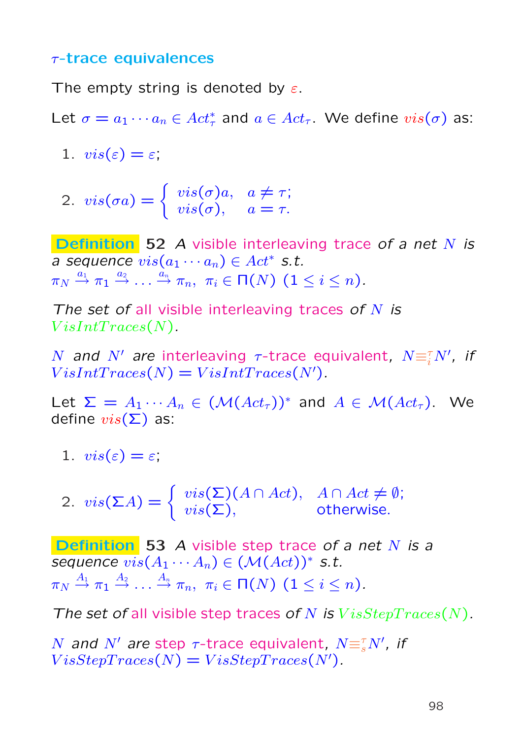### τ-trace equivalences

The empty string is denoted by  $\varepsilon$ .

Let  $\sigma = a_1 \cdots a_n \in Act^*_{\tau}$  and  $a \in Act_{\tau}$ . We define  $vis(\sigma)$  as:

- 1.  $vis(\varepsilon) = \varepsilon$ ;
- 2.  $vis(\sigma a) = \{$  $vis(\sigma)a, a \neq \tau;$  $vis(\sigma)$ ,  $a = \tau$ .

Definition 52 A visible interleaving trace of a net N is a sequence  $vis(a_1 \cdots a_n) \in Act^*$  s.t.  $\pi_N\stackrel{a_1}{\rightarrow}\pi_1\stackrel{a_2}{\rightarrow}\ldots\stackrel{\stackrel{\stackrel{\cdot}{a_n}}{\rightarrow}\pi_n, \ \ \pi_i\in\mathsf{\Pi}(N)\ \ (1\leq i\leq n).$ 

The set of all visible interleaving traces of  $N$  is  $VisIntTraces(N)$ .

N and N' are interleaving  $\tau$ -trace equivalent,  $N \equiv_i^{\tau} N'$ , if  $VisIntTraces(N) = VisIntTraces(N')$ .

Let  $\Sigma = A_1 \cdots A_n \in (\mathcal{M}(Act_{\tau}))^*$  and  $A \in \mathcal{M}(Act_{\tau})$ . We define  $vis(\Sigma)$  as:

1.  $vis(\varepsilon) = \varepsilon$ ;

2. 
$$
vis(\Sigma A) = \begin{cases} vis(\Sigma)(A \cap Act), & A \cap Act \neq \emptyset; \\ vis(\Sigma), & otherwise. \end{cases}
$$

**Definition** 53 A visible step trace of a net  $N$  is a sequence  $vis(A_1 \cdots A_n) \in (\mathcal{M}(Act))^*$  s.t.  $\pi_N\stackrel{A_1}{\rightarrow} \pi_1\stackrel{A_2}{\rightarrow}\ldots\stackrel{A_n}{\rightarrow} \pi_n,\ \ \pi_i\in \mathsf{\Pi}(N) \ \ (1\leq i\leq n).$ 

The set of all visible step traces of N is  $VisStepTrace(N)$ .

 $N$  and  $N'$  are step  $\tau$ -trace equivalent,  $N \equiv_{s}^{\tau} N'$ , if  $VisStepTrace(N) = VisStepTrace(N)$ .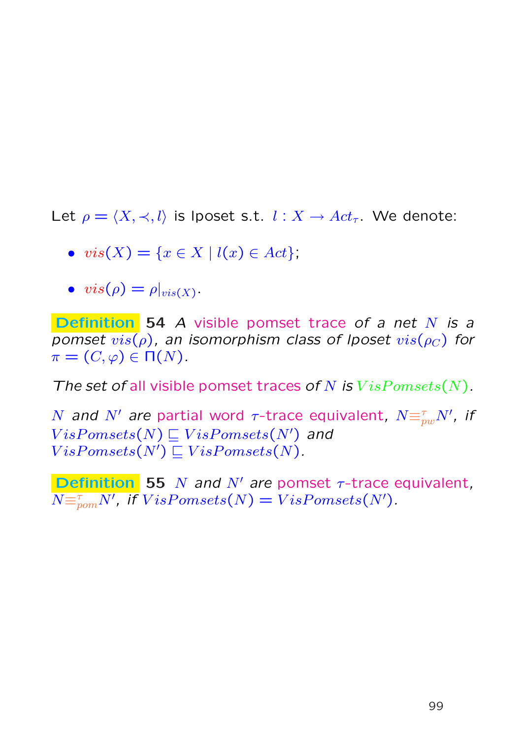Let  $\rho = \langle X, \prec, l \rangle$  is lposet s.t.  $l : X \to Act_\tau$ . We denote:

$$
\bullet \ \ vis(X) = \{ x \in X \mid l(x) \in Act \},
$$

$$
\bullet \;\; vis(\rho) = \rho|_{vis(X)}.
$$

Definition 54 A visible pomset trace of a net N is a pomset  $vis(\rho)$ , an isomorphism class of lposet  $vis(\rho_C)$  for  $\pi = (C, \varphi) \in \Pi(N)$ .

The set of all visible pomset traces of N is  $VisPomsets(N)$ .

 $N$  and  $N'$  are partial word  $\tau$ -trace equivalent,  $N {\equiv_{pw}^\tau} N'$ , if  $VisPomsets(N) \sqsubseteq VisPomsets(N')$  and  $VisPomsets(N') \sqsubseteq VisPomsets(N).$ 

**Definition** 55 N and N' are pomset  $\tau$ -trace equivalent,  $N {\equiv_{\hspace{-0.5mm}\textit{pom}}''} N'$ , if  $VisPomsets(N) = VisPomsets(N')$ .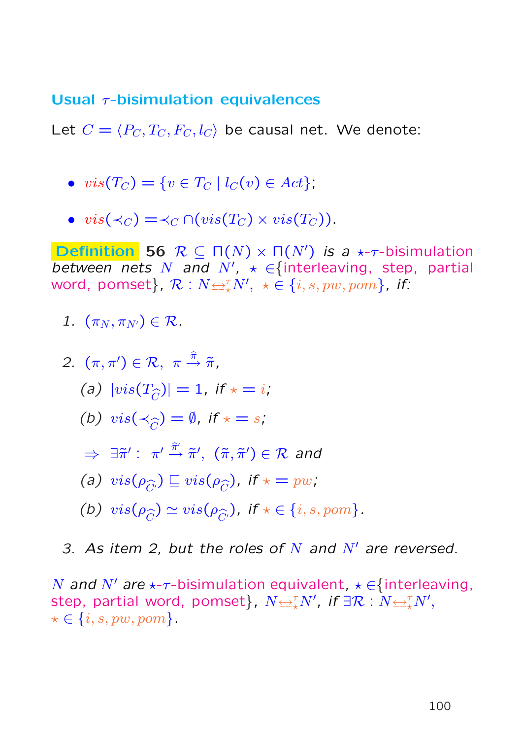### Usual  $\tau$ -bisimulation equivalences

Let  $C = \langle P_C, T_C, F_C, l_C \rangle$  be causal net. We denote:

- $vis(T_C) = \{v \in T_C \mid l_C(v) \in Act\};$
- $vis(\prec_C) = \prec_C \cap (vis(T_C) \times vis(T_C)).$

**Definition** 56  $\mathcal{R} \subseteq \Pi(N) \times \Pi(N')$  is a  $\star$ - $\tau$ -bisimulation between nets N and  $N'$ ,  $\star \in$  {interleaving, step, partial word, pomset},  $\mathcal{R}:N{\leftrightarrow}^{\mathcal{I}}_{\star}N',\,\,\star\in\{i,s,pw,pom\}$ , if:

1.  $(\pi_N, \pi_{N'}) \in \mathcal{R}$ .

2. 
$$
(\pi, \pi') \in \mathcal{R}, \ \pi \stackrel{\hat{\pi}}{\rightarrow} \tilde{\pi},
$$
  
\n(a)  $|vis(T_{\widehat{C}})| = 1$ , if  $\star = i$ ,  
\n(b)  $vis(\prec_{\widehat{C}}) = \emptyset$ , if  $\star = s$ ,  
\n $\Rightarrow \exists \tilde{\pi}' : \ \pi' \stackrel{\hat{\pi}'}{\rightarrow} \tilde{\pi}', \ (\tilde{\pi}, \tilde{\pi}') \in \mathcal{R}$  and  
\n(a)  $vis(\rho_{\widehat{C}}) \sqsubseteq vis(\rho_{\widehat{C}})$ , if  $\star = pw$ ,  
\n(b)  $vis(\rho_{\widehat{C}}) \simeq vis(\rho_{\widehat{C}'})$ , if  $\star \in \{i, s, pom\}$ .

3. As item 2, but the roles of  $N$  and  $N'$  are reversed.

N and N' are  $\star$ - $\tau$ -bisimulation equivalent,  $\star \in$ {interleaving, step, partial word, pomset},  $N{\trianglelefteq^{\tau}_{\star}} N'$ , if  $\exists \mathcal{R}: N{\trianglelefteq^{\tau}_{\star}} N',$  $\star \in \{i, s, pw, pom\}.$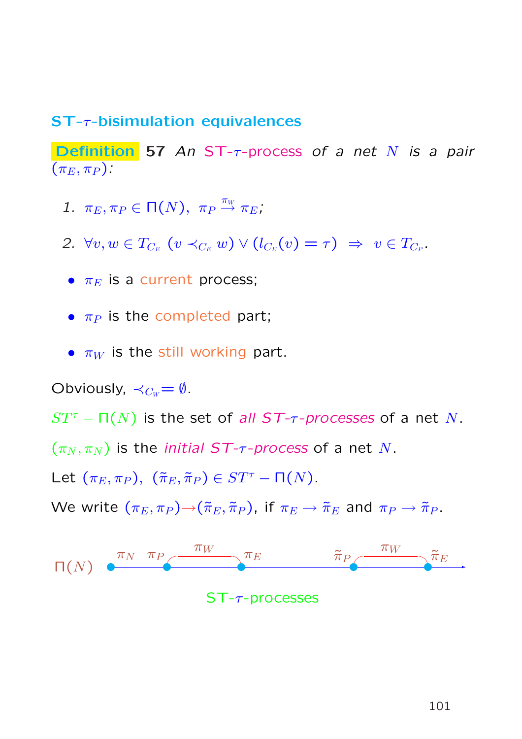### ST-τ-bisimulation equivalences

Definition 57 An ST- $\tau$ -process of a net N is a pair  $(\pi_E, \pi_P)$ :

- 1.  $\pi_E, \pi_P \in \Pi(N)$ ,  $\pi_P \stackrel{\pi_W}{\rightarrow} \pi_E$ ;
- 2.  $\forall v, w \in T_{C_E} \ (v \prec_{C_E} w) \vee (l_{C_E}(v) = \tau) \Rightarrow v \in T_{C_P}.$
- $\pi_E$  is a current process;
- $\bullet$   $\pi_P$  is the completed part;
- $\pi_W$  is the still working part.

Obviously,  $\prec_{C_W}=\emptyset$ .

 $ST^{\tau}$  –  $\Pi(N)$  is the set of all ST- $\tau$ -processes of a net N.

 $(\pi_N, \pi_N)$  is the *initial ST-* $\tau$ *-process* of a net N.

Let  $(\pi_E, \pi_P)$ ,  $(\tilde{\pi}_E, \tilde{\pi}_P) \in ST^{\tau} - \Pi(N)$ .

We write  $(\pi_E, \pi_P) \rightarrow (\tilde{\pi}_E, \tilde{\pi}_P)$ , if  $\pi_E \rightarrow \tilde{\pi}_E$  and  $\pi_P \rightarrow \tilde{\pi}_P$ .

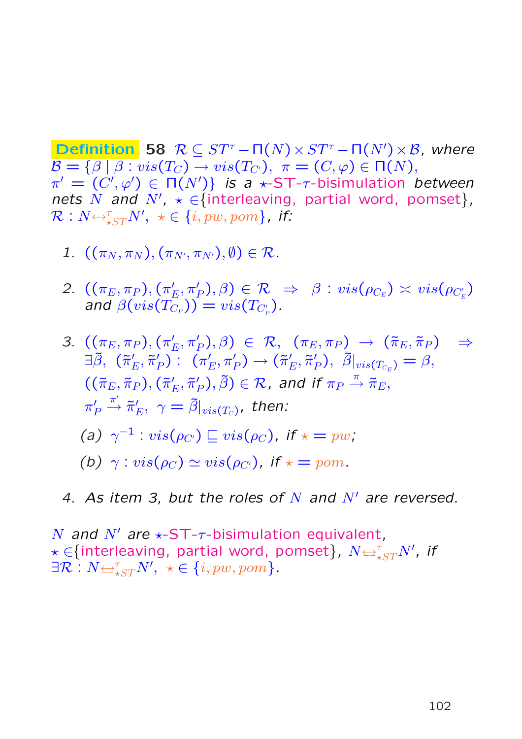**Definition** 58  $\mathcal{R} \subseteq ST^{\tau} - \Pi(N) \times ST^{\tau} - \Pi(N') \times \mathcal{B}$ , where  $\mathcal{B} = \{\beta \mid \beta : vis(T_C) \rightarrow vis(T_{C}), \pi = (C, \varphi) \in \Pi(N),\}$  $\pi' = \overline{(C', \varphi')} \in \Pi(N')\}$  is a  $\star$ -ST- $\tau$ -bisimulation between nets N and N',  $\star \in$  {interleaving, partial word, pomset},  $\mathcal{R}:N{\leftrightarrow}^{\tau}_{\star ST}N',\,\,\star\in\{i,pw,pom\}$ , if:

- 1.  $((\pi_N, \pi_N), (\pi_{N'}, \pi_{N'}), \emptyset) \in \mathcal{R}$ .
- 2.  $((\pi_E, \pi_P), (\pi'_P)$  $\mathcal{E}(\rho_{E}, \pi_{P}'), \beta) \in \mathcal{R} \;\; \Rightarrow \;\; \beta : \textit{vis}(\rho_{C_E}) \asymp \textit{vis}(\rho_{C_E'})$ and  $\beta(vis(T_{C_P}))=vis(T_{C'_P})$  .
- 3.  $((\pi_E, \pi_P), (\pi'_P)$  $(\pi_E^{\prime},\pi_P^{\prime}),\beta)$   $\in$   $\mathcal{R},$   $\ (\pi_E,\pi_P)$   $\;\rightarrow$   $\ (\widetilde{\pi}_E,\widetilde{\pi}_P)$   $\;\Rightarrow$  $\exists \tilde{\beta},~(\tilde{\pi}'_1)$  $'_{E},\tilde{\pi}'_{I}$  $_{P}^{\prime }$ ) :  $(\pi _{I}^{\prime }$  $\left({}^{\prime}_{E},\pi'_{P}\right)\rightarrow(\tilde{\pi}'_{E})$  $'_{E},\tilde{\pi}'_{I}$  $_{P}^{\prime}),\,\,\tilde{\beta}|_{vis(T_{C_E})}=\beta,$  $((\tilde{\pi}_E, \tilde{\pi}_P), (\tilde{\pi}'_P)$  $'_{E},\tilde{\pi}'_{I}$  $\tilde{P}_P), \tilde{\beta}) \in \mathcal{R}$ , and if  $\pi_P \stackrel{\pi}{\twoheadrightarrow} \tilde{\pi}_E$ ,  $\pi_1'$ P  $\stackrel{\pi'}{\longrightarrow} \tilde{\pi}'_1$  $E'_{E},\,\,\gamma=\tilde{\beta}|_{vis(T_{C})}$ , then: (a)  $\gamma^{-1}$  :  $vis(\rho_{C'}) \sqsubseteq vis(\rho_C)$ , if  $\star = pw$ ; (b)  $\gamma : vis(\rho_C) \simeq vis(\rho_{C'})$ , if  $\star = pom$ .
- 4. As item 3, but the roles of N and  $N'$  are reversed.

N and N' are  $\star$ -ST- $\tau$ -bisimulation equivalent,  $\star \in$ {interleaving, partial word, pomset},  $N$  $\rightleftarrows_{\star ST}^{\tau}N'$ , if  $\exists \mathcal{R}: N \Longleftrightarrow_{\star ST}^{\tau} N', \ \star \in \{i, pw, pom\}.$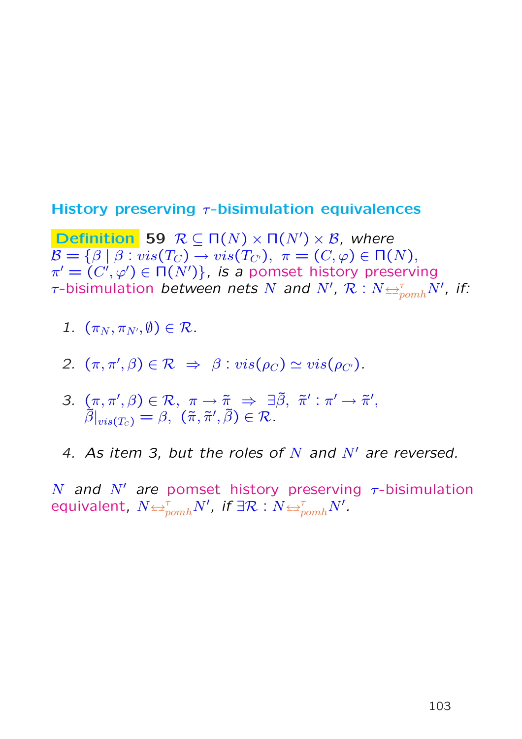### History preserving  $\tau$ -bisimulation equivalences

**Definition** 59  $R \subseteq \Pi(N) \times \Pi(N') \times \mathcal{B}$ , where  $\mathcal{B} = \{\beta \mid \beta : vis(T_C) \rightarrow vis(T_{C}), \pi = (C, \varphi) \in \Pi(N),\}$  $\pi' = (C', \varphi') \in \Pi(N')\}$ , is a pomset history preserving  $\tau$ -bisimulation between nets  $N$  and  $N', \ \mathcal{R}: N$   $\rightleftarrows^{\tau}_{p o m h} N',$  if:

- 1.  $(\pi_N, \pi_{N'}, \emptyset) \in \mathcal{R}$ .
- 2.  $(\pi, \pi', \beta) \in \mathcal{R} \Rightarrow \beta : vis(\rho_C) \simeq vis(\rho_{C}).$
- 3.  $(\pi, \pi', \beta) \in \mathcal{R}, \pi \to \tilde{\pi} \Rightarrow \exists \tilde{\beta}, \tilde{\pi}' : \pi' \to \tilde{\pi}',$  $\tilde{\beta}|_{vis(T_C)}=\beta, \,\, (\tilde{\pi}, \tilde{\pi}', \tilde{\beta}) \in \mathcal{R}$  .
- 4. As item 3, but the roles of N and  $N'$  are reversed.

N and N' are pomset history preserving  $\tau$ -bisimulation equivalent,  $N$  $\leftrightarrow_{pomh}^{\tau} N'$ , if  $\exists \mathcal{R}: N$  $\leftrightarrow_{pomh}^{\tau} N'$ .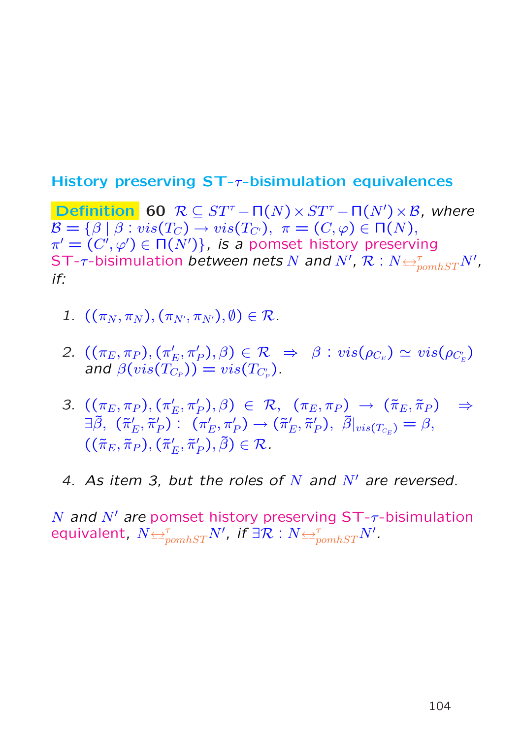### History preserving  $ST$ - $\tau$ -bisimulation equivalences

**Definition** 60  $\mathcal{R} \subseteq ST^{\tau} - \Pi(N) \times ST^{\tau} - \Pi(N') \times \mathcal{B}$ , where  $\mathcal{B} = {\beta | \beta : vis(T_C) \rightarrow vis(T_{C}), \pi = (C, \varphi) \in \Pi(N)},$  $\pi' = \overline{(C', \varphi')} \in \Pi(N')\}$ , is a pomset history preserving ST- $\tau$ -bisimulation between nets  $N$  and  $N',$   $\mathcal{R}:N$   $\rightleftarrows_{\mathit{pomhST}}^{\tau}N',$ if:

- 1.  $((\pi_N, \pi_N), (\pi_{N'}, \pi_{N'}), \emptyset) \in \mathcal{R}$ .
- 2.  $((\pi_E, \pi_P), (\pi'_P)$  $\mathcal{E}(\mathcal{E}, \pi_P'), \beta) \in \mathcal{R} \;\; \Rightarrow \;\; \beta : \textit{vis}(\rho_{C_E}) \simeq \textit{vis}(\rho_{C_E'})$ and  $\beta(vis(T_{C_P}))=vis(T_{C'_P})$  .
- 3.  $((\pi_E, \pi_P), (\pi'_P)$  $(\pi_E^{\prime},\pi_P^{\prime}),\beta)$   $\in$   $\mathcal{R},$   $(\pi_E,\pi_P)$   $\;\rightarrow$   $(\tilde{\pi}_E,\tilde{\pi}_P)$   $\;\Rightarrow$  $\exists \tilde{\beta}, \; (\tilde{\pi}'_1)$  $'_{E},\tilde{\pi}'_{I}$  $_{P}^{\prime }$ ) :  $(\pi _{I}^{\prime }$  $\pi'_E, \pi'_P) \to (\tilde{\pi}'_P)$  $'_{E},\tilde{\pi}'_{I}$  $_{P}^{\prime}),\,\,\tilde{\beta}|_{vis(T_{C_E})}=\beta,$  $((\tilde{\pi}_E, \tilde{\pi}_P), (\tilde{\pi}'_P)$  $'_{E},\tilde{\pi}'_{I}$  $'_{P}), \tilde{\beta}) \in \mathcal{R}.$
- 4. As item 3, but the roles of N and  $N'$  are reversed.

N and N' are pomset history preserving  $ST-\tau$ -bisimulation equivalent,  $N {\Leftrightarrow^\tau_{pomhST}} N'$ , if  $\exists \mathcal{R}: N {\Leftrightarrow^\tau_{pomhST}} N'$ .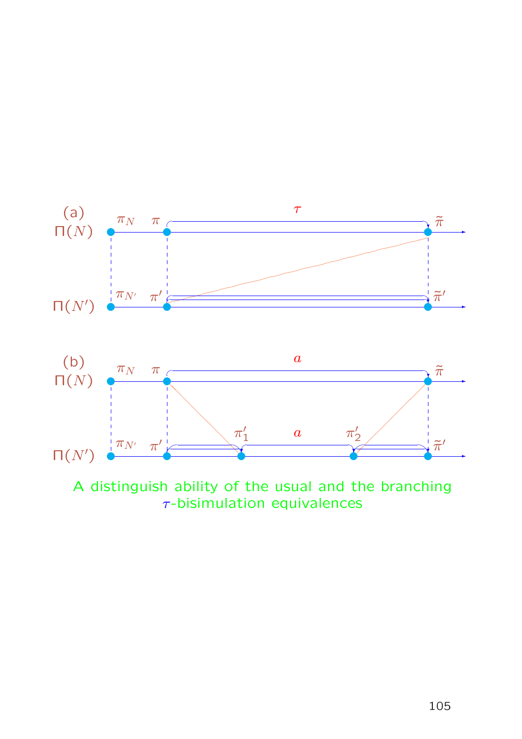

A distinguish ability of the usual and the branching  $\tau$ -bisimulation equivalences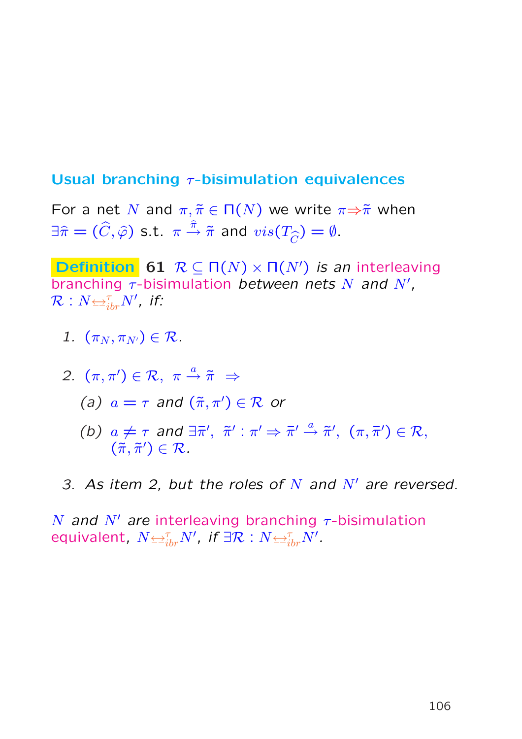## Usual branching  $\tau$ -bisimulation equivalences

For a net N and  $\pi, \tilde{\pi} \in \Pi(N)$  we write  $\pi \Rightarrow \tilde{\pi}$  when  $\exists \widehat{\pi} = (\widehat{C}, \widehat{\varphi})$  s.t.  $\pi \stackrel{\widehat{\pi}}{\rightarrow} \widetilde{\pi}$  and  $vis(T_{\widehat{C}}) = \emptyset$ .

**Definition** 61  $\mathcal{R} \subseteq \Pi(N) \times \Pi(N')$  is an interleaving branching  $\tau$ -bisimulation between nets N and N',  $\overline{\mathcal{R}}:N{\hookrightarrow^{\tau}_{ibr}}N^{\prime}$ , if:

1.  $(\pi_N, \pi_{N'}) \in \mathcal{R}$ .

2. 
$$
(\pi, \pi') \in \mathcal{R}, \ \pi \stackrel{a}{\rightarrow} \tilde{\pi} \Rightarrow
$$
  
(a)  $a = \tau$  and  $(\tilde{\pi}, \pi') \in \mathcal{R}$  or

- (b)  $a \neq \tau$  and  $\exists \bar{\pi}', \bar{\pi}' : \pi' \Rightarrow \bar{\pi}' \stackrel{a}{\rightarrow} \tilde{\pi}', (\pi, \bar{\pi}') \in \mathcal{R},$  $(\tilde{\pi}, \tilde{\pi}') \in \mathcal{R}$ .
- 3. As item 2, but the roles of N and  $N'$  are reversed.

N and N' are interleaving branching  $\tau$ -bisimulation equivalent,  $N {\Leftrightarrow_{ibr}^\tau} N'$ , if  $\exists \mathcal{R}: N {\Leftrightarrow_{ibr}^\tau} N'.$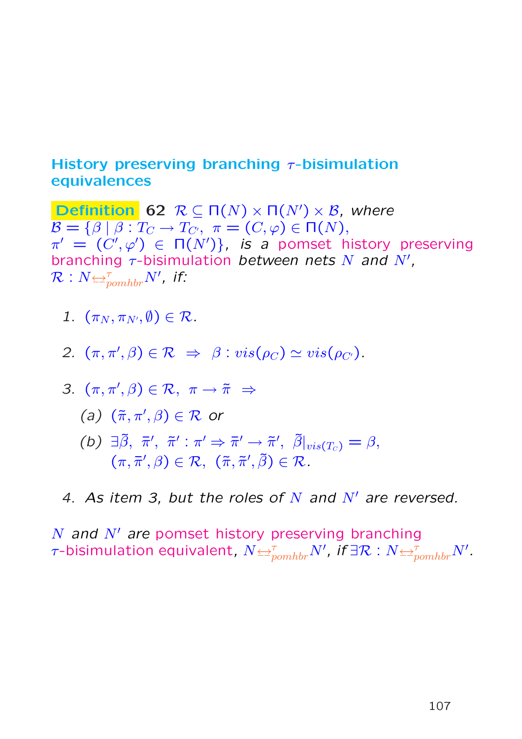## History preserving branching  $\tau$ -bisimulation equivalences

**Definition** 62  $R \subseteq \Pi(N) \times \Pi(N') \times \mathcal{B}$ , where  $\overline{\mathcal{B} = {\beta \mid \beta : T_C \to T_{C'}}, \pi = (C, \varphi) \in \Pi(N)},$  $\pi' = (C', \varphi') \in \Pi(N')\}$ , is a pomset history preserving branching  $\tau$ -bisimulation between nets N and N',  $\overline{\mathcal{R}}:N{\triangleq^{\tau}_{pomhbr}}N^{\prime}$ , if:

- 1.  $(\pi_N, \pi_{N'}, \emptyset) \in \mathcal{R}$ .
- 2.  $(\pi, \pi', \beta) \in \mathcal{R} \Rightarrow \beta : vis(\rho_C) \simeq vis(\rho_{C}).$
- 3.  $(\pi, \pi', \beta) \in \mathcal{R}, \ \pi \to \tilde{\pi} \Rightarrow$ 
	- (a)  $(\tilde{\pi}, \pi', \beta) \in \mathcal{R}$  or
	- (b)  $\exists \tilde{\beta}, \bar{\pi}', \tilde{\pi}' : \pi' \Rightarrow \bar{\pi}' \rightarrow \tilde{\pi}', \tilde{\beta}|_{vis(T_c)} = \beta$ ,  $(\pi, \bar{\pi}', \beta) \in \mathcal{R}, \; (\tilde{\pi}, \tilde{\pi}', \tilde{\beta}) \in \mathcal{R}.$
- 4. As item 3, but the roles of N and  $N'$  are reversed.

N and  $N'$  are pomset history preserving branching  $\tau$ -bisimulation equivalent,  $N {\Leftrightarrow^\tau_{pomhbr}} N'$ , if  $\exists \mathcal{R}: N {\Leftrightarrow^\tau_{pomhbr}} N'.$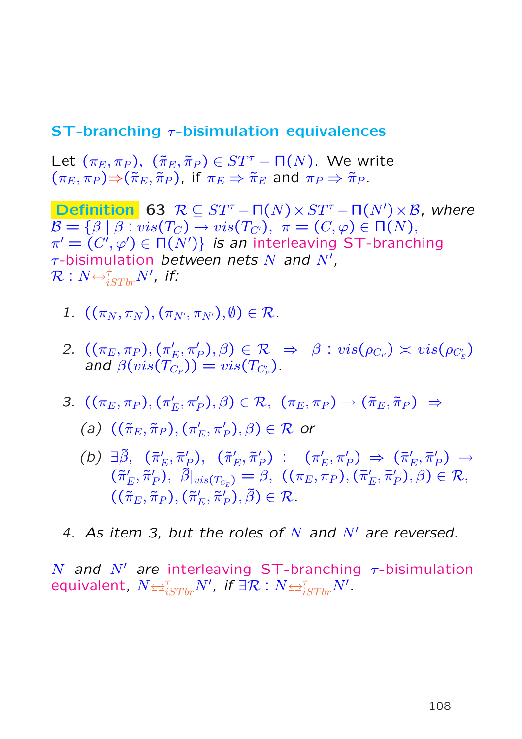### **ST-branching**  $\tau$ **-bisimulation equivalences**

Let  $(\pi_E, \pi_P)$ ,  $(\tilde{\pi}_E, \tilde{\pi}_P) \in ST^{\tau} - \Pi(N)$ . We write  $(\pi_E, \pi_P) \Rightarrow (\tilde{\pi}_E, \tilde{\pi}_P)$ , if  $\pi_E \Rightarrow \tilde{\pi}_E$  and  $\pi_P \Rightarrow \tilde{\pi}_P$ .

**Definition** 63  $R \subseteq ST^{\tau} - \Pi(N) \times ST^{\tau} - \Pi(N') \times B$ , where  $\mathcal{B} = \{\beta \mid \beta : vis(T_C) \rightarrow vis(T_{C}), \pi = (C, \varphi) \in \Pi(N),\}$  $\pi' = \overline{(C', \varphi')} \in \Pi(N')\}$  is an interleaving ST-branching  $\tau$ -bisimulation between nets N and N',  $\overline{\mathcal{R}}:N{\triangleq}^{\tau}_{iSTbr}N^{\prime}$ , if:

- 1.  $((\pi_N, \pi_N), (\pi_{N'}, \pi_{N'}), \emptyset) \in \mathcal{R}$ .
- 2.  $((\pi_E, \pi_P), (\pi'_P)$  $\mathcal{E}(\mathcal{E}, \pi_P'), \beta) \in \mathcal{R} \;\; \Rightarrow \;\; \beta : \textit{vis}(\rho_{C_E}) \asymp \textit{vis}(\rho_{C_E'})$ and  $\beta(vis(T_{C_P}))=vis(T_{C'_P})$  .
- 3.  $((\pi_E, \pi_P), (\pi'_P)$  $(\pi_E',\pi_P'),\beta)\in\mathcal{R},\,\,\, (\pi_E,\pi_P)\,\rightarrow (\tilde{\pi}_E,\tilde{\pi}_P) \,\,\Rightarrow\,\,$

(a)  $((\tilde{\pi}_E, \tilde{\pi}_P), (\pi'_P))$  $\zeta'_E, \pi'_P), \beta) \in \mathcal{R}$  or

(b)  $\exists \tilde{\beta}, \; (\bar{\pi}_1)$  $'_{E}, \bar{\pi}'_{I}$  $_{P}^{\prime}),$   $\;(\tilde{\pi}_{I}^{\prime}% )\in\lbrack\partial/\partial\sigma_{I}^{\prime}]$  $'_{E},\tilde{\pi}'_{I}$  $_{P}^{\prime })$  :  $(\pi _{I}^{\prime }% )$  $\zeta_E^\prime, \pi_P^\prime) \;\Rightarrow\; (\bar{\pi}_1^\prime)$  $'_{E},\bar{\pi}'_{I}$  $_{P}^{\prime})\;\rightarrow$  $(\tilde{\pi}'_1)$  $'_{E},\tilde{\pi}'_{I}$  $\mathcal{P}_{P}),\,\,\tilde{\beta}|_{vis(T_{C_E})}=\beta,\,\,((\pi_E,\pi_P),(\bar{\pi}_E')$  $'_{E},\bar{\pi}'_{I}$  $_{P}^{\prime}),\beta)\in\mathcal{R},$  $((\tilde{\pi}_E, \tilde{\pi}_P), (\tilde{\pi}'_P)$  $'_{E},\tilde{\pi}'_{I}$  $'_{P}), \tilde{\beta}) \in \mathcal{R}.$ 

4. As item 3, but the roles of N and  $N'$  are reversed.

N and N' are interleaving ST-branching  $\tau$ -bisimulation equivalent,  $N {\Leftrightarrow}^{\tau}_{iSTbr} N'$ , if  $\exists \mathcal{R}: N {\Leftrightarrow}^{\tau}_{iSTbr} N'.$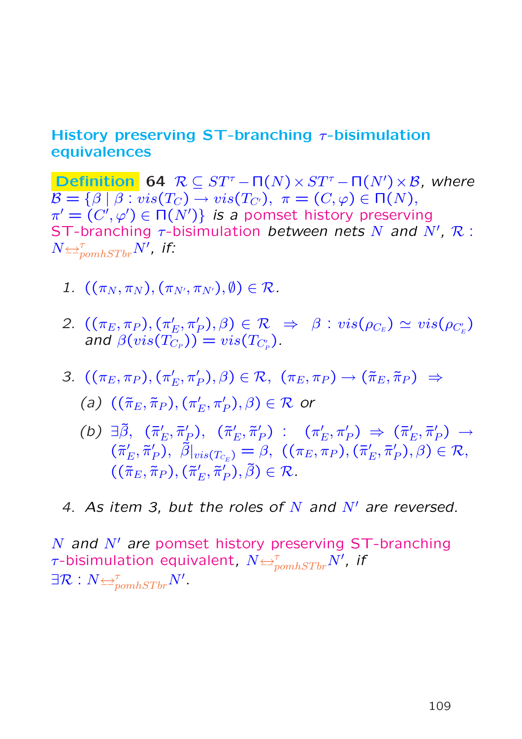#### History preserving ST-branching  $\tau$ -bisimulation equivalences

**Definition 64**  $\mathcal{R} \subseteq ST^{\tau} - \Pi(N) \times ST^{\tau} - \Pi(N') \times \mathcal{B}$ , where  $\mathcal{B} = \{\beta \mid \beta : vis(T_C) \rightarrow vis(T_{C}), \pi = (C, \varphi) \in \Pi(N),\}$  $\pi' = \overline{(C', \varphi')} \in \Pi(N')\}$  is a pomset history preserving ST-branching  $\tau$ -bisimulation between nets N and N', R:  $N$  $\leftrightarrows^{\tau}_{pomhSTbr}N'$ , if:

- 1.  $((\pi_N, \pi_N), (\pi_{N'}, \pi_{N'}), \emptyset) \in \mathcal{R}$ .
- 2.  $((\pi_E, \pi_P), (\pi'_P)$  $\mathcal{E}(\mathcal{E}, \pi_P'), \beta) \in \mathcal{R} \;\; \Rightarrow \;\; \beta : \textit{vis}(\rho_{C_E}) \simeq \textit{vis}(\rho_{C_E'})$ and  $\beta(vis(T_{C_P}))=vis(T_{C'_P})$  .
- 3.  $((\pi_E, \pi_P), (\pi'_P)$  $(\pi_E',\pi_P'),\beta)\in\mathcal{R},\,\,\, (\pi_E,\pi_P)\,\rightarrow (\tilde{\pi}_E,\tilde{\pi}_P) \,\,\Rightarrow\,\,$

(a) 
$$
((\tilde{\pi}_E, \tilde{\pi}_P), (\pi'_E, \pi'_P), \beta) \in \mathcal{R}
$$
 or

- (b)  $\exists \tilde{\beta}, \; (\bar{\pi}_1)$  $'_{E}, \bar{\pi}'_{I}$  $_{P}^{\prime}),$   $\;(\tilde{\pi}_{I}^{\prime}% )\in\lbrack\partial/\partial\sigma_{I}^{\prime}]$  $'_{E},\tilde{\pi}'_{I}$  $_{P}^{\prime }$ ) :  $(\pi _{I}^{\prime })$  $\zeta_E^\prime, \pi_P^\prime) \;\Rightarrow\; (\bar{\pi}_1^\prime)$  $'_{E}, \bar{\pi}'_{I}$  $_{P}^{\prime})\;\rightarrow% \langle\chi_{0}^{\prime\prime}\rangle \label{eq:2.14}%$  $(\tilde{\pi}'_1)$  $'_{E},\tilde{\pi}'_{I}$  $\mathcal{P}_{P}),\,\,\tilde{\beta}|_{vis(T_{C_E})}=\beta,\,\,((\pi_E,\pi_P),(\bar{\pi}_E')$  $'_{E},\bar{\pi}'_{I}$  $_{P}^{\prime}),\beta)\in\mathcal{R},$  $((\tilde{\pi}_E, \tilde{\pi}_P), (\tilde{\pi}'_P)$  $'_{E},\tilde{\pi}'_{I}$  $'_{P}), \tilde{\beta}) \in \mathcal{R}.$
- 4. As item 3, but the roles of N and  $N'$  are reversed.

N and  $N'$  are pomset history preserving ST-branching  $\tau$ -bisimulation equivalent,  $N$  $\rightleftarrows^{\tau}_{pomhSTbr}N'$ , if  $\exists \mathcal{R}: N {\trianglelefteq_{pomhSTbr}^{\tau}} N'.$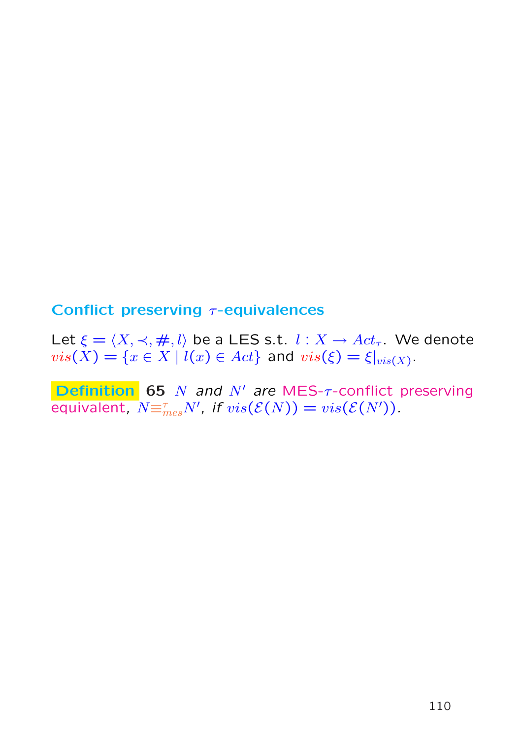### Conflict preserving  $\tau$ -equivalences

Let  $\xi = \langle X, \prec, \#, l \rangle$  be a LES s.t.  $l : X \rightarrow Act_{\tau}$ . We denote  $vis(X) = \{x \in X \mid l(x) \in Act\}$  and  $vis(\xi) = \xi|_{vis(X)}$ .

Definition 65  $N$  and  $N'$  are MES- $\tau$ -conflict preserving equivalent,  $N\equiv_{mes}^{\tau}N'$ , if  $vis(\mathcal{E}(N))=vis(\mathcal{E}(N')).$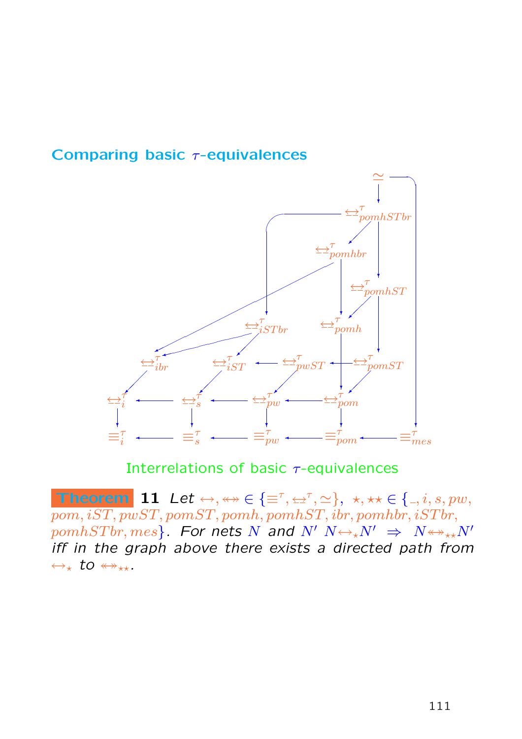



Interrelations of basic  $\tau$ -equivalences

Theorem 11 Let  $\leftrightarrow, \leftrightarrow \in \{\equiv^{\tau}, \leftrightarrow^{\tau}, \simeq\}, \star, \star \star \in \{0, 1, 2, 3, 5, 7, 6\}$  $pom, iST, pwST, pomST, pomh, pomhST, ibr, pomhbr, iSTbr,$  $pomhSTbr, mes$ . For nets N and N'  $N \leftrightarrow N' \Rightarrow N \leftrightarrow N'$ iff in the graph above there exists a directed path from  $\leftrightarrow_{\star}$  to  $\leftrightarrow_{\star\star}$ .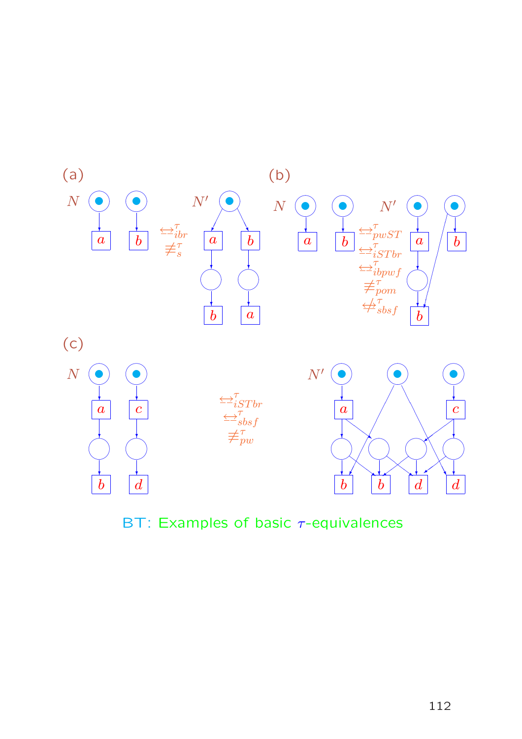

BT: Examples of basic  $\tau$ -equivalences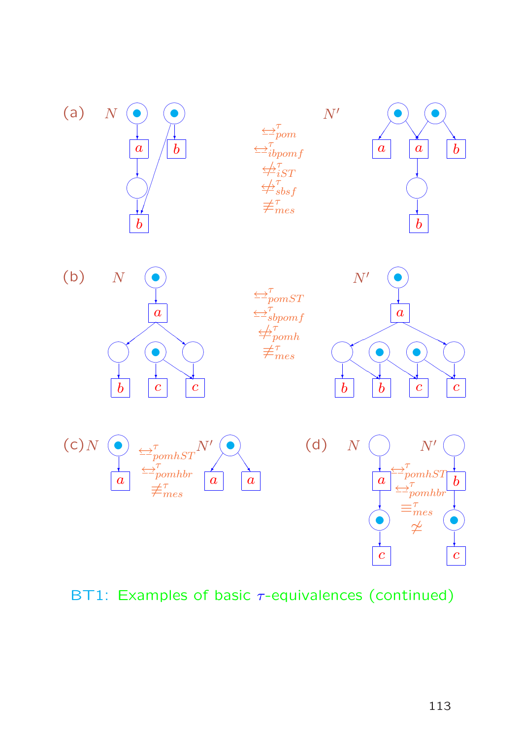

### BT1: Examples of basic  $\tau$ -equivalences (continued)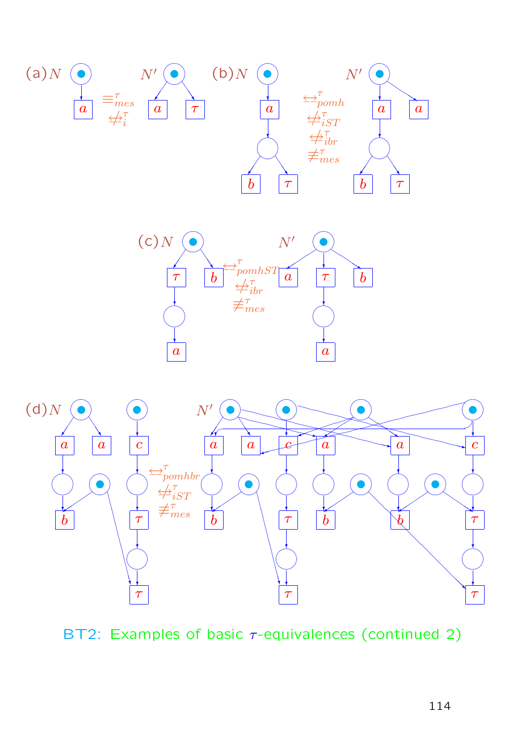





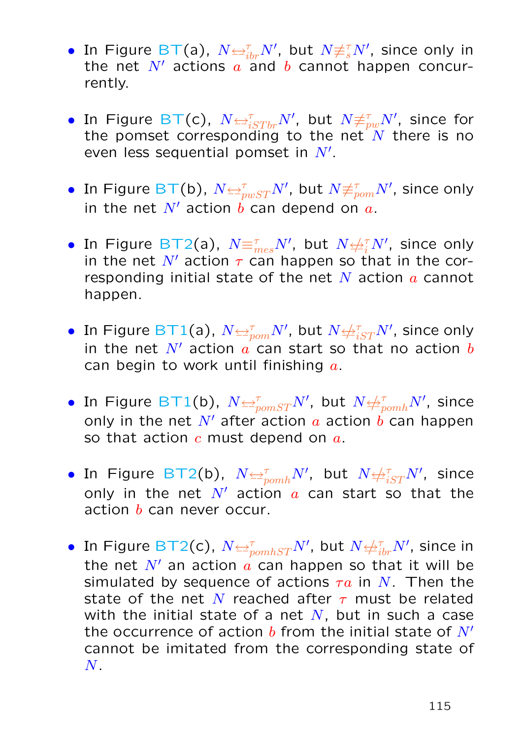- In Figure BT(a),  $N \trianglelefteq^{\tau}_{ibr} N'$ , but  $N \not\equiv^{\tau}_{s} N'$ , since only in the net  $N'$  actions  $\alpha$  and  $\beta$  cannot happen concurrently.
- $\bullet$  In Figure BT(c),  $N{\Leftrightarrow^{\tau}_{iSTbr}}N',$  but  $N{\not\equiv^{\tau}_{pw}}N',$  since for the pomset corresponding to the net  $\overline{N}$  there is no even less sequential pomset in  $N'.$
- $\bullet\,$  In Figure BT(b),  $N$  $\leftrightarrows_{pwST}^\tau N'$ , but  $N$  $\not\equiv_{pom}^\tau N'$ , since only in the net  $N'$  action b can depend on  $a$ .
- In Figure BT2(a),  $N\text{E}^\tau_{mes}N'$ , but  $N{\text{E}^\tau_{il}N'}$ , since only in the net N' action  $\tau$  can happen so that in the corresponding initial state of the net  $N$  action  $\alpha$  cannot happen.
- In Figure BT1(a),  $N$  $\rightleftarrows^{\tau}_{pom}N'$ , but  $N$  $\not\leftrightarrow^{\tau}_{iST}N'$ , since only in the net  $N'$  action a can start so that no action b can begin to work until finishing  $a$ .
- $\bullet$  In Figure BT1(b),  $N$  $\rightleftarrows^{\tau}_{pomST}N'$ , but  $N$  $\not \hookrightarrow^{\tau}_{pomh}N'$ , since only in the net N' after action a action  $\vec{b}$  can happen so that action  $c$  must depend on  $a$ .
- $\bullet$  In Figure BT2(b),  $N {\Leftrightarrow_{\textit{pomh}}^{\tau}} N'$ , but  $N {\Leftrightarrow_{iST}^{\tau}} N'$ , since only in the net  $N'$  action  $a$  can start so that the action  $b$  can never occur.
- $\bullet \,$  In Figure BT2(c),  $N {\Leftrightarrow^\tau_{pomhST}} N'$ , but  $N {\Leftrightarrow^\tau_{ibr}} N'$ , since in the net  $N'$  an action  $a$  can happen so that it will be simulated by sequence of actions  $\tau a$  in N. Then the state of the net N reached after  $\tau$  must be related with the initial state of a net  $N$ , but in such a case the occurrence of action  $b$  from the initial state of  $N'$ cannot be imitated from the corresponding state of  $N$  .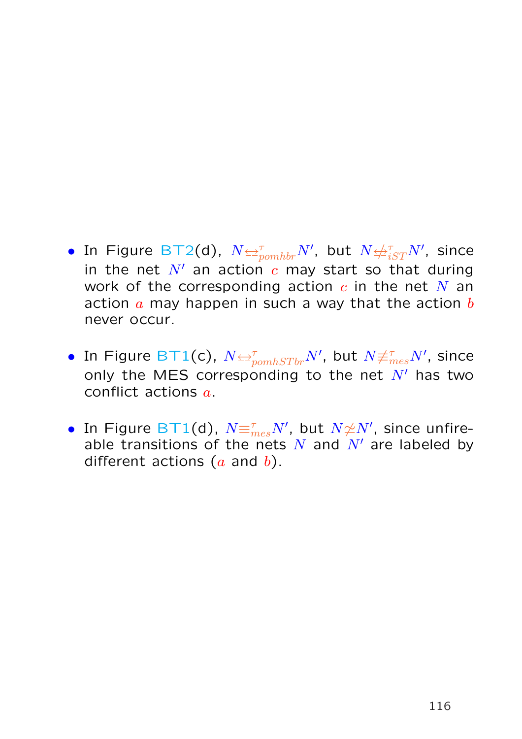- $\bullet$  In Figure BT2(d),  $N{\Leftrightarrow^\tau_{pomhbr}} N'$ , but  $N{\Leftrightarrow^\tau_{iST}} N'$ , since in the net  $N'$  an action  $c$  may start so that during work of the corresponding action  $c$  in the net  $N$  an action  $\alpha$  may happen in such a way that the action  $\overline{b}$ never occur.
- $\bullet$  In Figure BT1(c),  $N$  $\leftrightarrows^{\tau}_{pomhSTbr}N',$  but  $N$  $\neq^{\tau}_{mes}N',$  since only the MES corresponding to the net  $N'$  has two conflict actions a.
- $\bullet$  In Figure BT1(d),  $N {\equiv_{mes}^{\tau} N' }$ , but  $N {\not\simeq} N'$ , since unfireable transitions of the nets N and  $N'$  are labeled by different actions  $(a \text{ and } b)$ .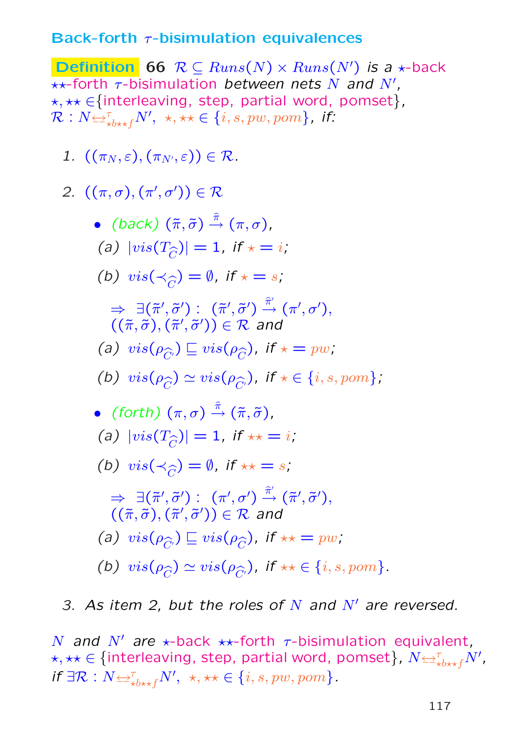#### Back-forth  $\tau$ -bisimulation equivalences

**Definition** 66  $R \subseteq Runs(N) \times Runs(N')$  is a  $\star$ -back  $\star\star$ -forth  $\tau$ -bisimulation between nets N and N', \*, \*\* ∈{interleaving, step, partial word, pomset},  $\mathcal{R}:N{\triangleq}^{\tau}_{\star b\star\star f}N',\,\,\star,\star\star\in\{i,s,pw,pom\}$ , if:

1.  $((\pi_N, \varepsilon), (\pi_{N'}, \varepsilon)) \in \mathcal{R}$ .

2. 
$$
((\pi, \sigma), (\pi', \sigma')) \in \mathcal{R}
$$

\n- \n
$$
(back) (\tilde{\pi}, \tilde{\sigma}) \stackrel{\hat{\pi}}{\rightarrow} (\pi, \sigma),
$$
\n
\n- \n $(a) \ | \text{vis}(T_{\widehat{C}}) | = 1, \text{ if } x = i;$ \n
\n- \n $(b) \ \text{vis}(\prec_{\widehat{C}}) = \emptyset, \text{ if } x = s;$ \n
\n- \n $\Rightarrow \exists (\tilde{\pi}', \tilde{\sigma}') : (\tilde{\pi}', \tilde{\sigma}') \stackrel{\hat{\pi}'}{\rightarrow} (\pi', \sigma'),$ \n
\n- \n $((\tilde{\pi}, \tilde{\sigma}), (\tilde{\pi}', \tilde{\sigma}') ) \in \mathbb{R} \text{ and}$ \n
\n- \n $(a) \ \text{vis}(\rho_{\widehat{C}}) \subseteq \text{vis}(\rho_{\widehat{C}}), \text{ if } x = p w;$ \n
\n- \n $(b) \ \text{vis}(\rho_{\widehat{C}}) \simeq \text{vis}(\rho_{\widehat{C}}), \text{ if } x \in \{i, s, p o m\};$ \n
\n- \n $(forth) (\pi, \sigma) \stackrel{\hat{\pi}}{\rightarrow} (\tilde{\pi}, \tilde{\sigma}),$ \n
\n- \n $(a) \ | \text{vis}(T_{\widehat{C}}) | = 1, \text{ if } x \neq i;$ \n
\n- \n $(b) \ \text{vis}(\prec_{\widehat{C}}) = \emptyset, \text{ if } x \neq s;$ \n
\n- \n $\Rightarrow \exists (\tilde{\pi}', \tilde{\sigma}') : (\pi', \sigma') \stackrel{\hat{\pi}'}{\rightarrow} (\tilde{\pi}', \tilde{\sigma}'),$ \n
\n- \n $((\tilde{\pi}, \tilde{\sigma}), (\tilde{\pi}', \tilde{\sigma}') ) \in \mathbb{R} \text{ and}$ \n
\n- \n $(a) \ \text{vis}(\rho_{\widehat{C}}) \sqsubseteq \text{vis}(\rho_{\widehat{C}}), \text{ if } x \neq p w;$ \n
\n

(b)  $vis(\rho_{\widehat{C}}) \simeq vis(\rho_{\widehat{C'}})$ , if  $\star \star \in \{i, s, pom\}$ .

3. As item 2, but the roles of  $N$  and  $N'$  are reversed.

N and N' are  $\star$ -back  $\star\star$ -forth  $\tau$ -bisimulation equivalent,  $\star, \star \star \in \{\text{interleaving, step, partial word, pomset}\}$ ,  $N {\leftrightarrow}^{\tau}_{\star b \star \star f} N'$ , if  $\exists \mathcal{R}: N {\Leftrightarrow}_{\star b \star \star f}^{\tau} N', \star, \star \star \in \{i, s, pw, pom\}.$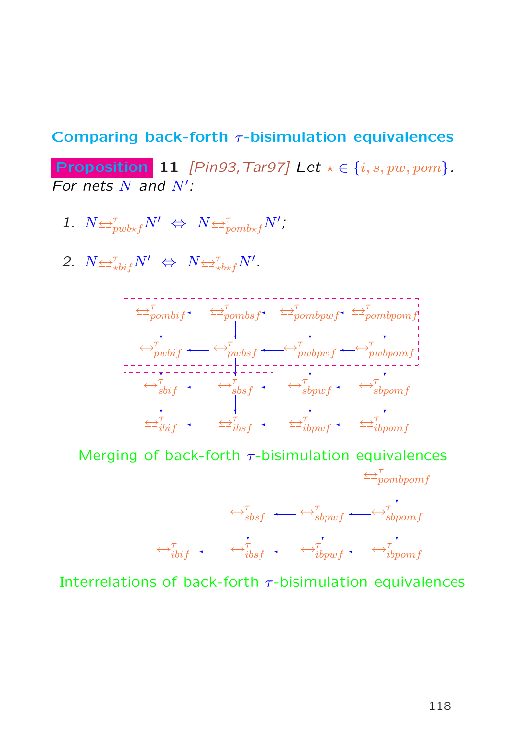#### Comparing back-forth  $\tau$ -bisimulation equivalences

Proposition 11 [Pin93, Tar97] Let  $\star \in \{i, s, pw, pom\}$ . For nets  $N$  and  $N'$ :

- 1.  $N \trianglelefteq^{\tau}_{pwb \star f} N' \Leftrightarrow N \trianglelefteq^{\tau}_{pomb \star f} N'$ ;
- 2.  $N \leftrightarrow \tau_{\text{bif}} N' \Leftrightarrow N \leftrightarrow \tau_{\text{bif}} N'$ .



Merging of back-forth  $\tau$ -bisimulation equivalences



Interrelations of back-forth  $\tau$ -bisimulation equivalences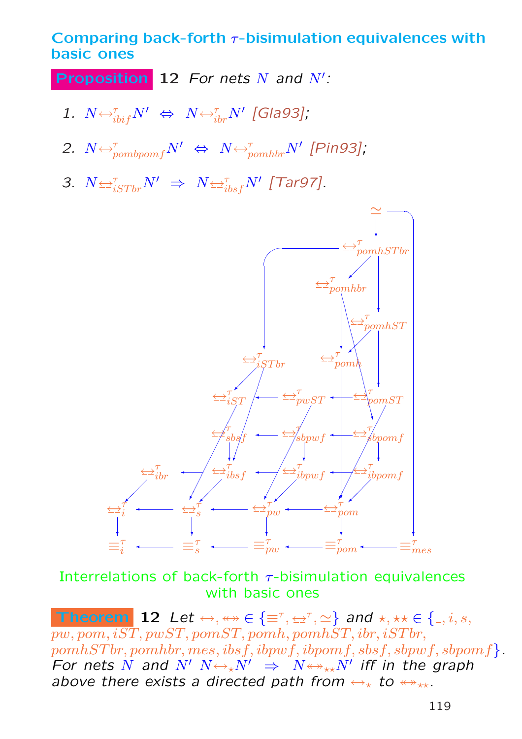Comparing back-forth  $\tau$ -bisimulation equivalences with basic ones

**Proposition** 12 For nets  $N$  and  $N'$ :

- 1.  $N \trianglelefteq^{\tau}_{ibif} N' \Leftrightarrow N \trianglelefteq^{\tau}_{ibr} N'$  [Gla93];
- 2.  $N \leftrightarrow_{pombpomf}^{\tau} N' \Leftrightarrow N \leftrightarrow_{pomhbr}^{\tau} N'$  [Pin93];
- 3.  $N \triangleq_{iSTbr}^{\tau} N' \Rightarrow N \triangleq_{ibsf}^{\tau} N'$  [Tar97].



Interrelations of back-forth  $\tau$ -bisimulation equivalences with basic ones

Theorem 12 Let  $\leftrightarrow, \leftrightarrow \in \{\equiv^{\tau}, \leftrightarrow^{\tau}, \simeq\}$  and  $\star, \star \star \in \{0, i, s, t\}$  $pw, pom, i\overline{ST}, pwST, pomST, pomh, pomhST, ibr, iSTbr,$  $pomhSTbr, pomhbr, mes, ibsf, ibpwf, ibpomf, sbsf, sbpwf, sbpomf$ . For nets N and  $N'$   $N \leftrightarrow_{\star} N'$   $\Rightarrow$   $N \leftrightarrow_{\star \star} N'$  iff in the graph above there exists a directed path from  $\leftrightarrow_{\star}$  to  $\leftrightarrow_{\star\star}$ .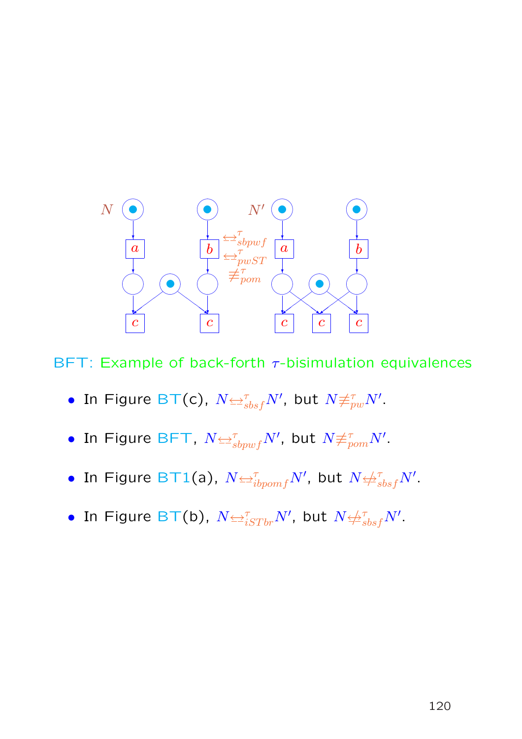

BFT: Example of back-forth  $\tau$ -bisimulation equivalences

- $\bullet$  In Figure BT(c),  $N$  $\leftrightarrows^{\tau}_{\mathit{sbsf}}N'$ , but  $N{\not\equiv^{\tau}_{\mathit{pw}}N'}.$
- $\bullet$  In Figure BFT,  $N {\triangleq}^\tau_{sbpwf} N'$ , but  $N{\not\equiv}^\tau_{pom} N'.$
- In Figure BT1(a),  $N$  $\rightleftarrows^{\tau}_{ibpomf}N'$ , but  $N$  $\not \leftrightarrow^{\tau}_{sbsf}N'$ .
- $\bullet$  In Figure BT(b),  $N {\Leftrightarrow}^{\tau}_{iSTbr} N',$  but  $N {\Leftrightarrow}^{\tau}_{sbsf} N'.$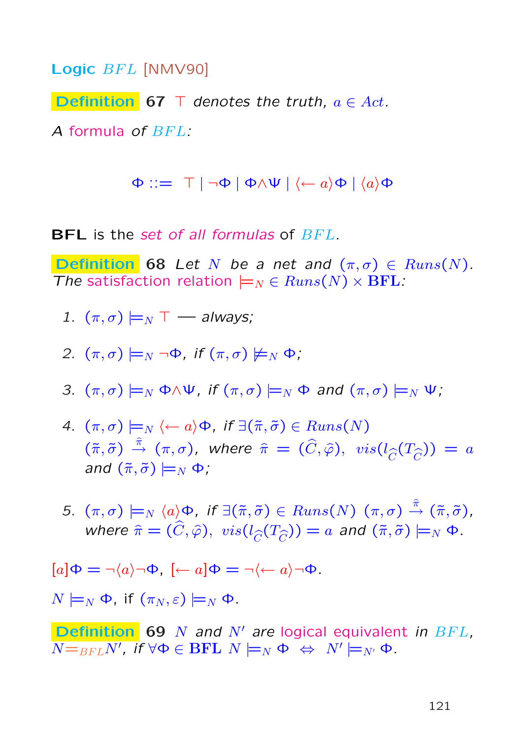Logic BFL [NMV90]

**Definition 67**  $\top$  denotes the truth,  $a \in Act$ .

A formula of BFL:

 $\Phi ::= \top | \neg \Phi | \Phi \wedge \Psi | \langle \leftarrow a \rangle \Phi | \langle a \rangle \Phi$ 

**BFL** is the set of all formulas of  $BFL$ .

**Definition** 68 Let N be a net and  $(\pi, \sigma) \in \text{Runs}(N)$ . The satisfaction relation  $\models_N\in \text{Runs}(N)\times \text{BFL}$ :

- 1.  $(\pi,\sigma) \models_N \top$  always;
- 2.  $(\pi,\sigma) \models_N \neg \Phi$ , if  $(\pi,\sigma) \not\models_N \Phi$ ;
- 3.  $(\pi,\sigma) \models_N \Phi \land \Psi$ , if  $(\pi,\sigma) \models_N \Phi$  and  $(\pi,\sigma) \models_N \Psi$ ;
- 4.  $(\pi, \sigma) \models_N \langle \leftarrow a \rangle \Phi$ , if  $\exists (\tilde{\pi}, \tilde{\sigma}) \in Runs(N)$  $(\tilde{\pi},\tilde{\sigma})\stackrel{\hat{\pi}}{\rightarrow}(\pi,\sigma)$ , where  $\hat{\pi}=(\widehat{C},\widehat{\varphi}),\; vis(l_{\widehat{C}}(T_{\widehat{C}}))=a$ and  $(\tilde{\pi}, \tilde{\sigma}) \models_N \Phi$ ;
- 5.  $(\pi,\sigma) \models_N \langle a \rangle \Phi$ , if  $\exists (\tilde{\pi},\tilde{\sigma}) \in Runs(N)$   $(\pi,\sigma) \stackrel{\hat{\pi}}{\rightarrow} (\tilde{\pi},\tilde{\sigma})$ , where  $\hat{\pi} = (\hat{C}, \hat{\varphi}), \ vis(l_{\hat{C}}(T_{\hat{C}})) = a$  and  $(\tilde{\pi}, \tilde{\sigma}) \models_N \Phi$ .

$$
[a]\Phi = \neg \langle a \rangle \neg \Phi, [\leftarrow a]\Phi = \neg \langle \leftarrow a \rangle \neg \Phi.
$$

 $N \models_N \Phi$ , if  $(\pi_N, \varepsilon) \models_N \Phi$ .

**Definition** 69 N and N' are logical equivalent in  $BFL$ ,  $\overline{N{=}_{BFL}N^{\prime}}$ , if  $\forall \Phi \in \overline{\rm{BFL}}\;N \models_N \Phi \;\Leftrightarrow\; N^{\prime} \models_{N^{\prime}} \Phi.$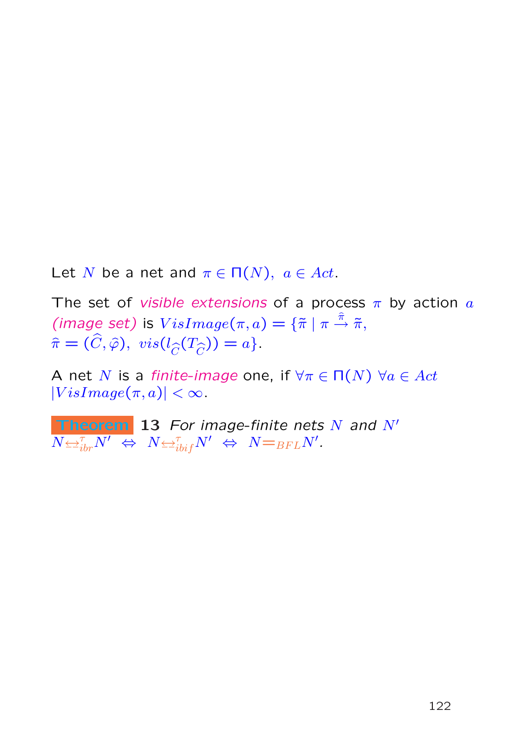Let N be a net and  $\pi \in \Pi(N)$ ,  $a \in Act$ .

The set of *visible extensions* of a process  $\pi$  by action  $\alpha$ (image set) is  $VisImage(\pi, a) = {\{\tilde{\pi} \mid \pi \stackrel{\hat{\pi}}{\rightarrow} \tilde{\pi},\}$  $\hat{\pi} = (\hat{C}, \hat{\varphi}), \ \text{vis}(l_{\hat{C}}(T_{\hat{C}})) = a \}.$ 

A net N is a finite-image one, if  $\forall \pi \in \Pi(N)$   $\forall a \in Act$  $|VisImage(\pi, a)| < \infty$ .

**Theorem** 13 For image-finite nets  $N$  and  $N'$  $\overline{N{\Leftrightarrow^\tau_{ibr}}N^\prime}\ \Leftrightarrow\ N{\Leftrightarrow^\tau_{bif}}N^\prime\ \Leftrightarrow\ N{=}_{BFL}N^\prime.$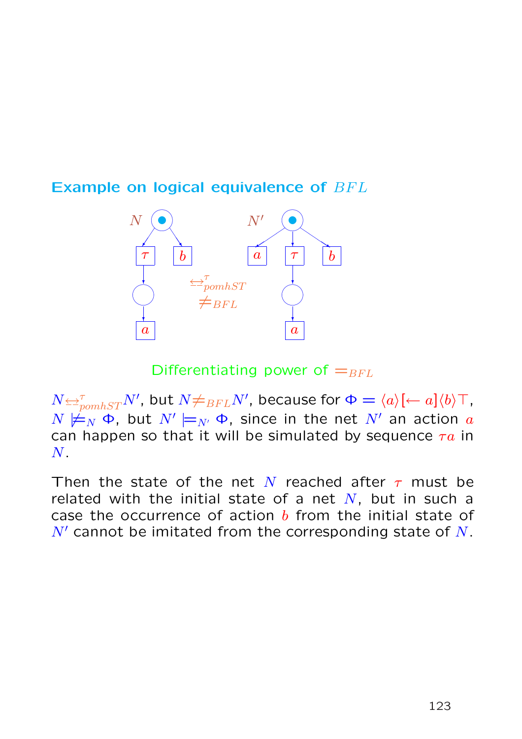



Differentiating power of  $=_{BFL}$ 

 $N {\Leftrightarrow^\tau_{\textit{pomhST}}} N'$ , but  $N {\not=}_{BFL} N'$ , because for  $\Phi = \langle a \rangle [\leftarrow a] \langle b \rangle \top$ ,  $N \not \models_N \Phi$ , but  $N' \models_{N'} \Phi$ , since in the net  $N'$  an action  $a$ can happen so that it will be simulated by sequence  $\tau a$  in  $N$ .

Then the state of the net N reached after  $\tau$  must be related with the initial state of a net  $N$ , but in such a case the occurrence of action  $b$  from the initial state of  $N'$  cannot be imitated from the corresponding state of N.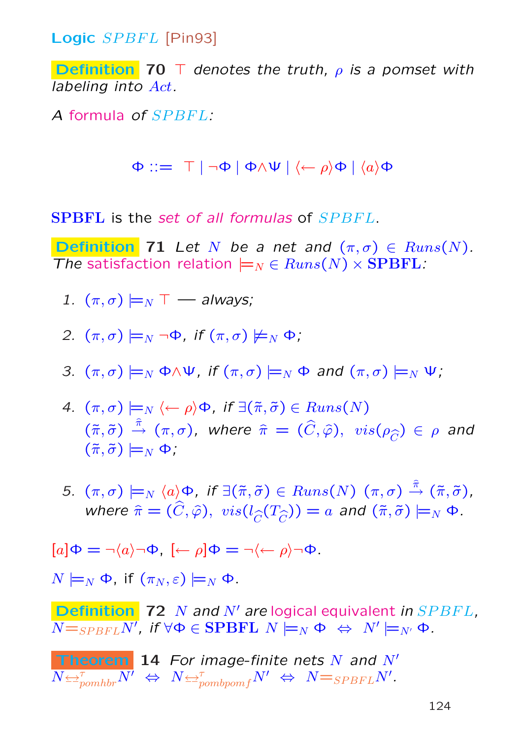Logic SPBFL [Pin93]

**Definition** 70 T denotes the truth,  $\rho$  is a pomset with labeling into Act.

A formula of SPBFL:

 $\Phi ::= \top | \neg \Phi | \Phi \wedge \Psi | \langle \leftarrow \rho \rangle \Phi | \langle a \rangle \Phi$ 

**SPBFL** is the set of all formulas of SPBFL.

**Definition** 71 Let N be a net and  $(\pi, \sigma) \in \text{Runs}(N)$ . The satisfaction relation  $\models_N \in Runs(N) \times {\bf SPBFL}$ :

1.  $(\pi,\sigma) \models_N \top$  — always;

2. 
$$
(\pi, \sigma) \models_N \neg \Phi
$$
, if  $(\pi, \sigma) \not\models_N \Phi$ ;

3. 
$$
(\pi, \sigma) \models_N \Phi \land \Psi
$$
, if  $(\pi, \sigma) \models_N \Phi$  and  $(\pi, \sigma) \models_N \Psi$ ;

- 4.  $(\pi, \sigma) \models_N \langle \leftarrow \rho \rangle \Phi$ , if  $\exists (\tilde{\pi}, \tilde{\sigma}) \in Runs(N)$  $(\tilde{\pi},\tilde{\sigma})\stackrel{\hat{\pi}}{\rightarrow}(\pi,\sigma)$ , where  $\hat{\pi}=(\widehat{C},\widehat{\varphi}),\; vis(\rho_{\widehat{C}})\in\rho$  and  $(\tilde{\pi}, \tilde{\sigma}) \models_N \Phi$ ;
- 5.  $(\pi,\sigma) \models_N \langle a \rangle \Phi$ , if  $\exists (\tilde{\pi},\tilde{\sigma}) \in Runs(N)$   $(\pi,\sigma) \stackrel{\hat{\pi}}{\rightarrow} (\tilde{\pi},\tilde{\sigma})$ , where  $\hat{\pi} = (\hat{C}, \hat{\varphi}), \ vis(l_{\hat{C}}(T_{\hat{C}})) = a$  and  $(\tilde{\pi}, \tilde{\sigma}) \models_N \Phi$ .

$$
[a]\Phi = \neg \langle a \rangle \neg \Phi, [\leftarrow \rho] \Phi = \neg \langle \leftarrow \rho \rangle \neg \Phi.
$$

 $N \models_N \Phi$ , if  $(\pi_N, \varepsilon) \models_N \Phi$ .

**Definition** 72 N and N' are logical equivalent in  $SPBFL$ ,  $\overline{N{=_{SPBFL}N'}},$  if  $\forall \Phi\in {\bf SPBFL}$   $N \models_N \Phi \;\Leftrightarrow\; N' \models_{N'} \Phi$  .

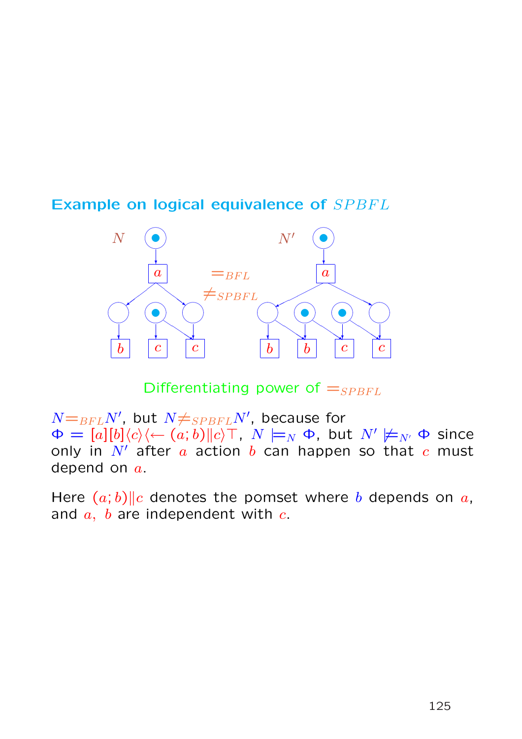#### Example on logical equivalence of SPBFL



Differentiating power of  $=_{SPBFL}$ 

 $N{=}_{BFL}N^{\prime}$ , but  $N{\neq}_{SPBFL}N^{\prime}$ , because for  $\Phi = [a][b]\langle c \rangle\langle \leftarrow (a;b)\| c \rangle \top$ ,  $N \models_N \Phi$ , but  $N' \not\models_{N'} \Phi$  since only in  $N'$  after  $a$  action  $b$  can happen so that  $c$  must depend on  $a$ .

Here  $(a, b)$ ||c denotes the pomset where b depends on a, and  $a$ ,  $b$  are independent with  $c$ .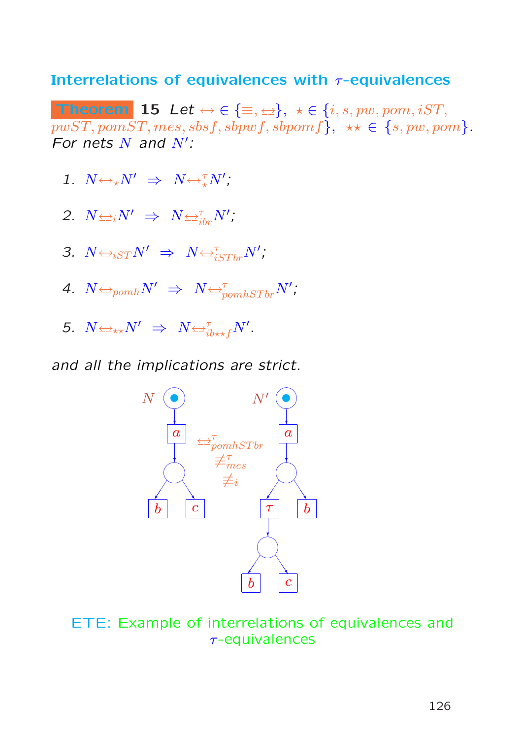#### Interrelations of equivalences with  $\tau$ -equivalences

Theorem 15 Let  $\leftrightarrow \in \{\equiv,\leftrightarrow\}, \ \star \in \{i,s,pw,pom,iST,$  $pwST, pomST, mes, sbsf, sbpwf, sbpomf, \star\star \in \{s, pw, pom\}.$ For nets  $N$  and  $N'$ :

1.  $N \leftrightarrow_{\star} N' \Rightarrow N \leftrightarrow_{\star}^{\tau} N'$ ;

$$
2. N \Leftrightarrow_i N' \Rightarrow N \Leftrightarrow_{ibr}^{\tau} N',
$$

- 3.  $N \triangleq_{iST} N' \Rightarrow N \triangleq_{iSTbr}^{\tau} N'$ ;
- 4.  $N \trianglelefteq_{pomh} N' \Rightarrow N \trianglelefteq_{pomhSTbr}^{\tau} N'$ ;
- 5.  $N \Leftrightarrow_{\star\star} N' \Rightarrow N \Leftrightarrow_{ib\star f}^{\tau} N'.$

and all the implications are strict.



ETE: Example of interrelations of equivalences and τ-equivalences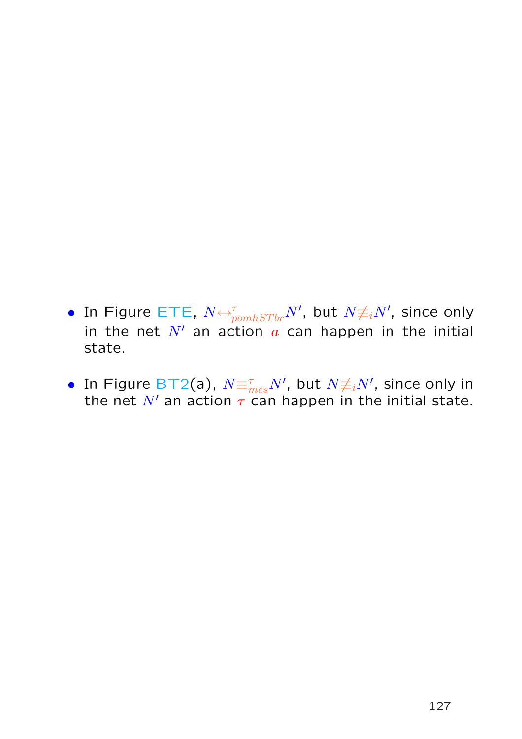- $\bullet$  In Figure ETE,  $N{\triangleq^{\tau}_{pomhSTbr}}N'$ , but  $N{\not\equiv_i}N',$  since only in the net  $N'$  an action  $\alpha$  can happen in the initial state.
- In Figure BT2(a),  $N\text{E}_{mes}^\tau N'$ , but  $N{\neq_i}N'$ , since only in the net N' an action  $\tau$  can happen in the initial state.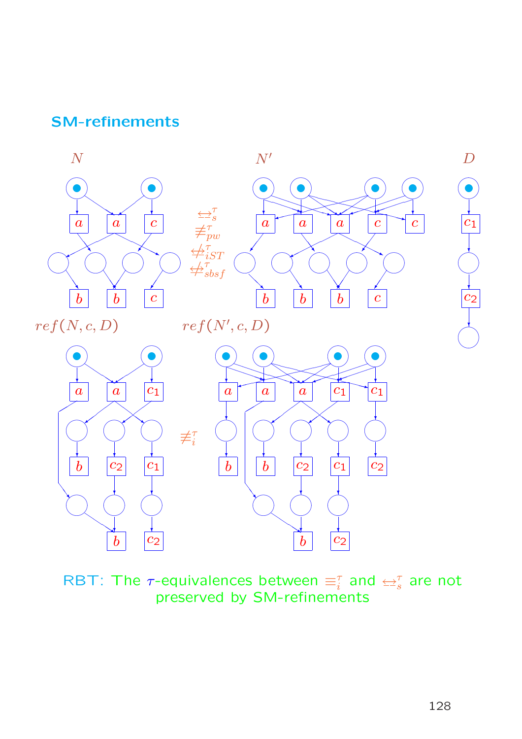### SM-refinements



RBT: The  $\tau$ -equivalences between  $\equiv_i^\tau$  and  $\leftrightarrow_s^\tau$  are not preserved by SM-refinements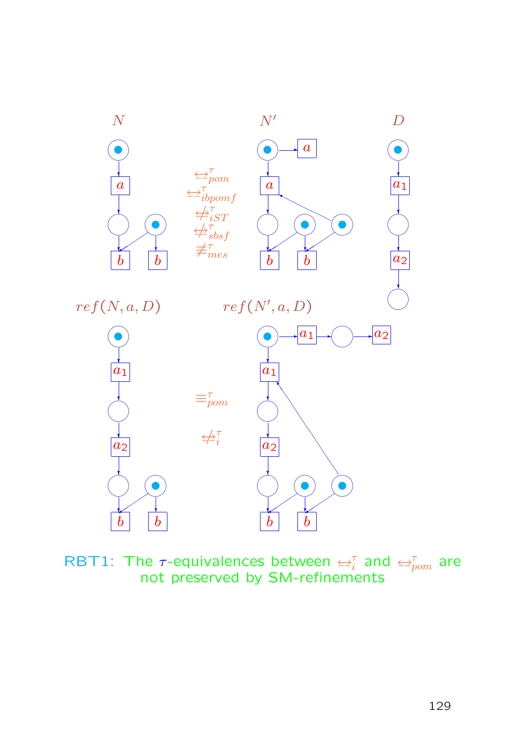

RBT1: The  $\tau$ -equivalences between  $\rightleftarrows^{\tau}_{i}$  and  $\rightleftarrows^{\tau}_{pom}$  are not preserved by SM-refinements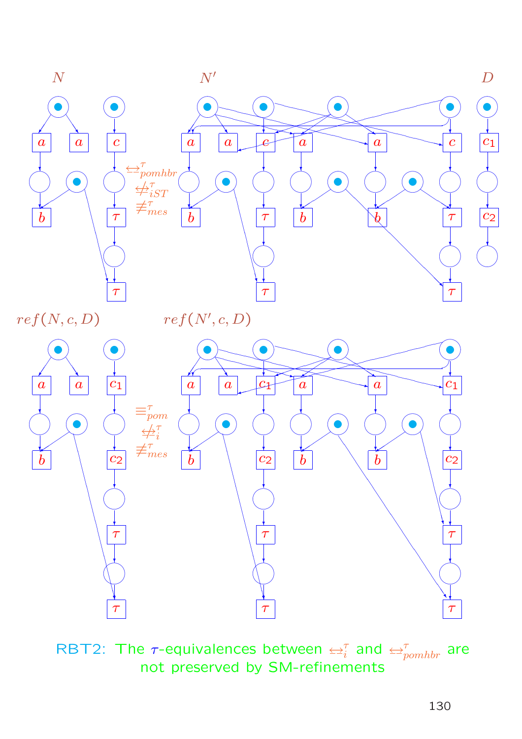

RBT2: The  $\tau$ -equivalences between  $\rightleftharpoons^{\tau}_{i}$  and  $\rightleftharpoons^{\tau}_{pomhbr}$  are not preserved by SM-refinements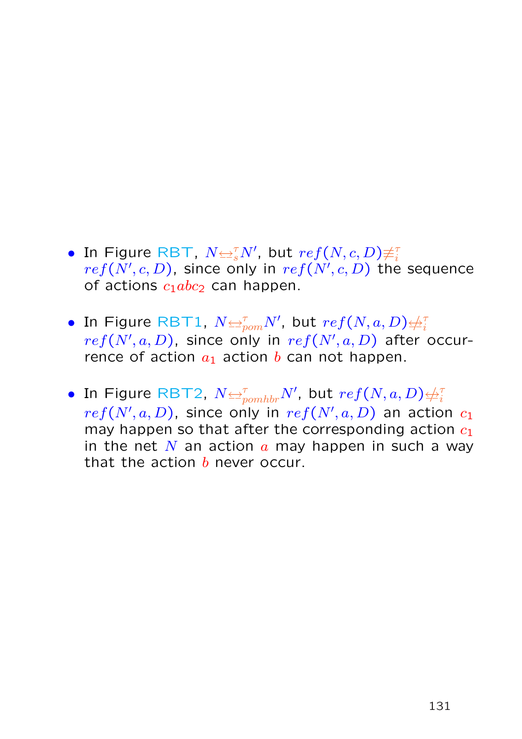- In Figure RBT,  $N{\leftrightarrow^{\tau}_{s}}N'$ , but  $ref(N, c, D){\neq^{\tau}_{i}}$  $ref(N',c,\bar{D})$ , since only in  $ref(N',c,\bar{D})$  the sequence of actions  $c_1abc_2$  can happen.
- $\bullet$  In Figure RBT1,  $N$  $\rightleftarrows^{\tau}_{pom}N'$ , but  $ref(N, a, D)$  $\neq^{\tau}_{i}$ i  $ref(N',a,D)$ , since only in  $ref(N',a,D)$  after occurrence of action  $a_1$  action b can not happen.
- $\bullet$  In Figure RBT2,  $N$  $\leftrightarrows^{\tau}_{pomhbr}N'$ , but  $ref(N, a, D)$  $\not\leftrightarrow^{\tau}_{i}$ i  $ref(N',a,D)$ , since only in  $ref(N',a,D)$  an action  $c_1$ may happen so that after the corresponding action  $c_1$ in the net N an action  $a$  may happen in such a way that the action  $b$  never occur.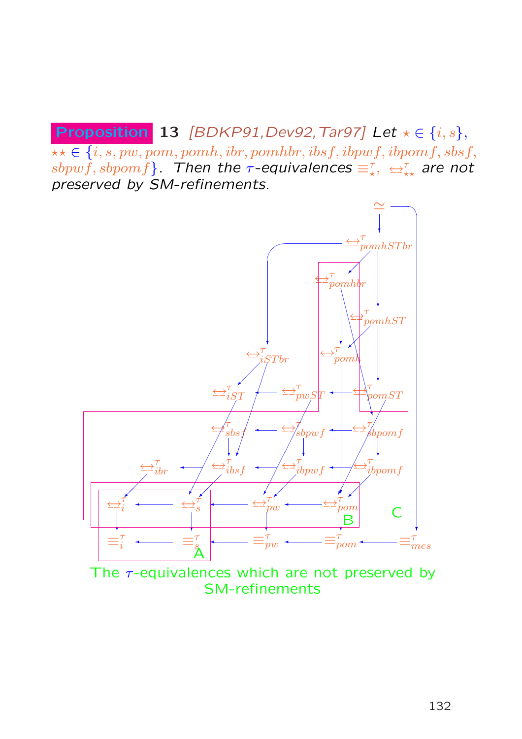**Proposition 13** [BDKP91, Dev92, Tar97] Let  $\star \in \{i, s\}$ ,  $\star\star\in\{i,s,pw,pom,pomh,ibr,pomhbr,ibsf,ibpyff,ibpwf,sbsf,$  $sbpwf, sbpomf\}.$  Then the  $\tau$ -equivalences  $\equiv_\star^\tau,~\leftrightharpoons_\star^\tau$  are not preserved by SM-refinements.



The  $\tau$ -equivalences which are not preserved by SM-refinements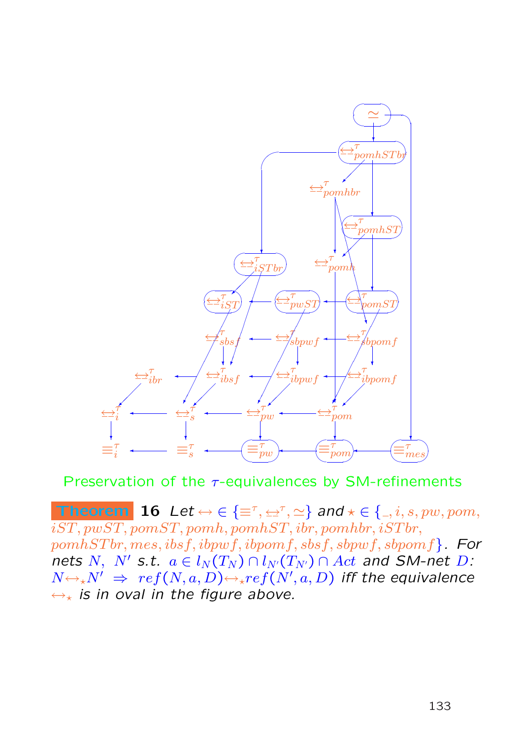

Preservation of the  $\tau$ -equivalences by SM-refinements

**Theorem** 16 Let  $\leftrightarrow \in \{\equiv^{\tau}, \pm^{\tau}, \simeq\}$  and  $\star \in \{., i, s, pw, pom,$  $iST, pwsT, pomST, pomh, pomhST, ibr, pomhbr, iSTbr,$  $pomhSTbr, mes, ibsf, ibpwf, ibpomf, sbsf, sbpwf, sbpomf$ . For nets N, N' s.t.  $a \in l_N (T_N) \cap l_{N'} (T_{N'}) \cap Act$  and SM-net D:  $N{\hookrightarrow_\star} N' \;\Rightarrow\; ref(N,a,D) {\hookrightarrow_\star} ref(N',a,D)$  iff the equivalence  $\leftrightarrow_{\star}$  is in oval in the figure above.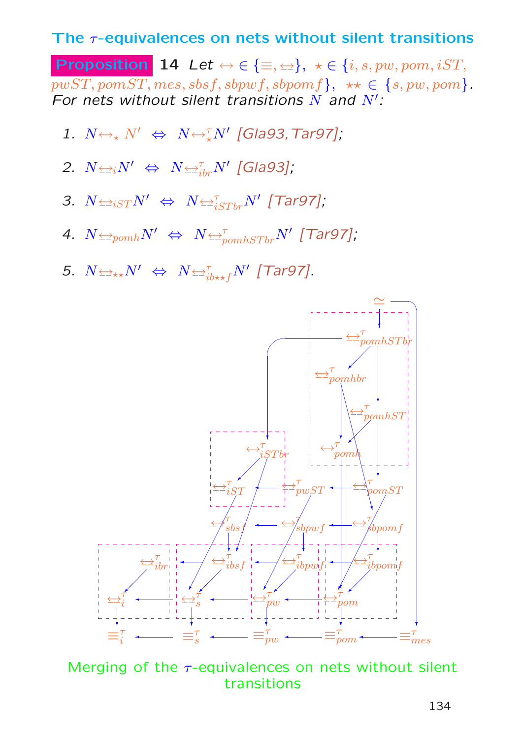#### The  $\tau$ -equivalences on nets without silent transitions

**Proposition 14** Let  $\leftrightarrow \in \{\equiv, \pm\}, \ \star \in \{i, s, pw, pom, iST,$  $pwST, pomST, mess, sbsf, sbpwf, sbpomf, \star\star \in \{s, pw, pom\}.$ For nets without silent transitions  $N$  and  $N'$ :

- 1.  $N \leftrightarrow_{\star} N' \Leftrightarrow N \leftrightarrow_{\star}^{\tau} N'$  [Gla93, Tar97];
- 2.  $N \triangleleft iN' \Leftrightarrow N \triangleleft_{ibr}^{\tau} N'$  [Gla93];
- 3.  $N \leftrightarrow_{iST} N' \Leftrightarrow N \leftrightarrow_{iSTbr}^{\tau} N'$  [Tar97];
- 4.  $N$  $\leftrightarrow$   $p_{comb}N'$   $\Leftrightarrow$   $N$   $\leftrightarrow$   $p_{combSTbr}N'$  [Tar97];
- 5.  $N \leftrightarrow N' \Leftrightarrow N \leftrightarrow_{ib \star f}^{\tau} N'$  [Tar97].



Merging of the  $\tau$ -equivalences on nets without silent transitions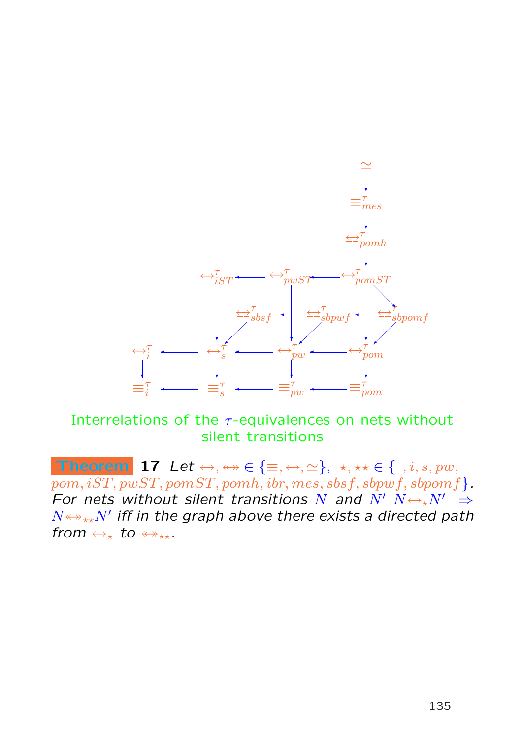

Interrelations of the  $\tau$ -equivalences on nets without silent transitions

Theorem 17 Let  $\leftrightarrow, \leftrightarrow \in \{\equiv, \leftrightarrow, \simeq\}, \star, \star \star \in \{ \_, i, s, pw,$  $pom, iST, pwST, pomST, pomh, ibr, mes, sbsf, sbpwf, sbpomf$ . For nets without silent transitions N and  $N'$   $N \leftrightarrow N' \Rightarrow$  $N{\leftrightarrow}{\rightarrow}{\leftarrow}{N'}$  iff in the graph above there exists a directed path from  $\leftrightarrow_{\star}$  to  $\leftrightarrow_{\star\star}$ .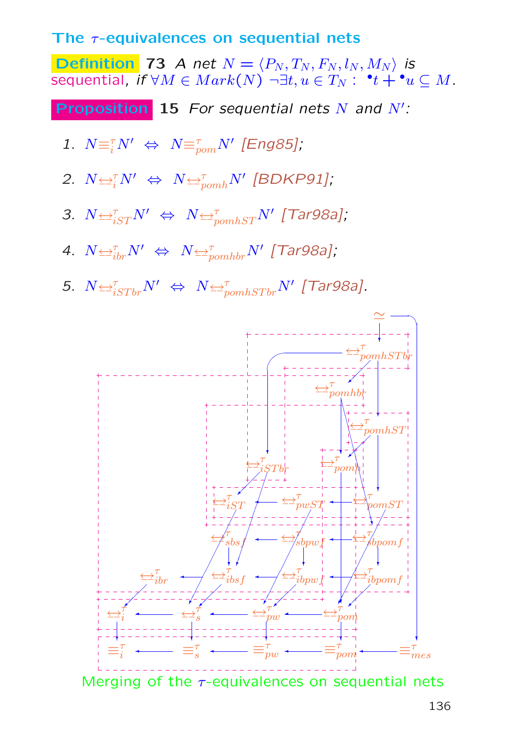#### The  $\tau$ -equivalences on sequential nets

Definition 73 A net  $N = \langle P_N , T_N , F_N , l_N , M_N \rangle$  is sequential, if  $\forall M \in Mark(N) \; \neg \exists t,u \in T_N: \; \;^\bullet t + {}^\bullet u \subseteq M.$ 

**Proposition** 15 For sequential nets  $N$  and  $N'$ :

- 1.  $N \equiv_i^{\tau} N' \Leftrightarrow N \equiv_{\text{pom}}^{\tau} N'$  [Eng85];
- 2.  $N \rightleftharpoons N' \Leftrightarrow N \rightleftharpoons_{pomh}^{\tau} N'$  [BDKP91];
- 3.  $N \rightleftharpoons_{iST}^{\tau} N' \Leftrightarrow N \rightleftharpoons_{pomhST}^{\tau} N'$  [Tar98a];
- 4.  $N \leftrightarrow N' \Leftrightarrow N \leftrightarrow_{pomhbr} N'$  [Tar98a];
- 5.  $N \triangleq_{iSTbr}^{\tau} N' \Leftrightarrow N \triangleq_{pomhSTbr}^{\tau} N'$  [Tar98a].



Merging of the  $\tau$ -equivalences on sequential nets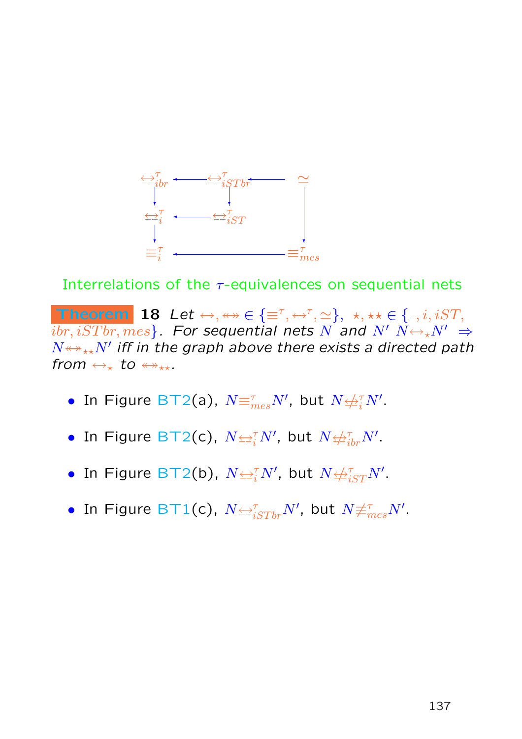

Interrelations of the  $\tau$ -equivalences on sequential nets

Theorem 18 Let  $\leftrightarrow, \leftrightarrow \in \{\equiv^{\tau}, \leftrightarrow^{\tau}, \simeq\}, \star, \star \star \in \{., i, iST,$  $\{ibr, iSTbr, mes\}$ . For sequential nets N and N'  $N \leftrightarrow N' \Rightarrow$  $N{\leftrightarrow}_{\star\star}N'$  iff in the graph above there exists a directed path from  $\leftrightarrow_{\star}$  to  $\leftrightarrow_{\star\star}$ .

- In Figure BT2(a),  $N {\equiv}^{\tau}_{mes} N'$ , but  $N {\not\equiv}^{\tau}_{i} N'.$
- $\bullet$  In Figure BT2(c),  $N{\leftrightarrow}_i^\tau N'$ , but  $N{\leftrightarrow}^\tau_{ibr}N'.$
- $\bullet$  In Figure BT2(b),  $N{\leftrightarrow}\!\!{}_{i}^{\tau}N'$ , but  $N{\leftrightarrow}\!\!{}_{iST}^{\tau}N'.$
- $\bullet$  In Figure BT1(c),  $N {\Leftrightarrow}^{\tau}_{iSTbr} N',$  but  $N{\not\equiv}^{\tau}_{mes} N'.$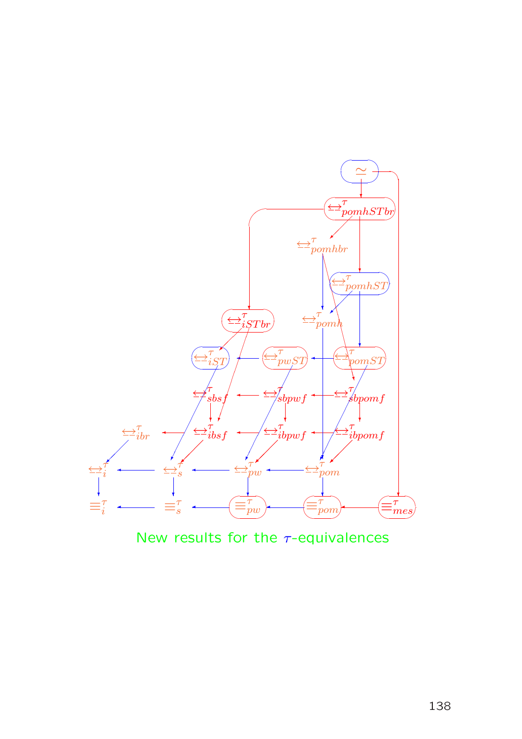

New results for the  $\tau$ -equivalences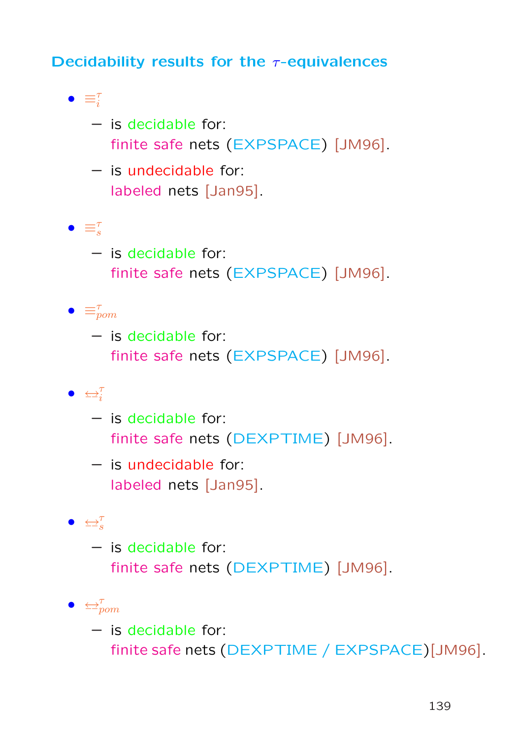### Decidability results for the  $\tau$ -equivalences

- $\bullet \equiv_i^{\tau}$ 
	- is decidable for: finite safe nets (EXPSPACE) [JM96].
	- is undecidable for: labeled nets [Jan95].
- $\bullet \equiv_s^\tau$ 
	- is decidable for: finite safe nets (EXPSPACE) [JM96].
- $\bullet \equiv_{\text{pom}}^{\tau}$ 
	- is decidable for: finite safe nets (EXPSPACE) [JM96].

 $\bullet$   $\leftarrow^{\tau}_{i}$ 

- is decidable for: finite safe nets (DEXPTIME) [JM96].
- is undecidable for: labeled nets [Jan95].

### $\bullet$   $\leftrightarrow_{s}^{\tau}$

- is decidable for: finite safe nets (DEXPTIME) [JM96].
- $\bullet \Leftrightarrow_{\text{pom}}^{\tau}$ 
	- is decidable for: finite safe nets (DEXPTIME / EXPSPACE)[JM96].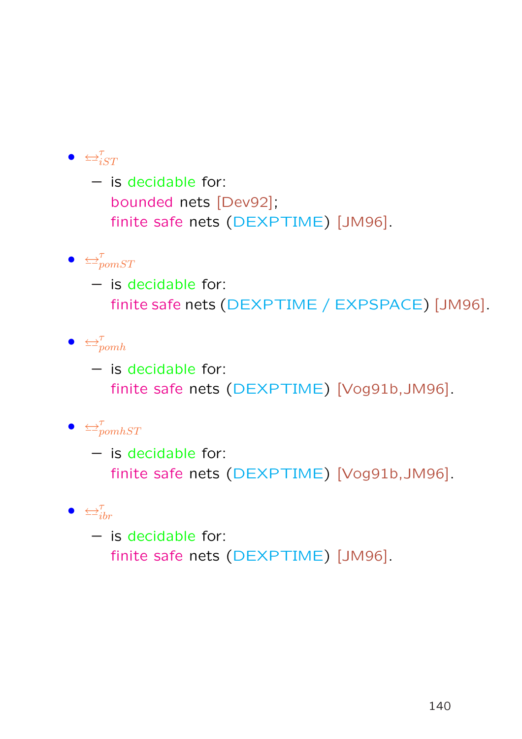## $\bullet$   $\leftrightarrow_{iST}^{\tau}$

– is decidable for: bounded nets [Dev92]; finite safe nets (DEXPTIME) [JM96].

## $\bullet \Leftrightarrow_{\text{pom}ST}^{\tau}$

– is decidable for: finite safe nets (DEXPTIME / EXPSPACE) [JM96].

## $\bullet \leq^{\tau}_{pomh}$

– is decidable for: finite safe nets (DEXPTIME) [Vog91b,JM96].

## $\bullet \Leftrightarrow_{pomhST}^{\tau}$

– is decidable for: finite safe nets (DEXPTIME) [Vog91b,JM96].

## $\bullet \quad \Longleftrightarrow_{ibr}^{\tau}$

– is decidable for: finite safe nets (DEXPTIME) [JM96].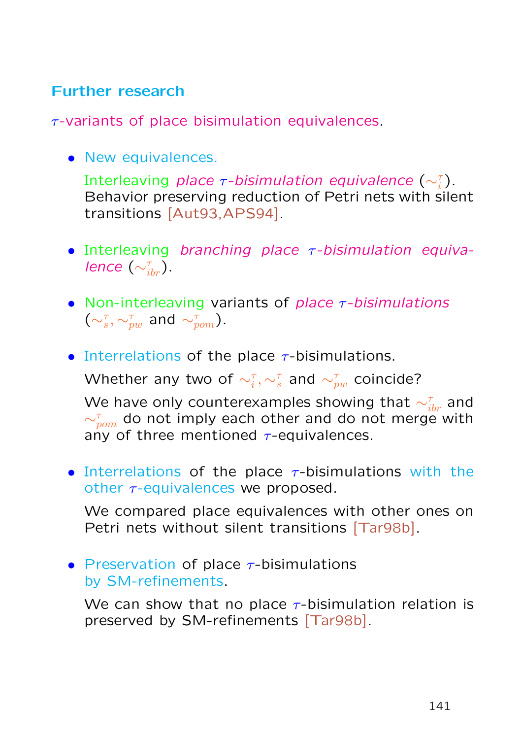### Further research

 $\tau$ -variants of place bisimulation equivalences.

• New equivalences.

Interleaving *place*  $\tau$ *-bisimulation equivalence*  $(\sim_i^\tau)$ . Behavior preserving reduction of Petri nets with silent transitions [Aut93,APS94].

- Interleaving branching place  $\tau$ -bisimulation equivalence  $(\sim_{\textit{ibr}}^{\tau}).$
- Non-interleaving variants of place  $\tau$ -bisimulations  $(\sim_s^{\tau}, \sim_{pw}^{\tau}$  and  $\sim_{pom}^{\tau}$ ).
- Interrelations of the place  $\tau$ -bisimulations.

Whether any two of  $\sim^{\tau}_{i}, \sim^{\tau}_{s}$  and  $\sim^{\tau}_{pw}$  coincide?

We have only counterexamples showing that  $\sim^{\tau}_{ibr}$  and  $\sim_{\textit{pom}}^{\tau}$  do not imply each other and do not merge with any of three mentioned  $\tau$ -equivalences.

• Interrelations of the place  $\tau$ -bisimulations with the other  $\tau$ -equivalences we proposed.

We compared place equivalences with other ones on Petri nets without silent transitions [Tar98b].

• Preservation of place  $\tau$ -bisimulations by SM-refinements.

We can show that no place  $\tau$ -bisimulation relation is preserved by SM-refinements [Tar98b].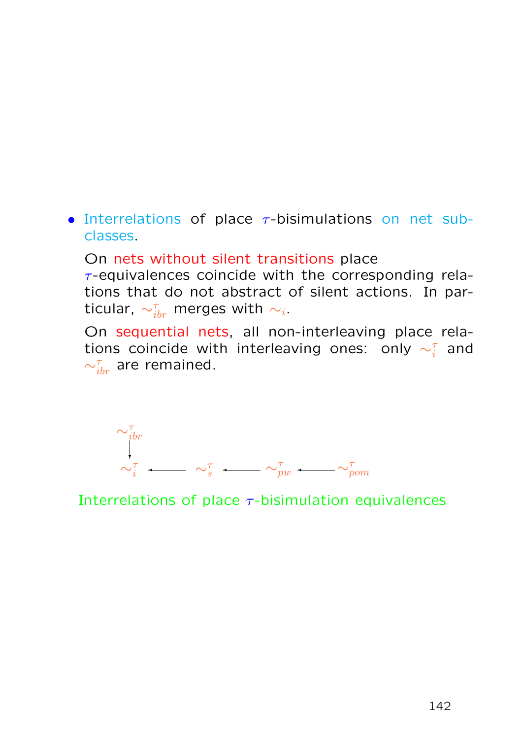- Interrelations of place  $\tau$ -bisimulations on net subclasses.
	- On nets without silent transitions place  $\tau$ -equivalences coincide with the corresponding relations that do not abstract of silent actions. In particular,  $\sim_{ibr}^\tau$  merges with  $\sim_i.$
	- On sequential nets, all non-interleaving place relations coincide with interleaving ones: only  $\sim_i^\tau$  and  $\sim_{ibr}^{\tau}$  are remained.



Interrelations of place  $\tau$ -bisimulation equivalences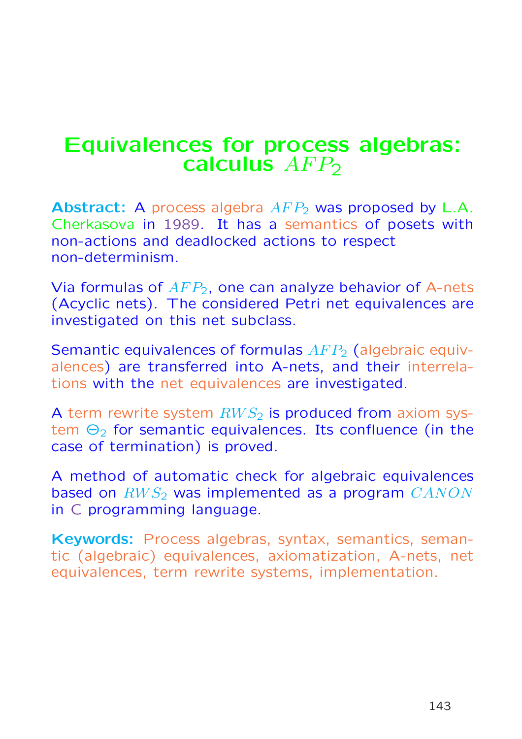## Equivalences for process algebras: calculus  $AFP<sub>2</sub>$

**Abstract:** A process algebra  $AFP_2$  was proposed by L.A. Cherkasova in 1989. It has a semantics of posets with non-actions and deadlocked actions to respect non-determinism.

Via formulas of  $AFP<sub>2</sub>$ , one can analyze behavior of A-nets (Acyclic nets). The considered Petri net equivalences are investigated on this net subclass.

Semantic equivalences of formulas  $AFP_2$  (algebraic equivalences) are transferred into A-nets, and their interrelations with the net equivalences are investigated.

A term rewrite system  $RWS_2$  is produced from axiom system  $\Theta_2$  for semantic equivalences. Its confluence (in the case of termination) is proved.

A method of automatic check for algebraic equivalences based on  $RWS_2$  was implemented as a program  $CANON$ in C programming language.

Keywords: Process algebras, syntax, semantics, semantic (algebraic) equivalences, axiomatization, A-nets, net equivalences, term rewrite systems, implementation.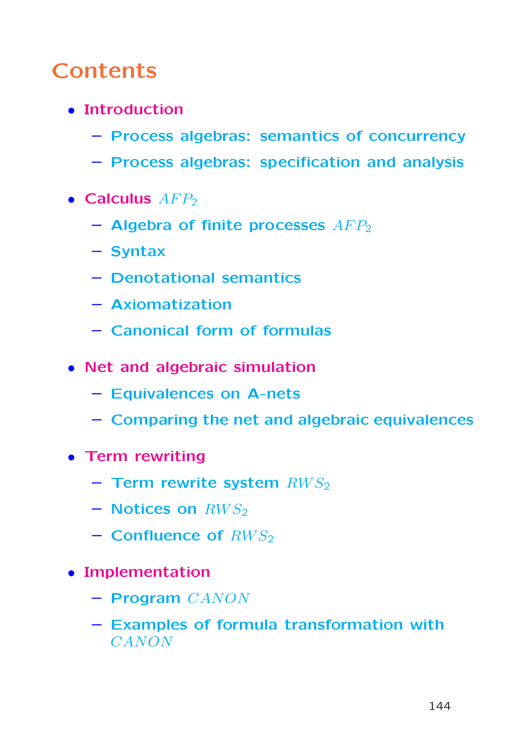# **Contents**

- Introduction
	- Process algebras: semantics of concurrency
	- Process algebras: specification and analysis
- $\bullet$  Calculus  $AFP<sub>2</sub>$ 
	- $-$  Algebra of finite processes  $AFP<sub>2</sub>$
	- Syntax
	- Denotational semantics
	- Axiomatization
	- Canonical form of formulas
- Net and algebraic simulation
	- Equivalences on A-nets
	- Comparing the net and algebraic equivalences
- Term rewriting
	- Term rewrite system  $RWS<sub>2</sub>$
	- Notices on  $RWS_2$
	- $-$  Confluence of  $RWS<sub>2</sub>$
- Implementation
	- Program CANON
	- Examples of formula transformation with CANON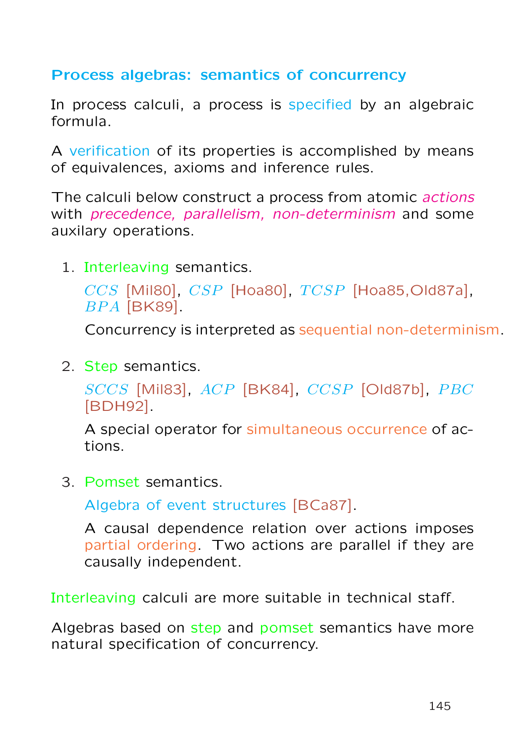## Process algebras: semantics of concurrency

In process calculi, a process is specified by an algebraic formula.

A verification of its properties is accomplished by means of equivalences, axioms and inference rules.

The calculi below construct a process from atomic *actions* with precedence, parallelism, non-determinism and some auxilary operations.

1. Interleaving semantics.

```
CCS [Mil80], CSP [Hoa80], TCSP [Hoa85,Old87a],
BPA [BK89].
```
Concurrency is interpreted as sequential non-determinism.

2. Step semantics.

 $SCCS$  [Mil83],  $ACP$  [BK84],  $CCSP$  [Old87b],  $PBC$ [BDH92].

A special operator for simultaneous occurrence of actions.

3. Pomset semantics.

Algebra of event structures [BCa87].

A causal dependence relation over actions imposes partial ordering. Two actions are parallel if they are causally independent.

Interleaving calculi are more suitable in technical staff.

Algebras based on step and pomset semantics have more natural specification of concurrency.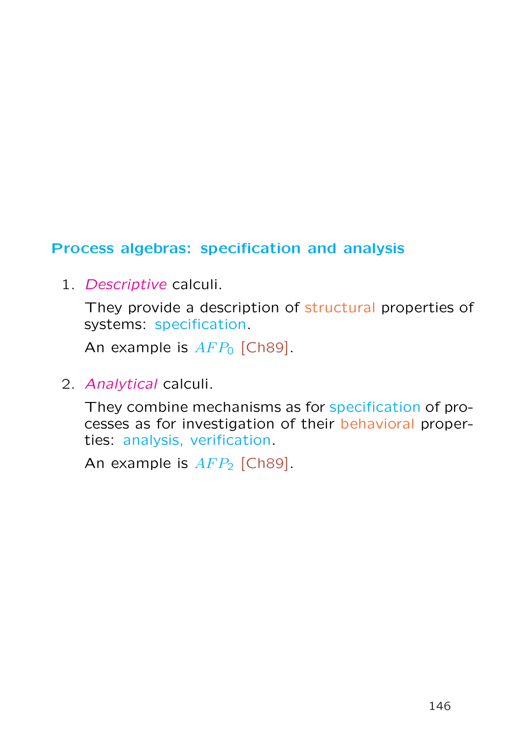# Process algebras: specification and analysis

1. Descriptive calculi.

They provide a description of structural properties of systems: specification.

An example is  $AFP<sub>0</sub>$  [Ch89].

2. Analytical calculi.

They combine mechanisms as for specification of processes as for investigation of their behavioral properties: analysis, verification.

An example is  $AFP<sub>2</sub>$  [Ch89].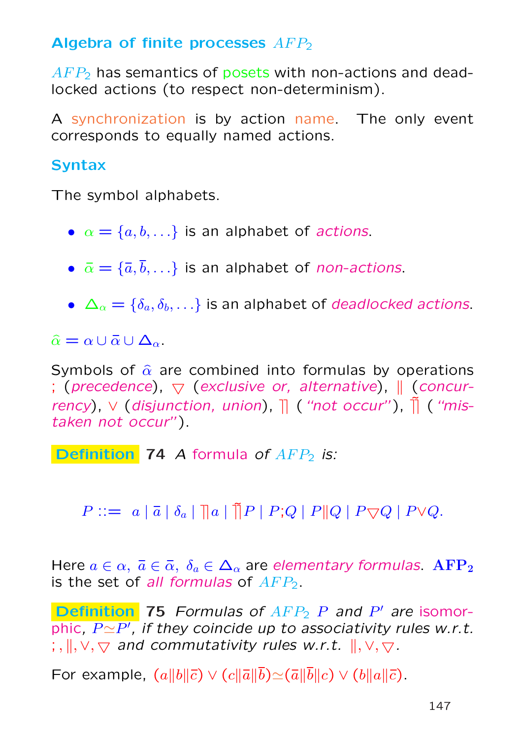# Algebra of finite processes  $AFP<sub>2</sub>$

 $AFP<sub>2</sub>$  has semantics of posets with non-actions and deadlocked actions (to respect non-determinism).

A synchronization is by action name. The only event corresponds to equally named actions.

# **Syntax**

The symbol alphabets.

- $\alpha = \{a, b, \ldots\}$  is an alphabet of *actions*.
- $\bar{\alpha} = {\bar{a}, \bar{b}, \ldots}$  is an alphabet of *non-actions*.
- $\Delta_{\alpha} = {\delta_a, \delta_b, \ldots}$  is an alphabet of *deadlocked actions*.

 $\hat{\alpha} = \alpha \cup \bar{\alpha} \cup \Delta_{\alpha}.$ 

Symbols of  $\hat{\alpha}$  are combined into formulas by operations ; (precedence),  $\nabla$  (exclusive or, alternative),  $\parallel$  (concurrency),  $\vee$  (disjunction, union),  $\parallel$  ("not occur"),  $\parallel$  ("mistaken not occur").

Definition 74 A formula of  $AFP_2$  is:

 $P ::= a | \overline{a} | \delta_a | \overline{a} | \overline{a} | P | P | Q | P | Q | P \nabla Q | P \vee Q.$ 

Here  $a \in \alpha$ ,  $\bar{a} \in \bar{\alpha}$ ,  $\delta_a \in \Delta_\alpha$  are elementary formulas. AFP<sub>2</sub> is the set of all formulas of  $AFP<sub>2</sub>$ .

**Definition** 75 Formulas of  $AFP_2$  P and P' are isomorphic,  $P{\simeq}P'$ , if they coincide up to associativity rules w.r.t.  $\langle \cdot, \cdot \rangle, \cdot \rangle$  and commutativity rules w.r.t.  $\langle \cdot, \cdot \rangle, \cdot \rangle$ .

For example,  $(a||b||\bar{c}) \vee (c||\bar{a}||\bar{b}) \simeq (\bar{a}||\bar{b}||c) \vee (b||\bar{a}||\bar{c})$ .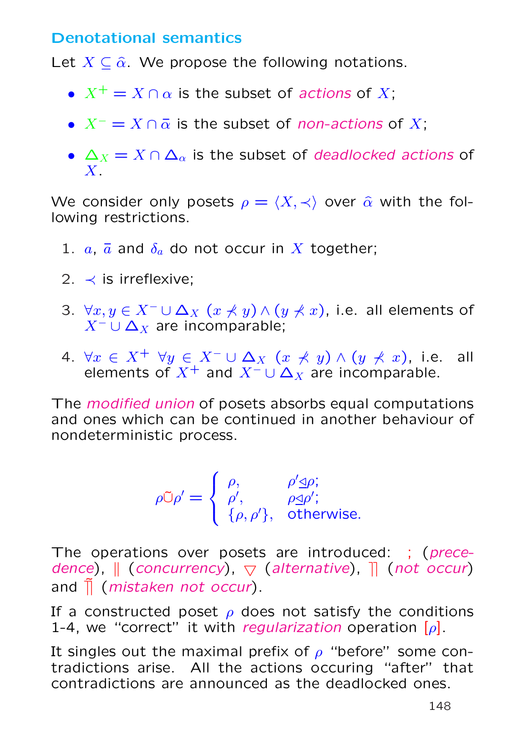## Denotational semantics

Let  $X \subseteq \hat{\alpha}$ . We propose the following notations.

- $X^+ = X \cap \alpha$  is the subset of actions of X;
- $X^- = X \cap \overline{\alpha}$  is the subset of non-actions of X;
- $\Delta_X = X \cap \Delta_{\alpha}$  is the subset of *deadlocked actions* of  $X_{-}$

We consider only posets  $\rho = \langle X, \prec \rangle$  over  $\hat{\alpha}$  with the following restrictions.

- 1.  $a, \bar{a}$  and  $\delta_a$  do not occur in X together;
- 2.  $\prec$  is irreflexive;
- 3.  $\forall x, y \in X^- \cup \Delta_X$   $(x \nless y) \wedge (y \nless z)$ , i.e. all elements of  $X^- \cup \Delta_X$  are incomparable;
- 4.  $\forall x \in X^+ \ \forall y \in X^- \cup \Delta_X \ (x \not\prec y) \land (y \not\prec x)$ , i.e. all elements of  $X^+$  and  $X^- \cup \Delta_X$  are incomparable.

The modified union of posets absorbs equal computations and ones which can be continued in another behaviour of nondeterministic process.

$$
\rho \mathbb{C} \rho' = \begin{cases} \rho, & \rho' \leq \rho; \\ \rho', & \rho \leq \rho'; \\ \{\rho, \rho'\}, & \text{otherwise.} \end{cases}
$$

The operations over posets are introduced: ; (precedence),  $\parallel$  (concurrency),  $\bigtriangledown$  (alternative),  $\parallel$  (not occur) and  $\overline{\parallel}$  (mistaken not occur).

If a constructed poset  $\rho$  does not satisfy the conditions 1-4, we "correct" it with regularization operation  $[\rho]$ .

It singles out the maximal prefix of  $\rho$  "before" some contradictions arise. All the actions occuring "after" that contradictions are announced as the deadlocked ones.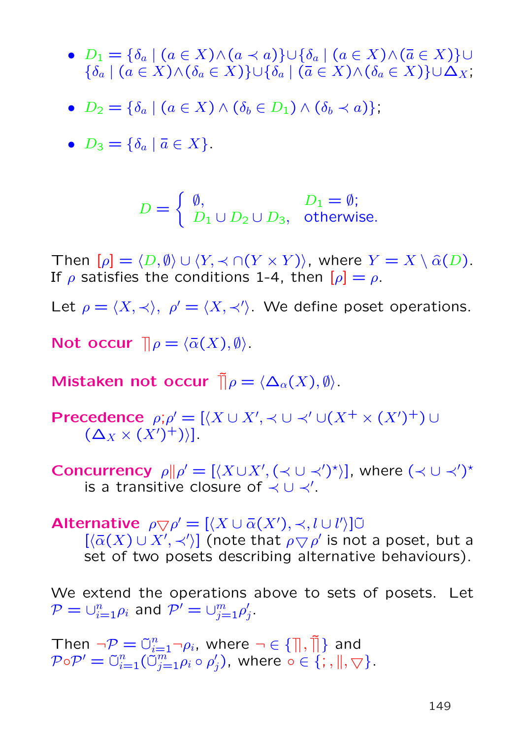- $D_1 = \{\delta_a \mid (a \in X) \wedge (a \prec a)\} \cup \{\delta_a \mid (a \in X) \wedge (\overline{a} \in X)\}$ ∪  $\{\delta_a \mid (a \in X) \wedge (\delta_a \in X)\} \cup \{\delta_a \mid (\bar{a} \in X) \wedge (\delta_a \in X)\} \cup \Delta_X,$
- $D_2 = \{\delta_a \mid (a \in X) \wedge (\delta_b \in D_1) \wedge (\delta_b \prec a)\}\,$
- $D_3 = \{\delta_a \mid \bar{a} \in X\}.$

$$
D = \begin{cases} \emptyset, & D_1 = \emptyset; \\ D_1 \cup D_2 \cup D_3, & \text{otherwise.} \end{cases}
$$

Then  $[\rho] = \langle D, \emptyset \rangle \cup \langle Y, \prec \cap (Y \times Y) \rangle$ , where  $Y = X \setminus \hat{\alpha}(D)$ . If  $\rho$  satisfies the conditions 1-4, then  $[\rho] = \rho$ .

Let  $\rho = \langle X, \prec \rangle$ ,  $\rho' = \langle X, \prec' \rangle$ . We define poset operations.

Not occur  $\mathbb{I} \rho = \langle \bar{\alpha}(X), \emptyset \rangle$ .

Mistaken not occur  $\tilde{\mathbb{I}} \rho = \langle \Delta_\alpha(X), \emptyset \rangle$ .

Precedence  $\rho; \rho' = [\langle X \cup X', \prec \cup \prec' \cup (X^+ \times (X')^+) \cup$  $(\Delta_X \times (X')^+)$ .

Concurrency  $\rho || \rho' = [\langle X \cup X', (\prec \cup \prec')^* \rangle]$ , where  $(\prec \cup \prec')^*$ is a transitive closure of  $\prec \cup \prec'$ .

Alternative  $\rho \nabla \rho' = [\langle X \cup \overline{\alpha}(X'), \prec, l \cup l' \rangle] \overline{\cup}$ 

 $[\langle \overline{\alpha}(X) \cup X', \prec \rangle]$  (note that  $\rho \nabla \rho'$  is not a poset, but a set of two posets describing alternative behaviours).

We extend the operations above to sets of posets. Let  $\mathcal{P} = \cup_{i=1}^n \rho_i$  and  $\mathcal{P}' = \cup_{j=1}^m \rho'_j$  $j^+$ 

Then  $\neg \mathcal{P} = \tilde{\cup}_{i=1}^n \neg \rho_i$ , where  $\neg \in \{\mathcal{P}, \tilde{\mathcal{P}}, \tilde{\mathcal{P}}\}$  and  $\mathcal{P} \circ \mathcal{P}' = \tilde{\cup}_{i=1}^n (\tilde{\tilde{\cup}}_{j=1}^m \rho_i \circ \rho'_j)$  $'_{j})$ , where  $\circ\in\{;\text{,}\parallel,\bigtriangledown\}.$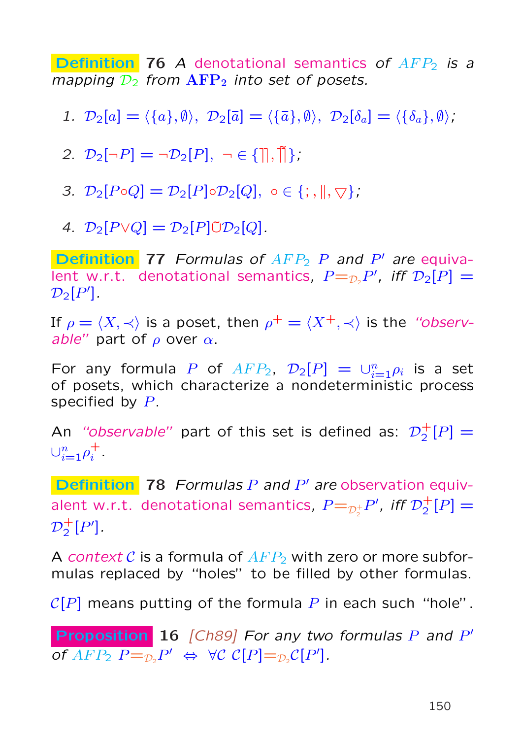**Definition 76** A denotational semantics of  $AFP<sub>2</sub>$  is a mapping  $\mathcal{D}_2$  from  $\text{AFP}_2$  into set of posets.

1.  $\mathcal{D}_2[a] = \langle \{a\}, \emptyset \rangle$ ,  $\mathcal{D}_2[\bar{a}] = \langle \{\bar{a}\}, \emptyset \rangle$ ,  $\mathcal{D}_2[\delta_a] = \langle \{\delta_a\}, \emptyset \rangle$ ;

2.  $\mathcal{D}_2[\neg P] = \neg \mathcal{D}_2[P], \neg \in \{\mathbb{R}, \mathbb{R}\}.$ 

3.  $\mathcal{D}_2[P \circ Q] = \mathcal{D}_2[P] \circ \mathcal{D}_2[Q], \circ \in \{; \, \parallel, \bigtriangledown\};$ 

4.  $\mathcal{D}_2[P \lor Q] = \mathcal{D}_2[P] \tilde{\cup} \mathcal{D}_2[Q].$ 

**Definition** 77 Formulas of  $AFP_2$  P and P' are equivalent w.r.t. denotational semantics,  $P =_{\mathcal{D}_2} P'$ , iff  $\mathcal{D}_2[P] =$  $\mathcal{D}_2[P']$ .

If  $\rho = \langle X, \prec \rangle$  is a poset, then  $\rho^+ = \langle X^+, \prec \rangle$  is the "observable" part of  $\rho$  over  $\alpha$ .

For any formula P of  $AFP_2$ ,  $\mathcal{D}_2[P] = \bigcup_{i=1}^n \rho_i$  is a set of posets, which characterize a nondeterministic process specified by P.

An "observable" part of this set is defined as:  $\mathcal{D}_2^+$  $_{2}^{+}[P] =$  $\cup_{i=1}^n \rho_i^+$  $\frac{+}{i}$  .

**Definition** 78 Formulas  $P$  and  $P'$  are observation equivalent w.r.t. denotational semantics,  $P{=}_{\mathcal{D}_2^+}$  $_{\frac{1}{2}}P^{\prime}$ , iff  $\mathcal{D}^{\pm}_{2}$  $_{2}^{+}[P] =$  $\mathcal{D}_2^+$  ${}_{2}^{+}[P']$ .

A context C is a formula of  $AFP<sub>2</sub>$  with zero or more subformulas replaced by "holes" to be filled by other formulas.

 $C[P]$  means putting of the formula P in each such "hole".

Proposition 16 [Ch89] For any two formulas P and P' of  $AFP_2$   $P =_{\mathcal{D}_2}P' \Leftrightarrow \forall \mathcal{C}$   $\mathcal{C}[P] =_{\mathcal{D}_2} \mathcal{C}[P']$ .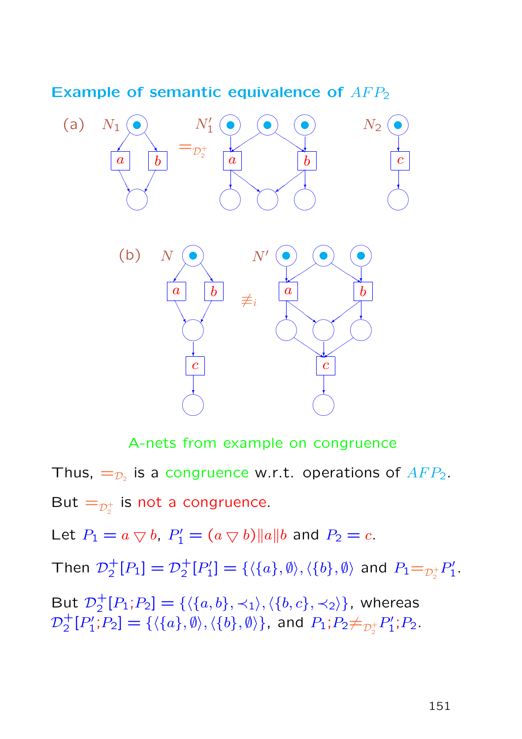#### Example of semantic equivalence of  $AFP_2$



A-nets from example on congruence Thus,  $=_{\mathcal{D}_2}$  is a congruence w.r.t. operations of  $AFP_2$ .

But  $=_{\mathcal{D}_2^+}$  $_2^+$  is not a congruence.

Let  $P_1 = a \bigtriangledown b$ ,  $P'_1 = (a \bigtriangledown b) ||a|| b$  and  $P_2 = c$ .

Then  $\mathcal{D}_2^+$  $i_2^+[P_1]=\mathcal{D}_2^+$  $^{+}_{2}[P'_{1}$  $[\theta'_1] = \{\langle \{a\}, \emptyset \rangle, \langle \{b\}, \emptyset \rangle$  and  $P_1\mathord{=}_{\mathcal{D}^+_2}$  $\frac{1}{2}P_1'$  $\frac{1}{1}$ 

But  $\mathcal{D}_2^+$  $^+_2[P_1;P_2] = \{\langle \{a,b\},\prec_1\rangle,\langle \{b,c\},\prec_2\rangle\},$  whereas  $\mathcal{D}_2^+$  $^+_2[P^\prime_1$  $[2] = \{\langle \{a\},\emptyset\rangle,\langle \{b\},\emptyset\rangle\}$ , and  $P_1; P_2\neq_{\mathcal{D}_2^+}$  ${}_{2}^{+}P_1'$  $P'_1$ ;  $P_2$ .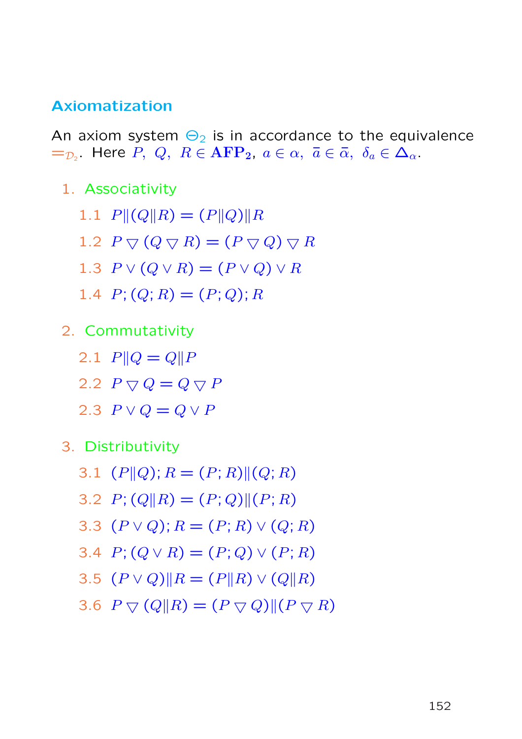### Axiomatization

An axiom system  $\Theta_2$  is in accordance to the equivalence  $=_{\mathcal{D}_2}$  Here  $P, Q, R \in \mathbf{AFP_2}, a \in \alpha, \bar{a} \in \bar{\alpha}, \delta_a \in \Delta_{\alpha}$ .

- 1. Associativity
	- 1.1  $P||(Q||R) = (P||Q)||R$
	- 1.2  $P \bigtriangledown (Q \bigtriangledown R) = (P \bigtriangledown Q) \bigtriangledown R$
	- 1.3  $P \vee (Q \vee R) = (P \vee Q) \vee R$
	- 1.4  $P: (Q: R) = (P: Q): R$
- 2. Commutativity
	- 2.1  $P||Q = Q||P$
	- 2.2  $P \bigtriangledown Q = Q \bigtriangledown P$
	- 2.3  $P \vee Q = Q \vee P$
- 3. Distributivity
	- 3.1  $(P||Q); R = (P; R)||(Q; R)$
	- 3.2  $P$ ; (Q||R) = (P; Q)||(P; R)
	- 3.3  $(P \vee Q); R = (P; R) \vee (Q; R)$
	- 3.4  $P$ ;  $(Q \vee R) = (P; Q) \vee (P; R)$
	- 3.5  $(P \vee Q)$ || $R = (P||R) \vee (Q||R)$
	- 3.6  $P \bigtriangledown (Q||R) = (P \bigtriangledown Q)|| (P \bigtriangledown R)$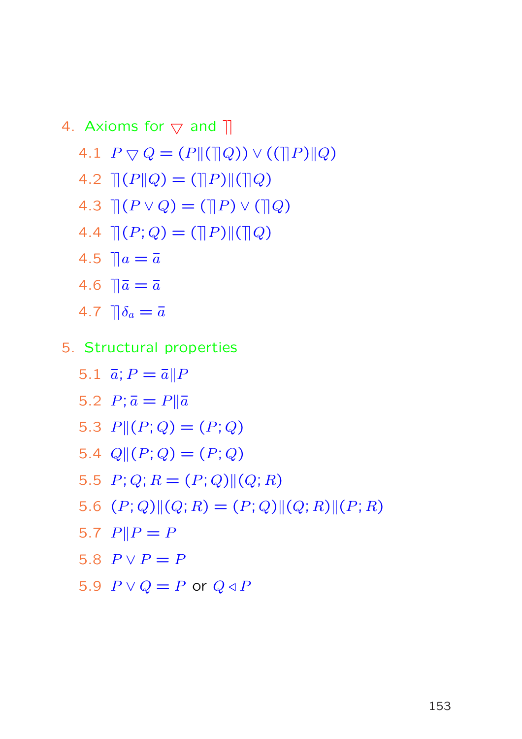4. Axioms for 
$$
\bigtriangledown
$$
 and  $||$   
\n4.1  $P \bigtriangledown Q = (P || (||Q)) \vee ((||P)||Q)$   
\n4.2  $|| (P || Q) = (||P)|| (||Q)$   
\n4.3  $|| (P \vee Q) = (||P) \vee (||Q)$   
\n4.4  $|| (P; Q) = (||P)|| (||Q)$   
\n4.5  $||a = \overline{a}$   
\n4.6  $||\overline{a} = \overline{a}$   
\n4.7  $|| \delta_a = \overline{a}$ 

- 5. Structural properties
	- 5.1  $\vec{a}$ ;  $P = \vec{a} || P$ 5.2  $P; \bar{a} = P || \bar{a}$ 5.3  $P||(P;Q) = (P;Q)$ 5.4  $Q||(P;Q) = (P;Q)$ 5.5  $P$ ; Q; R =  $(P; Q)$   $|(Q; R)$ 5.6  $(P; Q)$  $||(Q; R) = (P; Q)$  $||(Q; R)$  $||(P; R)$ 5.7  $P||P = P$ 5.8  $P \vee P = P$ 5.9  $P \vee Q = P$  or  $Q \triangleleft P$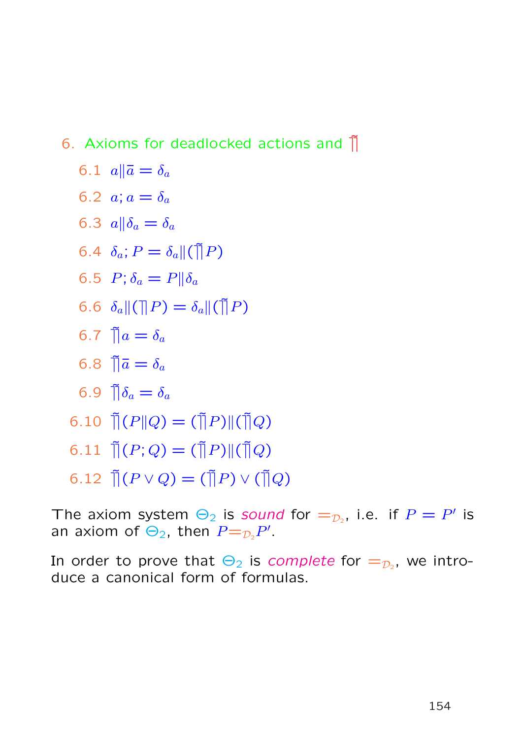# 6. Axioms for deadlocked actions and  $\tilde{\parallel}$

$$
6.1 \ \ a \|\bar{a} = \delta_a
$$

$$
6.2\ \ a; a=\delta_a
$$

$$
6.3 \ \ a \|\delta_a = \delta_a
$$

$$
6.4 \ \delta_a; P = \delta_a \| (\tilde{\mathbf{q}}| P)
$$

$$
6.5 \ P; \delta_a = P || \delta_a
$$

6.6  $\delta_a \| (\| P) = \delta_a \| (\tilde{P})$ 

$$
6.7 \ \tilde{\parallel} a = \delta_a
$$

$$
6.8 \ \tilde{\parallel} \bar{a} = \delta_a
$$

$$
6.9 \ \tilde{\parallel} \delta_a = \delta_a
$$

$$
6.10 \ \tilde{\mathcal{a}}(P||Q) = (\tilde{\mathcal{a}}(P)||(\tilde{\mathcal{a}}(Q))
$$

$$
6.11 \ \tilde{\mathbb{I}}(P;Q) = (\tilde{\mathbb{I}}P)\|(\tilde{\mathbb{I}}Q)
$$

$$
6.12 \ \tilde{\mathbb{I}}(P \vee Q) = (\tilde{\mathbb{I}}|P) \vee (\tilde{\mathbb{I}}|Q)
$$

The axiom system  $\Theta_2$  is sound for  $=_{\mathcal{D}_2}$ , i.e. if  $P=P'$  is an axiom of  $\Theta_2$ , then  $P =_{\mathcal{D}_2} P'$ .

In order to prove that  $\Theta_2$  is *complete* for  $=_{\mathcal{D}_2}$ , we introduce a canonical form of formulas.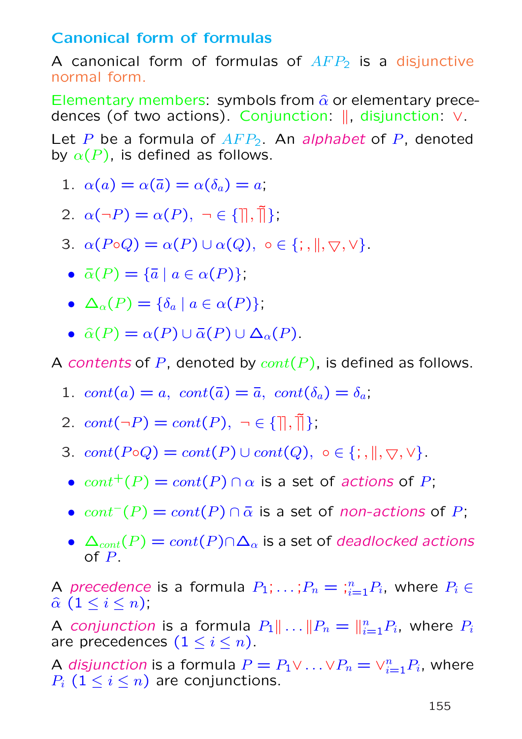# Canonical form of formulas

A canonical form of formulas of  $AFP<sub>2</sub>$  is a disjunctive normal form.

Elementary members: symbols from  $\hat{\alpha}$  or elementary precedences (of two actions). Conjunction:  $\parallel$ , disjunction: ∨.

Let P be a formula of  $AFP<sub>2</sub>$ . An alphabet of P, denoted by  $\alpha(P)$ , is defined as follows.

- 1.  $\alpha(a) = \alpha(\bar{a}) = \alpha(\delta_a) = a;$
- 2.  $\alpha(\neg P) = \alpha(P), \neg \in \{\exists, \exists\}.$
- 3.  $\alpha(P \circ Q) = \alpha(P) \cup \alpha(Q)$ ,  $\circ \in \{; \, , \parallel, \bigtriangledown, \vee\}.$ 
	- $\bar{\alpha}(P) = {\bar{\alpha} \mid a \in \alpha(P)};$
	- $\Delta_{\alpha}(P) = {\delta_{a} \mid a \in \alpha(P)}$ ;
	- $\hat{\alpha}(P) = \alpha(P) \cup \overline{\alpha}(P) \cup \Delta_{\alpha}(P)$ .

A contents of P, denoted by  $cont(P)$ , is defined as follows.

- 1.  $cont(a) = a$ ,  $cont(\bar{a}) = \bar{a}$ ,  $cont(\delta_a) = \delta_a$ ;
- 2.  $cont(\neg P) = cont(P), \neg \in \{\mathbb{R}, \mathbb{R}\}.$
- 3.  $cont(P \circ Q) = cont(P) \cup cont(Q), o \in \{; \|, \nabla, \vee\}.$ 
	- $cont^+(P) = cont(P) \cap \alpha$  is a set of actions of P;
	- $cont^{-}(P) = cont(P) \cap \overline{\alpha}$  is a set of non-actions of P;
	- $\Delta_{cont}(P) = cont(P) \cap \Delta_{\alpha}$  is a set of deadlocked actions of P.

A precedence is a formula  $P_1; \ldots; P_n = \frac{n}{i} P_i$ , where  $P_i \in$  $\widehat{\alpha}$   $(1 \leq i \leq n);$ 

A conjunction is a formula  $P_1 \| \ldots \| P_n = \|_{i=1}^n P_i$ , where  $P_i$ are precedences  $(1 \leq i \leq n)$ .

A disjunction is a formula  $P = P_1 \vee ... \vee P_n = \vee_{i=1}^n P_i$ , where  $P_i$   $(1 \leq i \leq n)$  are conjunctions.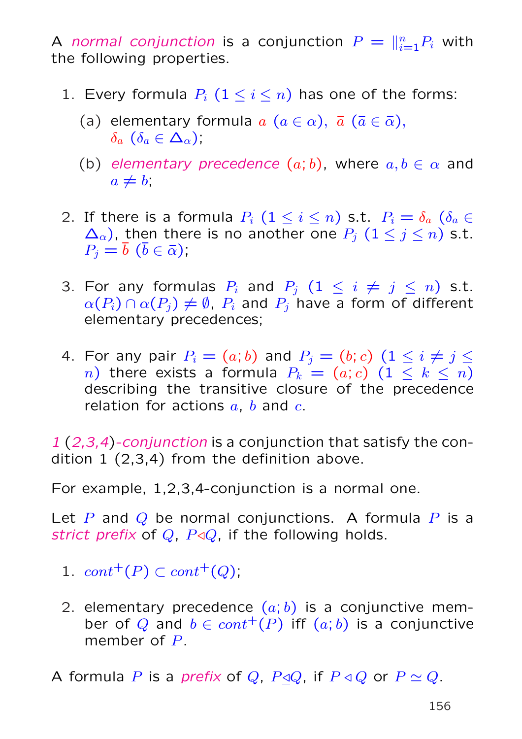A normal conjunction is a conjunction  $P = \|_{i=1}^n P_i$  with the following properties.

- 1. Every formula  $P_i$   $(1 \leq i \leq n)$  has one of the forms:
	- (a) elementary formula  $a$   $(a \in \alpha)$ ,  $\overline{a}$   $(\overline{a} \in \overline{\alpha})$ ,  $\delta_a$   $(\delta_a \in \Delta_\alpha);$
	- (b) elementary precedence  $(a; b)$ , where  $a, b \in \alpha$  and  $a \neq b$ ;
- 2. If there is a formula  $P_i$   $(1 \leq i \leq n)$  s.t.  $P_i = \delta_a$   $(\delta_a \in$  $\Delta_{\alpha}$ ), then there is no another one  $P_j$   $(1 \leq j \leq n)$  s.t.  $P_i = \overline{b}$   $(\overline{b} \in \overline{\alpha})$ ;
- 3. For any formulas  $P_i$  and  $P_j$   $(1 \leq i \neq j \leq n)$  s.t.  $\alpha(P_i) \cap \alpha(P_j) \neq \emptyset$ ,  $P_i$  and  $P_j$  have a form of different elementary precedences;
- 4. For any pair  $P_i = (a; b)$  and  $P_j = (b; c)$   $(1 \leq i \neq j \leq j)$ n) there exists a formula  $P_k = (a; c)$   $(1 \leq k \leq n)$ describing the transitive closure of the precedence relation for actions  $a, b$  and  $c.$

1 (2,3,4)-conjunction is a conjunction that satisfy the condition 1 (2,3,4) from the definition above.

For example, 1,2,3,4-conjunction is a normal one.

Let P and Q be normal conjunctions. A formula P is a strict prefix of Q,  $P \triangleleft Q$ , if the following holds.

- 1.  $cont^+(P) \subset cont^+(Q);$
- 2. elementary precedence  $(a, b)$  is a conjunctive member of Q and  $b \in cont^+(P)$  iff  $(a, b)$  is a conjunctive member of P.

A formula P is a prefix of Q,  $P \triangleleft Q$ , if  $P \triangleleft Q$  or  $P \simeq Q$ .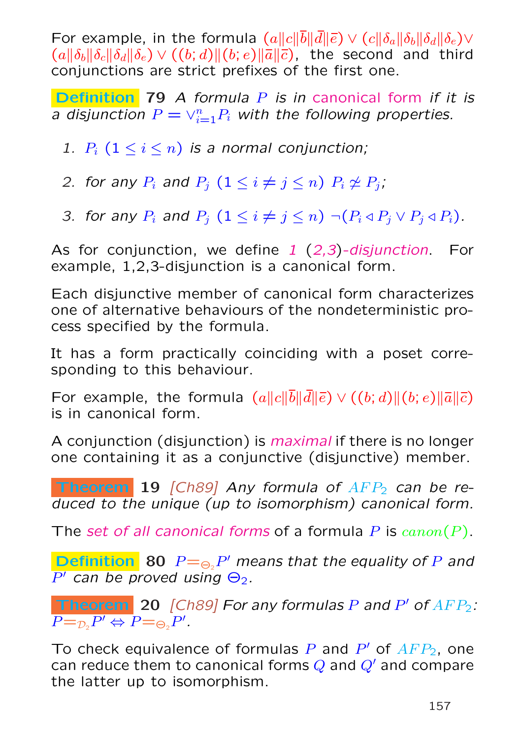For example, in the formula  $(a||c||\overline{b}||\overline{d}||\overline{\epsilon}) \vee (c||\delta_a||\delta_b||\delta_d||\delta_e) \vee$  $(a\|\delta_b\|\delta_c\|\delta_d\|\delta_e) \vee ((b; d)\|(b; e)\|\overline{a}\|\overline{c})$ , the second and third conjunctions are strict prefixes of the first one.

**Definition** 79 A formula  $P$  is in canonical form if it is a disjunction  $P=\vee_{i=1}^{n}P_{i}$  with the following properties.

1.  $P_i$   $(1 \leq i \leq n)$  is a normal conjunction;

2. for any  $P_i$  and  $P_j$   $(1 \leq i \neq j \leq n)$   $P_i \not\cong P_j$ ;

3. for any  $P_i$  and  $P_j$   $(1 \leq i \neq j \leq n) \neg (P_i \triangleleft P_j \vee P_j \triangleleft P_i)$ .

As for conjunction, we define  $1$   $(2,3)$ -disjunction. For example, 1,2,3-disjunction is a canonical form.

Each disjunctive member of canonical form characterizes one of alternative behaviours of the nondeterministic process specified by the formula.

It has a form practically coinciding with a poset corresponding to this behaviour.

For example, the formula  $(a||c||\overline{b}||\overline{d}||\overline{\epsilon}) \vee ((b;d)||(b; e)||\overline{a}||\overline{c})$ is in canonical form.

A conjunction (disjunction) is maximal if there is no longer one containing it as a conjunctive (disjunctive) member.

**Theorem 19** [Ch89] Any formula of  $AFP<sub>2</sub>$  can be reduced to the unique (up to isomorphism) canonical form.

The set of all canonical forms of a formula P is  $canon(P)$ .

**Definition** 80  $P = \bigcirc_{2} P'$  means that the equality of P and  $P'$  can be proved using  $\Theta_2$ .

**Theorem** 20 [Ch89] For any formulas P and P' of  $AFP_2$ :  $P = D_2 P' \Leftrightarrow P = D_2 P'.$ 

To check equivalence of formulas P and  $P'$  of  $AFP_2$ , one can reduce them to canonical forms  $Q$  and  $Q'$  and compare the latter up to isomorphism.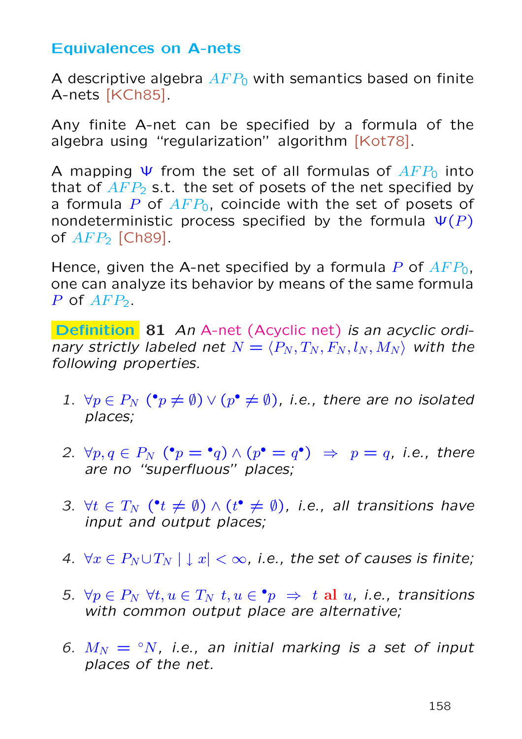### Equivalences on A-nets

A descriptive algebra  $AFP_0$  with semantics based on finite A-nets [KCh85].

Any finite A-net can be specified by a formula of the algebra using "regularization" algorithm [Kot78].

A mapping  $\Psi$  from the set of all formulas of  $AFP_0$  into that of  $AFP_2$  s.t. the set of posets of the net specified by a formula P of  $AFP_0$ , coincide with the set of posets of nondeterministic process specified by the formula  $\Psi(P)$ of  $AFP<sub>2</sub>$  [Ch89].

Hence, given the A-net specified by a formula P of  $AFP_0$ , one can analyze its behavior by means of the same formula  $P$  of  $AFP<sub>2</sub>$ .

Definition 81 An A-net (Acyclic net) is an acyclic ordinary strictly labeled net  $N = \langle P_N , T_N , F_N , l_N , M_N \rangle$  with the following properties.

- 1.  $\forall p \in P_N$  ( $\mathbf{P} \neq \emptyset$ )  $\vee$  ( $p^{\bullet} \neq \emptyset$ ), i.e., there are no isolated places;
- 2.  $\forall p, q \in P_N$  ( $\bullet p = \bullet q$ )  $\land (p \bullet q = q \bullet) \Rightarrow p = q$ , i.e., there are no "superfluous" places;
- 3.  $\forall t \in T_N$  ( $\mathbf{t} \neq \emptyset$ )  $\wedge$  ( $\mathbf{t} \cdot \neq \emptyset$ ), i.e., all transitions have input and output places;
- 4.  $\forall x \in P_N \cup T_N \mid x < \infty$ , i.e., the set of causes is finite;
- 5.  $\forall p \in P_N$   $\forall t, u \in T_N$   $t, u \in \bullet p \Rightarrow t$  al  $u, i.e.,$  transitions with common output place are alternative:
- 6.  $M_N = \text{°}N$ , i.e., an initial marking is a set of input places of the net.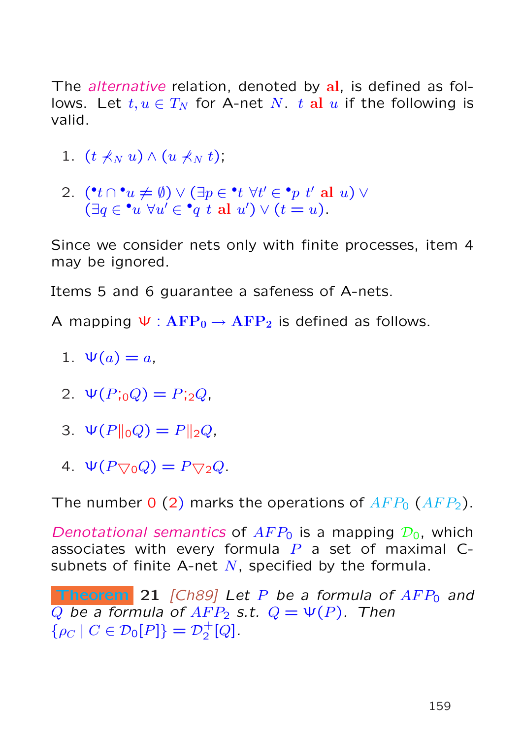The *alternative* relation, denoted by al, is defined as follows. Let  $t, u \in T_N$  for A-net N. t al u if the following is valid.

- 1.  $(t \nless N u) \wedge (u \nless N t)$ ;
- 2.  $(\bullet t \cap \bullet u \neq \emptyset) \vee (\exists p \in \bullet t \ \forall t' \in \bullet p \ t' \ \text{al} \ u) \vee$  $(\exists q \in \cdot u \ \forall u' \in \bullet q \ t \ \text{al} \ u') \vee (t = u).$

Since we consider nets only with finite processes, item 4 may be ignored.

Items 5 and 6 guarantee a safeness of A-nets.

A mapping  $\Psi$  :  $\text{AFP}_0 \rightarrow \text{AFP}_2$  is defined as follows.

- 1.  $\Psi(a) = a$ ,
- 2.  $\Psi(P;_{0}Q) = P;_{2}Q$ ,
- 3.  $\Psi(P\|_0 Q) = P\|_2 Q$ ,
- 4.  $\Psi(P_{\nabla_0}Q) = P_{\nabla_2}Q$ .

The number 0 (2) marks the operations of  $AFP_0$  ( $AFP_2$ ).

Denotational semantics of  $AFP_0$  is a mapping  $\mathcal{D}_0$ , which associates with every formula  $P$  a set of maximal Csubnets of finite A-net  $N$ , specified by the formula.

**Theorem** 21 [Ch89] Let P be a formula of  $AFP_0$  and Q be a formula of  $AFP_2$  s.t.  $Q = \Psi(P)$ . Then  $\{\rho_C \mid C \in \mathcal{D}_0[P]\} = \mathcal{D}_2^+$  $^{+}_{2}[Q]$ .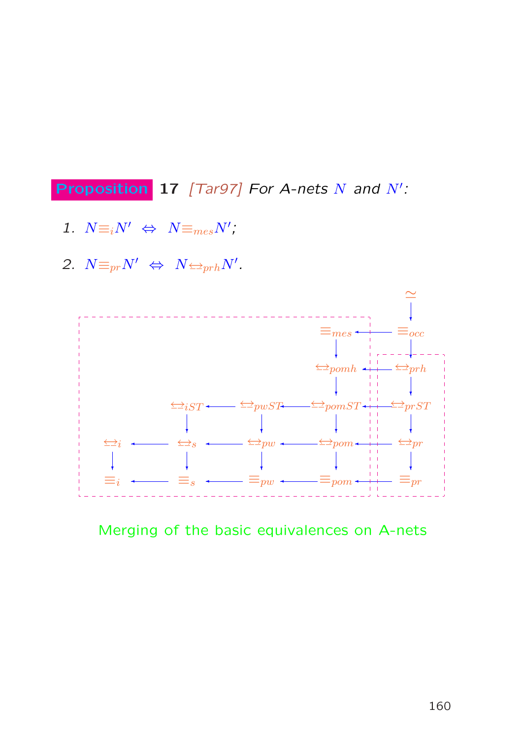**Proposition** 17 [Tar97] For A-nets  $N$  and  $N'$ :

- 1.  $N \equiv_i N' \Leftrightarrow N \equiv_{mes} N'$ ;
- 2.  $N \equiv_{pr} N' \Leftrightarrow N \sum_{prh} N'.$



Merging of the basic equivalences on A-nets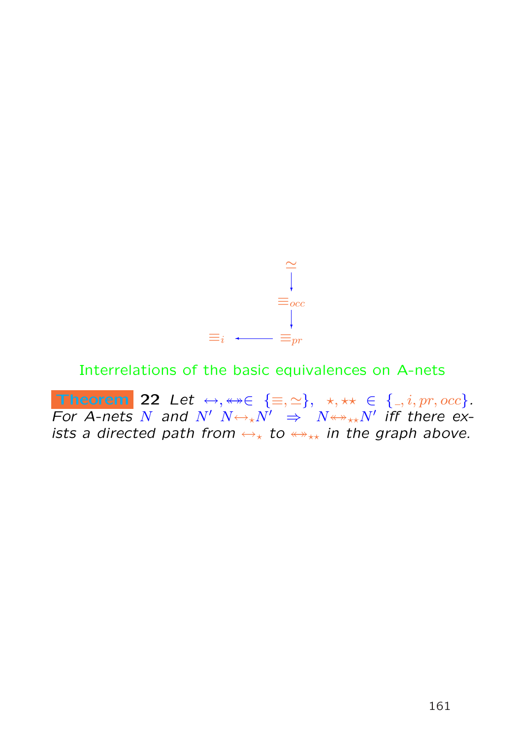

## Interrelations of the basic equivalences on A-nets

Theorem 22 Let  $\leftrightarrow, \leftrightarrow \in \{\equiv, \simeq\}, \star, \star \star \in \{ \_, i, pr, occ \}.$ For A-nets N and  $N'$   $N \leftrightarrow_{\star} N'$   $\Rightarrow$   $N \leftrightarrow_{\star \star} N'$  iff there exists a directed path from  $\leftrightarrow_{\star}$  to  $\leftrightarrow_{\star\star}$  in the graph above.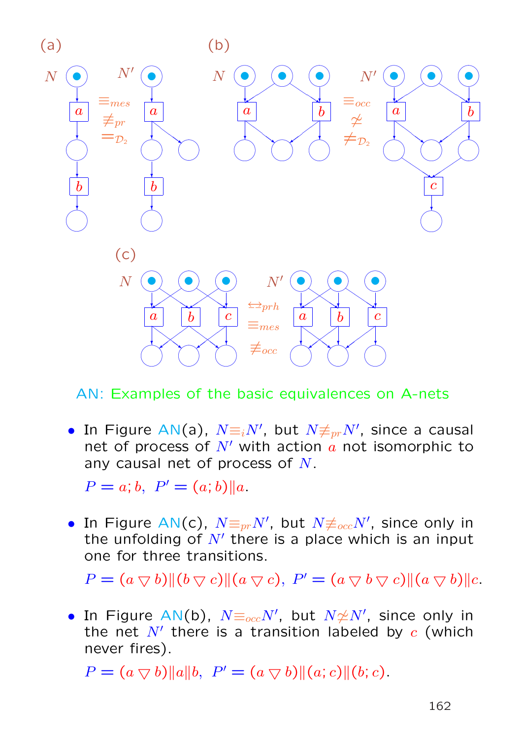

AN: Examples of the basic equivalences on A-nets

• In Figure AN(a),  $N \equiv i N',$  but  $N \not\equiv_{pr} N',$  since a causal net of process of  $N'$  with action  $a$  not isomorphic to any causal net of process of N.

 $P = a$ ; b,  $P' = (a, b) || a$ .

• In Figure AN(c),  $N{\equiv_{pr}}N'$ , but  $N{\not\equiv_{occ}}N'$ , since only in the unfolding of  $N'$  there is a place which is an input one for three transitions.

 $P = (a \bigtriangledown b) \| (b \bigtriangledown c) \| (a \bigtriangledown c), P' = (a \bigtriangledown b \bigtriangledown c) \| (a \bigtriangledown b) \| c.$ 

• In Figure AN(b),  $N\text{F}_{occ}N'$ , but  $N{\not\cong}N'$ , since only in the net  $N'$  there is a transition labeled by  $c$  (which never fires).

 $P = (a \bigtriangledown b) ||a||b, P' = (a \bigtriangledown b) || (a; c) || (b; c).$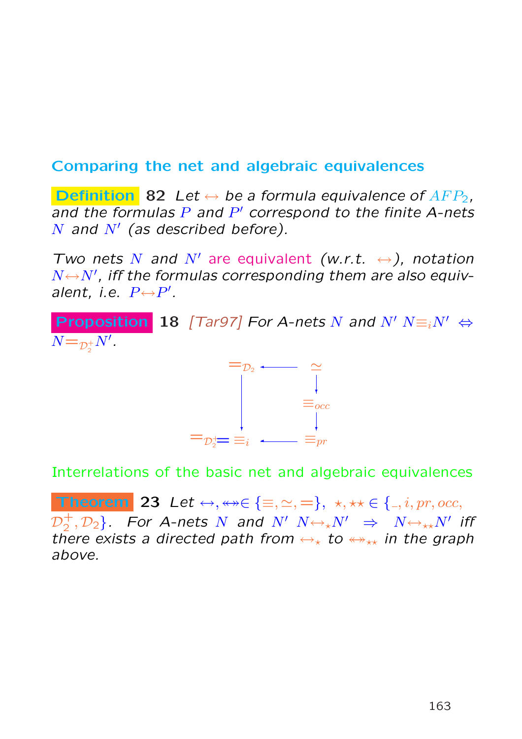# Comparing the net and algebraic equivalences

**Definition** 82 Let  $\leftrightarrow$  be a formula equivalence of AFP<sub>2</sub>. and the formulas  $P$  and  $P'$  correspond to the finite A-nets N and  $N'$  (as described before).

Two nets N and N' are equivalent (w.r.t.  $\leftrightarrow$ ), notation  $N \leftrightarrow N'$ , iff the formulas corresponding them are also equivalent, i.e.  $P \leftrightarrow P'$ .

**Proposition 18** [Tar97] For A-nets N and N'  $N \equiv iN' \Leftrightarrow$  $N = p_{\overline{2}}^+$  $\frac{1}{2}N'$  .



Interrelations of the basic net and algebraic equivalences

Theorem 23 Let  $\leftrightarrow$ ,  $\leftrightarrow\in\{\equiv,\simeq,=\},\,\,\star,\star\star\in\{\_,i,pr,occ,$  $\mathcal{D}_2^+$  $\{(\frac{1}{2},\mathcal{D}_2\}.$  For A-nets  $N$  and  $N'$   $N{\leftrightarrow_\star} N'$   $\Rightarrow$   $N{\leftrightarrow_\star} N'$  iff there exists a directed path from  $\leftrightarrow_{\star}$  to  $\leftrightarrow_{\star\star}$  in the graph above.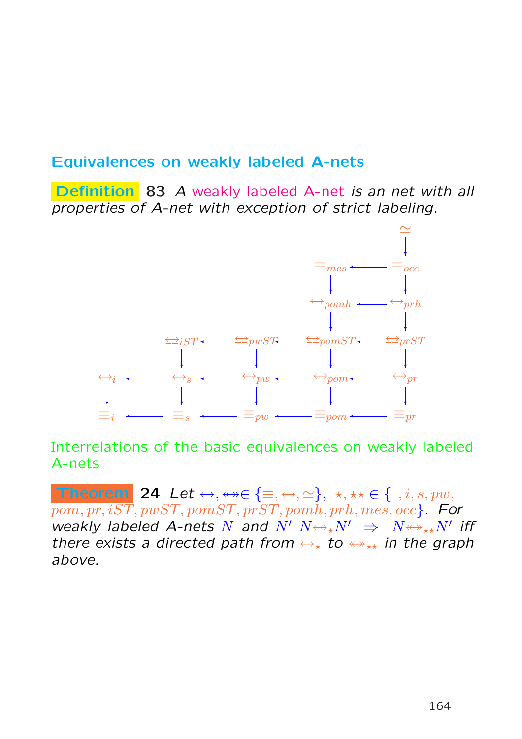### Equivalences on weakly labeled A-nets

Definition 83 A weakly labeled A-net is an net with all properties of A-net with exception of strict labeling.



Interrelations of the basic equivalences on weakly labeled A-nets

Theorem 24 Let  $\leftrightarrow$ ,  $\leftrightarrow\in\{\equiv,\allowbreak\unlhd,\allowbreak\cdot\,\star,\star\star\in\{\_,\,\iota,\allowbreak s,\allowbreak pw,\allowbreak$  $pom, pr, iST, pwST, pomST, prST, pomh, prh, mes, occ$ . For weakly labeled A-nets N and  $N'$   $N \leftrightarrow_{\star} N'$   $\Rightarrow$   $N \leftrightarrow_{\star \star} N'$  iff there exists a directed path from  $\leftrightarrow_{\star}$  to  $\leftrightarrow_{\star\star}$  in the graph above.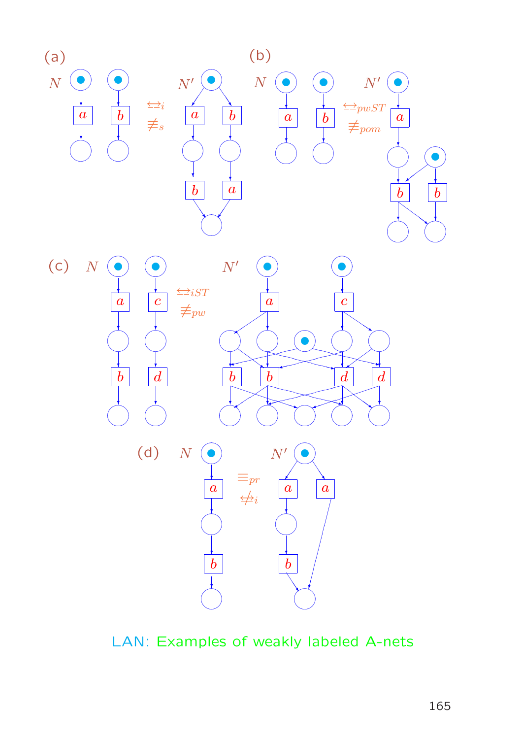

LAN: Examples of weakly labeled A-nets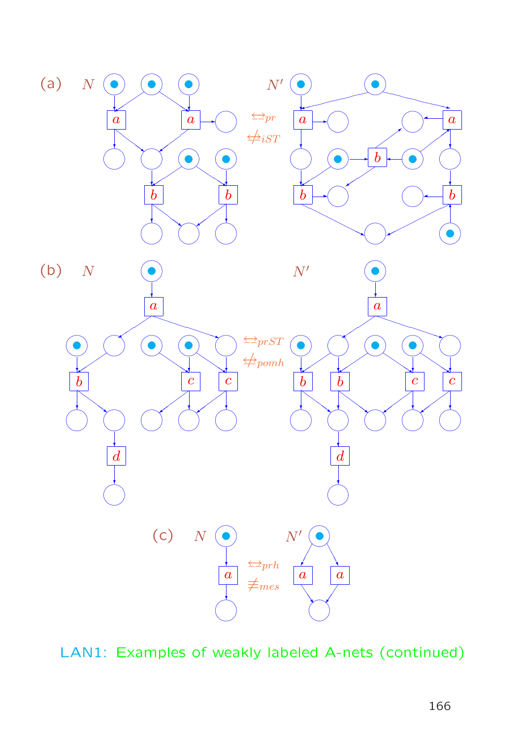

LAN1: Examples of weakly labeled A-nets (continued)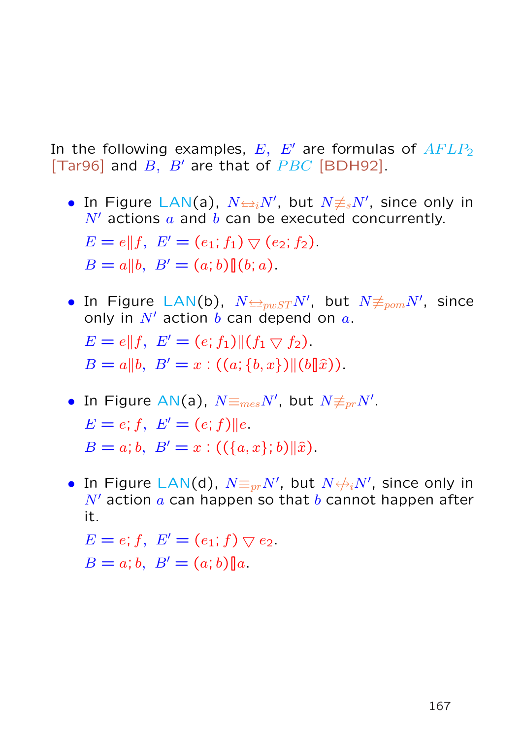In the following examples,  $E$ ,  $E'$  are formulas of  $AFLP_2$ [Tar96] and  $B$ ,  $B'$  are that of  $PBC$  [BDH92].

- In Figure LAN(a),  $N \rightleftharpoons_i N'$ , but  $N \neq_{s} N'$ , since only in  $N'$  actions a and b can be executed concurrently.  $E = e||f, E' = (e_1; f_1) \bigtriangledown (e_2; f_2).$  $B = a||b, B' = (a; b)||(b; a).$
- $\bullet$  In Figure LAN(b),  $N{\triangleleft}p_w s_T N'$ , but  $N{\not\equiv}_{pom}N'$ , since only in  $N'$  action b can depend on  $a$ .  $E = e||f, E' = (e; f_1)||(f_1 \nabla f_2).$  $B = a||b, B' = x : ((a; {b, x})||(b||\hat{x}))$ .
- In Figure AN(a),  $N \equiv_{mes} N'$ , but  $N \not\equiv_{pr} N'$ .  $E = e$ ; f,  $E' = (e; f)$ ||e.  $B = a; b, B' = x : (({a, x}; b) \parallel \hat{x}).$
- In Figure LAN(d),  $N{\equiv_{pr}}N'$ , but  $N{\not\equiv_{i}}N'$ , since only in  $N'$  action a can happen so that b cannot happen after it.

 $E = e; f, E' = (e_1; f) \nabla e_2.$  $B = a; b, B' = (a; b) \| a.$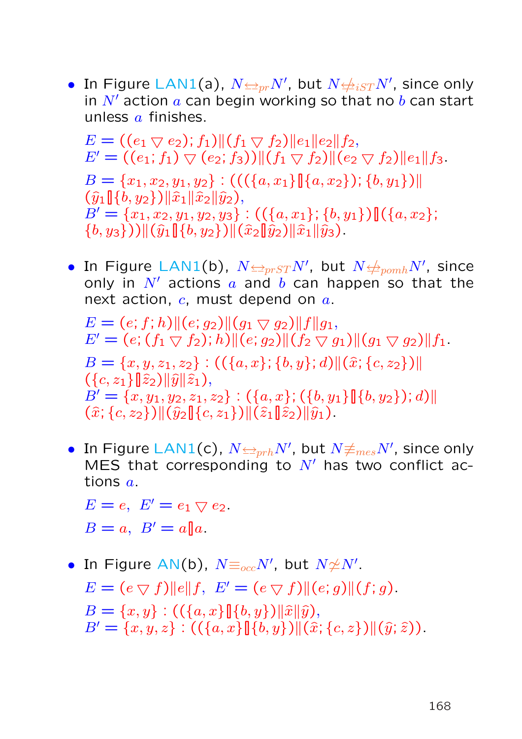• In Figure LAN1(a),  $N{\triangleq_{pr}}N'$ , but  $N{\triangleq_{iST}}N'$ , since only in  $N'$  action  $a$  can begin working so that no  $b$  can start unless  $a$  finishes.

 $E = ((e_1 \bigtriangledown e_2); f_1) || (f_1 \bigtriangledown f_2) || e_1 || e_2 || f_2,$  $E' = ((e_1; f_1) \vee (e_2; f_3))|| (f_1 \vee f_2)|| (e_2 \vee f_2)|| e_1|| f_3.$  $B = \{x_1, x_2, y_1, y_2\} : (((\{a, x_1\}\mathbb{I}\{a, x_2\}); \{b, y_1\})\mathbb{I})$  $(\widehat{y}_1[\},{b},y_2\})\|\widehat{x}_1\|\widehat{x}_2\|\widehat{y}_2),$  $B' = \{x_1, x_2, y_1, y_2, y_3\} : ((\{a, x_1\}; \{b, y_1\}) \mathbf{]}(\{a, x_2\};$  $\{(b, y_3\})\|(\hat{y}_1\|\{b, y_2\})\|(\hat{x}_2\|\hat{y}_2)\|\hat{x}_1\|\hat{y}_3).$ 

 $\bullet$  In Figure LAN1(b),  $N{\triangleq_{prST}}N'$ , but  $N{\triangleq_{pomh}}N'$ , since only in  $N'$  actions a and b can happen so that the next action,  $c$ , must depend on  $a$ .

 $E = (e; f; h) || (e; g_2) || (g_1 \nabla g_2) || f || g_1,$  $E' = (e; (f_1 \nabla f_2); h) || (e; g_2) || (f_2 \nabla g_1) || (g_1 \nabla g_2) || f_1.$  $B = \{x, y, z_1, z_2\} : ((\{a, x\}; \{b, y\}; d) \| (\hat{x}; \{c, z_2\}) \|$  $({c, z<sub>1</sub>}||\hat{z}<sub>2</sub>)||\hat{y}||\hat{z}<sub>1</sub>),$  $B' = \{x, y_1, y_2, z_1, z_2\} : (\{a, x\}; (\{b, y_1\}][\{b, y_2\}); d)$  $(\hat{x}; \{c, z_2\}) \|(\hat{y}_2\|\{c, z_1\}) \|(\hat{z}_1\|\hat{z}_2)\|\hat{y}_1).$ 

 $\bullet \,$  In Figure LAN $1($ c $), \, N{\trianglelefteq_{prh}}N',$  but  $N{\not\equiv_{mes}}N',$  since only MES that corresponding to  $N'$  has two conflict actions a.

 $E = e$ ,  $E' = e_1 \nabla e_2$ .  $B = a$ ,  $B' = a||a$ .

• In Figure AN(b),  $N {\equiv_{occ}} N'$ , but  $N {\not\cong} N'.$  $E = (e \nabla f) ||e|| f, E' = (e \nabla f) ||(e; g)||(f; g).$  $B = \{x, y\} : ((\{a, x\} \llbracket \{b, y\}) \parallel \hat{x} \parallel \hat{y}),$  $B' = \{x, y, z\} : ((\{a, x\} \| \{b, y\}) \| (\hat{x}; \{c, z\}) \| (\hat{y}; \hat{z})).$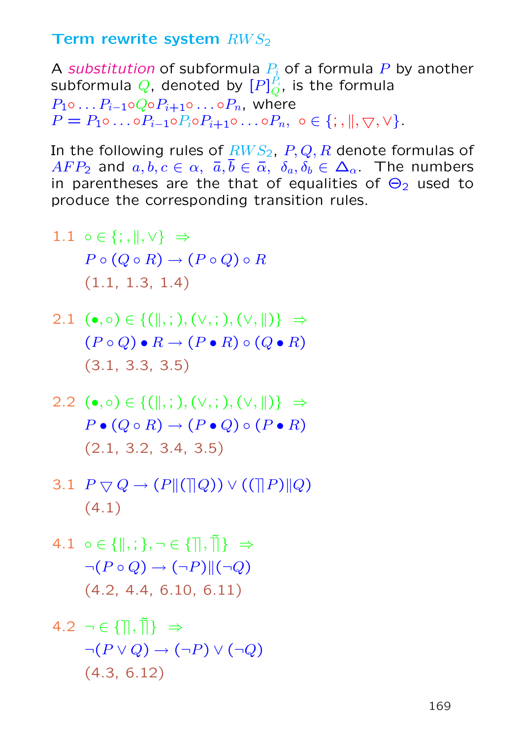### Term rewrite system  $RWS<sub>2</sub>$

A substitution of subformula  $P_i$  of a formula P by another subformula  $Q$ , denoted by  $[P]_{O}^{\tilde{P}_{i}}$  $\frac{P_i}{Q}$ , is the formula  $P_1 \circ \ldots P_{i-1} \circ Q \circ P_{i+1} \circ \ldots \circ P_n$ , where  $P = P_1 \circ \ldots \circ P_{i-1} \circ P_i \circ P_{i+1} \circ \ldots \circ P_n, \sigma \in \{ ; , \| , \bigtriangledown, \vee \}.$ 

In the following rules of  $RWS_2$ ,  $P, Q, R$  denote formulas of  $AFP_2$  and  $a, b, c \in \alpha$ ,  $\overline{a}, \overline{b} \in \overline{\alpha}$ ,  $\delta_a, \delta_b \in \Delta_\alpha$ . The numbers in parentheses are the that of equalities of  $\Theta_2$  used to produce the corresponding transition rules.

- 1.1  $\circ \in \{ ; , \| , \vee \} \Rightarrow$  $P \circ (Q \circ R) \to (P \circ Q) \circ R$ (1.1, 1.3, 1.4)
- 2.1  $(\bullet, \circ) \in \{(\parallel, ;), (\vee, ;), (\vee, \parallel)\} \Rightarrow$  $(P \circ Q) \bullet R \to (P \bullet R) \circ (Q \bullet R)$ (3.1, 3.3, 3.5)
- 2.2 (•, ∘)  $\in \{ (\parallel, ;), (\vee, ;), (\vee, \parallel) \} \Rightarrow$  $P \bullet (Q \circ R) \to (P \bullet Q) \circ (P \bullet R)$ (2.1, 3.2, 3.4, 3.5)
- 3.1  $P \bigtriangledown Q \rightarrow (P \| (\bigtriangleup Q)) \vee ((\bigtriangleup P) \| Q)$ (4.1)
- 4.1  $\circ \in \{ \parallel, ; \}$ ,  $\neg \in \{ \parallel, \tilde{\parallel} \} \Rightarrow$  $\neg (P \circ Q) \rightarrow (\neg P) \| (\neg Q)$ (4.2, 4.4, 6.10, 6.11)

$$
4.2 \neg \in \{\parallel, \parallel\} \Rightarrow
$$

$$
\neg (P \lor Q) \rightarrow (\neg P) \lor (\neg Q)
$$

$$
(4.3, 6.12)
$$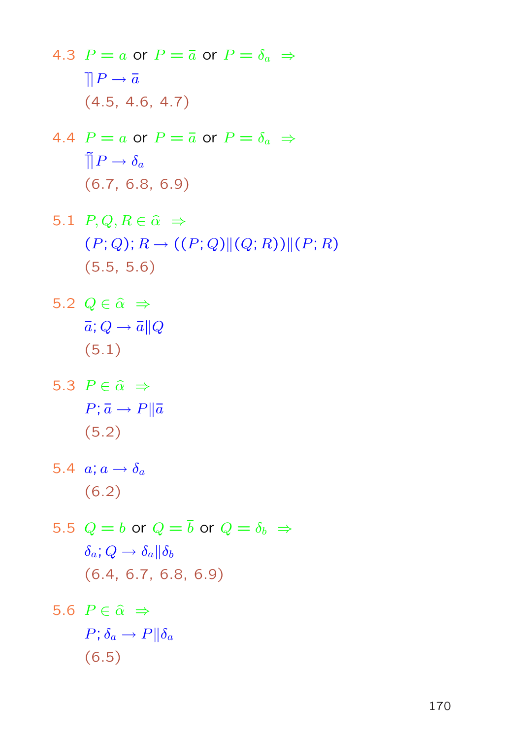4.3  $P = a$  or  $P = \overline{a}$  or  $P = \delta_a \Rightarrow$  $\prod P \to \overline{a}$ (4.5, 4.6, 4.7)

- 4.4  $P = a$  or  $P = \overline{a}$  or  $P = \delta_a \Rightarrow$  $\tilde{\Pi}P \to \delta_a$ (6.7, 6.8, 6.9)
- 5.1  $P, Q, R \in \hat{\alpha} \Rightarrow$  $(P; Q); R \rightarrow ((P; Q) || (Q; R)) || (P; R)$ (5.5, 5.6)
- 5.2  $Q \in \hat{\alpha} \Rightarrow$  $\overline{a}$ ;  $Q \rightarrow \overline{a} || Q$ (5.1)
- 5.3  $P \in \hat{\alpha} \Rightarrow$  $P; \bar{a} \rightarrow P || \bar{a}$ (5.2)
- 5.4  $a; a \rightarrow \delta_a$ (6.2)
- 5.5  $Q = b$  or  $Q = \overline{b}$  or  $Q = \delta_b \Rightarrow$  $\delta_a$ ;  $Q \rightarrow \delta_a || \delta_b$ (6.4, 6.7, 6.8, 6.9)

5.6 
$$
P \in \hat{\alpha} \Rightarrow
$$
  
\n $P; \delta_a \rightarrow P || \delta_a$   
\n(6.5)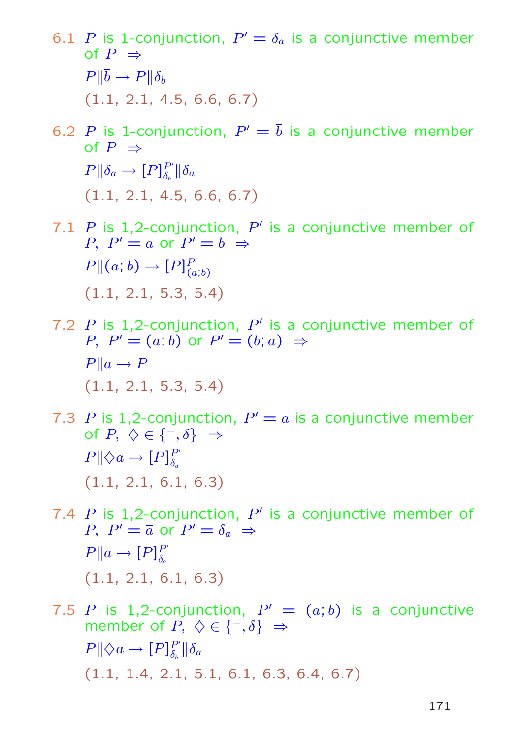- 6.1 P is 1-conjunction,  $P' = \delta_a$  is a conjunctive member of  $P \Rightarrow$  $P\Vert \overline{b} \to P\Vert \delta_b$ (1.1, 2.1, 4.5, 6.6, 6.7)
- 6.2 P is 1-conjunction,  $P' = \overline{b}$  is a conjunctive member of  $P \Rightarrow$  $P\Vert \delta_a \to [P]_{\delta_a}^{P'}$  $\frac{P'}{\delta_b} \| \delta_a$ (1.1, 2.1, 4.5, 6.6, 6.7)
- 7.1 P is 1,2-conjunction,  $P'$  is a conjunctive member of P,  $P' = a$  or  $P' = b \Rightarrow$  $P\|(a;b)\rightarrow [P]_{\ell_a}^{P'}$  $(a;b)$ (1.1, 2.1, 5.3, 5.4)
- 7.2 P is 1,2-conjunction,  $P'$  is a conjunctive member of  $P, P' = (a; b)$  or  $P' = (b; a) \Rightarrow$  $P||a \rightarrow P$ (1.1, 2.1, 5.3, 5.4)
- 7.3 P is 1,2-conjunction,  $P' = a$  is a conjunctive member of  $P, \Diamond \in \{-,\delta\} \Rightarrow$  $P \parallel \Diamond a \rightarrow [P]_{\delta}^{P'}$  $\delta_a$ (1.1, 2.1, 6.1, 6.3)
- 7.4 P is 1,2-conjunction,  $P'$  is a conjunctive member of P,  $P' = \overline{a}$  or  $P' = \delta_a \Rightarrow$  $P||a \rightarrow [P]_8^{P'}$  $\delta_a$ (1.1, 2.1, 6.1, 6.3)
- 7.5 P is 1,2-conjunction,  $P' = (a, b)$  is a conjunctive member of  $P, \Diamond \in \{^-, \delta\} \Rightarrow$  $P \parallel \Diamond a \rightarrow [P]_{\delta}^{P'}$  $_{\delta_{b}}^{P^{\prime}}\Vert\delta_{a}% ^{a}\Vert_{L^{2}\mathfrak{b}}^{a}$ (1.1, 1.4, 2.1, 5.1, 6.1, 6.3, 6.4, 6.7)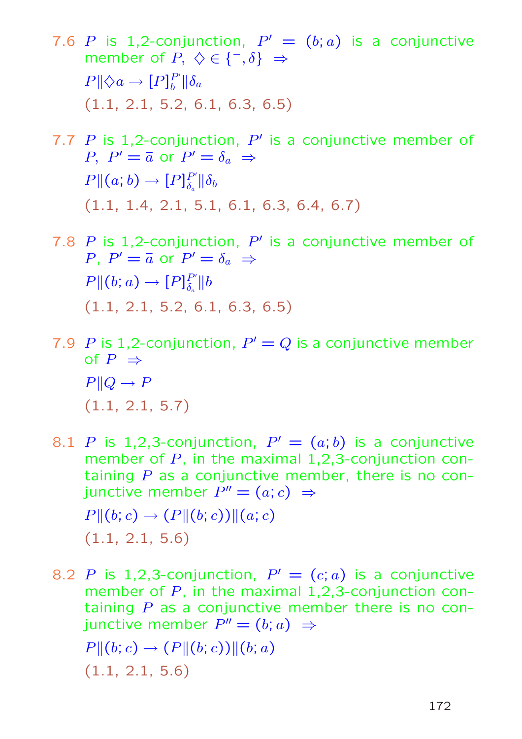- 7.6 P is 1,2-conjunction,  $P' = (b; a)$  is a conjunctive member of  $P, \Diamond \in \{^-, \delta\} \Rightarrow$  $P \parallel \Diamond a \rightarrow [P]_b^{P'}$  $_{b}^{P^{\prime}}\Vert\delta_{a}% ^{p}\Vert_{_{\Delta\left( 1\right) }^{p^{\prime}}}.$ (1.1, 2.1, 5.2, 6.1, 6.3, 6.5)
- 7.7 P is 1,2-conjunction,  $P'$  is a conjunctive member of P,  $P' = \overline{a}$  or  $P' = \delta_a \Rightarrow$  $P\|(a;b)\rightarrow [P]_{\delta}^{P'}$  $\frac{P'}{\delta_a} \| \delta_b$ (1.1, 1.4, 2.1, 5.1, 6.1, 6.3, 6.4, 6.7)
- 7.8 P is 1,2-conjunction,  $P'$  is a conjunctive member of P,  $P' = \overline{a}$  or  $P' = \delta_a \Rightarrow$  $P\|(b; a) \to [P]_{\delta}^{P'}$  $_{\delta_a}^{P'}\|b$ (1.1, 2.1, 5.2, 6.1, 6.3, 6.5)
- 7.9 P is 1,2-conjunction,  $P' = Q$  is a conjunctive member of  $P \Rightarrow$  $P||Q \to P$ (1.1, 2.1, 5.7)
- 8.1 P is 1,2,3-conjunction,  $P' = (a, b)$  is a conjunctive member of  $P$ , in the maximal 1,2,3-conjunction containing  $P$  as a conjunctive member, there is no conjunctive member  $P''=(a;c)\;\Rightarrow\;$  $P||(b;c) \rightarrow (P||(b;c))||(a;c)$ (1.1, 2.1, 5.6)
- 8.2 P is 1,2,3-conjunction,  $P' = (c; a)$  is a conjunctive member of  $P$ , in the maximal 1,2,3-conjunction containing  $P$  as a conjunctive member there is no conjunctive member  $P''=(b;a) \; \Rightarrow \;$  $P||(b;c) \rightarrow (P||(b;c))||(b;a)$ (1.1, 2.1, 5.6)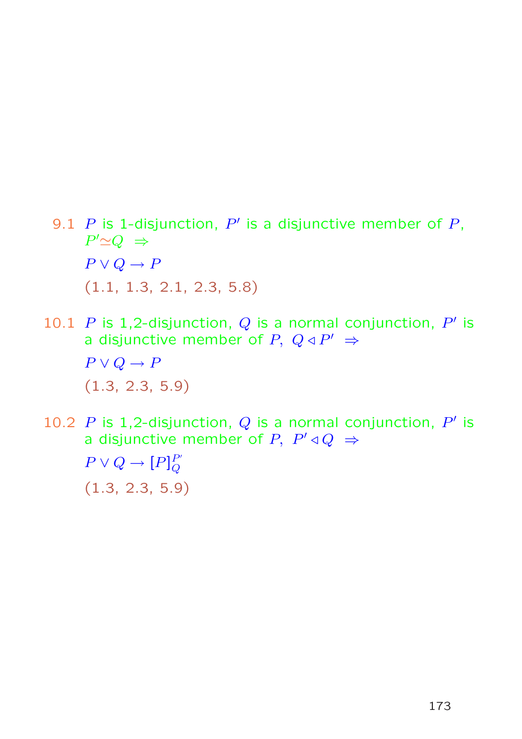- 9.1 P is 1-disjunction, P' is a disjunctive member of P,  $P' \simeq Q \Rightarrow$  $P \vee Q \rightarrow P$ (1.1, 1.3, 2.1, 2.3, 5.8)
- 10.1 P is 1,2-disjunction, Q is a normal conjunction, P' is a disjunctive member of P,  $Q \triangleleft P' \Rightarrow$  $P \vee Q \rightarrow P$ (1.3, 2.3, 5.9)
- 10.2 P is 1,2-disjunction, Q is a normal conjunction, P' is a disjunctive member of P,  $P' \triangleleft Q \Rightarrow$

 $P \vee Q \rightarrow [P]_Q^{P'}$  $\overline{Q}$ (1.3, 2.3, 5.9)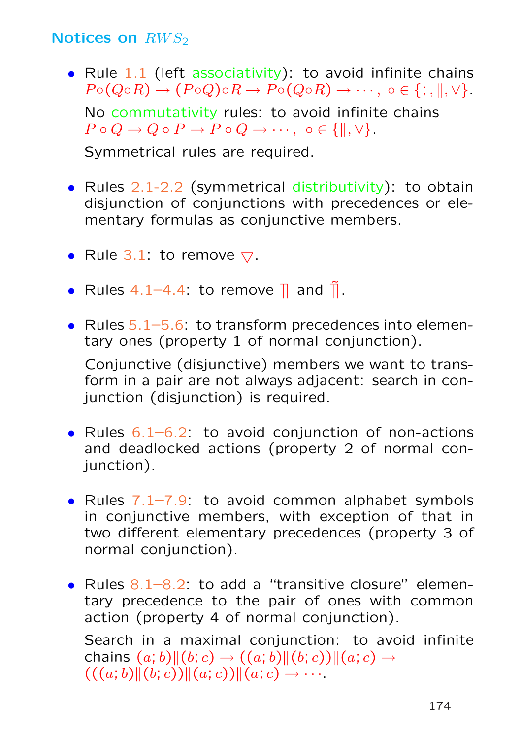### Notices on  $RWS<sub>2</sub>$

• Rule 1.1 (left associativity): to avoid infinite chains  $P \circ (Q \circ R) \to (P \circ Q) \circ R \to P \circ (Q \circ R) \to \cdots$ ,  $\circ \in \{; \, , \, \|, \vee\}.$ 

No commutativity rules: to avoid infinite chains  $P \circ Q \to Q \circ P \to P \circ Q \to \cdots$ ,  $\circ \in \{ \parallel, \vee \}.$ 

Symmetrical rules are required.

- Rules 2.1-2.2 (symmetrical distributivity): to obtain disjunction of conjunctions with precedences or elementary formulas as conjunctive members.
- Rule 3.1: to remove  $\nabla$ .
- Rules 4.1–4.4: to remove  $\parallel$  and  $\parallel$ .
- Rules 5.1–5.6: to transform precedences into elementary ones (property 1 of normal conjunction).

Conjunctive (disjunctive) members we want to transform in a pair are not always adjacent: search in conjunction (disjunction) is required.

- Rules  $6.1-6.2$ : to avoid conjunction of non-actions and deadlocked actions (property 2 of normal coniunction).
- Rules  $7.1-7.9$ : to avoid common alphabet symbols in conjunctive members, with exception of that in two different elementary precedences (property 3 of normal conjunction).
- Rules 8.1–8.2: to add a "transitive closure" elementary precedence to the pair of ones with common action (property 4 of normal conjunction). Search in a maximal conjunction: to avoid infinite

chains  $(a; b)$  $\|(b; c) \rightarrow ((a; b)$  $\|(b; c))\|(a; c) \rightarrow$  $((a; b) \| (b; c)) \| (a; c)) \| (a; c) \rightarrow \cdots$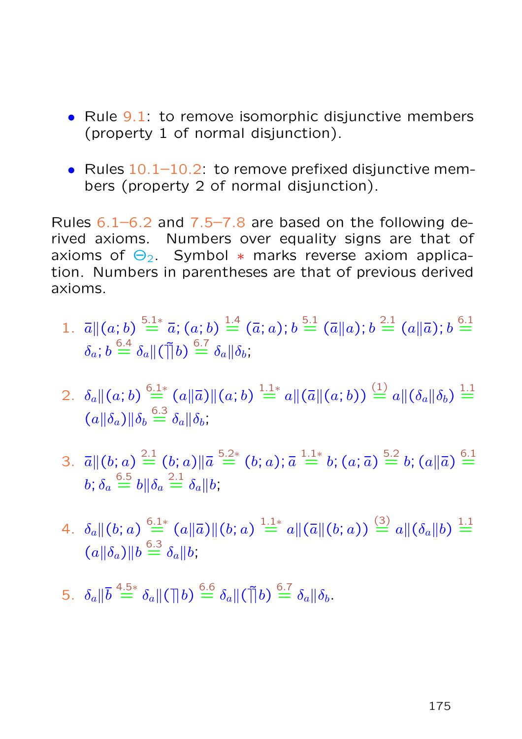- Rule 9.1: to remove isomorphic disjunctive members (property 1 of normal disjunction).
- Rules  $10.1-10.2$ : to remove prefixed disjunctive members (property 2 of normal disjunction).

Rules  $6.1-6.2$  and  $7.5-7.8$  are based on the following derived axioms. Numbers over equality signs are that of axioms of  $\Theta_2$ . Symbol  $*$  marks reverse axiom application. Numbers in parentheses are that of previous derived axioms.

- 1.  $\bar{a} \parallel (a;b) \stackrel{5.1*}{=} \bar{a}$ ;  $(a;b) \stackrel{1.4}{=} (\bar{a};a)$ ;  $b \stackrel{5.1}{=} (\bar{a} \parallel a)$ ;  $b \stackrel{2.1}{=} (a \parallel \bar{a})$ ;  $b \stackrel{6.1}{=}$  $\delta_a;b\stackrel{6.4}{=}\delta_a\|(\tilde{\mathcal{a}}\|b)\stackrel{6.7}{=}\delta_a\|\delta_b;$
- $2. \ \ \delta_a \|(a;b) \stackrel{6.1*}{=} (a\|\bar{a}) \|(a;b) \stackrel{1.1*}{=} a \|( \bar{a} \|(a;b)) \stackrel{(1)}{=} a \|(\delta_a\|\delta_b) \stackrel{1.1}{=}$  $(a||\delta_a)||\delta_b \stackrel{6.3}{=} \delta_a ||\delta_b;$
- 3.  $\bar{a} \parallel (b; a) \stackrel{2.1}{=} (b; a) \parallel \bar{a} \stackrel{5.2*}{=} (b; a); \bar{a} \stackrel{1.1*}{=} b; (a; \bar{a}) \stackrel{5.2}{=} b; (a \parallel \bar{a}) \stackrel{6.1}{=}$  $b;\delta_a\stackrel{6.5}{=}b\|\delta_a\stackrel{2.1}{=}\delta_a\|b;$
- $4. \ \ \delta_a \|(b;a)\stackrel{6.1*}{=} (a\|\bar a)\|(b;a)\stackrel{1.1*}{=} a\|(\bar a\|(b;a))\stackrel{(3)}{=} a\|(\delta_a\|b)\stackrel{1.1}{=}$  $(a||\delta_a)||b \stackrel{6.3}{=} \delta_a||b;$
- 5.  $\delta_a \|\bar{b} \stackrel{4.5*}{=} \delta_a \|(\bar{b}) \stackrel{6.6}{=} \delta_a \|(\bar{b}) \stackrel{6.7}{=} \delta_a \|b$ .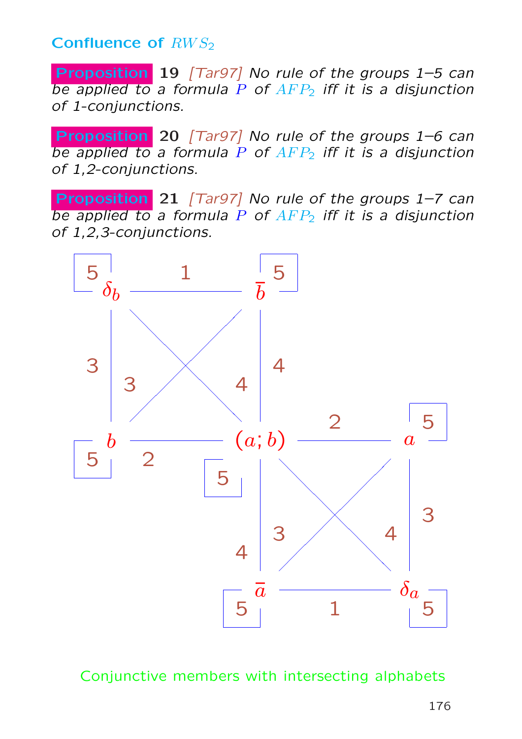Confluence of  $RWS<sub>2</sub>$ 

Proposition 19 [Tar97] No rule of the groups 1–5 can be applied to a formula P of  $AFP<sub>2</sub>$  iff it is a disjunction of 1-conjunctions.

Proposition 20 [Tar97] No rule of the groups 1–6 can be applied to a formula P of  $AFP<sub>2</sub>$  iff it is a disjunction of 1,2-conjunctions.

Proposition 21 [Tar97] No rule of the groups 1-7 can be applied to a formula P of  $AFP<sub>2</sub>$  iff it is a disjunction of 1,2,3-conjunctions.



Conjunctive members with intersecting alphabets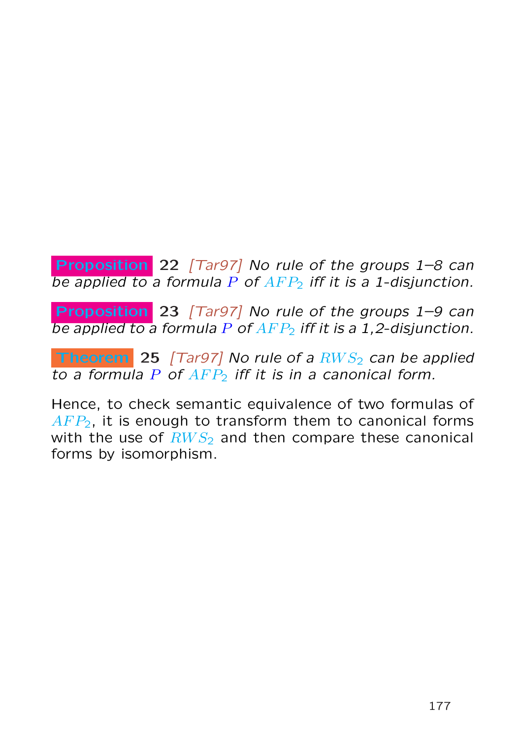Proposition 22 [Tar97] No rule of the groups 1–8 can be applied to a formula  $P$  of  $AFP<sub>2</sub>$  iff it is a 1-disjunction.

Proposition 23 [Tar97] No rule of the groups 1–9 can be applied to a formula P of  $AFP<sub>2</sub>$  iff it is a 1,2-disjunction.

**Theorem** 25 [Tar97] No rule of a  $RWS<sub>2</sub>$  can be applied to a formula  $P$  of  $AFP<sub>2</sub>$  iff it is in a canonical form.

Hence, to check semantic equivalence of two formulas of  $AFP<sub>2</sub>$ , it is enough to transform them to canonical forms with the use of  $RWS<sub>2</sub>$  and then compare these canonical forms by isomorphism.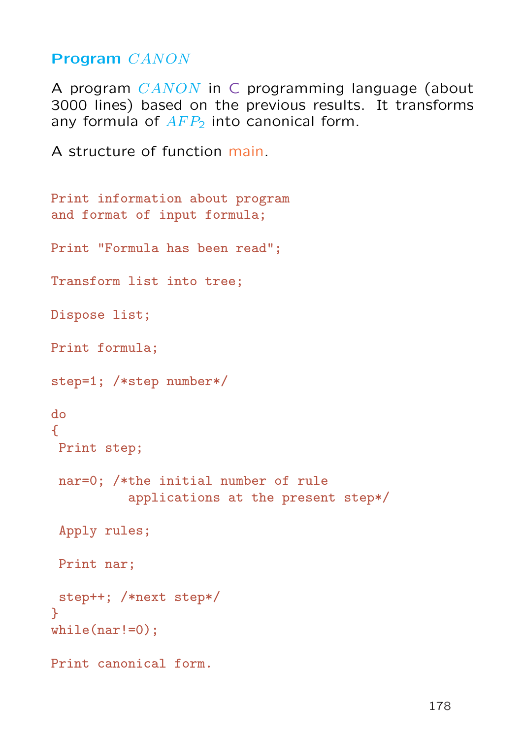Program CANON

A program CANON in C programming language (about 3000 lines) based on the previous results. It transforms any formula of  $AFP<sub>2</sub>$  into canonical form.

A structure of function main.

```
Print information about program
and format of input formula;
Print "Formula has been read";
Transform list into tree;
Dispose list;
Print formula;
step=1; /*step number*/
do
\mathcal{F}Print step;
 nar=0; /*the initial number of rule
          applications at the present step*/
 Apply rules;
 Print nar;
 step++; /*next step*/
}
while(nar!=0):
Print canonical form.
```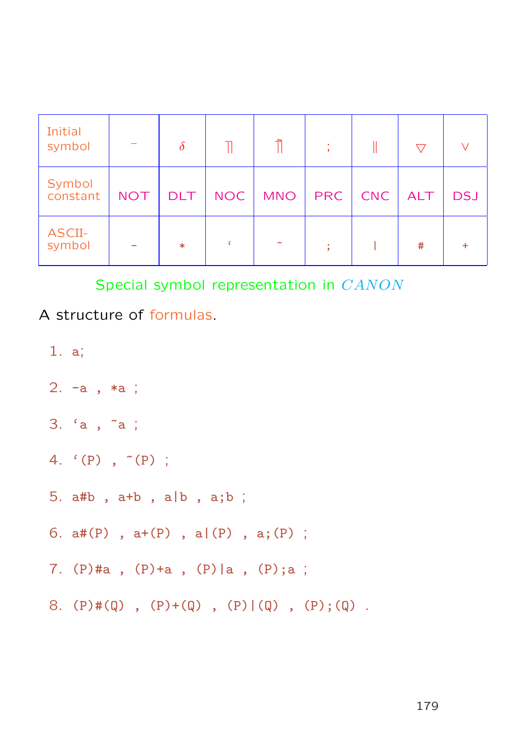| Initial<br>symbol  |            | $\delta$   |            | ñ                     | ж.  |     | 77  |            |
|--------------------|------------|------------|------------|-----------------------|-----|-----|-----|------------|
| Symbol<br>constant | <b>NOT</b> | <b>DLT</b> | <b>NOC</b> | <b>MNO</b>            | PRC | CNC | ALT | <b>DSJ</b> |
| ASCII-<br>symbol   |            | $\ast$     |            | $\tilde{\phantom{a}}$ | ÷   |     | #   |            |

Special symbol representation in CANON

A structure of formulas.

- 1. a;
- 2. -a , \*a ;
- 3. 'a , ~a ;
- 4.  $(P)$ ,  $P(P)$ ;
- 5. a#b , a+b , a|b , a;b ;
- 6.  $a#(P)$ ,  $a+(P)$ ,  $a|(P)$ ,  $a;(P)$ ;
- 7. (P)#a , (P)+a , (P)|a , (P);a ;
- 8. (P)#(Q), (P)+(Q), (P)|(Q), (P);(Q).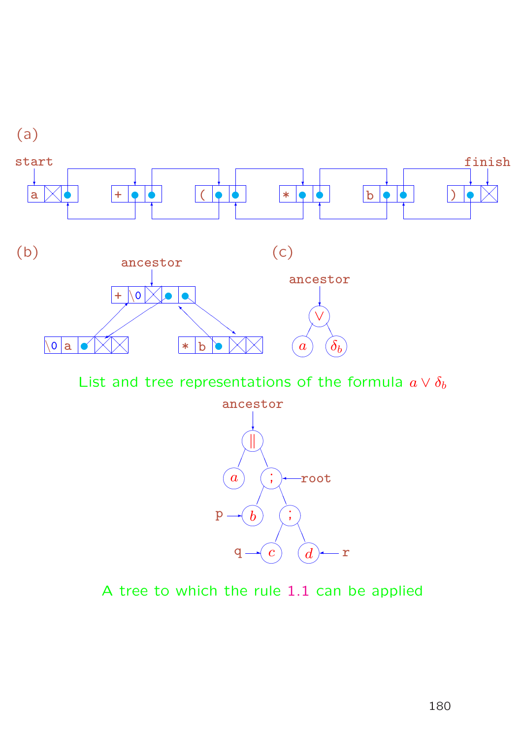

List and tree representations of the formula  $a \vee \delta_b$ 



A tree to which the rule 1.1 can be applied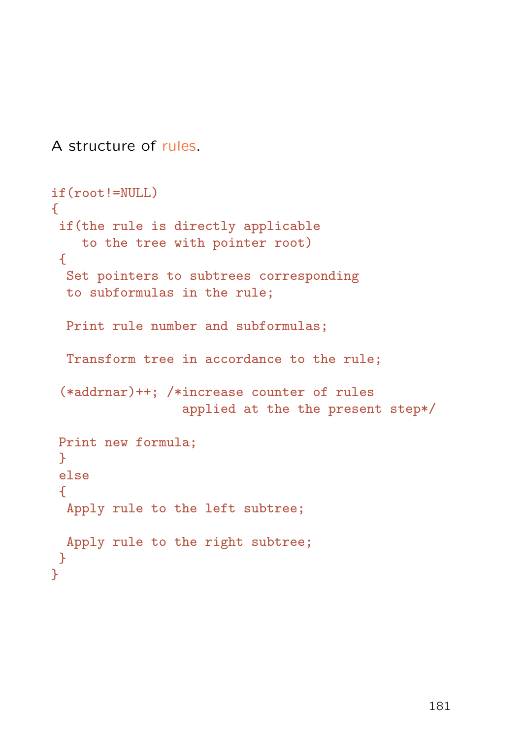A structure of rules.

```
if(root!=NULL)
\sqrt{2}if(the rule is directly applicable
    to the tree with pointer root)
 \{Set pointers to subtrees corresponding
  to subformulas in the rule;
 Print rule number and subformulas;
  Transform tree in accordance to the rule;
 (*addrnar)++; /*increase counter of rules
                  applied at the the present step*/
Print new formula;
 }
 else
 \mathcal{F}Apply rule to the left subtree;
 Apply rule to the right subtree;
}
}
```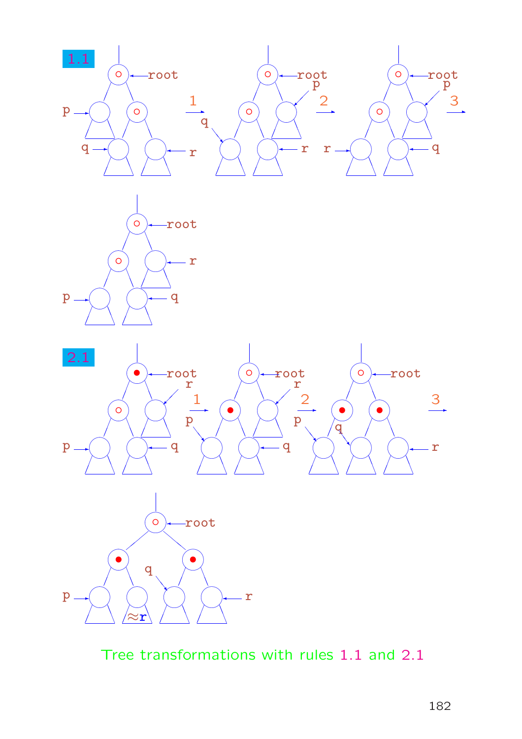





Tree transformations with rules 1.1 and 2.1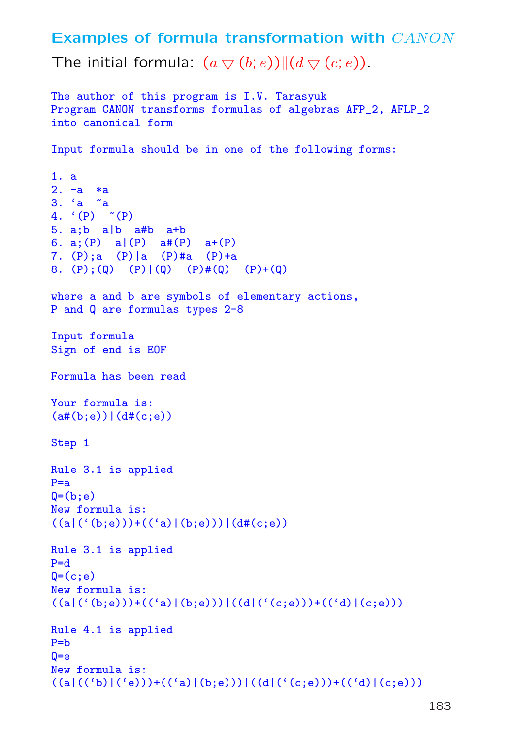Examples of formula transformation with CANON The initial formula:  $(a \bigtriangledown (b; e)) || (d \bigtriangledown (c; e))$ .

```
The author of this program is I.V. Tarasyuk
Program CANON transforms formulas of algebras AFP_2, AFLP_2
into canonical form
Input formula should be in one of the following forms:
1. a
2. -a *a
3. 'a ~a
4. (P) \sim (P)
5. a;b a|b a#b a+b
6. a; (P) a (P) a#(P) a + (P)
7. (P);a (P)|a (P)#a (P)+a
8. (P); (Q) (P)|(Q) (P)#(Q) (P)+(Q)
where a and b are symbols of elementary actions,
P and Q are formulas types 2-8
Input formula
Sign of end is EOF
Formula has been read
Your formula is:
(a#(b; e))|(d#(c; e))Step 1
Rule 3.1 is applied
P=aQ=(b; e)New formula is:
((a)((b; e)))+((d)(b; e)))(d#(c; e))Rule 3.1 is applied
P=dQ=(c;e)New formula is:
((a|({'(\mathbf{b};\mathbf{e})}))+({'(\mathbf{a})|(\mathbf{b};\mathbf{e})}))|((d|({'(\mathbf{c};\mathbf{e})}))+({'(\mathbf{d})|(\mathbf{c};\mathbf{e})}))Rule 4.1 is applied
P=bQ = eNew formula is:
((a|(('b)|('e)))+(('a)|(b;e)))|((d|('(c;e)))+(('d)|(c;e)))
```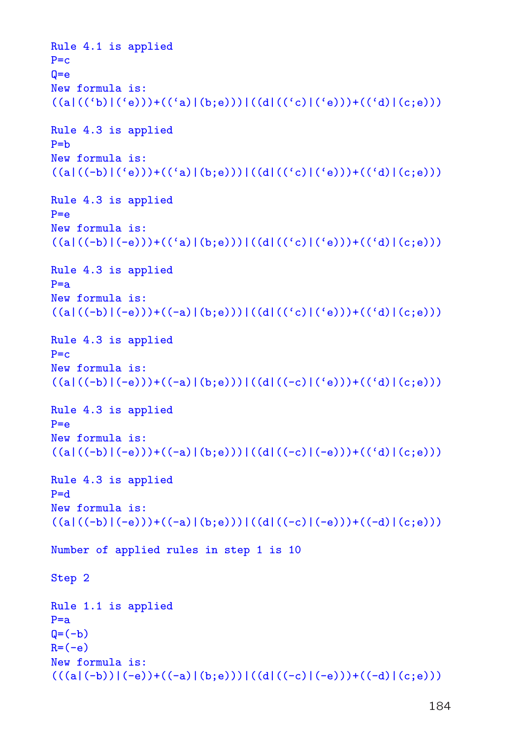```
Rule 4.1 is applied
P = cQ = eNew formula is:
((a|(('b)|('e)))+(('a)|(b;e)))|((d|(('c)|('e)))+(('d)|(c;e)))Rule 4.3 is applied
P = bNew formula is:
((a|((-b)|('e)))+((a')(b;e)))|((d|((c')|('e)))+((d')(c;e)))Rule 4.3 is applied
P = eNew formula is:
((a|((-b)|(-e)))+((a)(b;e)))(d|((c)|('e)))+((d)(c;e)))Rule 4.3 is applied
P=aNew formula is:
((a|((-b)|(-e)))+((-a)|(b;e)))|((d|((c|)(e)))+((d|((c;e)))Rule 4.3 is applied
P = cNew formula is:
((a|((-b)|(-e)))+((-a)|(b;e)))|((d|((-c)|('e)))+((d)|(c;e)))Rule 4.3 is applied
P = eNew formula is:
((a)((-b)|(-e)))+((-a)|(b;e)))|((d|((-c)|(-e)))+((d)|(c;e)))Rule 4.3 is applied
P=dNew formula is:
((a)((-b)|(-e)))+((-a)|(b;e)))|((d|((-c)|(-e)))+((-d)|(c;e)))Number of applied rules in step 1 is 10
Step 2
Rule 1.1 is applied
P=aQ=(-b)R=(-e)New formula is:
((a|(-b))|(-e)) + ((-a) |(b; e)))|((d|((-c)|(-e))) + ((-d) |(c; e)))
```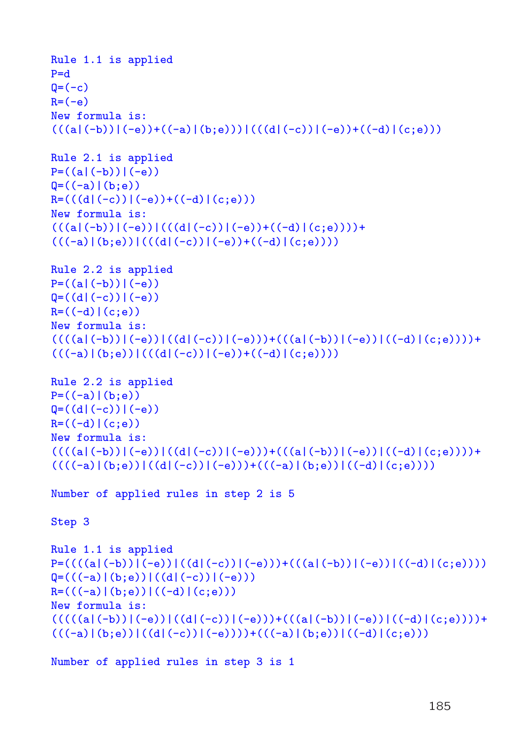```
Rule 1.1 is applied
P = dQ=(-c)R=(-e)New formula is:
((a|(-b))|(-e)) + ((-a) |(b; e)))|(((d|(-c))|(-e)) + ((-d) |(c; e)))Rule 2.1 is applied
P = ((a|(-b))|(-e))Q = ((-a) | (b; e))R = ((d|(-c))|(-e)) + ((-d) | (c;e)))New formula is:
(( (a)(-b))|(-e))|((d)(-c))|(-e))+((-d)(c;e))))+(((-a)|(b; e))|(((d|(-c))|(-e)) + ((-d)|(c; e))))Rule 2.2 is applied
P = ((a|(-b))|(-e))Q = ((d|(-c))|(-e))R = ((-d) | (c; e))New formula is:
((((a|(-b))|(-e))|((d|(-c))|(-e)))+(((a|(-b))|(-e))|((-d)|(c,e))))+(((-a)|(b; e))|(((d|(-c))|(-e)) + ((-d)|(c; e))))Rule 2.2 is applied
P = ((-a) | (b; e))Q = ((d|(-c))|(-e))R = ((-d) | (c; e))New formula is:
((((a|(-b))|(-e))|((d|(-c))|(-e)))+(((a|(-b))|(-e))|((-d)|(c;e))))((((-a)|(b; e))|((d|(-c))|(-e)))+(((-a)|(b; e))|((-d)|(c; e))))Number of applied rules in step 2 is 5
Step 3
Rule 1.1 is applied
P=((((a|(-b))|(-e))|((d|(-c))|(-e)))+(((a|(-b))|(-e))|((-d)|(c;e))))Q=(((-a)|(b; e))|((d|(-c))|(-e)))R = (((-a) | (b; e)) | ((-d) | (c; e)))New formula is:
((((a|(-b))|(-e))|((d|(-c))|(-e)))+(((a|(-b))|(-e))|((-d)|(c;e))))+(((-a)|(b; e))|((d|(-c))|(-e))))+(((-a)|(b; e))|((-d)|(c; e)))
```
Number of applied rules in step 3 is 1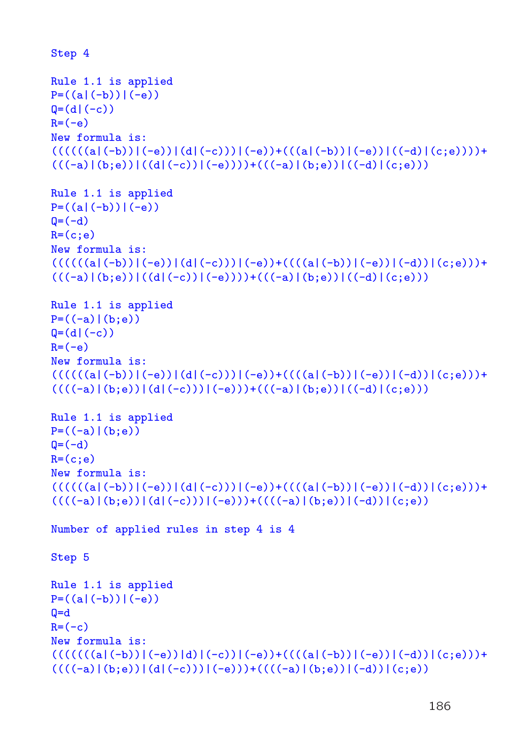```
Step 4
Rule 1.1 is applied
P = ((a|(-b))|(-e))Q=(d|(-c))R=(-e)New formula is:
(((((a|(-b))|(-e))|(d|(-c)))((-e)) + (((a|(-b))|(-e))|((-d)|(c;e)))) +(((-a)|(b; e))|((d|(-c))|(-e))))+(((-a)|(b; e))|((-d)|(c; e)))Rule 1.1 is applied
P = ((a|(-b))|(-e))Q=(-d)R=(c;e)New formula is:
(((((a|(-b))|(-e))|(d|(-c)))((-e)) +(((a|(-b))|(-e))|(-d))|(c;e))) +(((-a)|(b; e))|((d|(-c))|(-e))))+(((-a)|(b; e))|((-d)|(c; e)))Rule 1.1 is applied
P = ((-a) | (b; e))Q=(d|(-c))R=(-e)New formula is:
(((((a|(-b))|(-e))|(d|(-c)))((-e)) +(((a|(-b))|(-e))|(-d))|(c;e))) +((((-a)|(b; e))|(d|(-c)))((-e)))+(((-a)|(b; e))|((-d)|(c; e)))Rule 1.1 is applied
P = ((-a) | (b; e))Q=(-d)R=(c;e)New formula is:
(((((a|(-b))|(-e))|(d|(-c)))((-e)) +(((a|(-b))|(-e))|(-d))|(c;e))) +((((-a)|(b; e))|(d|(-c)))((-e)))+((((-a)|(b; e))|(-d))|(c; e))Number of applied rules in step 4 is 4
Step 5
Rule 1.1 is applied
P = ((a|(-b))|(-e))Q=dR=(-c)New formula is:
(((((((a|(-b))|(-e))|d)|(-c))|(-e)) + (((((a|(-b))|(-e))|(-d))|(-c))) +((((-a)|(b; e))|(d|(-c)))((-e)))+((((-a)|(b; e))|(-d))|(c; e))
```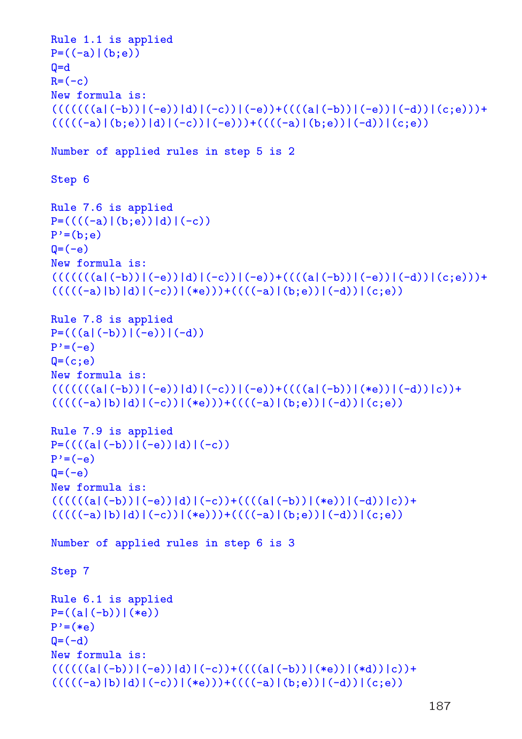```
Rule 1.1 is applied
P = ((-a) | (b; e))Q=dR=(-c)New formula is:
(((((((a|(-b))|(-e))|d)|(-c))|(-e)) + (((((a|(-b))|(-e))|(-d))|(-c))) +(((((-a)|(b;e))[d)|(-c))|(-e)))+((((-a)|(b;e))|(-d))|(c;e))Number of applied rules in step 5 is 2
Step 6
Rule 7.6 is applied
P=((((-a)|(b; e))|d)|(-c))P'=(b; e)Q=(-e)New formula is:
(((((((a|(-b))|(-e))|d)|(-c))|(-e)) + (((((a|(-b))|(-e))|(-d))|(-c))) +(((((-a)|b)|d)|(-c))|(*e)))+((((-a)|(b,e))|(-d))|(c;e))Rule 7.8 is applied
P=(( (a|(-b))|(-e))|(-d))P' = (-e)Q=(c;e)New formula is:
(((((((a|(-b))|(-e))[d)|(-c))|(-e)) + (((((a|(-b))|(*e))|(-d))|c)) +(((((-a)|b)|d)|(-c))|(*e)))+((((-a)|(b;e))|(-d))|(c;e))Rule 7.9 is applied
P=((((a|(-b))|(-e))[d)|(-c))P' = (-e)Q=(-e)New formula is:
(((((a|(-b))|(-e))|d)|(-c)) + (((a|(-b))|(*e))|(-d))|c)) +(((((-a)|b)|d)|(-c))|(*e)))+((((-a)|(b:e))|(-d))|(c:e))Number of applied rules in step 6 is 3
Step 7
Rule 6.1 is applied
P = ((a|(-b))|(e)P'=(*e)Q = (-d)New formula is:
(((((a|(-b))|(-e))|d)|(-c)) + (((a|(-b))|(*e))|(*d))|c)) +(((((-a)|b)|d)|(-c))|(*e)))+((((-a)|(b;e))|(-d))|(c;e))
```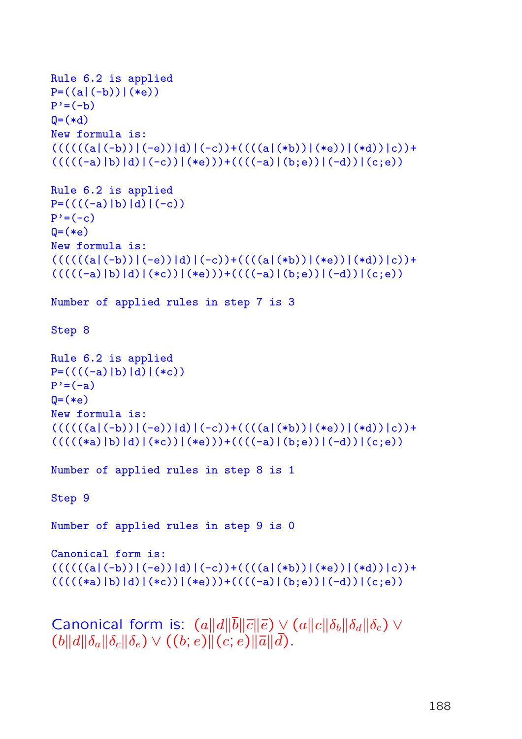```
Rule 6.2 is applied
P = ((a|(-b))|(*e))P' = (-b)Q=(*d)New formula is:
(((((a|(-b))|(-e))|d)|(-c)) + (((a|(*b))|(*e))|(*d))|c)) +(((((-a)|b)|d)|(-c))|(*e)))+((((-a)|(b;e))|(-d))|(c;e))Rule 6.2 is applied
P=((((-a)|b)|d)|(-c))P' = (-c)Q=(e^+e^-)New formula is:
(((((a|(-b))|(-e))[d)|(-c))+((((a|(*b))|(*e))|(*d))|c))+(((((-a)|b)|d)|(*c))|(*e)))+((((-a)|(b;e))|(-d))|(c;e))Number of applied rules in step 7 is 3
Step 8
Rule 6.2 is applied
P=((((-a)|b)|d)|(*c))P' = (-a)Q=(e^+e^-)New formula is:
(((((a|(-b))|(-e))|d)|(-c)) + (((a|(*b))|(*e))|(*d))|c)) +(((((\ast a)\,|b)\,|d)\,|(\ast c))\,|(\ast e))) + ((((-a)\,|(\ast e))\,|(-d))\,|(\mathrm{c};e))Number of applied rules in step 8 is 1
Step 9
Number of applied rules in step 9 is 0
Canonical form is:
(((((a|(-b))|(-e))|d)|(-c)) + (((a|(*b))|(*e))|(*d))|c)) +(((((*)|b)|d)|(*_c))|(*_e)))+((((-a)|(b;e))|(-d))|(c;e))Canonical form is: (a||d||\overline{b}||\overline{c}||\overline{e}) \vee (a||c||\delta_b||\delta_d||\delta_e) \vee(b||d||\delta_a||\delta_c||\delta_e) \vee ((b; e)||(c; e)||\overline{a}||\overline{d}).
```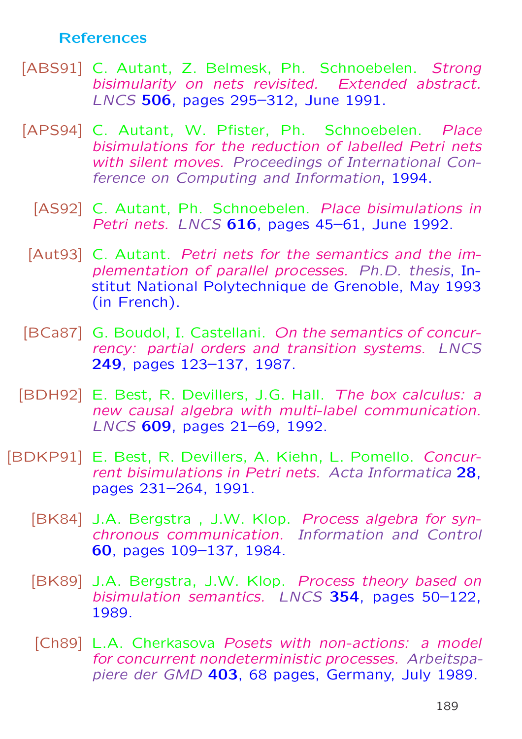## References

- [ABS91] C. Autant, Z. Belmesk, Ph. Schnoebelen. Strong bisimularity on nets revisited. Extended abstract. LNCS 506, pages 295–312, June 1991.
- [APS94] C. Autant, W. Pfister, Ph. Schnoebelen. Place bisimulations for the reduction of labelled Petri nets with silent moves. Proceedings of International Conference on Computing and Information, 1994.
	- [AS92] C. Autant, Ph. Schnoebelen. Place bisimulations in Petri nets. LNCS 616, pages 45–61, June 1992.
	- [Aut93] C. Autant. Petri nets for the semantics and the implementation of parallel processes. Ph.D. thesis, Institut National Polytechnique de Grenoble, May 1993 (in French).
- [BCa87] G. Boudol, I. Castellani. On the semantics of concurrency: partial orders and transition systems. LNCS 249, pages 123–137, 1987.
- [BDH92] E. Best, R. Devillers, J.G. Hall. The box calculus: a new causal algebra with multi-label communication. LNCS 609, pages 21–69, 1992.
- [BDKP91] E. Best, R. Devillers, A. Kiehn, L. Pomello. Concurrent bisimulations in Petri nets. Acta Informatica 28, pages 231–264, 1991.
	- [BK84] J.A. Bergstra, J.W. Klop. Process algebra for synchronous communication. Information and Control 60, pages 109–137, 1984.
	- [BK89] J.A. Bergstra, J.W. Klop. Process theory based on bisimulation semantics. LNCS 354, pages 50–122, 1989.
	- [Ch89] L.A. Cherkasova Posets with non-actions: a model for concurrent nondeterministic processes. Arbeitspapiere der GMD 403, 68 pages, Germany, July 1989.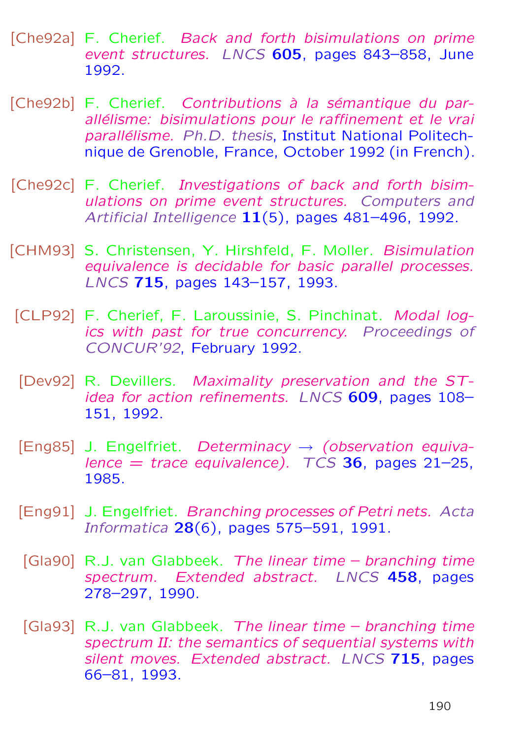- [Che92a] F. Cherief. Back and forth bisimulations on prime event structures. LNCS 605, pages 843–858, June 1992.
- [Che92b] F. Cherief. Contributions à la sémantique du parallélisme: bisimulations pour le raffinement et le vrai parallélisme. Ph.D. thesis, Institut National Politechnique de Grenoble, France, October 1992 (in French).
- [Che92c] F. Cherief. Investigations of back and forth bisimulations on prime event structures. Computers and Artificial Intelligence 11(5), pages 481-496, 1992.
- [CHM93] S. Christensen, Y. Hirshfeld, F. Moller. Bisimulation equivalence is decidable for basic parallel processes. LNCS 715, pages 143–157, 1993.
- [CLP92] F. Cherief, F. Laroussinie, S. Pinchinat. Modal logics with past for true concurrency. Proceedings of CONCUR'92, February 1992.
- [Dev92] R. Devillers. Maximality preservation and the STidea for action refinements. LNCS 609, pages 108– 151, 1992.
- [Eng85] J. Engelfriet. Determinacy  $\rightarrow$  (observation equivalence  $=$  trace equivalence).  $TCS$  36, pages 21-25, 1985.
- [Eng91] J. Engelfriet. Branching processes of Petri nets. Acta Informatica 28(6), pages 575–591, 1991.
- [Gla90] R.J. van Glabbeek. The linear time branching time spectrum. Extended abstract. LNCS 458, pages 278–297, 1990.
- [Gla93] R.J. van Glabbeek. The linear time branching time spectrum II: the semantics of sequential systems with silent moves. Extended abstract. LNCS 715, pages 66–81, 1993.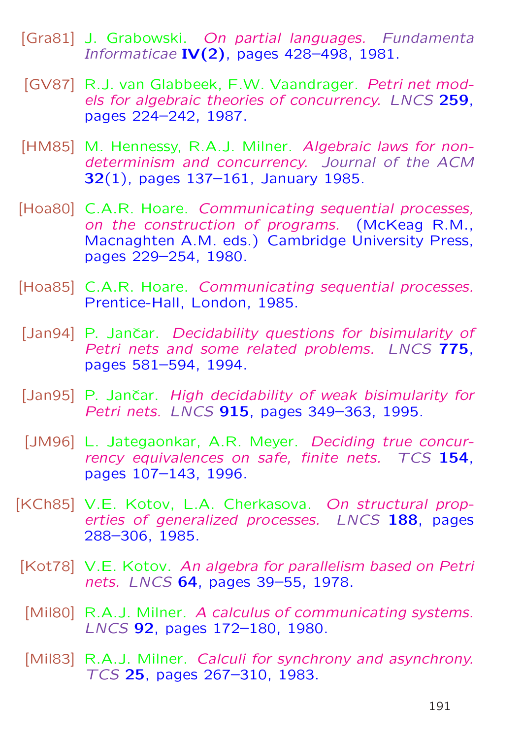- [Gra81] J. Grabowski. On partial languages. Fundamenta Informaticae IV $(2)$ , pages 428–498, 1981.
- [GV87] R.J. van Glabbeek, F.W. Vaandrager. Petri net models for algebraic theories of concurrency. LNCS 259, pages 224–242, 1987.
- [HM85] M. Hennessy, R.A.J. Milner. Algebraic laws for nondeterminism and concurrency. Journal of the ACM 32(1), pages 137–161, January 1985.
- [Hoa80] C.A.R. Hoare. Communicating sequential processes, on the construction of programs. (McKeag R.M., Macnaghten A.M. eds.) Cambridge University Press, pages 229–254, 1980.
- [Hoa85] C.A.R. Hoare. Communicating sequential processes. Prentice-Hall, London, 1985.
- [Jan94] P. Jančar. Decidability questions for bisimularity of Petri nets and some related problems. LNCS 775, pages 581–594, 1994.
- [Jan95] P. Jančar. High decidability of weak bisimularity for Petri nets. LNCS 915, pages 349-363, 1995.
- [JM96] L. Jategaonkar, A.R. Meyer. Deciding true concurrency equivalences on safe, finite nets. TCS 154, pages 107–143, 1996.
- [KCh85] V.E. Kotov, L.A. Cherkasova. On structural properties of generalized processes. LNCS 188, pages 288–306, 1985.
- [Kot78] V.E. Kotov. An algebra for parallelism based on Petri nets. LNCS 64, pages 39–55, 1978.
- [Mil80] R.A.J. Milner. A calculus of communicating systems. LNCS 92, pages 172–180, 1980.
- [Mil83] R.A.J. Milner. Calculi for synchrony and asynchrony. TCS 25, pages 267–310, 1983.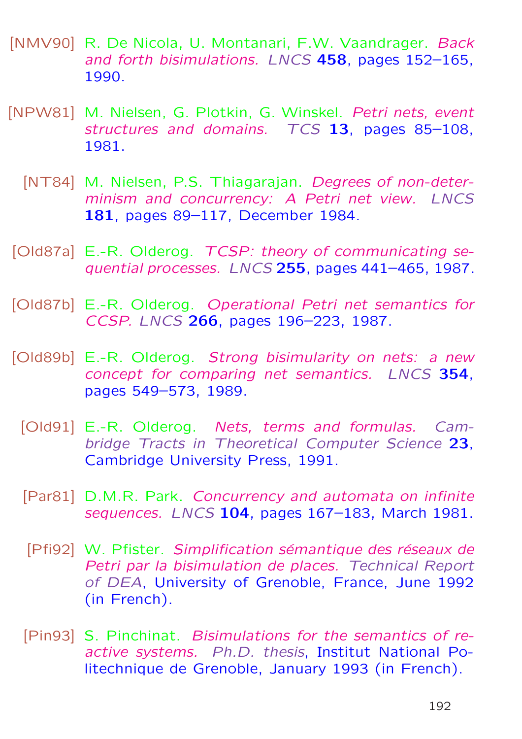- [NMV90] R. De Nicola, U. Montanari, F.W. Vaandrager. Back and forth bisimulations. LNCS 458, pages 152-165, 1990.
- [NPW81] M. Nielsen, G. Plotkin, G. Winskel. Petri nets, event structures and domains. TCS 13, pages 85-108, 1981.
	- [NT84] M. Nielsen, P.S. Thiagarajan. Degrees of non-determinism and concurrency: A Petri net view. LNCS 181, pages 89–117, December 1984.
- [Old87a] E.-R. Olderog. TCSP: theory of communicating sequential processes. LNCS 255, pages 441-465, 1987.
- [Old87b] E.-R. Olderog. Operational Petri net semantics for CCSP. LNCS 266, pages 196–223, 1987.
- [Old89b] E.-R. Olderog. Strong bisimularity on nets: a new concept for comparing net semantics. LNCS 354, pages 549–573, 1989.
	- [Old91] E.-R. Olderog. Nets, terms and formulas. Cambridge Tracts in Theoretical Computer Science 23, Cambridge University Press, 1991.
	- [Par81] D.M.R. Park. Concurrency and automata on infinite sequences. LNCS 104, pages 167-183, March 1981.
	- [Pfi92] W. Pfister. Simplification sémantique des réseaux de Petri par la bisimulation de places. Technical Report of DEA, University of Grenoble, France, June 1992 (in French).
	- [Pin93] S. Pinchinat. Bisimulations for the semantics of reactive systems. Ph.D. thesis, Institut National Politechnique de Grenoble, January 1993 (in French).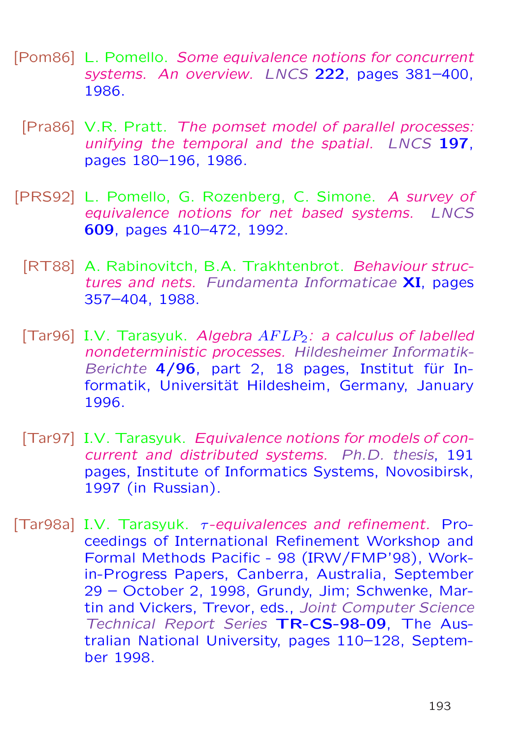- [Pom86] L. Pomello. Some equivalence notions for concurrent systems. An overview. LNCS 222, pages 381–400, 1986.
	- [Pra86] V.R. Pratt. The pomset model of parallel processes: unifying the temporal and the spatial. LNCS 197, pages 180–196, 1986.
- [PRS92] L. Pomello, G. Rozenberg, C. Simone. A survey of equivalence notions for net based systems. LNCS 609, pages 410–472, 1992.
	- [RT88] A. Rabinovitch, B.A. Trakhtenbrot. Behaviour structures and nets. Fundamenta Informaticae XI, pages 357–404, 1988.
	- [Tar96] I.V. Tarasyuk. Algebra  $AFLP_2$ : a calculus of labelled nondeterministic processes. Hildesheimer Informatik-Berichte  $4/96$ , part 2, 18 pages, Institut für Informatik, Universität Hildesheim, Germany, January 1996.
	- [Tar97] I.V. Tarasyuk. Equivalence notions for models of concurrent and distributed systems. Ph.D. thesis, 191 pages, Institute of Informatics Systems, Novosibirsk, 1997 (in Russian).
- [Tar98a] I.V. Tarasyuk.  $\tau$ -equivalences and refinement. Proceedings of International Refinement Workshop and Formal Methods Pacific - 98 (IRW/FMP'98), Workin-Progress Papers, Canberra, Australia, September 29 – October 2, 1998, Grundy, Jim; Schwenke, Martin and Vickers, Trevor, eds., Joint Computer Science Technical Report Series TR-CS-98-09, The Australian National University, pages 110–128, September 1998.